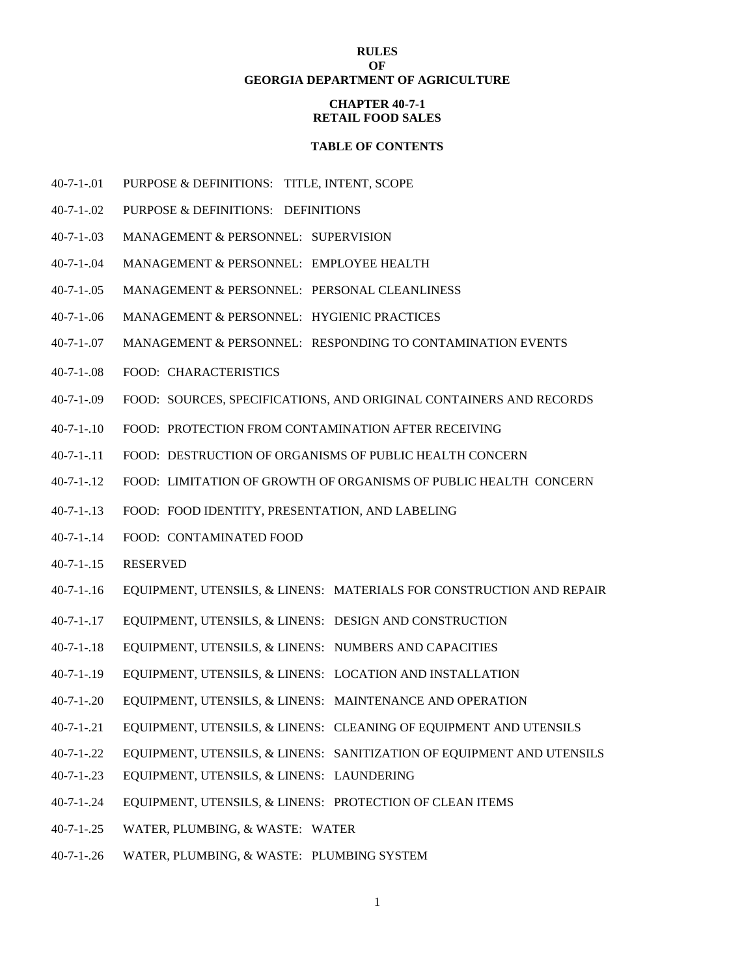## **RULES OF GEORGIA DEPARTMENT OF AGRICULTURE**

## **CHAPTER 40-7-1 RETAIL FOOD SALES**

#### **TABLE OF CONTENTS**

- 40-7-1-.01 PURPOSE & DEFINITIONS: TITLE, INTENT, SCOPE
- 40-7-1-.02 PURPOSE & DEFINITIONS: DEFINITIONS
- 40-7-1-.03 MANAGEMENT & PERSONNEL: SUPERVISION
- 40-7-1-.04 MANAGEMENT & PERSONNEL: EMPLOYEE HEALTH
- 40-7-1-.05 MANAGEMENT & PERSONNEL: PERSONAL CLEANLINESS
- 40-7-1-.06 MANAGEMENT & PERSONNEL: HYGIENIC PRACTICES
- 40-7-1-.07 MANAGEMENT & PERSONNEL: RESPONDING TO CONTAMINATION EVENTS
- 40-7-1-.08 FOOD: CHARACTERISTICS
- 40-7-1-.09 FOOD: SOURCES, SPECIFICATIONS, AND ORIGINAL CONTAINERS AND RECORDS
- 40-7-1-.10 FOOD: PROTECTION FROM CONTAMINATION AFTER RECEIVING
- 40-7-1-.11 FOOD: DESTRUCTION OF ORGANISMS OF PUBLIC HEALTH CONCERN
- 40-7-1-.12 FOOD: LIMITATION OF GROWTH OF ORGANISMS OF PUBLIC HEALTH CONCERN
- 40-7-1-.13 FOOD: FOOD IDENTITY, PRESENTATION, AND LABELING
- 40-7-1-.14 FOOD: CONTAMINATED FOOD
- 40-7-1-.15 RESERVED
- 40-7-1-.16 EQUIPMENT, UTENSILS, & LINENS: MATERIALS FOR CONSTRUCTION AND REPAIR
- 40-7-1-.17 EQUIPMENT, UTENSILS, & LINENS: DESIGN AND CONSTRUCTION
- 40-7-1-.18 EQUIPMENT, UTENSILS, & LINENS: NUMBERS AND CAPACITIES
- 40-7-1-.19 EQUIPMENT, UTENSILS, & LINENS: LOCATION AND INSTALLATION
- 40-7-1-.20 EQUIPMENT, UTENSILS, & LINENS: MAINTENANCE AND OPERATION
- 40-7-1-.21 EQUIPMENT, UTENSILS, & LINENS: CLEANING OF EQUIPMENT AND UTENSILS
- 40-7-1-.22 EQUIPMENT, UTENSILS, & LINENS: SANITIZATION OF EQUIPMENT AND UTENSILS
- 40-7-1-.23 EQUIPMENT, UTENSILS, & LINENS: LAUNDERING
- 40-7-1-.24 EQUIPMENT, UTENSILS, & LINENS: PROTECTION OF CLEAN ITEMS
- 40-7-1-.25 WATER, PLUMBING, & WASTE: WATER
- 40-7-1-.26 WATER, PLUMBING, & WASTE: PLUMBING SYSTEM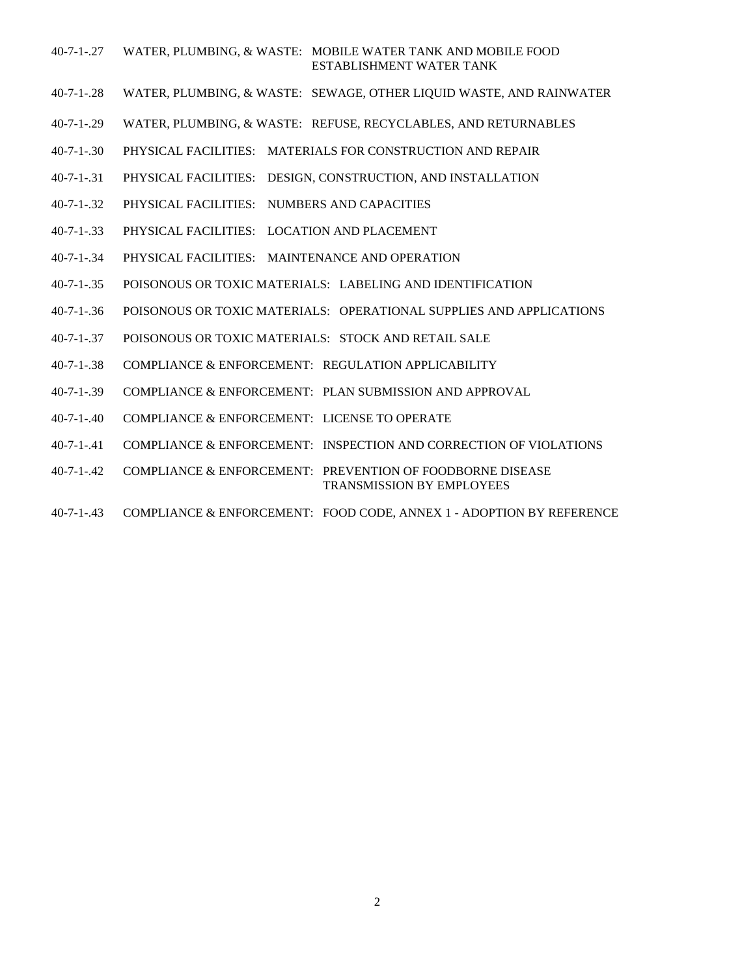#### 40-7-1-.27 WATER, PLUMBING, & WASTE: MOBILE WATER TANK AND MOBILE FOOD ESTABLISHMENT WATER TANK

- 40-7-1-.28 WATER, PLUMBING, & WASTE: SEWAGE, OTHER LIQUID WASTE, AND RAINWATER
- 40-7-1-.29 WATER, PLUMBING, & WASTE: REFUSE, RECYCLABLES, AND RETURNABLES
- 40-7-1-.30 PHYSICAL FACILITIES: MATERIALS FOR CONSTRUCTION AND REPAIR
- 40-7-1-.31 PHYSICAL FACILITIES: DESIGN, CONSTRUCTION, AND INSTALLATION
- 40-7-1-.32 PHYSICAL FACILITIES: NUMBERS AND CAPACITIES
- 40-7-1-.33 PHYSICAL FACILITIES: LOCATION AND PLACEMENT
- 40-7-1-.34 PHYSICAL FACILITIES: MAINTENANCE AND OPERATION
- 40-7-1-.35 POISONOUS OR TOXIC MATERIALS: LABELING AND IDENTIFICATION
- 40-7-1-.36 POISONOUS OR TOXIC MATERIALS: OPERATIONAL SUPPLIES AND APPLICATIONS
- 40-7-1-.37 POISONOUS OR TOXIC MATERIALS: STOCK AND RETAIL SALE
- 40-7-1-.38 COMPLIANCE & ENFORCEMENT: REGULATION APPLICABILITY
- 40-7-1-.39 COMPLIANCE & ENFORCEMENT: PLAN SUBMISSION AND APPROVAL
- 40-7-1-.40 COMPLIANCE & ENFORCEMENT: LICENSE TO OPERATE
- 40-7-1-.41 COMPLIANCE & ENFORCEMENT: INSPECTION AND CORRECTION OF VIOLATIONS
- 40-7-1-.42 COMPLIANCE & ENFORCEMENT: PREVENTION OF FOODBORNE DISEASE TRANSMISSION BY EMPLOYEES
- 40-7-1-.43 COMPLIANCE & ENFORCEMENT: FOOD CODE, ANNEX 1 ADOPTION BY REFERENCE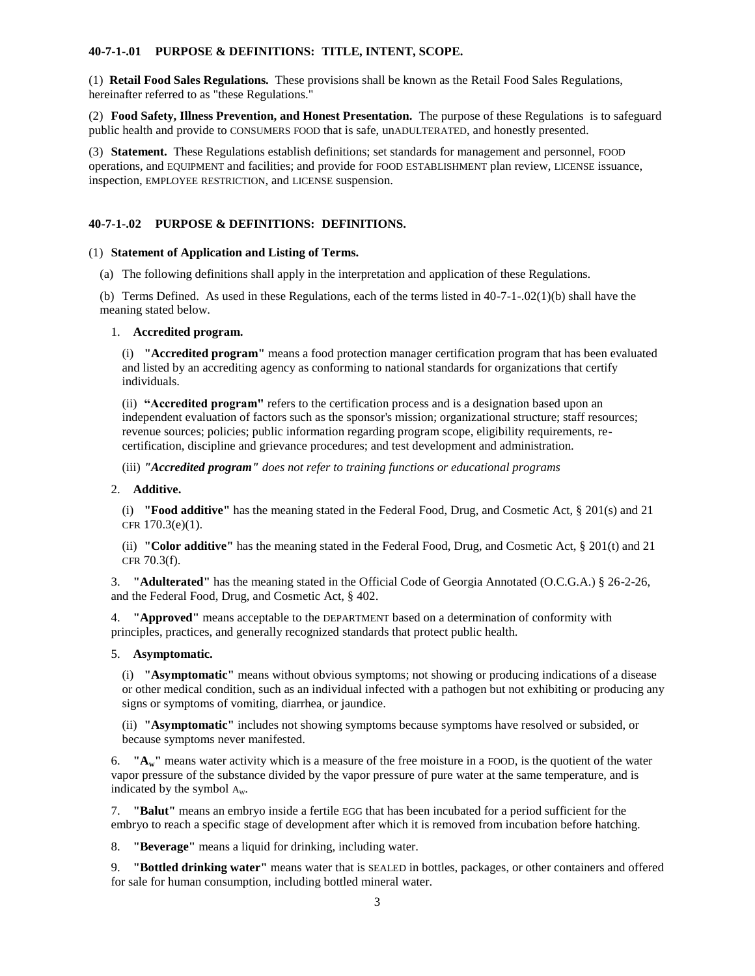## **40-7-1-.01 PURPOSE & DEFINITIONS: TITLE, INTENT, SCOPE.**

(1) **Retail Food Sales Regulations.** These provisions shall be known as the Retail Food Sales Regulations, hereinafter referred to as "these Regulations."

(2) **Food Safety, Illness Prevention, and Honest Presentation.** The purpose of these Regulations is to safeguard public health and provide to CONSUMERS FOOD that is safe, unADULTERATED, and honestly presented.

(3) **Statement.** These Regulations establish definitions; set standards for management and personnel, FOOD operations, and EQUIPMENT and facilities; and provide for FOOD ESTABLISHMENT plan review, LICENSE issuance, inspection, EMPLOYEE RESTRICTION, and LICENSE suspension.

# **40-7-1-.02 PURPOSE & DEFINITIONS: DEFINITIONS.**

#### (1) **Statement of Application and Listing of Terms.**

(a) The following definitions shall apply in the interpretation and application of these Regulations.

(b) Terms Defined. As used in these Regulations, each of the terms listed in 40-7-1-.02(1)(b) shall have the meaning stated below.

## 1. **Accredited program.**

(i) **"Accredited program"** means a food protection manager certification program that has been evaluated and listed by an accrediting agency as conforming to national standards for organizations that certify individuals.

(ii) **"Accredited program"** refers to the certification process and is a designation based upon an independent evaluation of factors such as the sponsor's mission; organizational structure; staff resources; revenue sources; policies; public information regarding program scope, eligibility requirements, recertification, discipline and grievance procedures; and test development and administration.

(iii) *"Accredited program" does not refer to training functions or educational programs*

2. **Additive.**

(i) **"Food additive"** has the meaning stated in the Federal Food, Drug, and Cosmetic Act, § 201(s) and 21 CFR 170.3(e)(1).

(ii) **"Color additive"** has the meaning stated in the Federal Food, Drug, and Cosmetic Act, § 201(t) and 21 CFR 70.3(f).

3. **"Adulterated"** has the meaning stated in the Official Code of Georgia Annotated (O.C.G.A.) § 26-2-26, and the Federal Food, Drug, and Cosmetic Act, § 402.

4. **"Approved"** means acceptable to the DEPARTMENT based on a determination of conformity with principles, practices, and generally recognized standards that protect public health.

5. **Asymptomatic.**

(i) **"Asymptomatic"** means without obvious symptoms; not showing or producing indications of a disease or other medical condition, such as an individual infected with a pathogen but not exhibiting or producing any signs or symptoms of vomiting, diarrhea, or jaundice.

(ii) **"Asymptomatic"** includes not showing symptoms because symptoms have resolved or subsided, or because symptoms never manifested.

6. **"Aw"** means water activity which is a measure of the free moisture in a FOOD, is the quotient of the water vapor pressure of the substance divided by the vapor pressure of pure water at the same temperature, and is indicated by the symbol  $A_w$ .

7. **"Balut"** means an embryo inside a fertile EGG that has been incubated for a period sufficient for the embryo to reach a specific stage of development after which it is removed from incubation before hatching.

8. **"Beverage"** means a liquid for drinking, including water.

9. **"Bottled drinking water"** means water that is SEALED in bottles, packages, or other containers and offered for sale for human consumption, including bottled mineral water.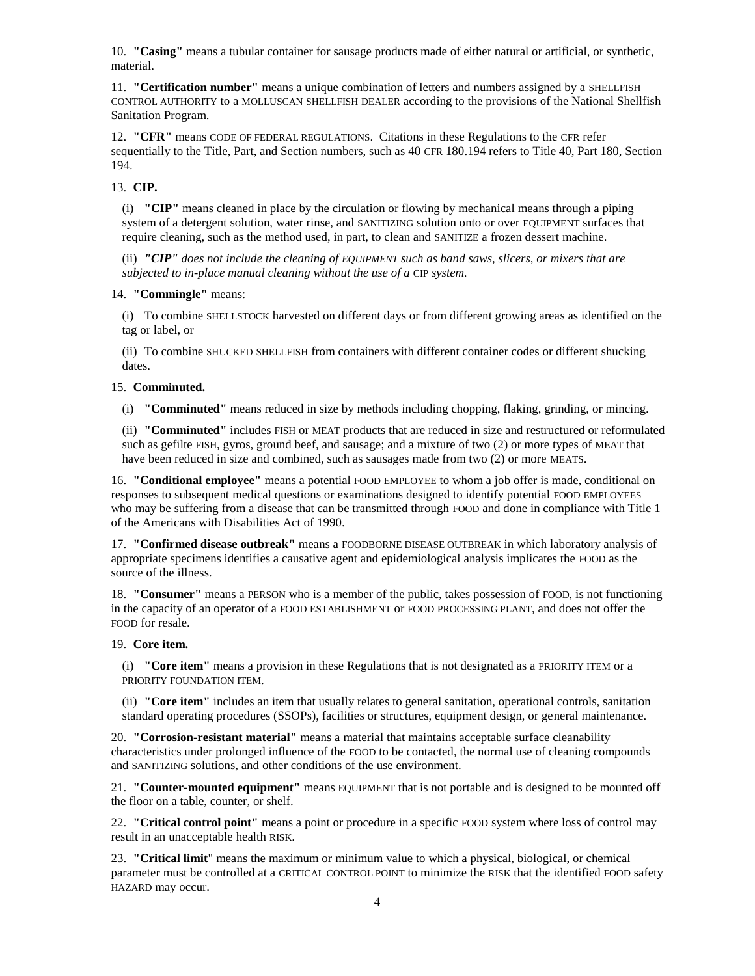10. **"Casing"** means a tubular container for sausage products made of either natural or artificial, or synthetic, material.

11. **"Certification number"** means a unique combination of letters and numbers assigned by a SHELLFISH CONTROL AUTHORITY to a MOLLUSCAN SHELLFISH DEALER according to the provisions of the National Shellfish Sanitation Program.

12. **"CFR"** means CODE OF FEDERAL REGULATIONS. Citations in these Regulations to the CFR refer sequentially to the Title, Part, and Section numbers, such as 40 CFR 180.194 refers to Title 40, Part 180, Section 194.

13. **CIP.**

(i) **"CIP"** means cleaned in place by the circulation or flowing by mechanical means through a piping system of a detergent solution, water rinse, and SANITIZING solution onto or over EQUIPMENT surfaces that require cleaning, such as the method used, in part, to clean and SANITIZE a frozen dessert machine.

(ii) *"CIP" does not include the cleaning of EQUIPMENT such as band saws, slicers, or mixers that are subjected to in-place manual cleaning without the use of a* CIP *system.*

14. **"Commingle"** means:

(i) To combine SHELLSTOCK harvested on different days or from different growing areas as identified on the tag or label, or

(ii) To combine SHUCKED SHELLFISH from containers with different container codes or different shucking dates.

## 15. **Comminuted.**

(i) **"Comminuted"** means reduced in size by methods including chopping, flaking, grinding, or mincing.

(ii) **"Comminuted"** includes FISH or MEAT products that are reduced in size and restructured or reformulated such as gefilte FISH, gyros, ground beef, and sausage; and a mixture of two (2) or more types of MEAT that have been reduced in size and combined, such as sausages made from two (2) or more MEATS.

16. **"Conditional employee"** means a potential FOOD EMPLOYEE to whom a job offer is made, conditional on responses to subsequent medical questions or examinations designed to identify potential FOOD EMPLOYEES who may be suffering from a disease that can be transmitted through FOOD and done in compliance with Title 1 of the Americans with Disabilities Act of 1990.

17. **"Confirmed disease outbreak"** means a FOODBORNE DISEASE OUTBREAK in which laboratory analysis of appropriate specimens identifies a causative agent and epidemiological analysis implicates the FOOD as the source of the illness.

18. **"Consumer"** means a PERSON who is a member of the public, takes possession of FOOD, is not functioning in the capacity of an operator of a FOOD ESTABLISHMENT or FOOD PROCESSING PLANT, and does not offer the FOOD for resale.

#### 19. **Core item.**

(i) **"Core item"** means a provision in these Regulations that is not designated as a PRIORITY ITEM or a PRIORITY FOUNDATION ITEM.

(ii) **"Core item"** includes an item that usually relates to general sanitation, operational controls, sanitation standard operating procedures (SSOPs), facilities or structures, equipment design, or general maintenance.

20. **"Corrosion-resistant material"** means a material that maintains acceptable surface cleanability characteristics under prolonged influence of the FOOD to be contacted, the normal use of cleaning compounds and SANITIZING solutions, and other conditions of the use environment.

21. **"Counter-mounted equipment"** means EQUIPMENT that is not portable and is designed to be mounted off the floor on a table, counter, or shelf.

22. **"Critical control point"** means a point or procedure in a specific FOOD system where loss of control may result in an unacceptable health RISK.

23. **"Critical limit**" means the maximum or minimum value to which a physical, biological, or chemical parameter must be controlled at a CRITICAL CONTROL POINT to minimize the RISK that the identified FOOD safety HAZARD may occur.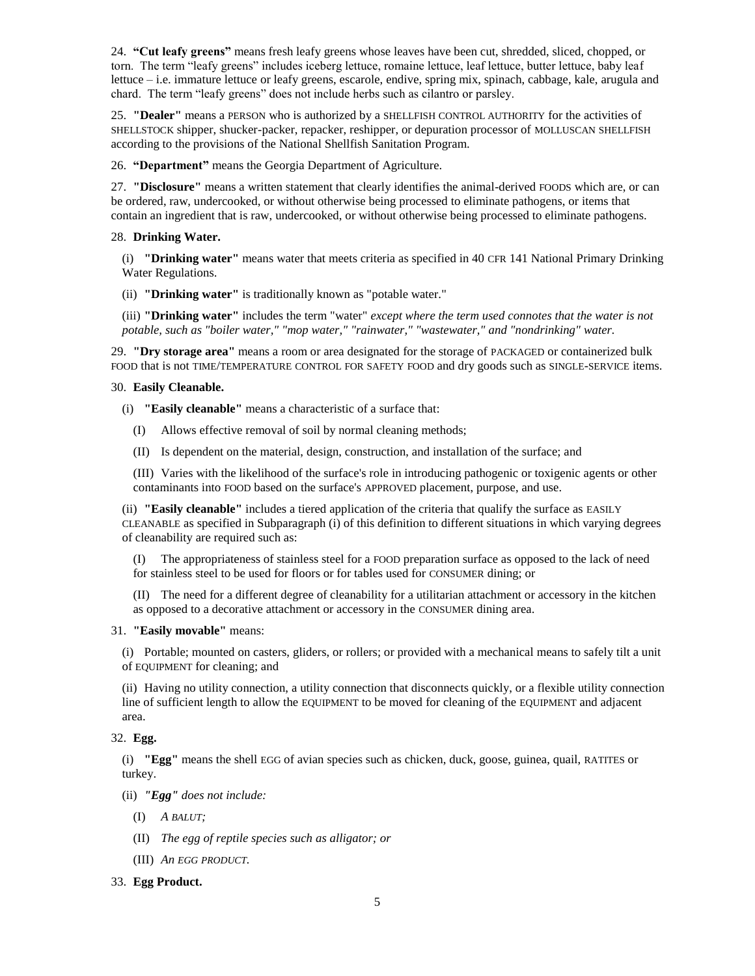24. **"Cut leafy greens"** means fresh leafy greens whose leaves have been cut, shredded, sliced, chopped, or torn. The term "leafy greens" includes iceberg lettuce, romaine lettuce, leaf lettuce, butter lettuce, baby leaf lettuce – i.e. immature lettuce or leafy greens, escarole, endive, spring mix, spinach, cabbage, kale, arugula and chard. The term "leafy greens" does not include herbs such as cilantro or parsley.

25. **"Dealer"** means a PERSON who is authorized by a SHELLFISH CONTROL AUTHORITY for the activities of SHELLSTOCK shipper, shucker-packer, repacker, reshipper, or depuration processor of MOLLUSCAN SHELLFISH according to the provisions of the National Shellfish Sanitation Program.

26. **"Department"** means the Georgia Department of Agriculture.

27. **"Disclosure"** means a written statement that clearly identifies the animal-derived FOODS which are, or can be ordered, raw, undercooked, or without otherwise being processed to eliminate pathogens, or items that contain an ingredient that is raw, undercooked, or without otherwise being processed to eliminate pathogens.

# 28. **Drinking Water.**

(i) **"Drinking water"** means water that meets criteria as specified in 40 CFR 141 National Primary Drinking Water Regulations.

(ii) **"Drinking water"** is traditionally known as "potable water."

(iii) **"Drinking water"** includes the term "water" *except where the term used connotes that the water is not potable, such as "boiler water," "mop water," "rainwater," "wastewater," and "nondrinking" water.*

29. **"Dry storage area"** means a room or area designated for the storage of PACKAGED or containerized bulk FOOD that is not TIME/TEMPERATURE CONTROL FOR SAFETY FOOD and dry goods such as SINGLE-SERVICE items.

# 30. **Easily Cleanable.**

(i) **"Easily cleanable"** means a characteristic of a surface that:

- (I) Allows effective removal of soil by normal cleaning methods;
- (II) Is dependent on the material, design, construction, and installation of the surface; and

(III) Varies with the likelihood of the surface's role in introducing pathogenic or toxigenic agents or other contaminants into FOOD based on the surface's APPROVED placement, purpose, and use.

(ii) **"Easily cleanable"** includes a tiered application of the criteria that qualify the surface as EASILY CLEANABLE as specified in Subparagraph (i) of this definition to different situations in which varying degrees of cleanability are required such as:

(I) The appropriateness of stainless steel for a FOOD preparation surface as opposed to the lack of need for stainless steel to be used for floors or for tables used for CONSUMER dining; or

(II) The need for a different degree of cleanability for a utilitarian attachment or accessory in the kitchen as opposed to a decorative attachment or accessory in the CONSUMER dining area.

# 31. **"Easily movable"** means:

(i) Portable; mounted on casters, gliders, or rollers; or provided with a mechanical means to safely tilt a unit of EQUIPMENT for cleaning; and

(ii) Having no utility connection, a utility connection that disconnects quickly, or a flexible utility connection line of sufficient length to allow the EQUIPMENT to be moved for cleaning of the EQUIPMENT and adjacent area.

# 32. **Egg.**

(i) **"Egg"** means the shell EGG of avian species such as chicken, duck, goose, guinea, quail, RATITES or turkey.

(ii) *"Egg" does not include:*

- (I) *A BALUT;*
- (II) *The egg of reptile species such as alligator; or*
- (III) *An EGG PRODUCT.*
- 33. **Egg Product.**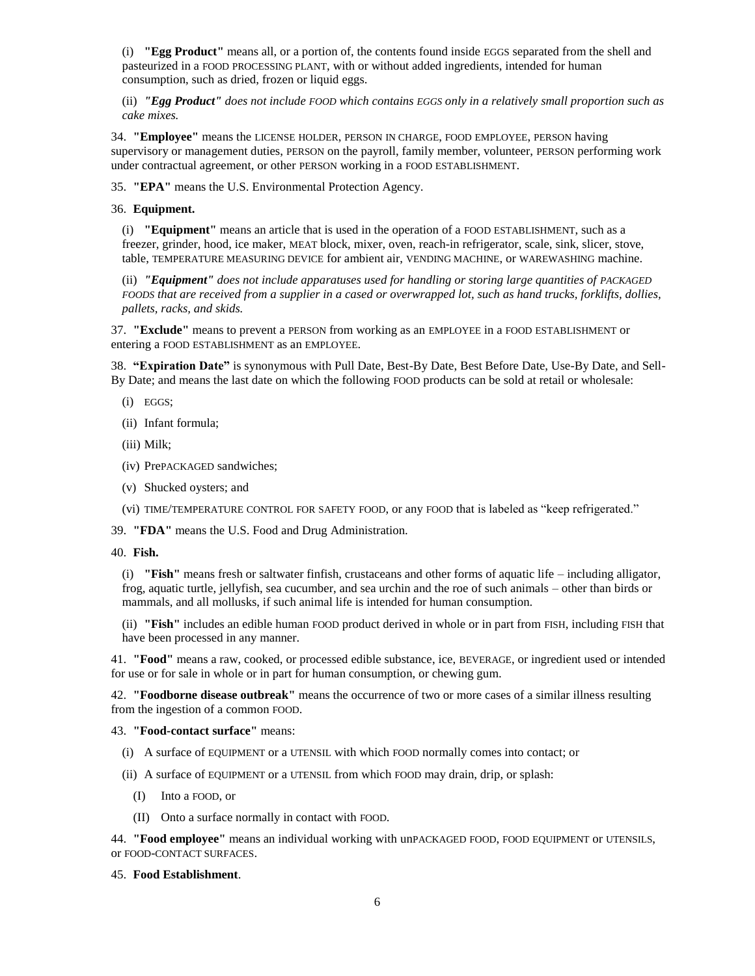(i) **"Egg Product"** means all, or a portion of, the contents found inside EGGS separated from the shell and pasteurized in a FOOD PROCESSING PLANT, with or without added ingredients, intended for human consumption, such as dried, frozen or liquid eggs.

(ii) *"Egg Product" does not include FOOD which contains EGGS only in a relatively small proportion such as cake mixes.*

34. **"Employee"** means the LICENSE HOLDER, PERSON IN CHARGE, FOOD EMPLOYEE, PERSON having supervisory or management duties, PERSON on the payroll, family member, volunteer, PERSON performing work under contractual agreement, or other PERSON working in a FOOD ESTABLISHMENT.

35. **"EPA"** means the U.S. Environmental Protection Agency.

36. **Equipment.**

(i) **"Equipment"** means an article that is used in the operation of a FOOD ESTABLISHMENT, such as a freezer, grinder, hood, ice maker, MEAT block, mixer, oven, reach-in refrigerator, scale, sink, slicer, stove, table, TEMPERATURE MEASURING DEVICE for ambient air, VENDING MACHINE, or WAREWASHING machine.

(ii) *"Equipment" does not include apparatuses used for handling or storing large quantities of PACKAGED FOODS that are received from a supplier in a cased or overwrapped lot, such as hand trucks, forklifts, dollies, pallets, racks, and skids.*

37. **"Exclude"** means to prevent a PERSON from working as an EMPLOYEE in a FOOD ESTABLISHMENT or entering a FOOD ESTABLISHMENT as an EMPLOYEE.

38. **"Expiration Date"** is synonymous with Pull Date, Best-By Date, Best Before Date, Use-By Date, and Sell-By Date; and means the last date on which the following FOOD products can be sold at retail or wholesale:

- (i) EGGS;
- (ii) Infant formula;
- (iii) Milk;
- (iv) PrePACKAGED sandwiches;
- (v) Shucked oysters; and
- (vi) TIME/TEMPERATURE CONTROL FOR SAFETY FOOD, or any FOOD that is labeled as "keep refrigerated."

39. **"FDA"** means the U.S. Food and Drug Administration.

#### 40. **Fish.**

(i) **"Fish"** means fresh or saltwater finfish, crustaceans and other forms of aquatic life – including alligator, frog, aquatic turtle, jellyfish, sea cucumber, and sea urchin and the roe of such animals – other than birds or mammals, and all mollusks, if such animal life is intended for human consumption.

(ii) **"Fish"** includes an edible human FOOD product derived in whole or in part from FISH, including FISH that have been processed in any manner.

41. **"Food"** means a raw, cooked, or processed edible substance, ice, BEVERAGE, or ingredient used or intended for use or for sale in whole or in part for human consumption, or chewing gum.

42. **"Foodborne disease outbreak"** means the occurrence of two or more cases of a similar illness resulting from the ingestion of a common FOOD.

## 43. **"Food-contact surface"** means:

- (i) A surface of EQUIPMENT or a UTENSIL with which FOOD normally comes into contact; or
- (ii) A surface of EQUIPMENT or a UTENSIL from which FOOD may drain, drip, or splash:
	- (I) Into a FOOD, or
	- (II) Onto a surface normally in contact with FOOD.

44. **"Food employee"** means an individual working with unPACKAGED FOOD, FOOD EQUIPMENT or UTENSILS, or FOOD-CONTACT SURFACES.

45. **Food Establishment**.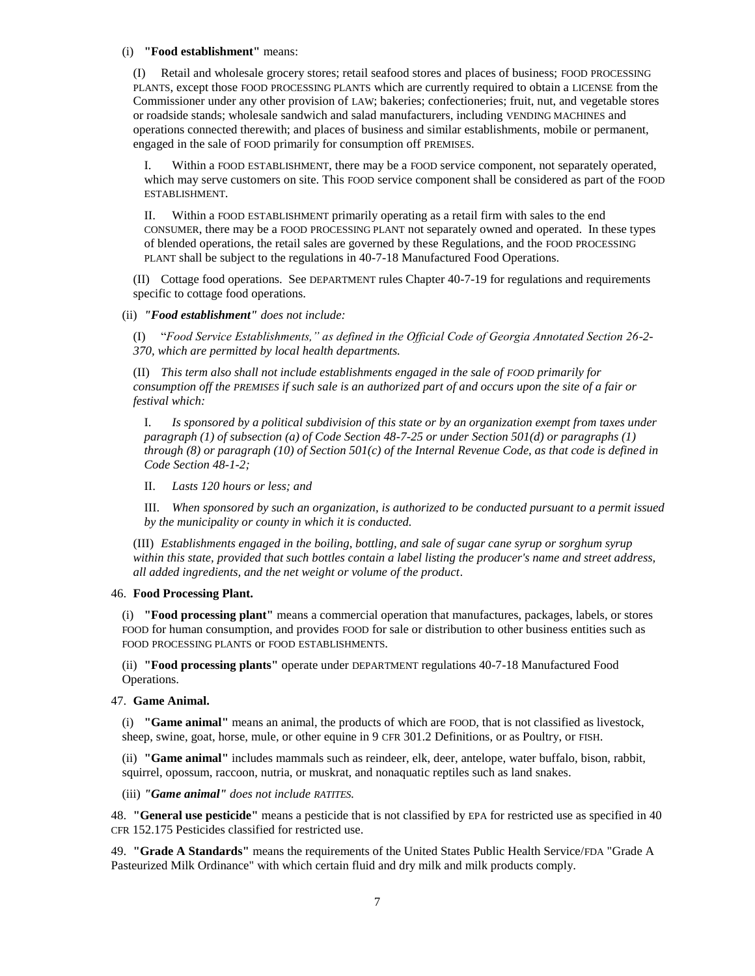#### (i) **"Food establishment"** means:

(I) Retail and wholesale grocery stores; retail seafood stores and places of business; FOOD PROCESSING PLANTS, except those FOOD PROCESSING PLANTS which are currently required to obtain a LICENSE from the Commissioner under any other provision of LAW; bakeries; confectioneries; fruit, nut, and vegetable stores or roadside stands; wholesale sandwich and salad manufacturers, including VENDING MACHINES and operations connected therewith; and places of business and similar establishments, mobile or permanent, engaged in the sale of FOOD primarily for consumption off PREMISES.

I. Within a FOOD ESTABLISHMENT, there may be a FOOD service component, not separately operated, which may serve customers on site. This FOOD service component shall be considered as part of the FOOD ESTABLISHMENT.

II. Within a FOOD ESTABLISHMENT primarily operating as a retail firm with sales to the end CONSUMER, there may be a FOOD PROCESSING PLANT not separately owned and operated. In these types of blended operations, the retail sales are governed by these Regulations, and the FOOD PROCESSING PLANT shall be subject to the regulations in 40-7-18 Manufactured Food Operations.

(II) Cottage food operations. See DEPARTMENT rules Chapter 40-7-19 for regulations and requirements specific to cottage food operations.

(ii) *"Food establishment" does not include:*

(I) "*Food Service Establishments," as defined in the Official Code of Georgia Annotated Section 26-2- 370, which are permitted by local health departments.*

(II) *This term also shall not include establishments engaged in the sale of FOOD primarily for consumption off the PREMISES if such sale is an authorized part of and occurs upon the site of a fair or festival which:*

I. *Is sponsored by a political subdivision of this state or by an organization exempt from taxes under paragraph (1) of subsection (a) of Code Section 48-7-25 or under Section 501(d) or paragraphs (1) through (8) or paragraph (10) of Section 501(c) of the Internal Revenue Code, as that code is defined in Code Section 48-1-2;*

II. *Lasts 120 hours or less; and*

III. *When sponsored by such an organization, is authorized to be conducted pursuant to a permit issued by the municipality or county in which it is conducted.*

(III) *Establishments engaged in the boiling, bottling, and sale of sugar cane syrup or sorghum syrup within this state, provided that such bottles contain a label listing the producer's name and street address, all added ingredients, and the net weight or volume of the product*.

## 46. **Food Processing Plant.**

(i) **"Food processing plant"** means a commercial operation that manufactures, packages, labels, or stores FOOD for human consumption, and provides FOOD for sale or distribution to other business entities such as FOOD PROCESSING PLANTS or FOOD ESTABLISHMENTS.

(ii) **"Food processing plants"** operate under DEPARTMENT regulations 40-7-18 Manufactured Food Operations.

47. **Game Animal.**

(i) **"Game animal"** means an animal, the products of which are FOOD, that is not classified as livestock, sheep, swine, goat, horse, mule, or other equine in 9 CFR 301.2 Definitions, or as Poultry, or FISH.

(ii) **"Game animal"** includes mammals such as reindeer, elk, deer, antelope, water buffalo, bison, rabbit, squirrel, opossum, raccoon, nutria, or muskrat, and nonaquatic reptiles such as land snakes.

(iii) *"Game animal" does not include RATITES.*

48. **"General use pesticide"** means a pesticide that is not classified by EPA for restricted use as specified in 40 CFR 152.175 Pesticides classified for restricted use.

49. **"Grade A Standards"** means the requirements of the United States Public Health Service/FDA "Grade A Pasteurized Milk Ordinance" with which certain fluid and dry milk and milk products comply.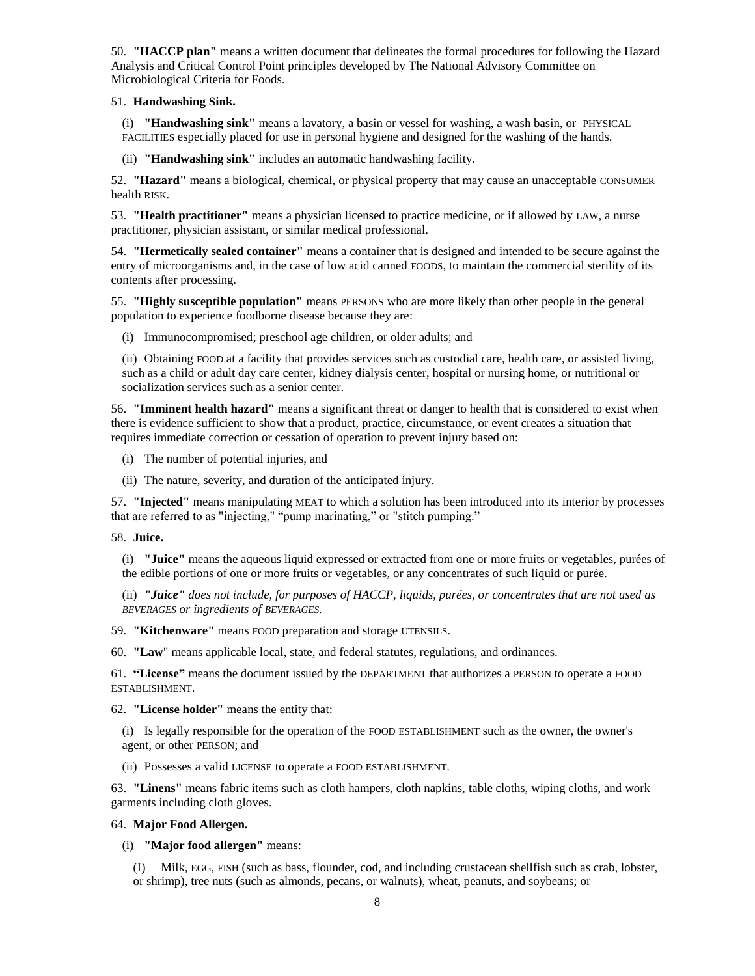50. **"HACCP plan"** means a written document that delineates the formal procedures for following the Hazard Analysis and Critical Control Point principles developed by The National Advisory Committee on Microbiological Criteria for Foods.

## 51. **Handwashing Sink.**

(i) **"Handwashing sink"** means a lavatory, a basin or vessel for washing, a wash basin, or PHYSICAL FACILITIES especially placed for use in personal hygiene and designed for the washing of the hands.

(ii) **"Handwashing sink"** includes an automatic handwashing facility.

52. **"Hazard"** means a biological, chemical, or physical property that may cause an unacceptable CONSUMER health RISK.

53. **"Health practitioner"** means a physician licensed to practice medicine, or if allowed by LAW, a nurse practitioner, physician assistant, or similar medical professional.

54. **"Hermetically sealed container"** means a container that is designed and intended to be secure against the entry of microorganisms and, in the case of low acid canned FOODS, to maintain the commercial sterility of its contents after processing.

55. **"Highly susceptible population"** means PERSONS who are more likely than other people in the general population to experience foodborne disease because they are:

(i) Immunocompromised; preschool age children, or older adults; and

(ii) Obtaining FOOD at a facility that provides services such as custodial care, health care, or assisted living, such as a child or adult day care center, kidney dialysis center, hospital or nursing home, or nutritional or socialization services such as a senior center.

56. **"Imminent health hazard"** means a significant threat or danger to health that is considered to exist when there is evidence sufficient to show that a product, practice, circumstance, or event creates a situation that requires immediate correction or cessation of operation to prevent injury based on:

- (i) The number of potential injuries, and
- (ii) The nature, severity, and duration of the anticipated injury.

57. **"Injected"** means manipulating MEAT to which a solution has been introduced into its interior by processes that are referred to as "injecting," "pump marinating," or "stitch pumping."

## 58. **Juice.**

(i) **"Juice"** means the aqueous liquid expressed or extracted from one or more fruits or vegetables, purées of the edible portions of one or more fruits or vegetables, or any concentrates of such liquid or purée.

(ii) *"Juice" does not include, for purposes of HACCP, liquids, purées, or concentrates that are not used as BEVERAGES or ingredients of BEVERAGES.*

59. **"Kitchenware"** means FOOD preparation and storage UTENSILS.

60. **"Law**" means applicable local, state, and federal statutes, regulations, and ordinances.

61. **"License"** means the document issued by the DEPARTMENT that authorizes a PERSON to operate a FOOD ESTABLISHMENT.

62. **"License holder"** means the entity that:

(i) Is legally responsible for the operation of the FOOD ESTABLISHMENT such as the owner, the owner's agent, or other PERSON; and

(ii) Possesses a valid LICENSE to operate a FOOD ESTABLISHMENT.

63. **"Linens"** means fabric items such as cloth hampers, cloth napkins, table cloths, wiping cloths, and work garments including cloth gloves.

## 64. **Major Food Allergen.**

(i) **"Major food allergen"** means:

(I) Milk, EGG, FISH (such as bass, flounder, cod, and including crustacean shellfish such as crab, lobster, or shrimp), tree nuts (such as almonds, pecans, or walnuts), wheat, peanuts, and soybeans; or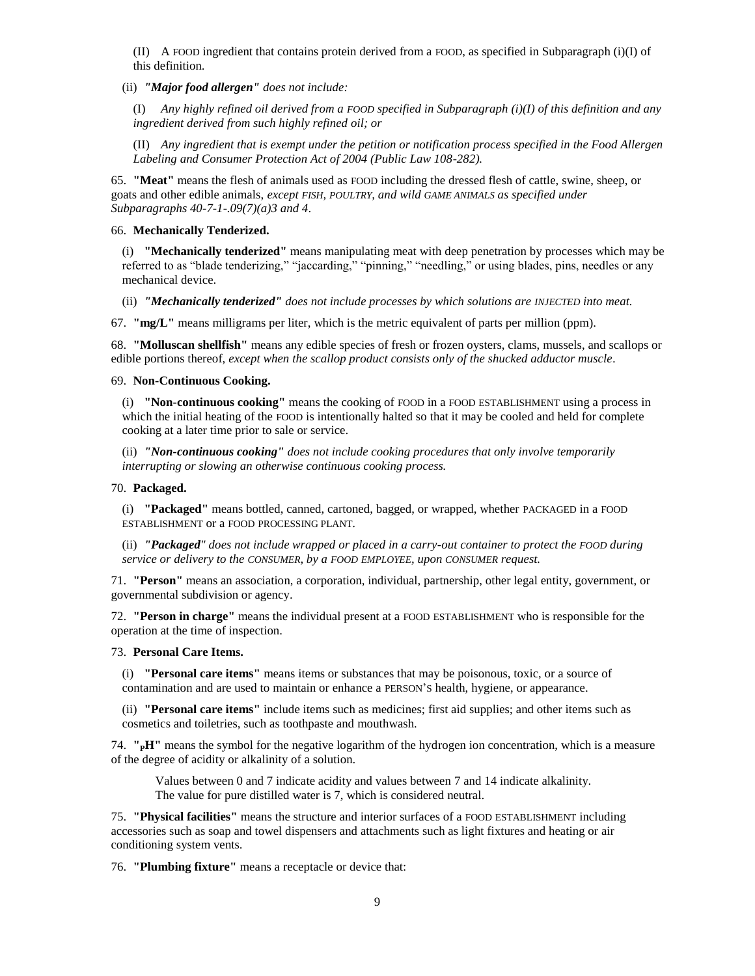(II) A FOOD ingredient that contains protein derived from a FOOD, as specified in Subparagraph (i)(I) of this definition.

(ii) *"Major food allergen" does not include:*

(I) *Any highly refined oil derived from a FOOD specified in Subparagraph (i)(I) of this definition and any ingredient derived from such highly refined oil; or*

(II) *Any ingredient that is exempt under the petition or notification process specified in the Food Allergen Labeling and Consumer Protection Act of 2004 (Public Law 108-282).*

65. **"Meat"** means the flesh of animals used as FOOD including the dressed flesh of cattle, swine, sheep, or goats and other edible animals, *except FISH, POULTRY, and wild GAME ANIMALS as specified under Subparagraphs 40-7-1-.09(7)(a)3 and 4*.

#### 66. **Mechanically Tenderized.**

(i) **"Mechanically tenderized"** means manipulating meat with deep penetration by processes which may be referred to as "blade tenderizing," "jaccarding," "pinning," "needling," or using blades, pins, needles or any mechanical device.

(ii) *"Mechanically tenderized" does not include processes by which solutions are INJECTED into meat.*

67. **"mg/L"** means milligrams per liter, which is the metric equivalent of parts per million (ppm).

68. **"Molluscan shellfish"** means any edible species of fresh or frozen oysters, clams, mussels, and scallops or edible portions thereof, *except when the scallop product consists only of the shucked adductor muscle*.

#### 69. **Non-Continuous Cooking.**

(i) **"Non-continuous cooking"** means the cooking of FOOD in a FOOD ESTABLISHMENT using a process in which the initial heating of the FOOD is intentionally halted so that it may be cooled and held for complete cooking at a later time prior to sale or service.

(ii) *"Non-continuous cooking" does not include cooking procedures that only involve temporarily interrupting or slowing an otherwise continuous cooking process.*

#### 70. **Packaged.**

(i) **"Packaged"** means bottled, canned, cartoned, bagged, or wrapped, whether PACKAGED in a FOOD ESTABLISHMENT or a FOOD PROCESSING PLANT.

(ii) **"Packaged**" does not include wrapped or placed in a carry-out container to protect the FOOD during *service or delivery to the CONSUMER, by a FOOD EMPLOYEE, upon CONSUMER request.*

71. **"Person"** means an association, a corporation, individual, partnership, other legal entity, government, or governmental subdivision or agency.

72. **"Person in charge"** means the individual present at a FOOD ESTABLISHMENT who is responsible for the operation at the time of inspection.

### 73. **Personal Care Items.**

(i) **"Personal care items"** means items or substances that may be poisonous, toxic, or a source of contamination and are used to maintain or enhance a PERSON'S health, hygiene, or appearance.

(ii) **"Personal care items"** include items such as medicines; first aid supplies; and other items such as cosmetics and toiletries, such as toothpaste and mouthwash.

74. **"PH"** means the symbol for the negative logarithm of the hydrogen ion concentration, which is a measure of the degree of acidity or alkalinity of a solution.

Values between 0 and 7 indicate acidity and values between 7 and 14 indicate alkalinity. The value for pure distilled water is 7, which is considered neutral.

75. **"Physical facilities"** means the structure and interior surfaces of a FOOD ESTABLISHMENT including accessories such as soap and towel dispensers and attachments such as light fixtures and heating or air conditioning system vents.

76. **"Plumbing fixture"** means a receptacle or device that: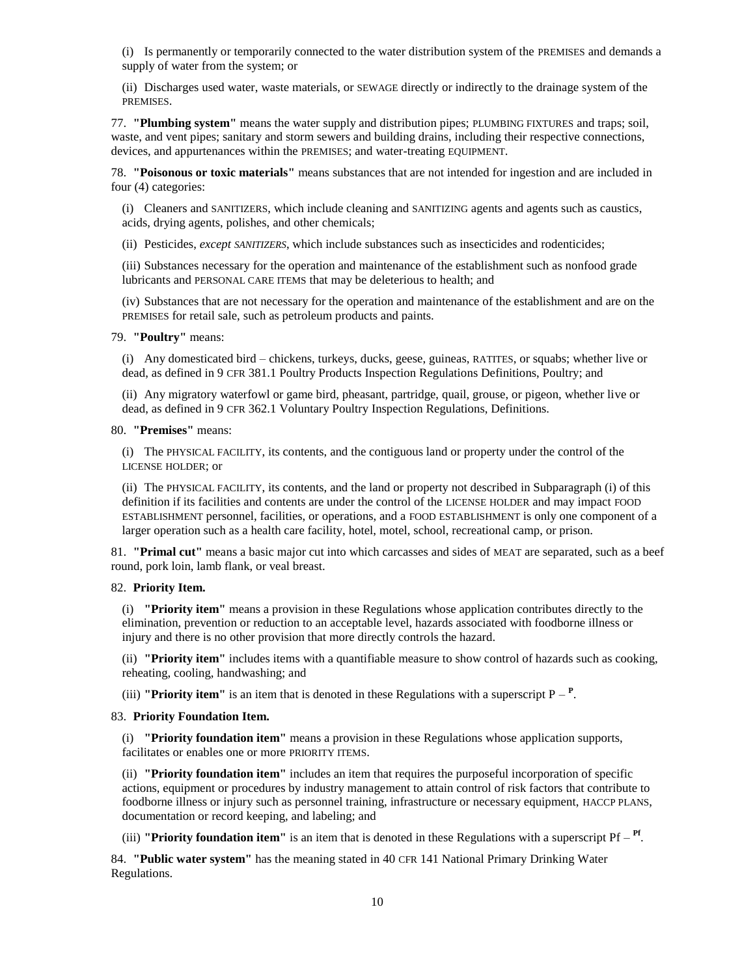(i) Is permanently or temporarily connected to the water distribution system of the PREMISES and demands a supply of water from the system; or

(ii) Discharges used water, waste materials, or SEWAGE directly or indirectly to the drainage system of the PREMISES.

77. **"Plumbing system"** means the water supply and distribution pipes; PLUMBING FIXTURES and traps; soil, waste, and vent pipes; sanitary and storm sewers and building drains, including their respective connections, devices, and appurtenances within the PREMISES; and water-treating EQUIPMENT.

78. **"Poisonous or toxic materials"** means substances that are not intended for ingestion and are included in four (4) categories:

(i) Cleaners and SANITIZERS, which include cleaning and SANITIZING agents and agents such as caustics, acids, drying agents, polishes, and other chemicals;

(ii) Pesticides, *except SANITIZERS*, which include substances such as insecticides and rodenticides;

(iii) Substances necessary for the operation and maintenance of the establishment such as nonfood grade lubricants and PERSONAL CARE ITEMS that may be deleterious to health; and

(iv) Substances that are not necessary for the operation and maintenance of the establishment and are on the PREMISES for retail sale, such as petroleum products and paints.

79. **"Poultry"** means:

(i) Any domesticated bird – chickens, turkeys, ducks, geese, guineas, RATITES, or squabs; whether live or dead, as defined in 9 CFR 381.1 Poultry Products Inspection Regulations Definitions, Poultry; and

(ii) Any migratory waterfowl or game bird, pheasant, partridge, quail, grouse, or pigeon, whether live or dead, as defined in 9 CFR 362.1 Voluntary Poultry Inspection Regulations, Definitions.

#### 80. **"Premises"** means:

(i) The PHYSICAL FACILITY, its contents, and the contiguous land or property under the control of the LICENSE HOLDER; or

(ii) The PHYSICAL FACILITY, its contents, and the land or property not described in Subparagraph (i) of this definition if its facilities and contents are under the control of the LICENSE HOLDER and may impact FOOD ESTABLISHMENT personnel, facilities, or operations, and a FOOD ESTABLISHMENT is only one component of a larger operation such as a health care facility, hotel, motel, school, recreational camp, or prison.

81. **"Primal cut"** means a basic major cut into which carcasses and sides of MEAT are separated, such as a beef round, pork loin, lamb flank, or veal breast.

#### 82. **Priority Item.**

(i) **"Priority item"** means a provision in these Regulations whose application contributes directly to the elimination, prevention or reduction to an acceptable level, hazards associated with foodborne illness or injury and there is no other provision that more directly controls the hazard.

(ii) **"Priority item"** includes items with a quantifiable measure to show control of hazards such as cooking, reheating, cooling, handwashing; and

(iii) **"Priority item"** is an item that is denoted in these Regulations with a superscript  $P - P$ .

#### 83. **Priority Foundation Item.**

(i) **"Priority foundation item"** means a provision in these Regulations whose application supports, facilitates or enables one or more PRIORITY ITEMS.

(ii) **"Priority foundation item"** includes an item that requires the purposeful incorporation of specific actions, equipment or procedures by industry management to attain control of risk factors that contribute to foodborne illness or injury such as personnel training, infrastructure or necessary equipment, HACCP PLANS, documentation or record keeping, and labeling; and

(iii) **"Priority foundation item"** is an item that is denoted in these Regulations with a superscript Pf – **Pf** .

84. **"Public water system"** has the meaning stated in 40 CFR 141 National Primary Drinking Water Regulations.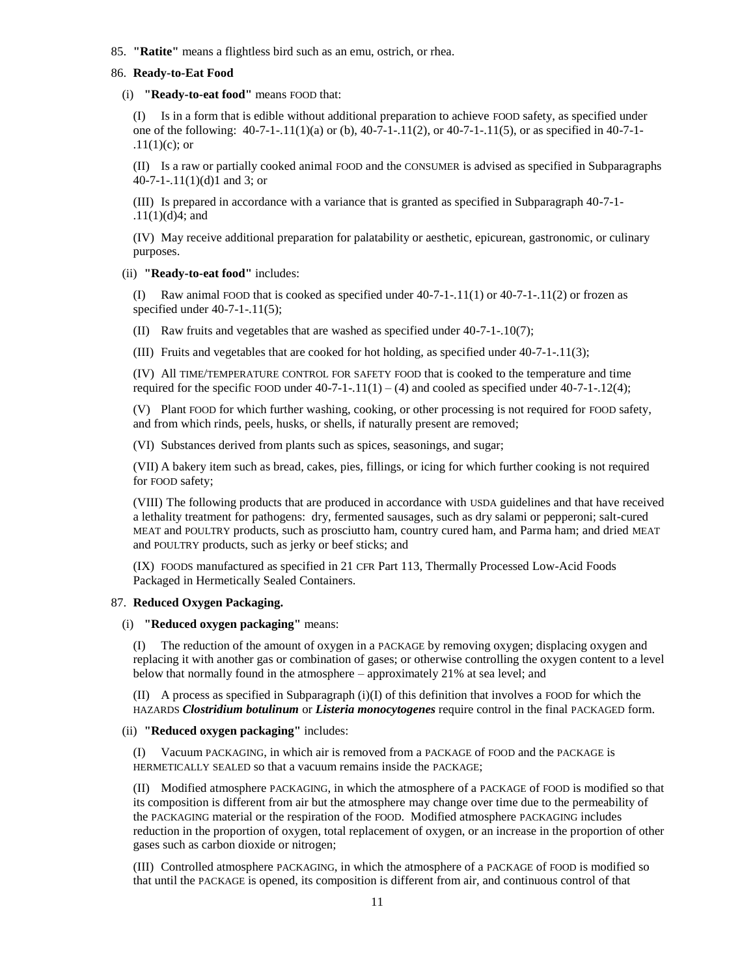85. **"Ratite"** means a flightless bird such as an emu, ostrich, or rhea.

#### 86. **Ready-to-Eat Food**

(i) **"Ready-to-eat food"** means FOOD that:

(I) Is in a form that is edible without additional preparation to achieve FOOD safety, as specified under one of the following:  $40-7-1-11(1)(a)$  or (b),  $40-7-1-11(2)$ , or  $40-7-1-11(5)$ , or as specified in  $40-7-1-11(5)$  $.11(1)(c)$ ; or

(II) Is a raw or partially cooked animal FOOD and the CONSUMER is advised as specified in Subparagraphs 40-7-1-.11(1)(d)1 and 3; or

(III) Is prepared in accordance with a variance that is granted as specified in Subparagraph 40-7-1- .11(1)(d)4; and

(IV) May receive additional preparation for palatability or aesthetic, epicurean, gastronomic, or culinary purposes.

#### (ii) **"Ready-to-eat food"** includes:

(I) Raw animal FOOD that is cooked as specified under  $40-7-1-11(1)$  or  $40-7-1-11(2)$  or frozen as specified under 40-7-1-.11(5);

(II) Raw fruits and vegetables that are washed as specified under 40-7-1-.10(7);

(III) Fruits and vegetables that are cooked for hot holding, as specified under 40-7-1-.11(3);

(IV) All TIME/TEMPERATURE CONTROL FOR SAFETY FOOD that is cooked to the temperature and time required for the specific FOOD under  $40-7-1-11(1) - (4)$  and cooled as specified under  $40-7-1-12(4)$ ;

(V) Plant FOOD for which further washing, cooking, or other processing is not required for FOOD safety, and from which rinds, peels, husks, or shells, if naturally present are removed;

(VI) Substances derived from plants such as spices, seasonings, and sugar;

(VII) A bakery item such as bread, cakes, pies, fillings, or icing for which further cooking is not required for FOOD safety;

(VIII) The following products that are produced in accordance with USDA guidelines and that have received a lethality treatment for pathogens: dry, fermented sausages, such as dry salami or pepperoni; salt-cured MEAT and POULTRY products, such as prosciutto ham, country cured ham, and Parma ham; and dried MEAT and POULTRY products, such as jerky or beef sticks; and

(IX) FOODS manufactured as specified in 21 CFR Part 113, Thermally Processed Low-Acid Foods Packaged in Hermetically Sealed Containers.

## 87. **Reduced Oxygen Packaging.**

(i) **"Reduced oxygen packaging"** means:

(I) The reduction of the amount of oxygen in a PACKAGE by removing oxygen; displacing oxygen and replacing it with another gas or combination of gases; or otherwise controlling the oxygen content to a level below that normally found in the atmosphere – approximately 21% at sea level; and

(II) A process as specified in Subparagraph  $(i)(I)$  of this definition that involves a FOOD for which the HAZARDS *Clostridium botulinum* or *Listeria monocytogenes* require control in the final PACKAGED form.

### (ii) **"Reduced oxygen packaging"** includes:

(I) Vacuum PACKAGING, in which air is removed from a PACKAGE of FOOD and the PACKAGE is HERMETICALLY SEALED so that a vacuum remains inside the PACKAGE;

(II) Modified atmosphere PACKAGING, in which the atmosphere of a PACKAGE of FOOD is modified so that its composition is different from air but the atmosphere may change over time due to the permeability of the PACKAGING material or the respiration of the FOOD. Modified atmosphere PACKAGING includes reduction in the proportion of oxygen, total replacement of oxygen, or an increase in the proportion of other gases such as carbon dioxide or nitrogen;

(III) Controlled atmosphere PACKAGING, in which the atmosphere of a PACKAGE of FOOD is modified so that until the PACKAGE is opened, its composition is different from air, and continuous control of that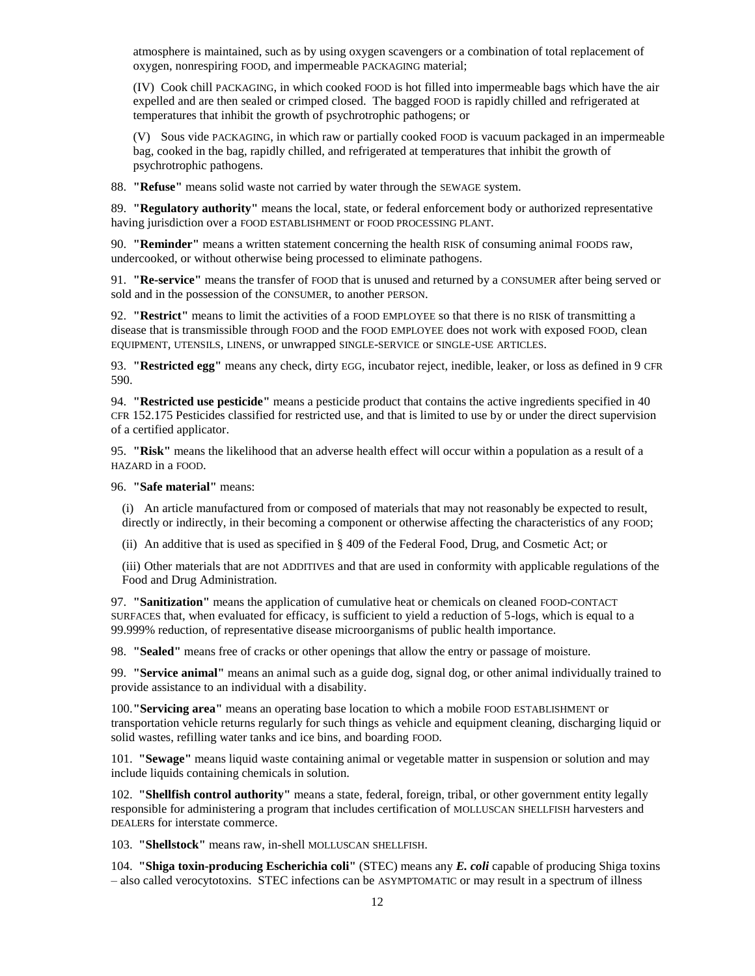atmosphere is maintained, such as by using oxygen scavengers or a combination of total replacement of oxygen, nonrespiring FOOD, and impermeable PACKAGING material;

(IV) Cook chill PACKAGING, in which cooked FOOD is hot filled into impermeable bags which have the air expelled and are then sealed or crimped closed. The bagged FOOD is rapidly chilled and refrigerated at temperatures that inhibit the growth of psychrotrophic pathogens; or

(V) Sous vide PACKAGING, in which raw or partially cooked FOOD is vacuum packaged in an impermeable bag, cooked in the bag, rapidly chilled, and refrigerated at temperatures that inhibit the growth of psychrotrophic pathogens.

88. **"Refuse"** means solid waste not carried by water through the SEWAGE system.

89. **"Regulatory authority"** means the local, state, or federal enforcement body or authorized representative having jurisdiction over a FOOD ESTABLISHMENT or FOOD PROCESSING PLANT.

90. **"Reminder"** means a written statement concerning the health RISK of consuming animal FOODS raw, undercooked, or without otherwise being processed to eliminate pathogens.

91. **"Re-service"** means the transfer of FOOD that is unused and returned by a CONSUMER after being served or sold and in the possession of the CONSUMER, to another PERSON.

92. **"Restrict"** means to limit the activities of a FOOD EMPLOYEE so that there is no RISK of transmitting a disease that is transmissible through FOOD and the FOOD EMPLOYEE does not work with exposed FOOD, clean EQUIPMENT, UTENSILS, LINENS, or unwrapped SINGLE-SERVICE or SINGLE-USE ARTICLES.

93. **"Restricted egg"** means any check, dirty EGG, incubator reject, inedible, leaker, or loss as defined in 9 CFR 590.

94. **"Restricted use pesticide"** means a pesticide product that contains the active ingredients specified in 40 CFR 152.175 Pesticides classified for restricted use, and that is limited to use by or under the direct supervision of a certified applicator.

95. **"Risk"** means the likelihood that an adverse health effect will occur within a population as a result of a HAZARD in a FOOD.

96. **"Safe material"** means:

(i) An article manufactured from or composed of materials that may not reasonably be expected to result, directly or indirectly, in their becoming a component or otherwise affecting the characteristics of any FOOD;

(ii) An additive that is used as specified in § 409 of the Federal Food, Drug, and Cosmetic Act; or

(iii) Other materials that are not ADDITIVES and that are used in conformity with applicable regulations of the Food and Drug Administration.

97. **"Sanitization"** means the application of cumulative heat or chemicals on cleaned FOOD-CONTACT SURFACES that, when evaluated for efficacy, is sufficient to yield a reduction of 5-logs, which is equal to a 99.999% reduction, of representative disease microorganisms of public health importance.

98. **"Sealed"** means free of cracks or other openings that allow the entry or passage of moisture.

99. **"Service animal"** means an animal such as a guide dog, signal dog, or other animal individually trained to provide assistance to an individual with a disability.

100.**"Servicing area"** means an operating base location to which a mobile FOOD ESTABLISHMENT or transportation vehicle returns regularly for such things as vehicle and equipment cleaning, discharging liquid or solid wastes, refilling water tanks and ice bins, and boarding FOOD.

101. **"Sewage"** means liquid waste containing animal or vegetable matter in suspension or solution and may include liquids containing chemicals in solution.

102. **"Shellfish control authority"** means a state, federal, foreign, tribal, or other government entity legally responsible for administering a program that includes certification of MOLLUSCAN SHELLFISH harvesters and DEALERs for interstate commerce.

103. **"Shellstock"** means raw, in-shell MOLLUSCAN SHELLFISH.

104. **"Shiga toxin-producing Escherichia coli"** (STEC) means any *E. coli* capable of producing Shiga toxins – also called verocytotoxins. STEC infections can be ASYMPTOMATIC or may result in a spectrum of illness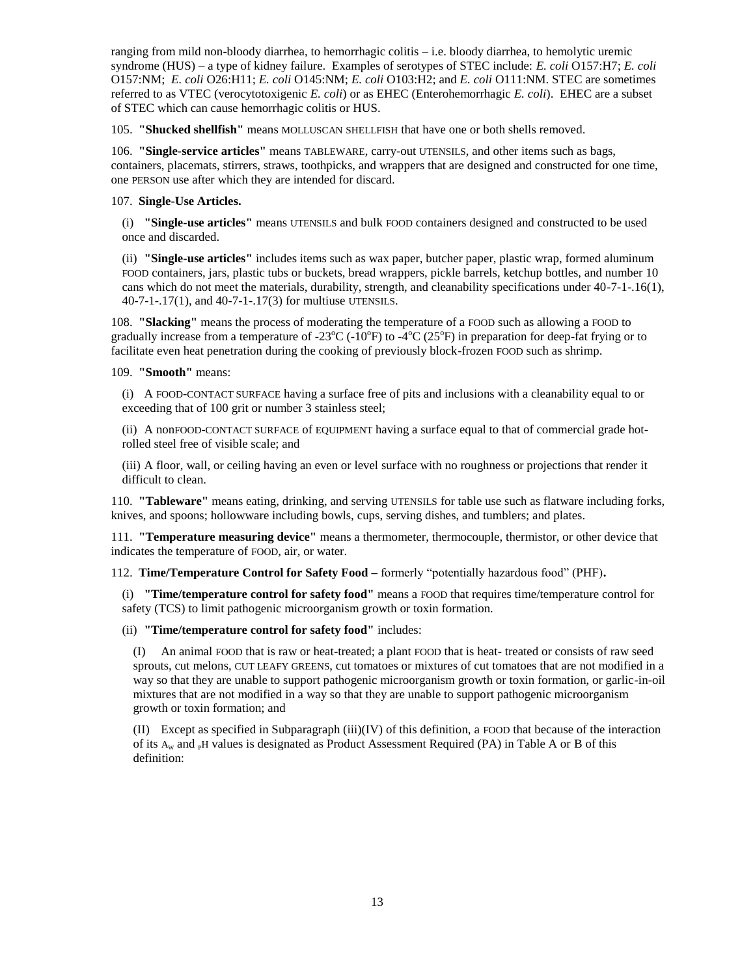ranging from mild non-bloody diarrhea, to hemorrhagic colitis – i.e. bloody diarrhea, to hemolytic uremic syndrome (HUS) – a type of kidney failure. Examples of serotypes of STEC include: *E. coli* O157:H7; *E. coli* O157:NM; *E. coli* O26:H11; *E. coli* O145:NM; *E. coli* O103:H2; and *E. coli* O111:NM. STEC are sometimes referred to as VTEC (verocytotoxigenic *E. coli*) or as EHEC (Enterohemorrhagic *E. coli*). EHEC are a subset of STEC which can cause hemorrhagic colitis or HUS.

105. **"Shucked shellfish"** means MOLLUSCAN SHELLFISH that have one or both shells removed.

106. **"Single-service articles"** means TABLEWARE, carry-out UTENSILS, and other items such as bags, containers, placemats, stirrers, straws, toothpicks, and wrappers that are designed and constructed for one time, one PERSON use after which they are intended for discard.

## 107. **Single-Use Articles.**

(i) **"Single-use articles"** means UTENSILS and bulk FOOD containers designed and constructed to be used once and discarded.

(ii) **"Single-use articles"** includes items such as wax paper, butcher paper, plastic wrap, formed aluminum FOOD containers, jars, plastic tubs or buckets, bread wrappers, pickle barrels, ketchup bottles, and number 10 cans which do not meet the materials, durability, strength, and cleanability specifications under 40-7-1-.16(1), 40-7-1-.17(1), and 40-7-1-.17(3) for multiuse UTENSILS.

108. **"Slacking"** means the process of moderating the temperature of a FOOD such as allowing a FOOD to gradually increase from a temperature of -23 $^{\circ}$ C (-10 $^{\circ}$ F) to -4 $^{\circ}$ C (25 $^{\circ}$ F) in preparation for deep-fat frying or to facilitate even heat penetration during the cooking of previously block-frozen FOOD such as shrimp.

109. **"Smooth"** means:

(i) A FOOD-CONTACT SURFACE having a surface free of pits and inclusions with a cleanability equal to or exceeding that of 100 grit or number 3 stainless steel;

(ii) A nonFOOD-CONTACT SURFACE of EQUIPMENT having a surface equal to that of commercial grade hotrolled steel free of visible scale; and

(iii) A floor, wall, or ceiling having an even or level surface with no roughness or projections that render it difficult to clean.

110. **"Tableware"** means eating, drinking, and serving UTENSILS for table use such as flatware including forks, knives, and spoons; hollowware including bowls, cups, serving dishes, and tumblers; and plates.

111. **"Temperature measuring device"** means a thermometer, thermocouple, thermistor, or other device that indicates the temperature of FOOD, air, or water.

112. **Time/Temperature Control for Safety Food –** formerly "potentially hazardous food" (PHF)**.**

(i) **"Time/temperature control for safety food"** means a FOOD that requires time/temperature control for safety (TCS) to limit pathogenic microorganism growth or toxin formation.

(ii) **"Time/temperature control for safety food"** includes:

(I) An animal FOOD that is raw or heat-treated; a plant FOOD that is heat- treated or consists of raw seed sprouts, cut melons, CUT LEAFY GREENS, cut tomatoes or mixtures of cut tomatoes that are not modified in a way so that they are unable to support pathogenic microorganism growth or toxin formation, or garlic-in-oil mixtures that are not modified in a way so that they are unable to support pathogenic microorganism growth or toxin formation; and

(II) Except as specified in Subparagraph (iii)(IV) of this definition, a FOOD that because of the interaction of its  $A_W$  and  $p$ H values is designated as Product Assessment Required (PA) in Table A or B of this definition: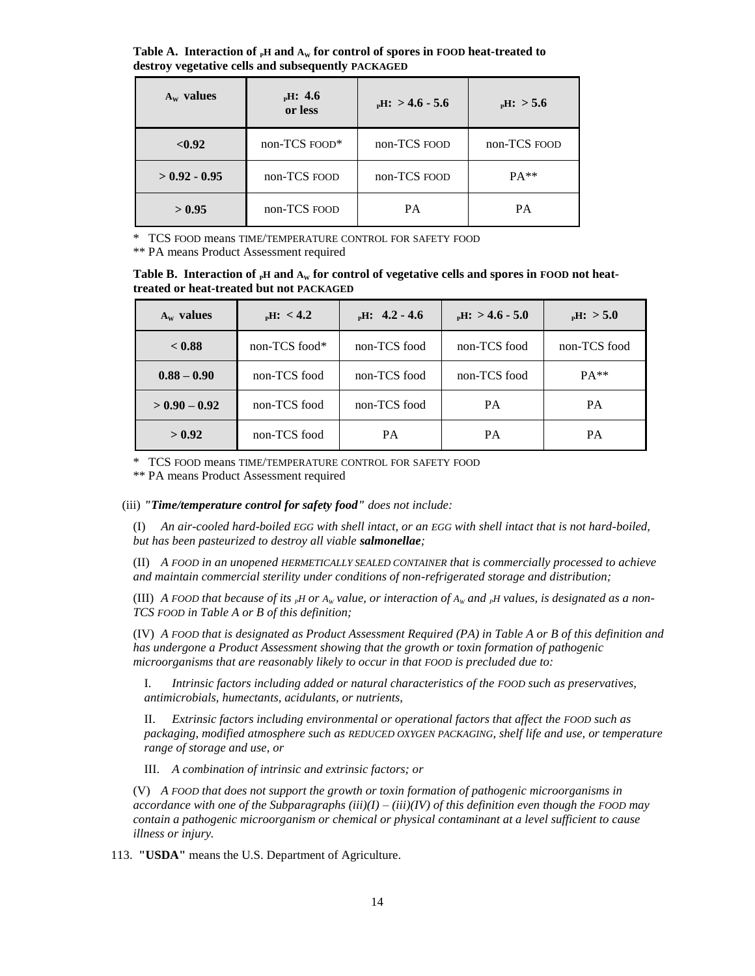**Table A. Interaction of**  $_{p}H$  **and**  $A_{w}$  **for control of spores in FOOD heat-treated to destroy vegetative cells and subsequently PACKAGED**

| $A_w$ values    | $_{\rm p}$ H: 4.6<br>or less | $_{\rm p}$ H: > 4.6 - 5.6 | $_{\rm p}$ H: > 5.6 |
|-----------------|------------------------------|---------------------------|---------------------|
| < 0.92          | non-TCS FOOD*                | non-TCS FOOD              | non-TCS FOOD        |
| $> 0.92 - 0.95$ | non-TCS FOOD                 | non-TCS FOOD              | $PA**$              |
| > 0.95          | non-TCS FOOD                 | <b>PA</b>                 | <b>PA</b>           |

\* TCS FOOD means TIME/TEMPERATURE CONTROL FOR SAFETY FOOD

\*\* PA means Product Assessment required

**Table B.** Interaction of <sub>P</sub>H and  $A_W$  for control of vegetative cells and spores in FOOD not heat**treated or heat-treated but not PACKAGED**

| $A_w$ values    | $_{\rm p}$ H: < 4.2 | $_{\rm p}$ H: 4.2 - 4.6 | $_{\rm p}$ H: > 4.6 - 5.0 | $_{\rm p}$ H: > 5.0 |
|-----------------|---------------------|-------------------------|---------------------------|---------------------|
| < 0.88          | non-TCS food*       | non-TCS food            | non-TCS food              | non-TCS food        |
| $0.88 - 0.90$   | non-TCS food        | non-TCS food            | non-TCS food              | $PA**$              |
| $> 0.90 - 0.92$ | non-TCS food        | non-TCS food            | <b>PA</b>                 | <b>PA</b>           |
| > 0.92          | non-TCS food        | <b>PA</b>               | PA                        | PA                  |

\* TCS FOOD means TIME/TEMPERATURE CONTROL FOR SAFETY FOOD

\*\* PA means Product Assessment required

(iii) *"Time/temperature control for safety food" does not include:*

(I) *An air-cooled hard-boiled EGG with shell intact, or an EGG with shell intact that is not hard-boiled, but has been pasteurized to destroy all viable salmonellae;*

(II) *A FOOD in an unopened HERMETICALLY SEALED CONTAINER that is commercially processed to achieve and maintain commercial sterility under conditions of non-refrigerated storage and distribution;*

(III) *A FOOD that because of its*  $_{p}$ *H or*  $A_{w}$  *value, or interaction of*  $A_{w}$  *and*  $_{p}$ *H values, is designated as a non-TCS FOOD in Table A or B of this definition;*

(IV) *A FOOD that is designated as Product Assessment Required (PA) in Table A or B of this definition and has undergone a Product Assessment showing that the growth or toxin formation of pathogenic microorganisms that are reasonably likely to occur in that FOOD is precluded due to:*

I. *Intrinsic factors including added or natural characteristics of the FOOD such as preservatives, antimicrobials, humectants, acidulants, or nutrients,*

II. *Extrinsic factors including environmental or operational factors that affect the FOOD such as packaging, modified atmosphere such as REDUCED OXYGEN PACKAGING, shelf life and use, or temperature range of storage and use, or*

III. *A combination of intrinsic and extrinsic factors; or*

(V) *A FOOD that does not support the growth or toxin formation of pathogenic microorganisms in accordance with one of the Subparagraphs (iii)(I) – (iii)(IV) of this definition even though the FOOD may contain a pathogenic microorganism or chemical or physical contaminant at a level sufficient to cause illness or injury.*

113. **"USDA"** means the U.S. Department of Agriculture.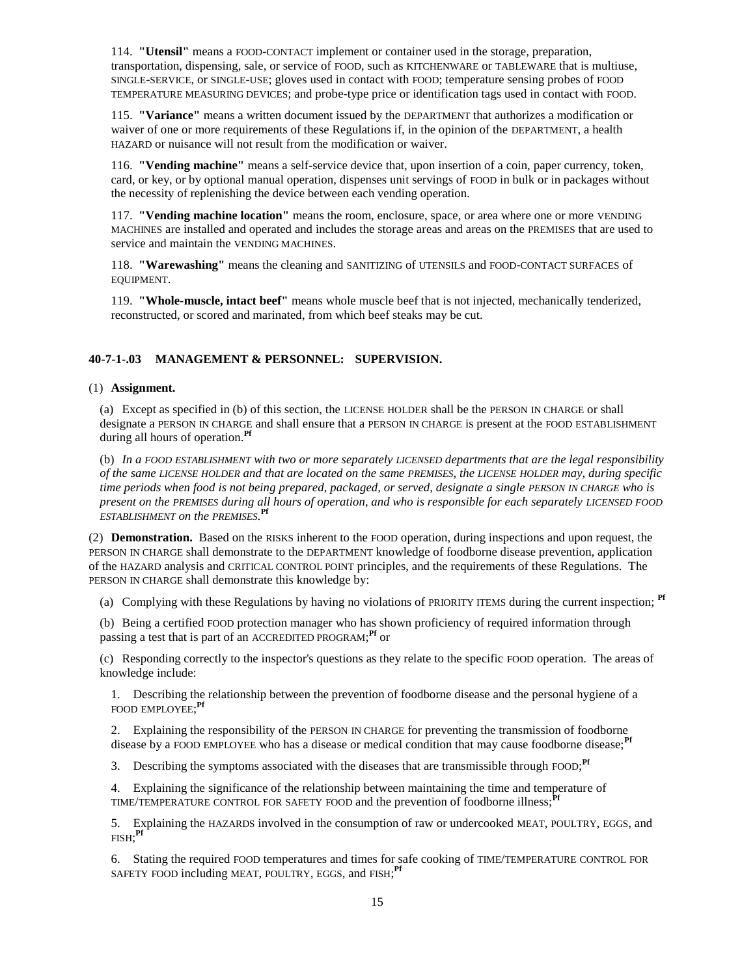114. **"Utensil"** means a FOOD-CONTACT implement or container used in the storage, preparation, transportation, dispensing, sale, or service of FOOD, such as KITCHENWARE or TABLEWARE that is multiuse, SINGLE-SERVICE, or SINGLE-USE; gloves used in contact with FOOD; temperature sensing probes of FOOD TEMPERATURE MEASURING DEVICES; and probe-type price or identification tags used in contact with FOOD.

115. **"Variance"** means a written document issued by the DEPARTMENT that authorizes a modification or waiver of one or more requirements of these Regulations if, in the opinion of the DEPARTMENT, a health HAZARD or nuisance will not result from the modification or waiver.

116. **"Vending machine"** means a self-service device that, upon insertion of a coin, paper currency, token, card, or key, or by optional manual operation, dispenses unit servings of FOOD in bulk or in packages without the necessity of replenishing the device between each vending operation.

117. **"Vending machine location"** means the room, enclosure, space, or area where one or more VENDING MACHINES are installed and operated and includes the storage areas and areas on the PREMISES that are used to service and maintain the VENDING MACHINES.

118. **"Warewashing"** means the cleaning and SANITIZING of UTENSILS and FOOD-CONTACT SURFACES of EQUIPMENT.

119. **"Whole-muscle, intact beef"** means whole muscle beef that is not injected, mechanically tenderized, reconstructed, or scored and marinated, from which beef steaks may be cut.

# **40-7-1-.03 MANAGEMENT & PERSONNEL: SUPERVISION.**

## (1) **Assignment.**

(a) Except as specified in (b) of this section, the LICENSE HOLDER shall be the PERSON IN CHARGE or shall designate a PERSON IN CHARGE and shall ensure that a PERSON IN CHARGE is present at the FOOD ESTABLISHMENT during all hours of operation.**Pf**

(b) *In a FOOD ESTABLISHMENT with two or more separately LICENSED departments that are the legal responsibility of the same LICENSE HOLDER and that are located on the same PREMISES, the LICENSE HOLDER may, during specific time periods when food is not being prepared, packaged, or served, designate a single PERSON IN CHARGE who is present on the PREMISES during all hours of operation, and who is responsible for each separately LICENSED FOOD ESTABLISHMENT on the PREMISES.* **Pf**

(2) **Demonstration.** Based on the RISKS inherent to the FOOD operation, during inspections and upon request, the PERSON IN CHARGE shall demonstrate to the DEPARTMENT knowledge of foodborne disease prevention, application of the HAZARD analysis and CRITICAL CONTROL POINT principles, and the requirements of these Regulations. The PERSON IN CHARGE shall demonstrate this knowledge by:

(a) Complying with these Regulations by having no violations of PRIORITY ITEMS during the current inspection; **Pf**

(b) Being a certified FOOD protection manager who has shown proficiency of required information through passing a test that is part of an ACCREDITED PROGRAM; **Pf** or

(c) Responding correctly to the inspector's questions as they relate to the specific FOOD operation. The areas of knowledge include:

1. Describing the relationship between the prevention of foodborne disease and the personal hygiene of a FOOD EMPLOYEE; **Pf**

2. Explaining the responsibility of the PERSON IN CHARGE for preventing the transmission of foodborne disease by a FOOD EMPLOYEE who has a disease or medical condition that may cause foodborne disease;<sup>Pf</sup>

3. Describing the symptoms associated with the diseases that are transmissible through FOOD;<sup>Pf</sup>

4. Explaining the significance of the relationship between maintaining the time and temperature of TIME/TEMPERATURE CONTROL FOR SAFETY FOOD and the prevention of foodborne illness;**Pf**

5. Explaining the HAZARDS involved in the consumption of raw or undercooked MEAT, POULTRY, EGGS, and FISH; **Pf**

6. Stating the required FOOD temperatures and times for safe cooking of TIME/TEMPERATURE CONTROL FOR SAFETY FOOD including MEAT, POULTRY, EGGS, and FISH;<sup>Pf</sup>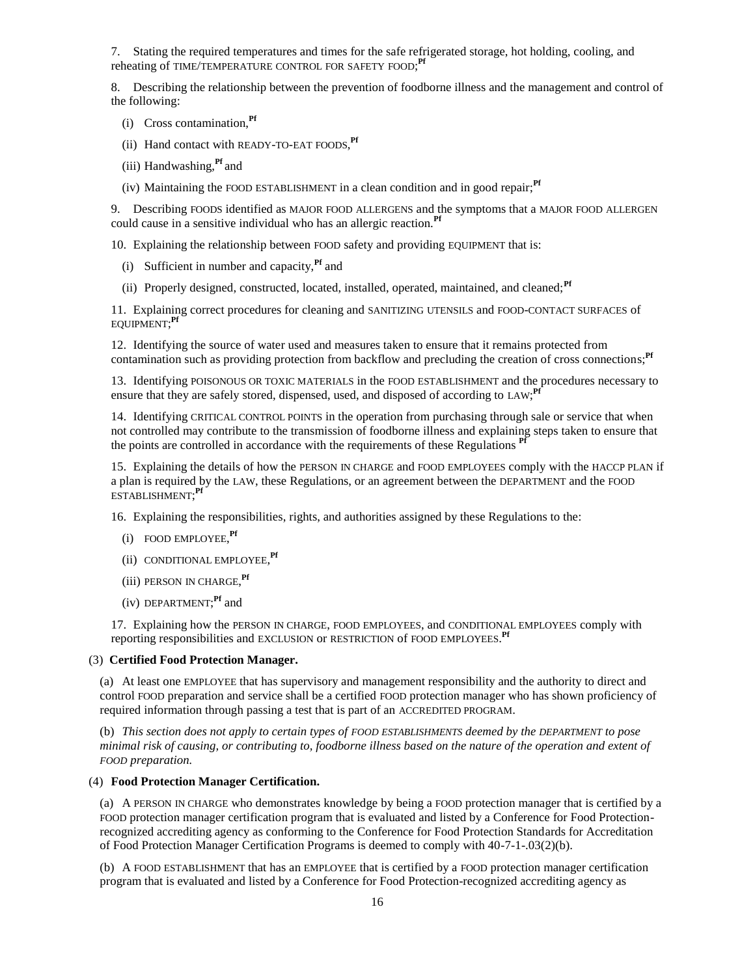7. Stating the required temperatures and times for the safe refrigerated storage, hot holding, cooling, and reheating of TIME/TEMPERATURE CONTROL FOR SAFETY FOOD; **Pf**

8. Describing the relationship between the prevention of foodborne illness and the management and control of the following:

- (i) Cross contamination,**Pf**
- (ii) Hand contact with READY-TO-EAT FOODS, **Pf**
- (iii) Handwashing,**Pf** and
- (iv) Maintaining the FOOD ESTABLISHMENT in a clean condition and in good repair;**Pf**

9. Describing FOODS identified as MAJOR FOOD ALLERGENS and the symptoms that a MAJOR FOOD ALLERGEN could cause in a sensitive individual who has an allergic reaction.**Pf**

10. Explaining the relationship between FOOD safety and providing EQUIPMENT that is:

- (i) Sufficient in number and capacity,**Pf** and
- (ii) Properly designed, constructed, located, installed, operated, maintained, and cleaned;**Pf**

11. Explaining correct procedures for cleaning and SANITIZING UTENSILS and FOOD-CONTACT SURFACES of EQUIPMENT; **Pf**

12. Identifying the source of water used and measures taken to ensure that it remains protected from contamination such as providing protection from backflow and precluding the creation of cross connections;<sup>Pf</sup>

13. Identifying POISONOUS OR TOXIC MATERIALS in the FOOD ESTABLISHMENT and the procedures necessary to ensure that they are safely stored, dispensed, used, and disposed of according to LAW;<sup>Pf</sup>

14. Identifying CRITICAL CONTROL POINTS in the operation from purchasing through sale or service that when not controlled may contribute to the transmission of foodborne illness and explaining steps taken to ensure that the points are controlled in accordance with the requirements of these Regulations **Pf**

15. Explaining the details of how the PERSON IN CHARGE and FOOD EMPLOYEES comply with the HACCP PLAN if a plan is required by the LAW, these Regulations, or an agreement between the DEPARTMENT and the FOOD ESTABLISHMENT; **Pf**

16. Explaining the responsibilities, rights, and authorities assigned by these Regulations to the:

- (i) FOOD EMPLOYEE, **Pf**
- (ii) CONDITIONAL EMPLOYEE, **Pf**
- (iii) PERSON IN CHARGE, **Pf**
- (iv) DEPARTMENT; **Pf** and

17. Explaining how the PERSON IN CHARGE, FOOD EMPLOYEES, and CONDITIONAL EMPLOYEES comply with reporting responsibilities and EXCLUSION or RESTRICTION of FOOD EMPLOYEES. **Pf**

#### (3) **Certified Food Protection Manager.**

(a) At least one EMPLOYEE that has supervisory and management responsibility and the authority to direct and control FOOD preparation and service shall be a certified FOOD protection manager who has shown proficiency of required information through passing a test that is part of an ACCREDITED PROGRAM.

(b) *This section does not apply to certain types of FOOD ESTABLISHMENTS deemed by the DEPARTMENT to pose minimal risk of causing, or contributing to, foodborne illness based on the nature of the operation and extent of FOOD preparation.*

## (4) **Food Protection Manager Certification.**

(a) A PERSON IN CHARGE who demonstrates knowledge by being a FOOD protection manager that is certified by a FOOD protection manager certification program that is evaluated and listed by a Conference for Food Protectionrecognized accrediting agency as conforming to the Conference for Food Protection Standards for Accreditation of Food Protection Manager Certification Programs is deemed to comply with 40-7-1-.03(2)(b).

(b) A FOOD ESTABLISHMENT that has an EMPLOYEE that is certified by a FOOD protection manager certification program that is evaluated and listed by a Conference for Food Protection-recognized accrediting agency as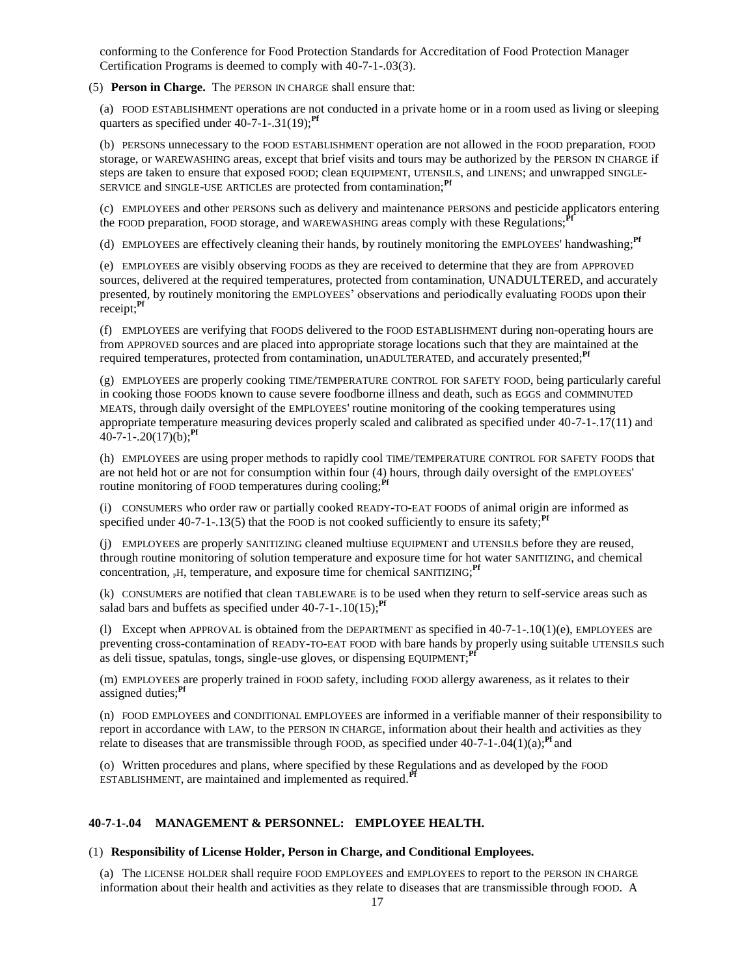conforming to the Conference for Food Protection Standards for Accreditation of Food Protection Manager Certification Programs is deemed to comply with 40-7-1-.03(3).

## (5) **Person in Charge.** The PERSON IN CHARGE shall ensure that:

(a) FOOD ESTABLISHMENT operations are not conducted in a private home or in a room used as living or sleeping quarters as specified under 40-7-1-.31(19);<sup>Pf</sup>

(b) PERSONS unnecessary to the FOOD ESTABLISHMENT operation are not allowed in the FOOD preparation, FOOD storage, or WAREWASHING areas, except that brief visits and tours may be authorized by the PERSON IN CHARGE if steps are taken to ensure that exposed FOOD; clean EQUIPMENT, UTENSILS, and LINENS; and unwrapped SINGLE-SERVICE and SINGLE-USE ARTICLES are protected from contamination;**Pf**

(c) EMPLOYEES and other PERSONS such as delivery and maintenance PERSONS and pesticide applicators entering the FOOD preparation, FOOD storage, and WAREWASHING areas comply with these Regulations;

(d) EMPLOYEES are effectively cleaning their hands, by routinely monitoring the EMPLOYEES' handwashing;**Pf**

(e) EMPLOYEES are visibly observing FOODS as they are received to determine that they are from APPROVED sources, delivered at the required temperatures, protected from contamination, UNADULTERED, and accurately presented, by routinely monitoring the EMPLOYEES' observations and periodically evaluating FOODS upon their receipt;**Pf**

(f) EMPLOYEES are verifying that FOODS delivered to the FOOD ESTABLISHMENT during non-operating hours are from APPROVED sources and are placed into appropriate storage locations such that they are maintained at the required temperatures, protected from contamination, unADULTERATED, and accurately presented;**Pf**

(g) EMPLOYEES are properly cooking TIME/TEMPERATURE CONTROL FOR SAFETY FOOD, being particularly careful in cooking those FOODS known to cause severe foodborne illness and death, such as EGGS and COMMINUTED MEATS, through daily oversight of the EMPLOYEES' routine monitoring of the cooking temperatures using appropriate temperature measuring devices properly scaled and calibrated as specified under 40-7-1-.17(11) and 40-7-1-.20(17)(b);**Pf**

(h) EMPLOYEES are using proper methods to rapidly cool TIME/TEMPERATURE CONTROL FOR SAFETY FOODS that are not held hot or are not for consumption within four (4) hours, through daily oversight of the EMPLOYEES' routine monitoring of FOOD temperatures during cooling;<sup>Pf</sup>

(i) CONSUMERS who order raw or partially cooked READY-TO-EAT FOODS of animal origin are informed as specified under  $40-7-1-13(5)$  that the FOOD is not cooked sufficiently to ensure its safety;<sup> $\text{Pf}$ </sup>

(j) EMPLOYEES are properly SANITIZING cleaned multiuse EQUIPMENT and UTENSILS before they are reused, through routine monitoring of solution temperature and exposure time for hot water SANITIZING, and chemical concentration, <sub>P</sub>H, temperature, and exposure time for chemical SANITIZING;<sup>Pf</sup>

(k) CONSUMERS are notified that clean TABLEWARE is to be used when they return to self-service areas such as salad bars and buffets as specified under  $40-7-1-10(15)$ ;<sup>Pf</sup>

(1) Except when APPROVAL is obtained from the DEPARTMENT as specified in  $40-7-1-10(1)(e)$ , EMPLOYEES are preventing cross-contamination of READY-TO-EAT FOOD with bare hands by properly using suitable UTENSILS such as deli tissue, spatulas, tongs, single-use gloves, or dispensing EQUIPMENT; **Pf**

(m) EMPLOYEES are properly trained in FOOD safety, including FOOD allergy awareness, as it relates to their assigned duties;**Pf**

(n) FOOD EMPLOYEES and CONDITIONAL EMPLOYEES are informed in a verifiable manner of their responsibility to report in accordance with LAW, to the PERSON IN CHARGE, information about their health and activities as they relate to diseases that are transmissible through FOOD, as specified under  $40-7-1-04(1)(a)$ ;<sup>Pf</sup> and

(o) Written procedures and plans, where specified by these Regulations and as developed by the FOOD ESTABLISHMENT, are maintained and implemented as required.**Pf**

# **40-7-1-.04 MANAGEMENT & PERSONNEL: EMPLOYEE HEALTH.**

## (1) **Responsibility of License Holder, Person in Charge, and Conditional Employees.**

(a) The LICENSE HOLDER shall require FOOD EMPLOYEES and EMPLOYEES to report to the PERSON IN CHARGE information about their health and activities as they relate to diseases that are transmissible through FOOD. A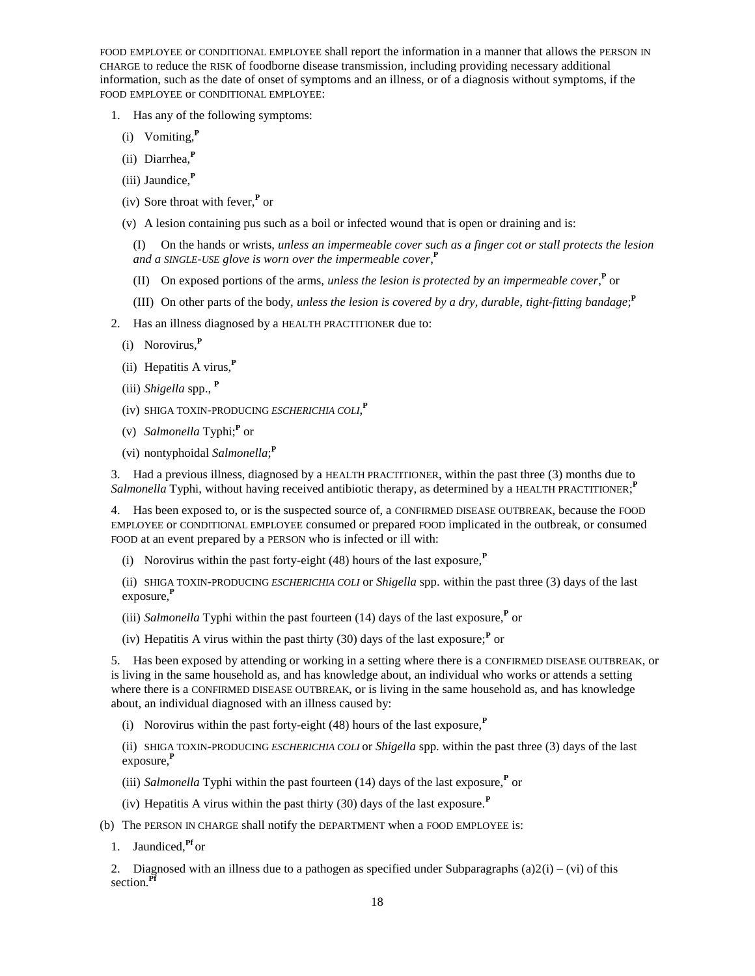FOOD EMPLOYEE or CONDITIONAL EMPLOYEE shall report the information in a manner that allows the PERSON IN CHARGE to reduce the RISK of foodborne disease transmission, including providing necessary additional information, such as the date of onset of symptoms and an illness, or of a diagnosis without symptoms, if the FOOD EMPLOYEE or CONDITIONAL EMPLOYEE:

- 1. Has any of the following symptoms:
	- (i) Vomiting,**<sup>P</sup>**
	- (ii) Diarrhea,**<sup>P</sup>**
	- (iii) Jaundice,**<sup>P</sup>**
	- (iv) Sore throat with fever,**<sup>P</sup>** or
	- (v) A lesion containing pus such as a boil or infected wound that is open or draining and is:

(I) On the hands or wrists, *unless an impermeable cover such as a finger cot or stall protects the lesion and a SINGLE-USE glove is worn over the impermeable cover*, **P**

- (II) On exposed portions of the arms, *unless the lesion is protected by an impermeable cover*,<sup> $P$ </sup> or
- (III) On other parts of the body, *unless the lesion is covered by a dry, durable, tight-fitting bandage;*<sup> $P$ </sup>
- 2. Has an illness diagnosed by a HEALTH PRACTITIONER due to:
	- (i) Norovirus,**<sup>P</sup>**
	- (ii) Hepatitis A virus,**<sup>P</sup>**
	- (iii) *Shigella* spp., **<sup>P</sup>**
	- (iv) SHIGA TOXIN-PRODUCING *ESCHERICHIA COLI*, **P**
	- (v) *Salmonella* Typhi;**<sup>P</sup>** or
	- (vi) nontyphoidal *Salmonella*; **P**

3. Had a previous illness, diagnosed by a HEALTH PRACTITIONER, within the past three (3) months due to Salmonella Typhi, without having received antibiotic therapy, as determined by a HEALTH PRACTITIONER;<sup>P</sup>

4. Has been exposed to, or is the suspected source of, a CONFIRMED DISEASE OUTBREAK, because the FOOD EMPLOYEE or CONDITIONAL EMPLOYEE consumed or prepared FOOD implicated in the outbreak, or consumed FOOD at an event prepared by a PERSON who is infected or ill with:

(i) Norovirus within the past forty-eight (48) hours of the last exposure,**<sup>P</sup>**

(ii) SHIGA TOXIN-PRODUCING *ESCHERICHIA COLI* or *Shigella* spp. within the past three (3) days of the last exposure,**<sup>P</sup>**

- (iii) *Salmonella* Typhi within the past fourteen (14) days of the last exposure,**<sup>P</sup>** or
- (iv) Hepatitis A virus within the past thirty (30) days of the last exposure;<sup>*P*</sup> or

5. Has been exposed by attending or working in a setting where there is a CONFIRMED DISEASE OUTBREAK, or is living in the same household as, and has knowledge about, an individual who works or attends a setting where there is a CONFIRMED DISEASE OUTBREAK, or is living in the same household as, and has knowledge about, an individual diagnosed with an illness caused by:

(i) Norovirus within the past forty-eight (48) hours of the last exposure,**<sup>P</sup>**

(ii) SHIGA TOXIN-PRODUCING *ESCHERICHIA COLI* or *Shigella* spp. within the past three (3) days of the last exposure,**<sup>P</sup>**

- (iii) *Salmonella* Typhi within the past fourteen (14) days of the last exposure,**<sup>P</sup>** or
- (iv) Hepatitis A virus within the past thirty (30) days of the last exposure.**<sup>P</sup>**
- (b) The PERSON IN CHARGE shall notify the DEPARTMENT when a FOOD EMPLOYEE is:
	- 1. Jaundiced,**Pf** or

2. Diagnosed with an illness due to a pathogen as specified under Subparagraphs (a) $2(i) - (vi)$  of this section.**Pf**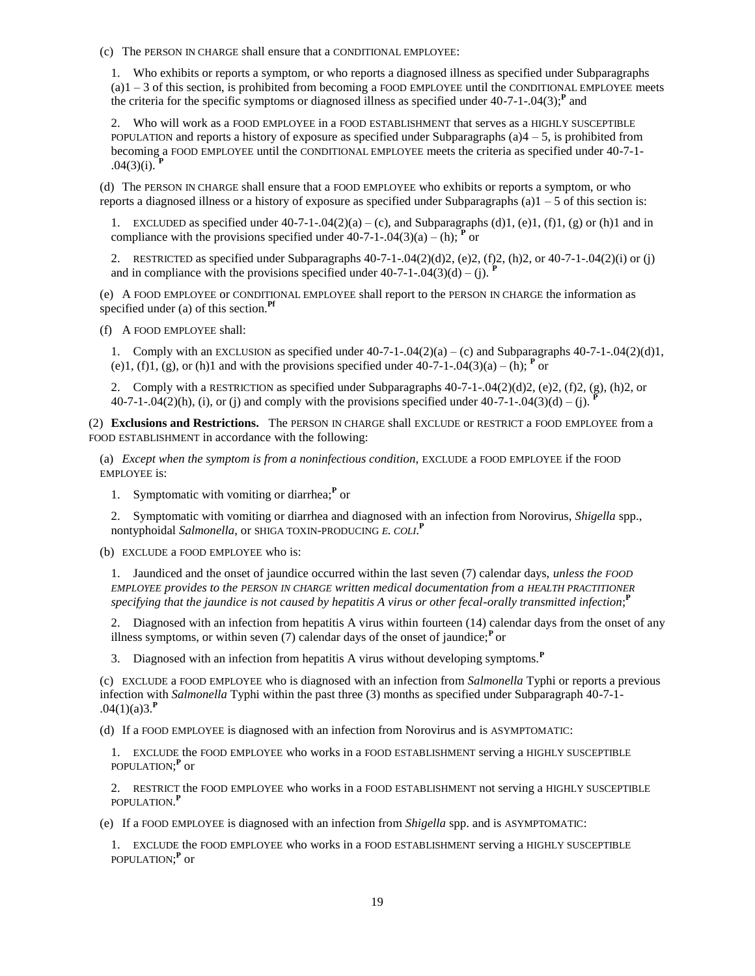(c) The PERSON IN CHARGE shall ensure that a CONDITIONAL EMPLOYEE:

1. Who exhibits or reports a symptom, or who reports a diagnosed illness as specified under Subparagraphs  $(a)1 - 3$  of this section, is prohibited from becoming a FOOD EMPLOYEE until the CONDITIONAL EMPLOYEE meets the criteria for the specific symptoms or diagnosed illness as specified under  $40-7-1-04(3)$ ;<sup>P</sup> and

2. Who will work as a FOOD EMPLOYEE in a FOOD ESTABLISHMENT that serves as a HIGHLY SUSCEPTIBLE POPULATION and reports a history of exposure as specified under Subparagraphs (a) $4 - 5$ , is prohibited from becoming a FOOD EMPLOYEE until the CONDITIONAL EMPLOYEE meets the criteria as specified under 40-7-1-  $.04(3)(i)$ .

(d) The PERSON IN CHARGE shall ensure that a FOOD EMPLOYEE who exhibits or reports a symptom, or who reports a diagnosed illness or a history of exposure as specified under Subparagraphs (a) $1 - 5$  of this section is:

1. EXCLUDED as specified under  $40-7-1-0.04(2)(a) - (c)$ , and Subparagraphs (d)1, (e)1, (f)1, (g) or (h)1 and in compliance with the provisions specified under  $40-7-1-04(3)(a) - (h)$ ; <sup>**P**</sup> or

2. RESTRICTED as specified under Subparagraphs  $40-7-1-04(2)(d)2$ , (e)2, (f)2, (h)2, or  $40-7-1-04(2)(i)$  or (j) and in compliance with the provisions specified under  $40-7-1-04(3)(d) - (i)$ .

(e) A FOOD EMPLOYEE or CONDITIONAL EMPLOYEE shall report to the PERSON IN CHARGE the information as specified under (a) of this section.**Pf**

(f) A FOOD EMPLOYEE shall:

1. Comply with an EXCLUSION as specified under  $40-7-1-0.04(2)(a) - (c)$  and Subparagraphs  $40-7-1-0.04(2)(d)1$ , (e)1, (f)1, (g), or (h)1 and with the provisions specified under  $40-7-1-04(3)(a) - (h)$ ; <sup>p</sup> or

2. Comply with a RESTRICTION as specified under Subparagraphs 40-7-1-.04(2)(d)2, (e)2, (f)2, (g), (h)2, or  $40-7-1-04(2)(h)$ , (i), or (j) and comply with the provisions specified under  $40-7-1-04(3)(d) - (i)$ .

(2) **Exclusions and Restrictions.** The PERSON IN CHARGE shall EXCLUDE or RESTRICT a FOOD EMPLOYEE from a FOOD ESTABLISHMENT in accordance with the following:

(a) *Except when the symptom is from a noninfectious condition,* EXCLUDE a FOOD EMPLOYEE if the FOOD EMPLOYEE is:

1. Symptomatic with vomiting or diarrhea;**<sup>P</sup>** or

2. Symptomatic with vomiting or diarrhea and diagnosed with an infection from Norovirus, *Shigella* spp., nontyphoidal *Salmonella*, or SHIGA TOXIN-PRODUCING *E. COLI*. **P**

(b) EXCLUDE a FOOD EMPLOYEE who is:

1. Jaundiced and the onset of jaundice occurred within the last seven (7) calendar days, *unless the FOOD EMPLOYEE provides to the PERSON IN CHARGE written medical documentation from a HEALTH PRACTITIONER* specifying that the jaundice is not caused by hepatitis A virus or other fecal-orally transmitted infection;<sup>P</sup>

2. Diagnosed with an infection from hepatitis A virus within fourteen (14) calendar days from the onset of any illness symptoms, or within seven (7) calendar days of the onset of jaundice;<sup>*P*</sup> or

3. Diagnosed with an infection from hepatitis A virus without developing symptoms.**<sup>P</sup>**

(c) EXCLUDE a FOOD EMPLOYEE who is diagnosed with an infection from *Salmonella* Typhi or reports a previous infection with *Salmonella* Typhi within the past three (3) months as specified under Subparagraph 40-7-1- .04(1)(a)3.**<sup>P</sup>**

(d) If a FOOD EMPLOYEE is diagnosed with an infection from Norovirus and is ASYMPTOMATIC:

1. EXCLUDE the FOOD EMPLOYEE who works in a FOOD ESTABLISHMENT serving a HIGHLY SUSCEPTIBLE POPULATION;<sup>P</sup> or

2. RESTRICT the FOOD EMPLOYEE who works in a FOOD ESTABLISHMENT not serving a HIGHLY SUSCEPTIBLE POPULATION. **P**

(e) If a FOOD EMPLOYEE is diagnosed with an infection from *Shigella* spp. and is ASYMPTOMATIC:

1. EXCLUDE the FOOD EMPLOYEE who works in a FOOD ESTABLISHMENT serving a HIGHLY SUSCEPTIBLE <code>POPULATION;</code><sup>P</sup> or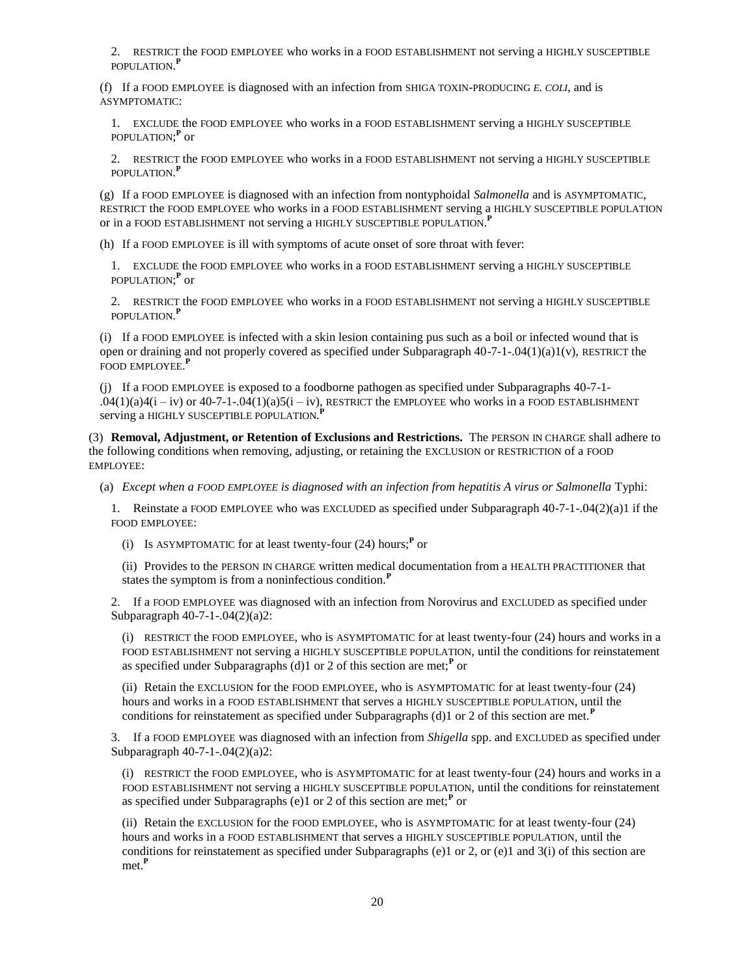2. RESTRICT the FOOD EMPLOYEE who works in a FOOD ESTABLISHMENT not serving a HIGHLY SUSCEPTIBLE POPULATION. **P**

(f) If a FOOD EMPLOYEE is diagnosed with an infection from SHIGA TOXIN-PRODUCING *E. COLI*, and is ASYMPTOMATIC:

1. EXCLUDE the FOOD EMPLOYEE who works in a FOOD ESTABLISHMENT serving a HIGHLY SUSCEPTIBLE <code>POPULATION;</code><sup>P</sup> or

2. RESTRICT the FOOD EMPLOYEE who works in a FOOD ESTABLISHMENT not serving a HIGHLY SUSCEPTIBLE POPULATION. **P**

(g) If a FOOD EMPLOYEE is diagnosed with an infection from nontyphoidal *Salmonella* and is ASYMPTOMATIC, RESTRICT the FOOD EMPLOYEE who works in a FOOD ESTABLISHMENT serving a HIGHLY SUSCEPTIBLE POPULATION or in a FOOD ESTABLISHMENT not serving a HIGHLY SUSCEPTIBLE POPULATION. **P**

(h) If a FOOD EMPLOYEE is ill with symptoms of acute onset of sore throat with fever:

1. EXCLUDE the FOOD EMPLOYEE who works in a FOOD ESTABLISHMENT serving a HIGHLY SUSCEPTIBLE POPULATION;<sup>P</sup> or

2. RESTRICT the FOOD EMPLOYEE who works in a FOOD ESTABLISHMENT not serving a HIGHLY SUSCEPTIBLE POPULATION. **P**

(i) If a FOOD EMPLOYEE is infected with a skin lesion containing pus such as a boil or infected wound that is open or draining and not properly covered as specified under Subparagraph  $40-7-1-04(1)(a)1(v)$ , RESTRICT the FOOD EMPLOYEE. **P**

(j) If a FOOD EMPLOYEE is exposed to a foodborne pathogen as specified under Subparagraphs 40-7-1-  $.04(1)(a)4(i - iv)$  or  $40-7-1-.04(1)(a)5(i - iv)$ , RESTRICT the EMPLOYEE who works in a FOOD ESTABLISHMENT serving a HIGHLY SUSCEPTIBLE POPULATION. **P**

(3) **Removal, Adjustment, or Retention of Exclusions and Restrictions.** The PERSON IN CHARGE shall adhere to the following conditions when removing, adjusting, or retaining the EXCLUSION or RESTRICTION of a FOOD EMPLOYEE:

(a) *Except when a FOOD EMPLOYEE is diagnosed with an infection from hepatitis A virus or Salmonella* Typhi:

1. Reinstate a FOOD EMPLOYEE who was EXCLUDED as specified under Subparagraph 40-7-1-.04(2)(a)1 if the FOOD EMPLOYEE:

(i) Is ASYMPTOMATIC for at least twenty-four (24) hours;**<sup>P</sup>** or

(ii) Provides to the PERSON IN CHARGE written medical documentation from a HEALTH PRACTITIONER that states the symptom is from a noninfectious condition.**<sup>P</sup>**

2. If a FOOD EMPLOYEE was diagnosed with an infection from Norovirus and EXCLUDED as specified under Subparagraph 40-7-1-.04(2)(a)2:

(i) RESTRICT the FOOD EMPLOYEE, who is ASYMPTOMATIC for at least twenty-four (24) hours and works in a FOOD ESTABLISHMENT not serving a HIGHLY SUSCEPTIBLE POPULATION, until the conditions for reinstatement as specified under Subparagraphs (d)1 or 2 of this section are met;**<sup>P</sup>** or

(ii) Retain the EXCLUSION for the FOOD EMPLOYEE, who is ASYMPTOMATIC for at least twenty-four (24) hours and works in a FOOD ESTABLISHMENT that serves a HIGHLY SUSCEPTIBLE POPULATION, until the conditions for reinstatement as specified under Subparagraphs (d)1 or 2 of this section are met.**<sup>P</sup>**

3. If a FOOD EMPLOYEE was diagnosed with an infection from *Shigella* spp. and EXCLUDED as specified under Subparagraph 40-7-1-.04(2)(a)2:

(i) RESTRICT the FOOD EMPLOYEE, who is ASYMPTOMATIC for at least twenty-four (24) hours and works in a FOOD ESTABLISHMENT not serving a HIGHLY SUSCEPTIBLE POPULATION, until the conditions for reinstatement as specified under Subparagraphs (e)1 or 2 of this section are met;**<sup>P</sup>** or

(ii) Retain the EXCLUSION for the FOOD EMPLOYEE, who is ASYMPTOMATIC for at least twenty-four (24) hours and works in a FOOD ESTABLISHMENT that serves a HIGHLY SUSCEPTIBLE POPULATION, until the conditions for reinstatement as specified under Subparagraphs (e)1 or 2, or (e)1 and 3(i) of this section are met.**<sup>P</sup>**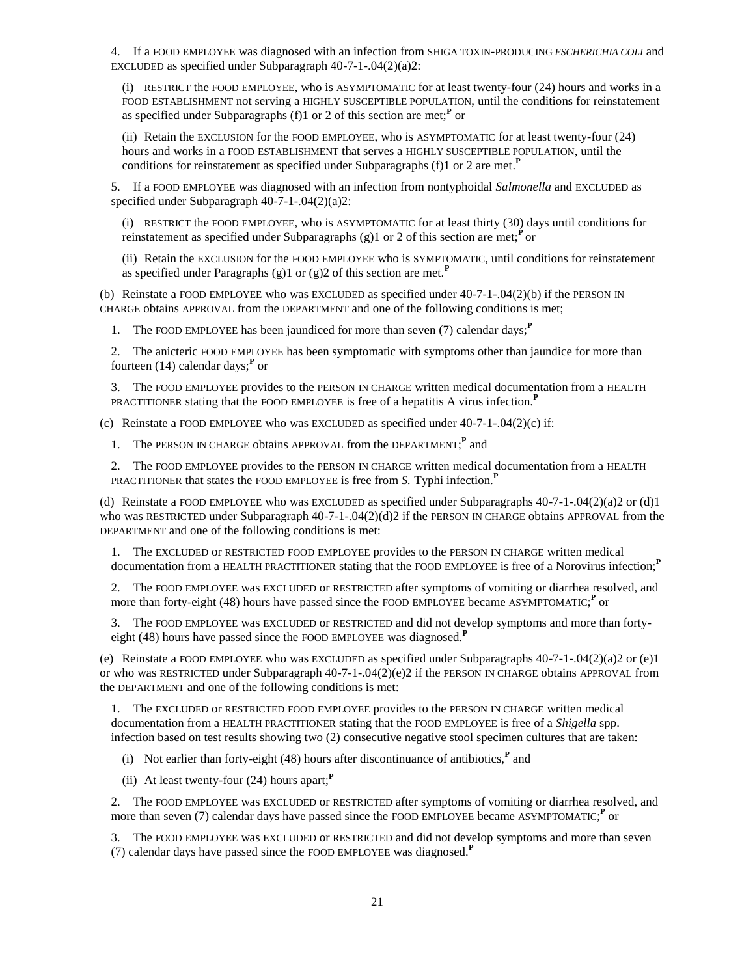4. If a FOOD EMPLOYEE was diagnosed with an infection from SHIGA TOXIN-PRODUCING *ESCHERICHIA COLI* and EXCLUDED as specified under Subparagraph  $40-7-1-04(2)(a)2$ :

(i) RESTRICT the FOOD EMPLOYEE, who is ASYMPTOMATIC for at least twenty-four (24) hours and works in a FOOD ESTABLISHMENT not serving a HIGHLY SUSCEPTIBLE POPULATION, until the conditions for reinstatement as specified under Subparagraphs (f)1 or 2 of this section are met;<sup>*P*</sup> or

(ii) Retain the EXCLUSION for the FOOD EMPLOYEE, who is ASYMPTOMATIC for at least twenty-four (24) hours and works in a FOOD ESTABLISHMENT that serves a HIGHLY SUSCEPTIBLE POPULATION, until the conditions for reinstatement as specified under Subparagraphs (f)1 or 2 are met. **P**

5. If a FOOD EMPLOYEE was diagnosed with an infection from nontyphoidal *Salmonella* and EXCLUDED as specified under Subparagraph 40-7-1-.04(2)(a)2:

(i) RESTRICT the FOOD EMPLOYEE, who is ASYMPTOMATIC for at least thirty (30) days until conditions for reinstatement as specified under Subparagraphs (g)1 or 2 of this section are met;<sup>p</sup> or

(ii) Retain the EXCLUSION for the FOOD EMPLOYEE who is SYMPTOMATIC, until conditions for reinstatement as specified under Paragraphs (g)1 or (g)2 of this section are met.**<sup>P</sup>**

(b) Reinstate a FOOD EMPLOYEE who was EXCLUDED as specified under  $40-7-1-04(2)$ (b) if the PERSON IN CHARGE obtains APPROVAL from the DEPARTMENT and one of the following conditions is met;

1. The FOOD EMPLOYEE has been jaundiced for more than seven (7) calendar days;**<sup>P</sup>**

2. The anicteric FOOD EMPLOYEE has been symptomatic with symptoms other than jaundice for more than fourteen (14) calendar days;**<sup>P</sup>** or

3. The FOOD EMPLOYEE provides to the PERSON IN CHARGE written medical documentation from a HEALTH PRACTITIONER stating that the FOOD EMPLOYEE is free of a hepatitis A virus infection.**<sup>P</sup>**

(c) Reinstate a FOOD EMPLOYEE who was EXCLUDED as specified under  $40-7-1-04(2)(c)$  if:

1. The PERSON IN CHARGE obtains APPROVAL from the DEPARTMENT;<sup>P</sup> and

2. The FOOD EMPLOYEE provides to the PERSON IN CHARGE written medical documentation from a HEALTH PRACTITIONER that states the FOOD EMPLOYEE is free from *S.* Typhi infection.**<sup>P</sup>**

(d) Reinstate a FOOD EMPLOYEE who was EXCLUDED as specified under Subparagraphs  $40-7-1-0.04(2)(a)2$  or (d)1 who was RESTRICTED under Subparagraph 40-7-1-.04(2)(d)2 if the PERSON IN CHARGE obtains APPROVAL from the DEPARTMENT and one of the following conditions is met:

1. The EXCLUDED or RESTRICTED FOOD EMPLOYEE provides to the PERSON IN CHARGE written medical documentation from a HEALTH PRACTITIONER stating that the FOOD EMPLOYEE is free of a Norovirus infection;**<sup>P</sup>**

2. The FOOD EMPLOYEE was EXCLUDED or RESTRICTED after symptoms of vomiting or diarrhea resolved, and more than forty-eight (48) hours have passed since the FOOD EMPLOYEE became ASYMPTOMATIC;<sup>P</sup> or

3. The FOOD EMPLOYEE was EXCLUDED or RESTRICTED and did not develop symptoms and more than fortyeight (48) hours have passed since the FOOD EMPLOYEE was diagnosed.**<sup>P</sup>**

(e) Reinstate a FOOD EMPLOYEE who was EXCLUDED as specified under Subparagraphs 40-7-1-.04(2)(a)2 or (e)1 or who was RESTRICTED under Subparagraph 40-7-1-.04(2)(e)2 if the PERSON IN CHARGE obtains APPROVAL from the DEPARTMENT and one of the following conditions is met:

1. The EXCLUDED or RESTRICTED FOOD EMPLOYEE provides to the PERSON IN CHARGE written medical documentation from a HEALTH PRACTITIONER stating that the FOOD EMPLOYEE is free of a *Shigella* spp. infection based on test results showing two (2) consecutive negative stool specimen cultures that are taken:

(i) Not earlier than forty-eight (48) hours after discontinuance of antibiotics,**<sup>P</sup>** and

(ii) At least twenty-four (24) hours apart;**<sup>P</sup>**

2. The FOOD EMPLOYEE was EXCLUDED or RESTRICTED after symptoms of vomiting or diarrhea resolved, and more than seven (7) calendar days have passed since the FOOD EMPLOYEE became ASYMPTOMATIC;<sup>P</sup> or

3. The FOOD EMPLOYEE was EXCLUDED or RESTRICTED and did not develop symptoms and more than seven (7) calendar days have passed since the FOOD EMPLOYEE was diagnosed.**<sup>P</sup>**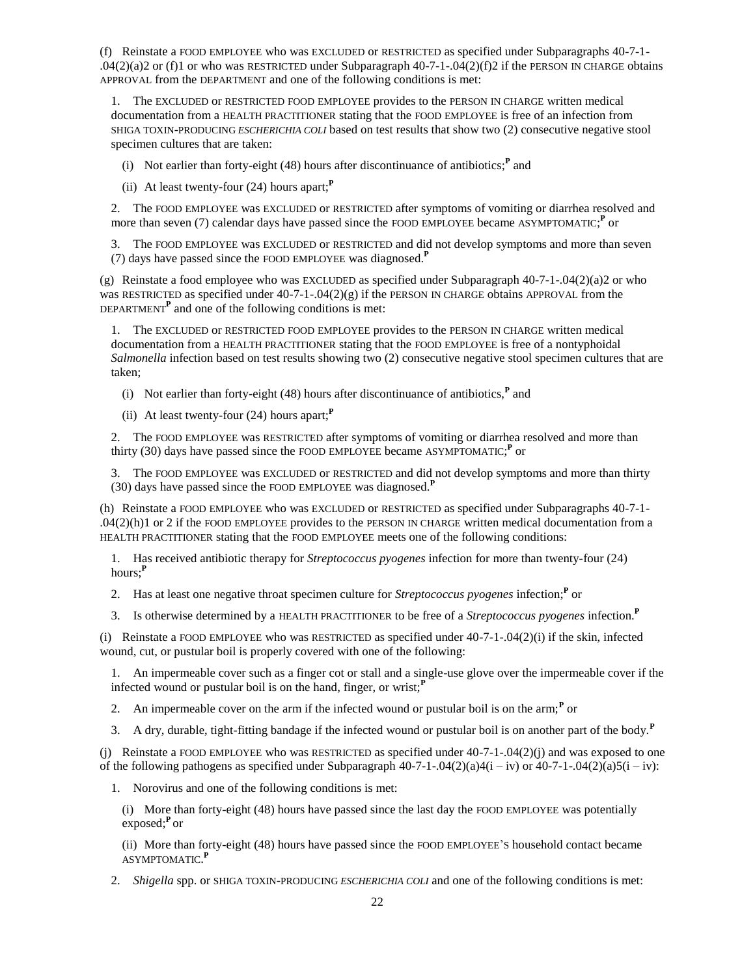(f) Reinstate a FOOD EMPLOYEE who was EXCLUDED or RESTRICTED as specified under Subparagraphs 40-7-1-  $.04(2)(a)2$  or (f)1 or who was RESTRICTED under Subparagraph  $40-7-1-04(2)(f)2$  if the PERSON IN CHARGE obtains APPROVAL from the DEPARTMENT and one of the following conditions is met:

1. The EXCLUDED or RESTRICTED FOOD EMPLOYEE provides to the PERSON IN CHARGE written medical documentation from a HEALTH PRACTITIONER stating that the FOOD EMPLOYEE is free of an infection from SHIGA TOXIN-PRODUCING *ESCHERICHIA COLI* based on test results that show two (2) consecutive negative stool specimen cultures that are taken:

(i) Not earlier than forty-eight  $(48)$  hours after discontinuance of antibiotics;<sup>*P*</sup> and

(ii) At least twenty-four (24) hours apart;**<sup>P</sup>**

2. The FOOD EMPLOYEE was EXCLUDED or RESTRICTED after symptoms of vomiting or diarrhea resolved and more than seven (7) calendar days have passed since the FOOD EMPLOYEE became ASYMPTOMATIC;<sup>P</sup> or

3. The FOOD EMPLOYEE was EXCLUDED or RESTRICTED and did not develop symptoms and more than seven (7) days have passed since the FOOD EMPLOYEE was diagnosed.**<sup>P</sup>**

(g) Reinstate a food employee who was EXCLUDED as specified under Subparagraph 40-7-1-.04(2)(a)2 or who was RESTRICTED as specified under  $40-7-1-0.04(2)(g)$  if the PERSON IN CHARGE obtains APPROVAL from the DEPARTMENT<sup>P</sup> and one of the following conditions is met:

1. The EXCLUDED or RESTRICTED FOOD EMPLOYEE provides to the PERSON IN CHARGE written medical documentation from a HEALTH PRACTITIONER stating that the FOOD EMPLOYEE is free of a nontyphoidal *Salmonella* infection based on test results showing two (2) consecutive negative stool specimen cultures that are taken;

- (i) Not earlier than forty-eight (48) hours after discontinuance of antibiotics, $<sup>P</sup>$  and</sup>
- (ii) At least twenty-four (24) hours apart;**<sup>P</sup>**

2. The FOOD EMPLOYEE was RESTRICTED after symptoms of vomiting or diarrhea resolved and more than thirty (30) days have passed since the FOOD EMPLOYEE became ASYMPTOMATIC;<sup>P</sup> or

3. The FOOD EMPLOYEE was EXCLUDED or RESTRICTED and did not develop symptoms and more than thirty (30) days have passed since the FOOD EMPLOYEE was diagnosed.**<sup>P</sup>**

(h) Reinstate a FOOD EMPLOYEE who was EXCLUDED or RESTRICTED as specified under Subparagraphs 40-7-1-  $.04(2)(h)1$  or 2 if the FOOD EMPLOYEE provides to the PERSON IN CHARGE written medical documentation from a HEALTH PRACTITIONER stating that the FOOD EMPLOYEE meets one of the following conditions:

1. Has received antibiotic therapy for *Streptococcus pyogenes* infection for more than twenty-four (24) hours;**<sup>P</sup>**

2. Has at least one negative throat specimen culture for *Streptococcus pyogenes* infection;**<sup>P</sup>** or

3. Is otherwise determined by a HEALTH PRACTITIONER to be free of a *Streptococcus pyogenes* infection.**<sup>P</sup>**

(i) Reinstate a FOOD EMPLOYEE who was RESTRICTED as specified under  $40-7-1-04(2)$  (i) if the skin, infected wound, cut, or pustular boil is properly covered with one of the following:

1. An impermeable cover such as a finger cot or stall and a single-use glove over the impermeable cover if the infected wound or pustular boil is on the hand, finger, or wrist;**<sup>P</sup>**

2. An impermeable cover on the arm if the infected wound or pustular boil is on the arm;<sup>*P*</sup> or

3. A dry, durable, tight-fitting bandage if the infected wound or pustular boil is on another part of the body.**<sup>P</sup>**

(i) Reinstate a FOOD EMPLOYEE who was RESTRICTED as specified under  $40-7-1-0.04(2)(i)$  and was exposed to one of the following pathogens as specified under Subparagraph  $40-7-1-04(2)(a)4(i - iv)$  or  $40-7-1-04(2)(a)5(i - iv)$ :

1. Norovirus and one of the following conditions is met:

(i) More than forty-eight (48) hours have passed since the last day the FOOD EMPLOYEE was potentially exposed;**<sup>P</sup>** or

(ii) More than forty-eight (48) hours have passed since the FOOD EMPLOYEE'S household contact became ASYMPTOMATIC. **P**

2. *Shigella* spp. or SHIGA TOXIN-PRODUCING *ESCHERICHIA COLI* and one of the following conditions is met: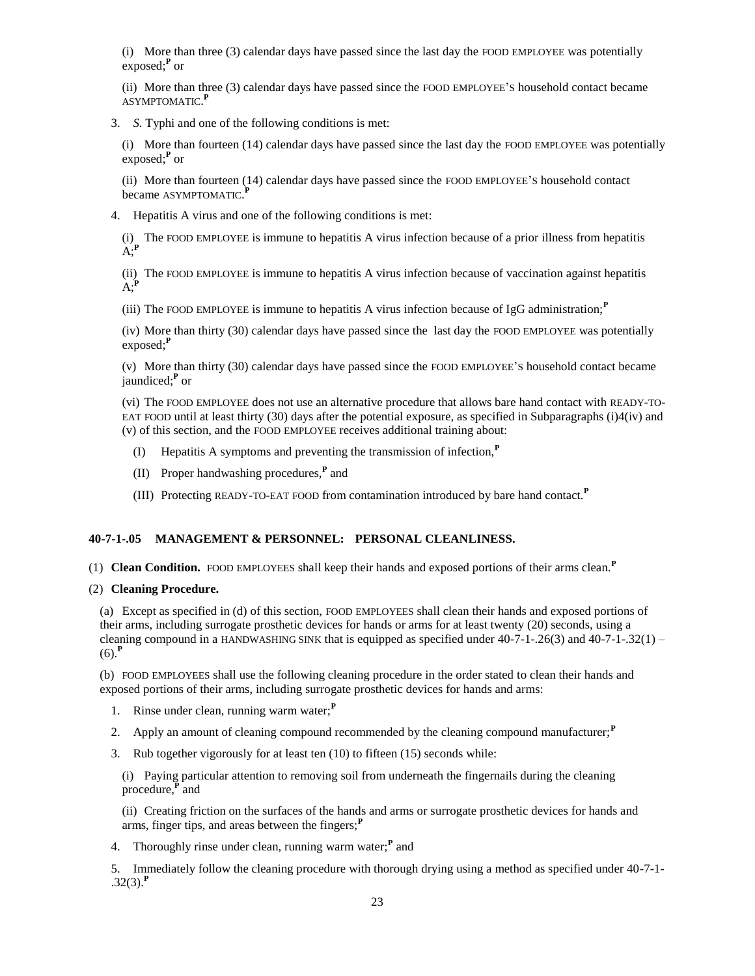(i) More than three (3) calendar days have passed since the last day the FOOD EMPLOYEE was potentially exposed;**<sup>P</sup>** or

(ii) More than three (3) calendar days have passed since the FOOD EMPLOYEE'S household contact became ASYMPTOMATIC. **P**

3. *S.* Typhi and one of the following conditions is met:

(i) More than fourteen (14) calendar days have passed since the last day the FOOD EMPLOYEE was potentially exposed;**<sup>P</sup>** or

(ii) More than fourteen (14) calendar days have passed since the FOOD EMPLOYEE'S household contact became ASYMPTOMATIC. **P**

4. Hepatitis A virus and one of the following conditions is met:

(i) The FOOD EMPLOYEE is immune to hepatitis A virus infection because of a prior illness from hepatitis A;**<sup>P</sup>**

(ii) The FOOD EMPLOYEE is immune to hepatitis A virus infection because of vaccination against hepatitis  $A:$ <sup> $\mathbf{F}$ </sup>

(iii) The FOOD EMPLOYEE is immune to hepatitis A virus infection because of IgG administration;**<sup>P</sup>**

(iv) More than thirty (30) calendar days have passed since the last day the FOOD EMPLOYEE was potentially exposed;**<sup>P</sup>**

(v) More than thirty (30) calendar days have passed since the FOOD EMPLOYEE'S household contact became jaundiced;**<sup>P</sup>** or

(vi) The FOOD EMPLOYEE does not use an alternative procedure that allows bare hand contact with READY-TO-EAT FOOD until at least thirty (30) days after the potential exposure, as specified in Subparagraphs (i) $4$ (iv) and (v) of this section, and the FOOD EMPLOYEE receives additional training about:

- (I) Hepatitis A symptoms and preventing the transmission of infection,**<sup>P</sup>**
- (II) Proper handwashing procedures,**<sup>P</sup>** and
- (III) Protecting READY-TO-EAT FOOD from contamination introduced by bare hand contact.**<sup>P</sup>**

## **40-7-1-.05 MANAGEMENT & PERSONNEL: PERSONAL CLEANLINESS.**

- (1) **Clean Condition.** FOOD EMPLOYEES shall keep their hands and exposed portions of their arms clean.**<sup>P</sup>**
- (2) **Cleaning Procedure.**

(a) Except as specified in (d) of this section, FOOD EMPLOYEES shall clean their hands and exposed portions of their arms, including surrogate prosthetic devices for hands or arms for at least twenty (20) seconds, using a cleaning compound in a HANDWASHING SINK that is equipped as specified under  $40-7-1-26(3)$  and  $40-7-1-32(1)$  –  $(6)$ .<sup>P</sup>

(b) FOOD EMPLOYEES shall use the following cleaning procedure in the order stated to clean their hands and exposed portions of their arms, including surrogate prosthetic devices for hands and arms:

- 1. Rinse under clean, running warm water;**<sup>P</sup>**
- 2. Apply an amount of cleaning compound recommended by the cleaning compound manufacturer;**<sup>P</sup>**
- 3. Rub together vigorously for at least ten (10) to fifteen (15) seconds while:

(i) Paying particular attention to removing soil from underneath the fingernails during the cleaning procedure,**<sup>P</sup>** and

(ii) Creating friction on the surfaces of the hands and arms or surrogate prosthetic devices for hands and arms, finger tips, and areas between the fingers;<sup>*P*</sup>

4. Thoroughly rinse under clean, running warm water;**<sup>P</sup>** and

5. Immediately follow the cleaning procedure with thorough drying using a method as specified under 40-7-1-  $.32(3).<sup>P</sup>$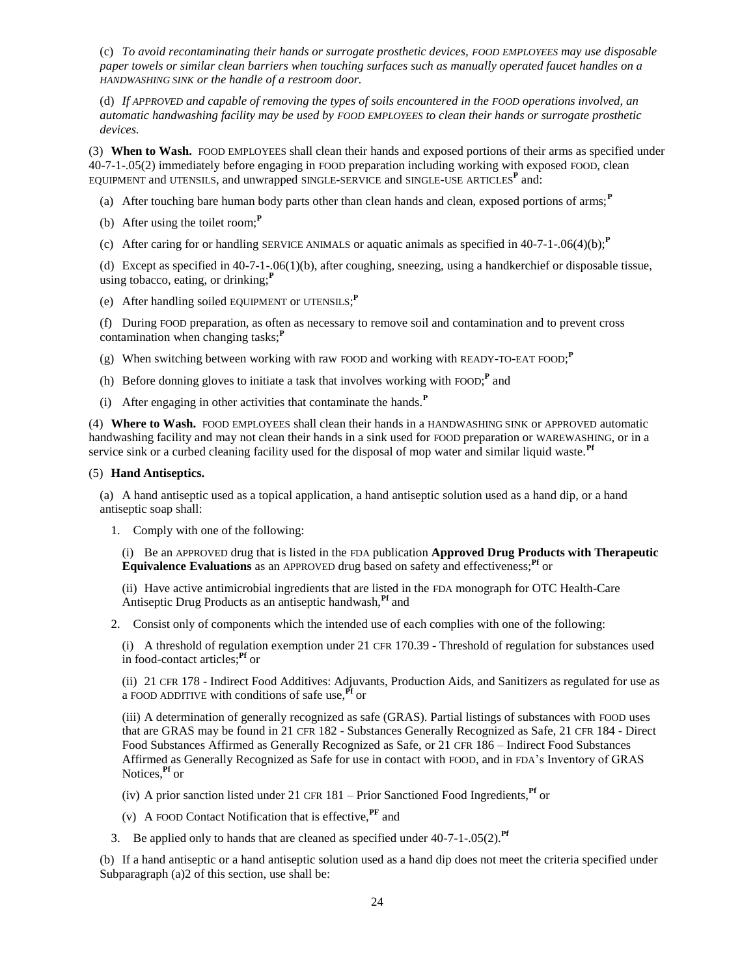(c) *To avoid recontaminating their hands or surrogate prosthetic devices, FOOD EMPLOYEES may use disposable paper towels or similar clean barriers when touching surfaces such as manually operated faucet handles on a HANDWASHING SINK or the handle of a restroom door.*

(d) *If APPROVED and capable of removing the types of soils encountered in the FOOD operations involved, an automatic handwashing facility may be used by FOOD EMPLOYEES to clean their hands or surrogate prosthetic devices.*

(3) **When to Wash.** FOOD EMPLOYEES shall clean their hands and exposed portions of their arms as specified under 40-7-1-.05(2) immediately before engaging in FOOD preparation including working with exposed FOOD, clean EQUIPMENT and UTENSILS, and unwrapped SINGLE-SERVICE and SINGLE-USE ARTICLES**<sup>P</sup>** and:

- (a) After touching bare human body parts other than clean hands and clean, exposed portions of arms;**<sup>P</sup>**
- (b) After using the toilet room;**<sup>P</sup>**
- (c) After caring for or handling SERVICE ANIMALS or aquatic animals as specified in 40-7-1-.06(4)(b);**<sup>P</sup>**

(d) Except as specified in 40-7-1-.06(1)(b), after coughing, sneezing, using a handkerchief or disposable tissue, using tobacco, eating, or drinking;**<sup>P</sup>**

(e) After handling soiled EQUIPMENT or UTENSILS; **P**

(f) During FOOD preparation, as often as necessary to remove soil and contamination and to prevent cross contamination when changing tasks;<sup>*P*</sup>

- (g) When switching between working with raw FOOD and working with READY-TO-EAT FOOD; **P**
- (h) Before donning gloves to initiate a task that involves working with FOOD;<sup>P</sup> and
- (i) After engaging in other activities that contaminate the hands.**<sup>P</sup>**

(4) **Where to Wash.** FOOD EMPLOYEES shall clean their hands in a HANDWASHING SINK or APPROVED automatic handwashing facility and may not clean their hands in a sink used for FOOD preparation or WAREWASHING, or in a service sink or a curbed cleaning facility used for the disposal of mop water and similar liquid waste.**Pf**

#### (5) **Hand Antiseptics.**

(a) A hand antiseptic used as a topical application, a hand antiseptic solution used as a hand dip, or a hand antiseptic soap shall:

1. Comply with one of the following:

(i) Be an APPROVED drug that is listed in the FDA publication **Approved Drug Products with Therapeutic Equivalence Evaluations** as an APPROVED drug based on safety and effectiveness;<sup>Pf</sup> or

(ii) Have active antimicrobial ingredients that are listed in the FDA monograph for OTC Health-Care Antiseptic Drug Products as an antiseptic handwash,**Pf** and

2. Consist only of components which the intended use of each complies with one of the following:

(i) A threshold of regulation exemption under 21 CFR 170.39 - Threshold of regulation for substances used in food-contact articles;**Pf** or

(ii) 21 CFR 178 - Indirect Food Additives: Adjuvants, Production Aids, and Sanitizers as regulated for use as a FOOD ADDITIVE with conditions of safe use,**Pf** or

(iii) A determination of generally recognized as safe (GRAS). Partial listings of substances with FOOD uses that are GRAS may be found in 21 CFR 182 - Substances Generally Recognized as Safe, 21 CFR 184 - Direct Food Substances Affirmed as Generally Recognized as Safe, or 21 CFR 186 – Indirect Food Substances Affirmed as Generally Recognized as Safe for use in contact with FOOD, and in FDA's Inventory of GRAS Notices,**Pf** or

- (iv) A prior sanction listed under 21 CFR  $181 -$ Prior Sanctioned Food Ingredients,<sup>Pf</sup> or
- (v) A FOOD Contact Notification that is effective,**PF** and
- 3. Be applied only to hands that are cleaned as specified under 40-7-1-.05(2).**Pf**

(b) If a hand antiseptic or a hand antiseptic solution used as a hand dip does not meet the criteria specified under Subparagraph (a)2 of this section, use shall be: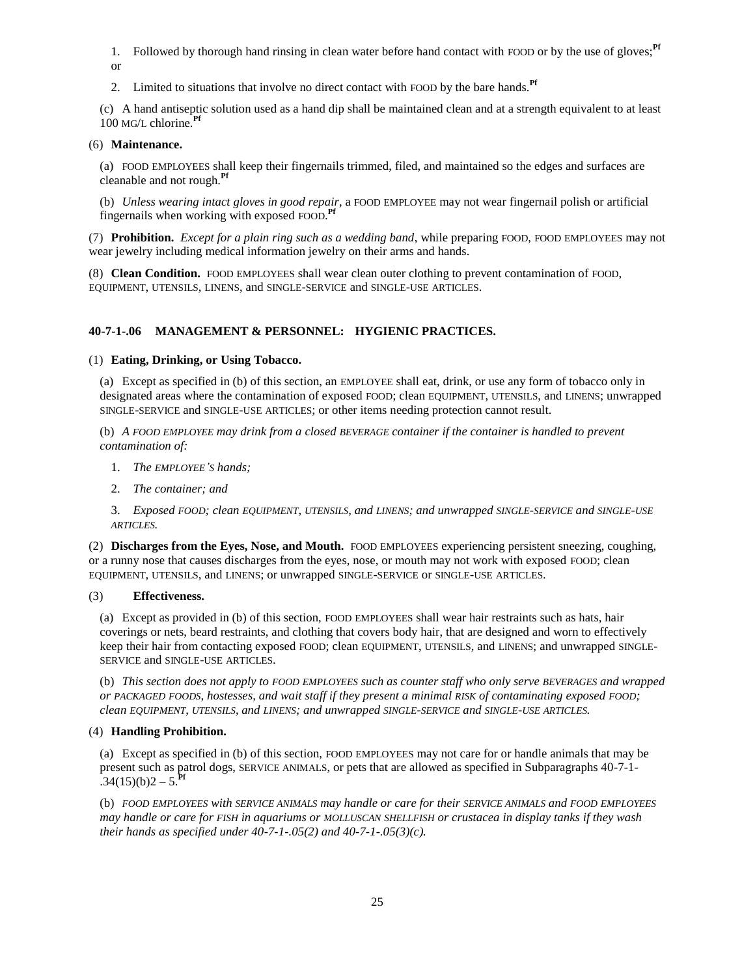1. Followed by thorough hand rinsing in clean water before hand contact with FOOD or by the use of gloves;<sup>Pf</sup> or

2. Limited to situations that involve no direct contact with FOOD by the bare hands.**Pf**

(c) A hand antiseptic solution used as a hand dip shall be maintained clean and at a strength equivalent to at least 100 MG/<sup>L</sup> chlorine.**Pf**

## (6) **Maintenance.**

(a) FOOD EMPLOYEES shall keep their fingernails trimmed, filed, and maintained so the edges and surfaces are cleanable and not rough.**Pf**

(b) *Unless wearing intact gloves in good repair*, a FOOD EMPLOYEE may not wear fingernail polish or artificial fingernails when working with exposed FOOD. **Pf**

(7) **Prohibition.** *Except for a plain ring such as a wedding band*, while preparing FOOD, FOOD EMPLOYEES may not wear jewelry including medical information jewelry on their arms and hands.

(8) **Clean Condition.** FOOD EMPLOYEES shall wear clean outer clothing to prevent contamination of FOOD, EQUIPMENT, UTENSILS, LINENS, and SINGLE-SERVICE and SINGLE-USE ARTICLES.

# **40-7-1-.06 MANAGEMENT & PERSONNEL: HYGIENIC PRACTICES.**

## (1) **Eating, Drinking, or Using Tobacco.**

(a) Except as specified in (b) of this section, an EMPLOYEE shall eat, drink, or use any form of tobacco only in designated areas where the contamination of exposed FOOD; clean EQUIPMENT, UTENSILS, and LINENS; unwrapped SINGLE-SERVICE and SINGLE-USE ARTICLES; or other items needing protection cannot result.

(b) *A FOOD EMPLOYEE may drink from a closed BEVERAGE container if the container is handled to prevent contamination of:*

- 1. *The EMPLOYEE'S hands;*
- 2. *The container; and*

3. *Exposed FOOD; clean EQUIPMENT, UTENSILS, and LINENS; and unwrapped SINGLE-SERVICE and SINGLE-USE ARTICLES.*

(2) **Discharges from the Eyes, Nose, and Mouth.** FOOD EMPLOYEES experiencing persistent sneezing, coughing, or a runny nose that causes discharges from the eyes, nose, or mouth may not work with exposed FOOD; clean EQUIPMENT, UTENSILS, and LINENS; or unwrapped SINGLE-SERVICE or SINGLE-USE ARTICLES.

# (3) **Effectiveness.**

(a) Except as provided in (b) of this section, FOOD EMPLOYEES shall wear hair restraints such as hats, hair coverings or nets, beard restraints, and clothing that covers body hair, that are designed and worn to effectively keep their hair from contacting exposed FOOD; clean EQUIPMENT, UTENSILS, and LINENS; and unwrapped SINGLE-SERVICE and SINGLE-USE ARTICLES.

(b) *This section does not apply to FOOD EMPLOYEES such as counter staff who only serve BEVERAGES and wrapped or PACKAGED FOODS, hostesses, and wait staff if they present a minimal RISK of contaminating exposed FOOD; clean EQUIPMENT, UTENSILS, and LINENS; and unwrapped SINGLE-SERVICE and SINGLE-USE ARTICLES.*

# (4) **Handling Prohibition.**

(a) Except as specified in (b) of this section, FOOD EMPLOYEES may not care for or handle animals that may be present such as patrol dogs, SERVICE ANIMALS, or pets that are allowed as specified in Subparagraphs 40-7-1-  $.34(15)(b)2 - 5.$ <sup>PF</sup>

(b) *FOOD EMPLOYEES with SERVICE ANIMALS may handle or care for their SERVICE ANIMALS and FOOD EMPLOYEES may handle or care for FISH in aquariums or MOLLUSCAN SHELLFISH or crustacea in display tanks if they wash their hands as specified under 40-7-1-.05(2) and 40-7-1-.05(3)(c).*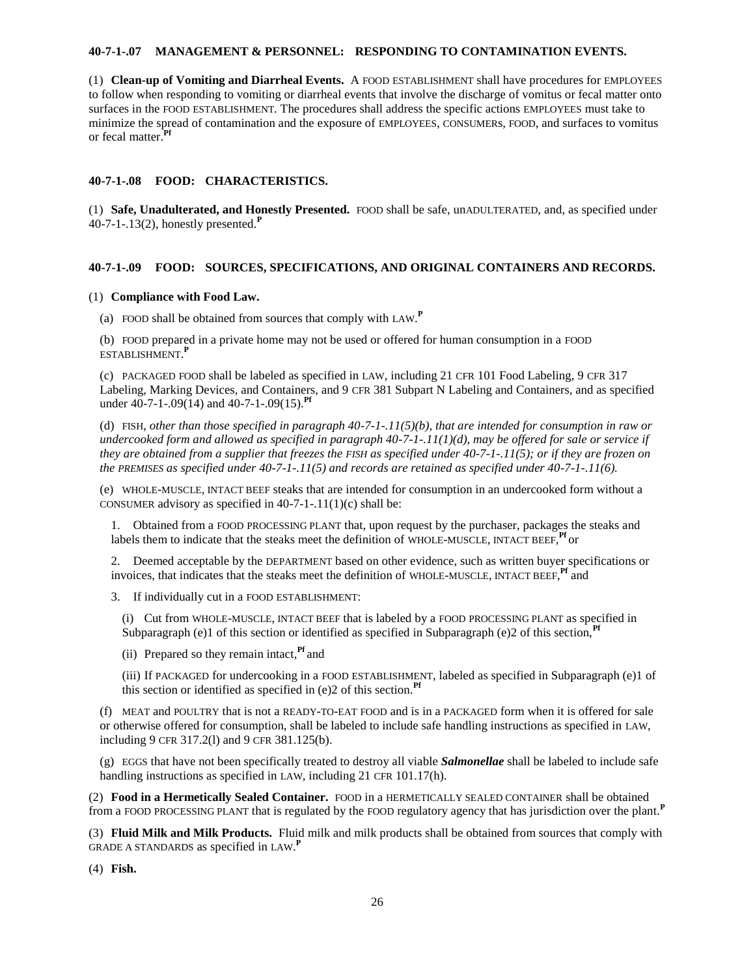## **40-7-1-.07 MANAGEMENT & PERSONNEL: RESPONDING TO CONTAMINATION EVENTS.**

(1) **Clean-up of Vomiting and Diarrheal Events.** A FOOD ESTABLISHMENT shall have procedures for EMPLOYEES to follow when responding to vomiting or diarrheal events that involve the discharge of vomitus or fecal matter onto surfaces in the FOOD ESTABLISHMENT. The procedures shall address the specific actions EMPLOYEES must take to minimize the spread of contamination and the exposure of EMPLOYEES, CONSUMERs, FOOD, and surfaces to vomitus or fecal matter.**Pf**

## **40-7-1-.08 FOOD: CHARACTERISTICS.**

(1) **Safe, Unadulterated, and Honestly Presented.** FOOD shall be safe, unADULTERATED, and, as specified under 40-7-1-.13(2), honestly presented.**<sup>P</sup>**

## **40-7-1-.09 FOOD: SOURCES, SPECIFICATIONS, AND ORIGINAL CONTAINERS AND RECORDS.**

## (1) **Compliance with Food Law.**

(a) FOOD shall be obtained from sources that comply with LAW. **P**

(b) FOOD prepared in a private home may not be used or offered for human consumption in a FOOD ESTABLISHMENT. **P**

(c) PACKAGED FOOD shall be labeled as specified in LAW, including 21 CFR 101 Food Labeling, 9 CFR 317 Labeling, Marking Devices, and Containers, and 9 CFR 381 Subpart N Labeling and Containers, and as specified under 40-7-1-.09(14) and 40-7-1-.09(15).**Pf**

(d) FISH, *other than those specified in paragraph 40-7-1-.11(5)(b), that are intended for consumption in raw or undercooked form and allowed as specified in paragraph 40-7-1-.11(1)(d), may be offered for sale or service if they are obtained from a supplier that freezes the FISH as specified under 40-7-1-.11(5); or if they are frozen on the PREMISES as specified under 40-7-1-.11(5) and records are retained as specified under 40-7-1-.11(6).*

(e) WHOLE-MUSCLE, INTACT BEEF steaks that are intended for consumption in an undercooked form without a CONSUMER advisory as specified in  $40-7-1-11(1)(c)$  shall be:

1. Obtained from a FOOD PROCESSING PLANT that, upon request by the purchaser, packages the steaks and labels them to indicate that the steaks meet the definition of WHOLE-MUSCLE, INTACT BEEF, <sup>Pf</sup> or

2. Deemed acceptable by the DEPARTMENT based on other evidence, such as written buyer specifications or invoices, that indicates that the steaks meet the definition of WHOLE-MUSCLE, INTACT BEEF, <sup>Pf</sup> and

3. If individually cut in a FOOD ESTABLISHMENT:

(i) Cut from WHOLE-MUSCLE, INTACT BEEF that is labeled by a FOOD PROCESSING PLANT as specified in Subparagraph (e)1 of this section or identified as specified in Subparagraph (e)2 of this section,<sup>Pf</sup>

(ii) Prepared so they remain intact,**Pf** and

(iii) If PACKAGED for undercooking in a FOOD ESTABLISHMENT, labeled as specified in Subparagraph (e)1 of this section or identified as specified in (e)2 of this section.**Pf**

(f) MEAT and POULTRY that is not a READY-TO-EAT FOOD and is in a PACKAGED form when it is offered for sale or otherwise offered for consumption, shall be labeled to include safe handling instructions as specified in LAW, including 9 CFR 317.2(l) and 9 CFR 381.125(b).

(g) EGGS that have not been specifically treated to destroy all viable *Salmonellae* shall be labeled to include safe handling instructions as specified in LAW, including 21 CFR 101.17(h).

(2) **Food in a Hermetically Sealed Container.** FOOD in a HERMETICALLY SEALED CONTAINER shall be obtained from a FOOD PROCESSING PLANT that is regulated by the FOOD regulatory agency that has jurisdiction over the plant.**<sup>P</sup>**

(3) **Fluid Milk and Milk Products.** Fluid milk and milk products shall be obtained from sources that comply with GRADE A STANDARDS as specified in LAW. **P**

(4) **Fish.**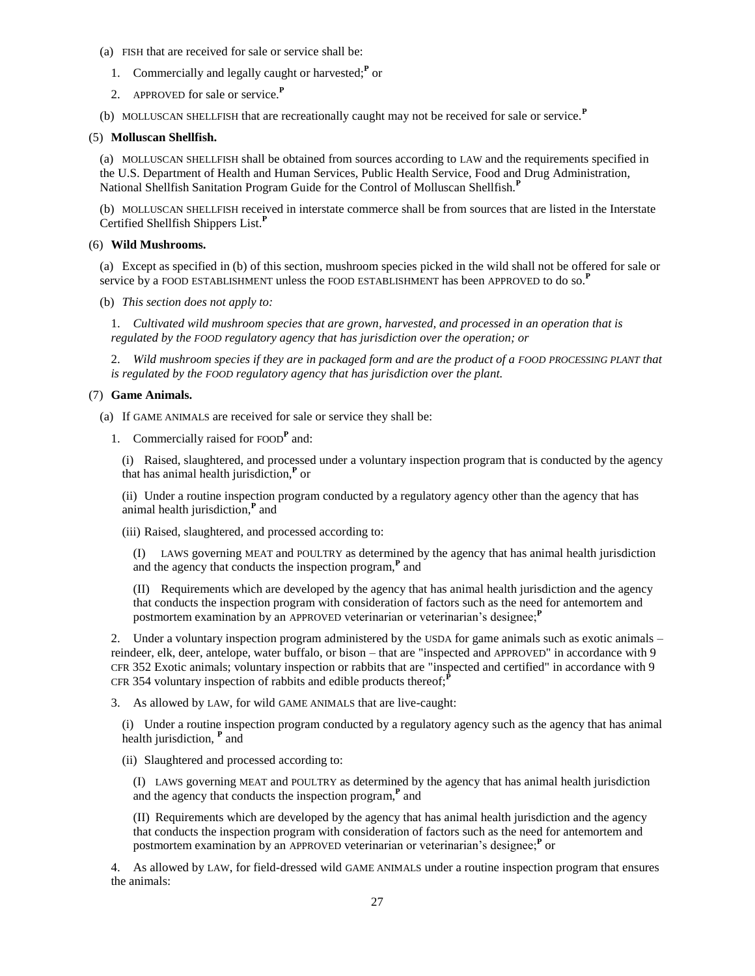- (a) FISH that are received for sale or service shall be:
	- 1. Commercially and legally caught or harvested;**<sup>P</sup>** or
	- 2. APPROVED for sale or service.**<sup>P</sup>**
- (b) MOLLUSCAN SHELLFISH that are recreationally caught may not be received for sale or service.**<sup>P</sup>**

#### (5) **Molluscan Shellfish.**

(a) MOLLUSCAN SHELLFISH shall be obtained from sources according to LAW and the requirements specified in the U.S. Department of Health and Human Services, Public Health Service, Food and Drug Administration, National Shellfish Sanitation Program Guide for the Control of Molluscan Shellfish.**<sup>P</sup>**

(b) MOLLUSCAN SHELLFISH received in interstate commerce shall be from sources that are listed in the Interstate Certified Shellfish Shippers List.**<sup>P</sup>**

## (6) **Wild Mushrooms.**

(a) Except as specified in (b) of this section, mushroom species picked in the wild shall not be offered for sale or service by a FOOD ESTABLISHMENT unless the FOOD ESTABLISHMENT has been APPROVED to do so.**<sup>P</sup>**

(b) *This section does not apply to:*

1. *Cultivated wild mushroom species that are grown, harvested, and processed in an operation that is regulated by the FOOD regulatory agency that has jurisdiction over the operation; or*

2. *Wild mushroom species if they are in packaged form and are the product of a FOOD PROCESSING PLANT that is regulated by the FOOD regulatory agency that has jurisdiction over the plant.*

### (7) **Game Animals.**

(a) If GAME ANIMALS are received for sale or service they shall be:

1. Commercially raised for FOOD**<sup>P</sup>** and:

(i) Raised, slaughtered, and processed under a voluntary inspection program that is conducted by the agency that has animal health jurisdiction,**<sup>P</sup>** or

(ii) Under a routine inspection program conducted by a regulatory agency other than the agency that has animal health jurisdiction,**<sup>P</sup>** and

(iii) Raised, slaughtered, and processed according to:

(I) LAWS governing MEAT and POULTRY as determined by the agency that has animal health jurisdiction and the agency that conducts the inspection program,**<sup>P</sup>** and

(II) Requirements which are developed by the agency that has animal health jurisdiction and the agency that conducts the inspection program with consideration of factors such as the need for antemortem and postmortem examination by an APPROVED veterinarian or veterinarian's designee;<sup>*P*</sup>

2. Under a voluntary inspection program administered by the USDA for game animals such as exotic animals – reindeer, elk, deer, antelope, water buffalo, or bison – that are "inspected and APPROVED" in accordance with 9 CFR 352 Exotic animals; voluntary inspection or rabbits that are "inspected and certified" in accordance with 9 CFR 354 voluntary inspection of rabbits and edible products thereof;<sup> $P$ </sup>

3. As allowed by LAW, for wild GAME ANIMALS that are live-caught:

(i) Under a routine inspection program conducted by a regulatory agency such as the agency that has animal health jurisdiction, **<sup>P</sup>** and

(ii) Slaughtered and processed according to:

(I) LAWS governing MEAT and POULTRY as determined by the agency that has animal health jurisdiction and the agency that conducts the inspection program,**<sup>P</sup>** and

(II) Requirements which are developed by the agency that has animal health jurisdiction and the agency that conducts the inspection program with consideration of factors such as the need for antemortem and postmortem examination by an APPROVED veterinarian or veterinarian's designee;**<sup>P</sup>** or

4. As allowed by LAW, for field-dressed wild GAME ANIMALS under a routine inspection program that ensures the animals: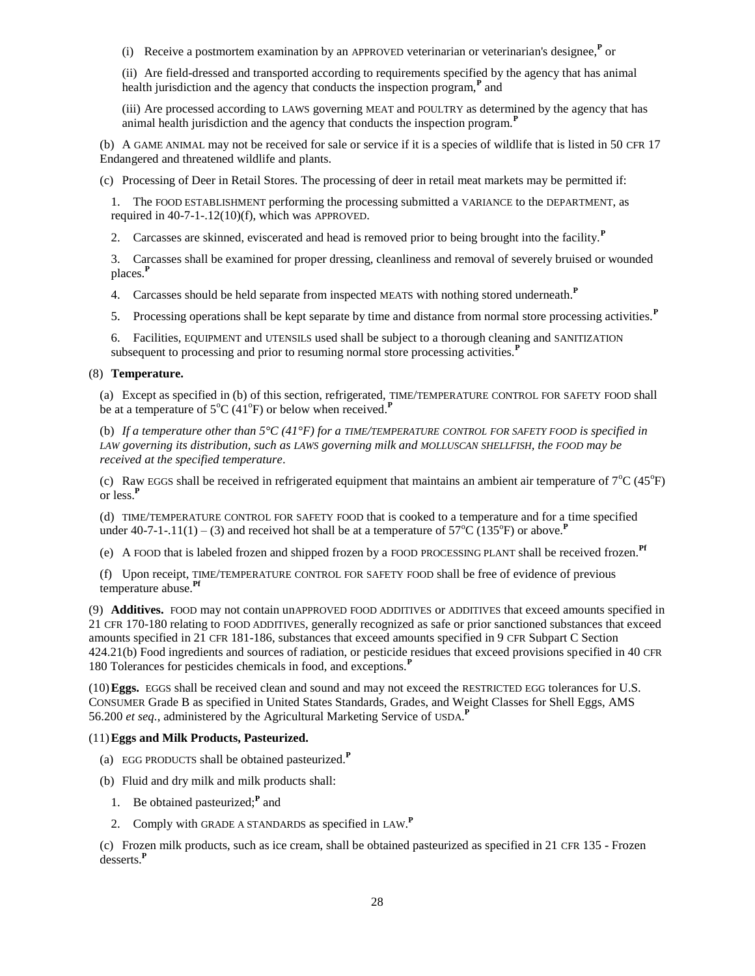(i) Receive a postmortem examination by an APPROVED veterinarian or veterinarian's designee,**<sup>P</sup>** or

(ii) Are field-dressed and transported according to requirements specified by the agency that has animal health jurisdiction and the agency that conducts the inspection program,**<sup>P</sup>** and

(iii) Are processed according to LAWS governing MEAT and POULTRY as determined by the agency that has animal health jurisdiction and the agency that conducts the inspection program.**<sup>P</sup>**

(b) A GAME ANIMAL may not be received for sale or service if it is a species of wildlife that is listed in 50 CFR 17 Endangered and threatened wildlife and plants.

(c) Processing of Deer in Retail Stores. The processing of deer in retail meat markets may be permitted if:

1. The FOOD ESTABLISHMENT performing the processing submitted a VARIANCE to the DEPARTMENT, as required in 40-7-1-.12(10)(f), which was APPROVED.

2. Carcasses are skinned, eviscerated and head is removed prior to being brought into the facility.**<sup>P</sup>**

3. Carcasses shall be examined for proper dressing, cleanliness and removal of severely bruised or wounded places.**<sup>P</sup>**

4. Carcasses should be held separate from inspected MEATS with nothing stored underneath.**<sup>P</sup>**

5. Processing operations shall be kept separate by time and distance from normal store processing activities.**<sup>P</sup>**

6. Facilities, EQUIPMENT and UTENSILS used shall be subject to a thorough cleaning and SANITIZATION subsequent to processing and prior to resuming normal store processing activities.**<sup>P</sup>**

## (8) **Temperature.**

(a) Except as specified in (b) of this section, refrigerated, TIME/TEMPERATURE CONTROL FOR SAFETY FOOD shall be at a temperature of 5<sup>o</sup>C (41<sup>o</sup>F) or below when received.<sup>P</sup>

(b) *If a temperature other than 5°C (41°F) for a TIME/TEMPERATURE CONTROL FOR SAFETY FOOD is specified in LAW governing its distribution, such as LAWS governing milk and MOLLUSCAN SHELLFISH, the FOOD may be received at the specified temperature*.

(c) Raw EGGS shall be received in refrigerated equipment that maintains an ambient air temperature of  $7^{\circ}C(45^{\circ}F)$ or less.**<sup>P</sup>**

(d) TIME/TEMPERATURE CONTROL FOR SAFETY FOOD that is cooked to a temperature and for a time specified under 40-7-1-.11(1) – (3) and received hot shall be at a temperature of  $57^{\circ}$ C (135<sup>o</sup>F) or above.<sup>P</sup>

(e) A FOOD that is labeled frozen and shipped frozen by a FOOD PROCESSING PLANT shall be received frozen.**Pf**

(f) Upon receipt, TIME/TEMPERATURE CONTROL FOR SAFETY FOOD shall be free of evidence of previous temperature abuse.**Pf**

(9) **Additives.** FOOD may not contain unAPPROVED FOOD ADDITIVES or ADDITIVES that exceed amounts specified in 21 CFR 170-180 relating to FOOD ADDITIVES, generally recognized as safe or prior sanctioned substances that exceed amounts specified in 21 CFR 181-186, substances that exceed amounts specified in 9 CFR Subpart C Section 424.21(b) Food ingredients and sources of radiation, or pesticide residues that exceed provisions specified in 40 CFR 180 Tolerances for pesticides chemicals in food, and exceptions.**<sup>P</sup>**

(10)**Eggs.** EGGS shall be received clean and sound and may not exceed the RESTRICTED EGG tolerances for U.S. CONSUMER Grade B as specified in United States Standards, Grades, and Weight Classes for Shell Eggs, AMS 56.200 *et seq.*, administered by the Agricultural Marketing Service of USDA. **P**

# (11)**Eggs and Milk Products, Pasteurized.**

- (a) EGG PRODUCTS shall be obtained pasteurized.**<sup>P</sup>**
- (b) Fluid and dry milk and milk products shall:
	- 1. Be obtained pasteurized;<sup>P</sup> and
	- 2. Comply with GRADE A STANDARDS as specified in LAW. **P**

(c) Frozen milk products, such as ice cream, shall be obtained pasteurized as specified in 21 CFR 135 - Frozen desserts.**<sup>P</sup>**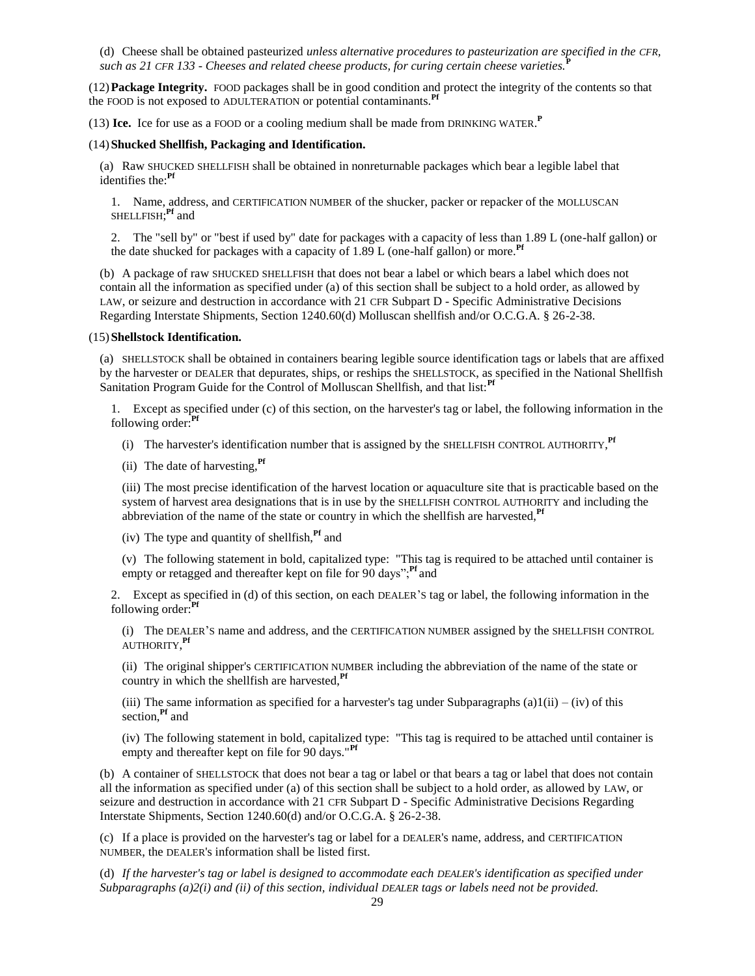(d) Cheese shall be obtained pasteurized *unless alternative procedures to pasteurization are specified in the CFR, such as 21 CFR 133 - Cheeses and related cheese products, for curing certain cheese varieties.***<sup>P</sup>**

(12)**Package Integrity.** FOOD packages shall be in good condition and protect the integrity of the contents so that the FOOD is not exposed to ADULTERATION or potential contaminants.**Pf**

(13) **Ice.** Ice for use as a FOOD or a cooling medium shall be made from DRINKING WATER. **P**

#### (14)**Shucked Shellfish, Packaging and Identification.**

(a) Raw SHUCKED SHELLFISH shall be obtained in nonreturnable packages which bear a legible label that identifies the:**Pf**

1. Name, address, and CERTIFICATION NUMBER of the shucker, packer or repacker of the MOLLUSCAN SHELLFISH; **Pf** and

2. The "sell by" or "best if used by" date for packages with a capacity of less than 1.89 L (one-half gallon) or the date shucked for packages with a capacity of 1.89 L (one-half gallon) or more.**Pf**

(b) A package of raw SHUCKED SHELLFISH that does not bear a label or which bears a label which does not contain all the information as specified under (a) of this section shall be subject to a hold order, as allowed by LAW, or seizure and destruction in accordance with 21 CFR Subpart D - Specific Administrative Decisions Regarding Interstate Shipments, Section 1240.60(d) Molluscan shellfish and/or O.C.G.A. § 26-2-38.

#### (15)**Shellstock Identification.**

(a) SHELLSTOCK shall be obtained in containers bearing legible source identification tags or labels that are affixed by the harvester or DEALER that depurates, ships, or reships the SHELLSTOCK, as specified in the National Shellfish Sanitation Program Guide for the Control of Molluscan Shellfish, and that list:**Pf**

1. Except as specified under (c) of this section, on the harvester's tag or label, the following information in the following order:**Pf**

- (i) The harvester's identification number that is assigned by the SHELLFISH CONTROL AUTHORITY, **Pf**
- (ii) The date of harvesting,**Pf**

(iii) The most precise identification of the harvest location or aquaculture site that is practicable based on the system of harvest area designations that is in use by the SHELLFISH CONTROL AUTHORITY and including the abbreviation of the name of the state or country in which the shellfish are harvested, <sup>Pf</sup>

(iv) The type and quantity of shellfish,**Pf** and

(v) The following statement in bold, capitalized type: "This tag is required to be attached until container is empty or retagged and thereafter kept on file for 90 days",<sup>Pf</sup> and

2. Except as specified in (d) of this section, on each DEALER'S tag or label, the following information in the following order:**Pf**

(i) The DEALER'S name and address, and the CERTIFICATION NUMBER assigned by the SHELLFISH CONTROL AUTHORITY, **Pf**

(ii) The original shipper's CERTIFICATION NUMBER including the abbreviation of the name of the state or country in which the shellfish are harvested,**Pf**

(iii) The same information as specified for a harvester's tag under Subparagraphs (a) $1(ii) - (iv)$  of this section,**Pf** and

(iv) The following statement in bold, capitalized type: "This tag is required to be attached until container is empty and thereafter kept on file for 90 days."**Pf**

(b) A container of SHELLSTOCK that does not bear a tag or label or that bears a tag or label that does not contain all the information as specified under (a) of this section shall be subject to a hold order, as allowed by LAW, or seizure and destruction in accordance with 21 CFR Subpart D - Specific Administrative Decisions Regarding Interstate Shipments, Section 1240.60(d) and/or O.C.G.A. § 26-2-38.

(c) If a place is provided on the harvester's tag or label for a DEALER's name, address, and CERTIFICATION NUMBER, the DEALER's information shall be listed first.

(d) *If the harvester's tag or label is designed to accommodate each DEALER's identification as specified under Subparagraphs (a)2(i) and (ii) of this section, individual DEALER tags or labels need not be provided.*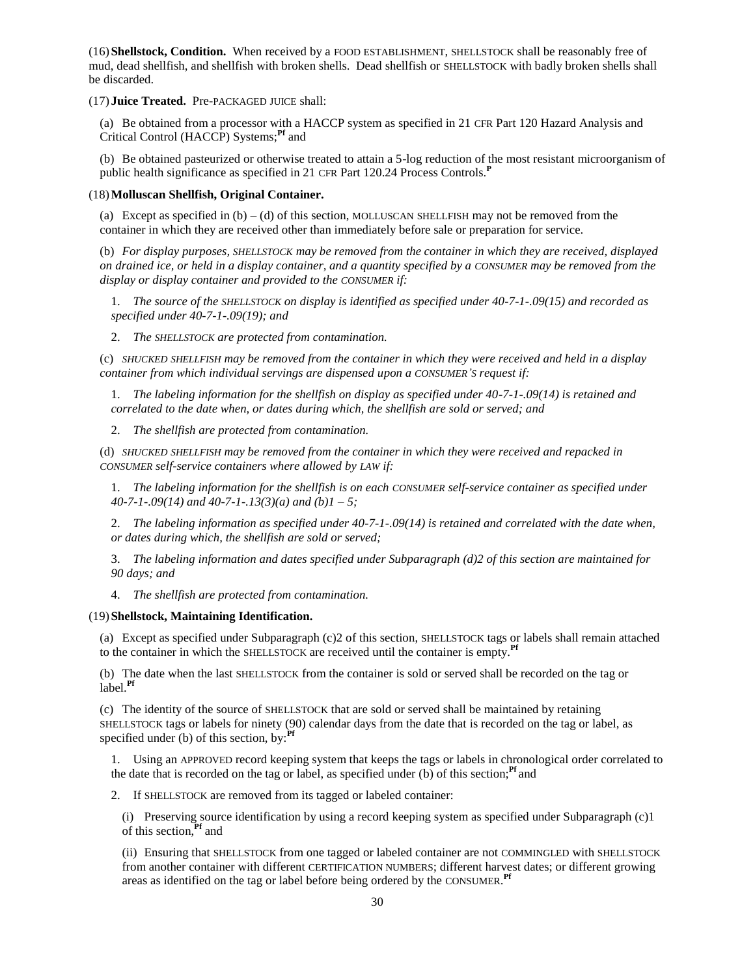(16)**Shellstock, Condition.** When received by a FOOD ESTABLISHMENT, SHELLSTOCK shall be reasonably free of mud, dead shellfish, and shellfish with broken shells. Dead shellfish or SHELLSTOCK with badly broken shells shall be discarded.

(17) **Juice Treated.** Pre-PACKAGED JUICE shall:

(a) Be obtained from a processor with a HACCP system as specified in 21 CFR Part 120 Hazard Analysis and Critical Control (HACCP) Systems;**Pf** and

(b) Be obtained pasteurized or otherwise treated to attain a 5-log reduction of the most resistant microorganism of public health significance as specified in 21 CFR Part 120.24 Process Controls.**<sup>P</sup>**

## (18)**Molluscan Shellfish, Original Container.**

(a) Except as specified in  $(b) - (d)$  of this section, MOLLUSCAN SHELLFISH may not be removed from the container in which they are received other than immediately before sale or preparation for service.

(b) *For display purposes, SHELLSTOCK may be removed from the container in which they are received, displayed on drained ice, or held in a display container, and a quantity specified by a CONSUMER may be removed from the display or display container and provided to the CONSUMER if:*

1. *The source of the SHELLSTOCK on display is identified as specified under 40-7-1-.09(15) and recorded as specified under 40-7-1-.09(19); and*

2. *The SHELLSTOCK are protected from contamination.*

(c) *SHUCKED SHELLFISH may be removed from the container in which they were received and held in a display container from which individual servings are dispensed upon a CONSUMER'S request if:*

1. *The labeling information for the shellfish on display as specified under 40-7-1-.09(14) is retained and correlated to the date when, or dates during which, the shellfish are sold or served; and*

2. *The shellfish are protected from contamination.*

(d) *SHUCKED SHELLFISH may be removed from the container in which they were received and repacked in CONSUMER self-service containers where allowed by LAW if:*

1. *The labeling information for the shellfish is on each CONSUMER self-service container as specified under 40-7-1-.09(14) and 40-7-1-.13(3)(a) and (b)1 – 5;*

2. *The labeling information as specified under 40-7-1-.09(14) is retained and correlated with the date when, or dates during which, the shellfish are sold or served;*

3. *The labeling information and dates specified under Subparagraph (d)2 of this section are maintained for 90 days; and*

4. *The shellfish are protected from contamination.*

# (19)**Shellstock, Maintaining Identification.**

(a) Except as specified under Subparagraph (c)2 of this section, SHELLSTOCK tags or labels shall remain attached to the container in which the SHELLSTOCK are received until the container is empty.**Pf**

(b) The date when the last SHELLSTOCK from the container is sold or served shall be recorded on the tag or label.**Pf**

(c) The identity of the source of SHELLSTOCK that are sold or served shall be maintained by retaining SHELLSTOCK tags or labels for ninety (90) calendar days from the date that is recorded on the tag or label, as specified under (b) of this section, by:**Pf**

1. Using an APPROVED record keeping system that keeps the tags or labels in chronological order correlated to the date that is recorded on the tag or label, as specified under (b) of this section;**Pf** and

2. If SHELLSTOCK are removed from its tagged or labeled container:

(i) Preserving source identification by using a record keeping system as specified under Subparagraph (c)1 of this section,**Pf** and

(ii) Ensuring that SHELLSTOCK from one tagged or labeled container are not COMMINGLED with SHELLSTOCK from another container with different CERTIFICATION NUMBERS; different harvest dates; or different growing areas as identified on the tag or label before being ordered by the CONSUMER. **Pf**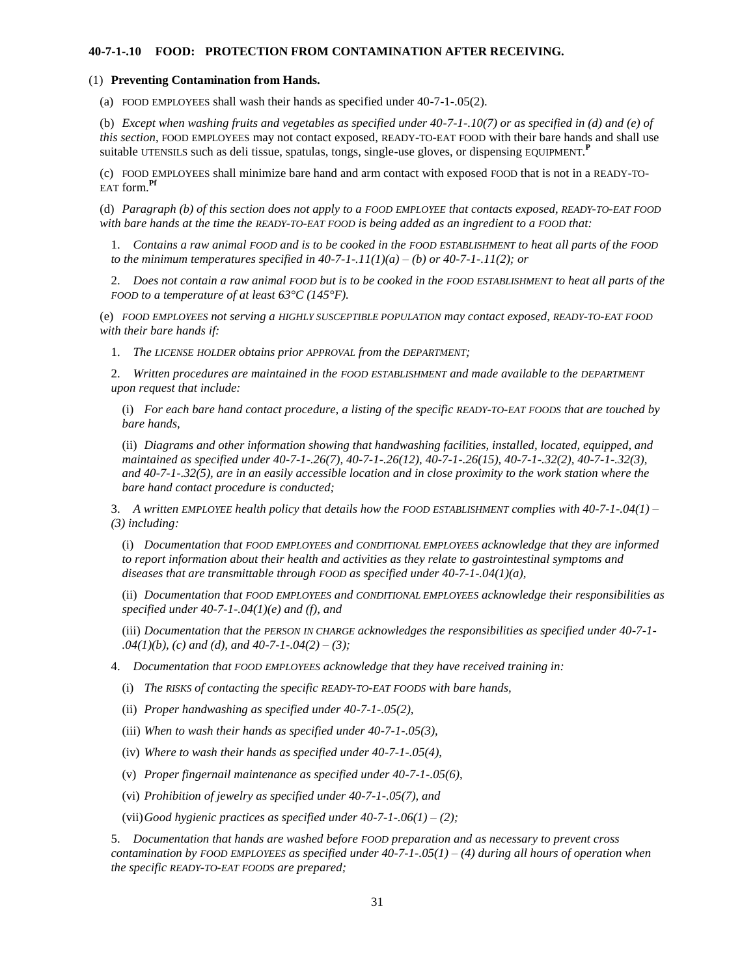## **40-7-1-.10 FOOD: PROTECTION FROM CONTAMINATION AFTER RECEIVING.**

#### (1) **Preventing Contamination from Hands.**

(a) FOOD EMPLOYEES shall wash their hands as specified under 40-7-1-.05(2).

(b) *Except when washing fruits and vegetables as specified under 40-7-1-.10(7) or as specified in (d) and (e) of this section*, FOOD EMPLOYEES may not contact exposed, READY-TO-EAT FOOD with their bare hands and shall use suitable UTENSILS such as deli tissue, spatulas, tongs, single-use gloves, or dispensing EQUIPMENT. **P**

(c) FOOD EMPLOYEES shall minimize bare hand and arm contact with exposed FOOD that is not in a READY-TO-EAT form.**Pf**

(d) *Paragraph (b) of this section does not apply to a FOOD EMPLOYEE that contacts exposed, READY-TO-EAT FOOD with bare hands at the time the READY-TO-EAT FOOD is being added as an ingredient to a FOOD that:*

1. *Contains a raw animal FOOD and is to be cooked in the FOOD ESTABLISHMENT to heat all parts of the FOOD to the minimum temperatures specified in 40-7-1-.11(1)(a) – (b) or 40-7-1-.11(2); or*

2. *Does not contain a raw animal FOOD but is to be cooked in the FOOD ESTABLISHMENT to heat all parts of the FOOD to a temperature of at least 63°C (145°F).*

(e) *FOOD EMPLOYEES not serving a HIGHLY SUSCEPTIBLE POPULATION may contact exposed, READY-TO-EAT FOOD with their bare hands if:*

1. *The LICENSE HOLDER obtains prior APPROVAL from the DEPARTMENT;*

2. *Written procedures are maintained in the FOOD ESTABLISHMENT and made available to the DEPARTMENT upon request that include:*

(i) *For each bare hand contact procedure, a listing of the specific READY-TO-EAT FOODS that are touched by bare hands,*

(ii) *Diagrams and other information showing that handwashing facilities, installed, located, equipped, and maintained as specified under 40-7-1-.26(7), 40-7-1-.26(12), 40-7-1-.26(15), 40-7-1-.32(2), 40-7-1-.32(3), and 40-7-1-.32(5), are in an easily accessible location and in close proximity to the work station where the bare hand contact procedure is conducted;*

3. *A written EMPLOYEE health policy that details how the FOOD ESTABLISHMENT complies with 40-7-1-.04(1) – (3) including:*

(i) *Documentation that FOOD EMPLOYEES and CONDITIONAL EMPLOYEES acknowledge that they are informed to report information about their health and activities as they relate to gastrointestinal symptoms and diseases that are transmittable through FOOD as specified under 40-7-1-.04(1)(a),*

(ii) *Documentation that FOOD EMPLOYEES and CONDITIONAL EMPLOYEES acknowledge their responsibilities as specified under 40-7-1-.04(1)(e) and (f), and*

(iii) *Documentation that the PERSON IN CHARGE acknowledges the responsibilities as specified under 40-7-1- .04(1)(b), (c) and (d), and 40-7-1-.04(2) – (3);*

4. *Documentation that FOOD EMPLOYEES acknowledge that they have received training in:*

(i) *The RISKS of contacting the specific READY-TO-EAT FOODS with bare hands,*

(ii) *Proper handwashing as specified under 40-7-1-.05(2),*

(iii) *When to wash their hands as specified under 40-7-1-.05(3),*

(iv) *Where to wash their hands as specified under 40-7-1-.05(4)*,

(v) *Proper fingernail maintenance as specified under 40-7-1-.05(6)*,

(vi) *Prohibition of jewelry as specified under 40-7-1-.05(7), and*

(vii)*Good hygienic practices as specified under 40-7-1-.06(1) – (2);*

5. *Documentation that hands are washed before FOOD preparation and as necessary to prevent cross contamination by FOOD EMPLOYEES as specified under 40-7-1-.05(1) – (4) during all hours of operation when the specific READY-TO-EAT FOODS are prepared;*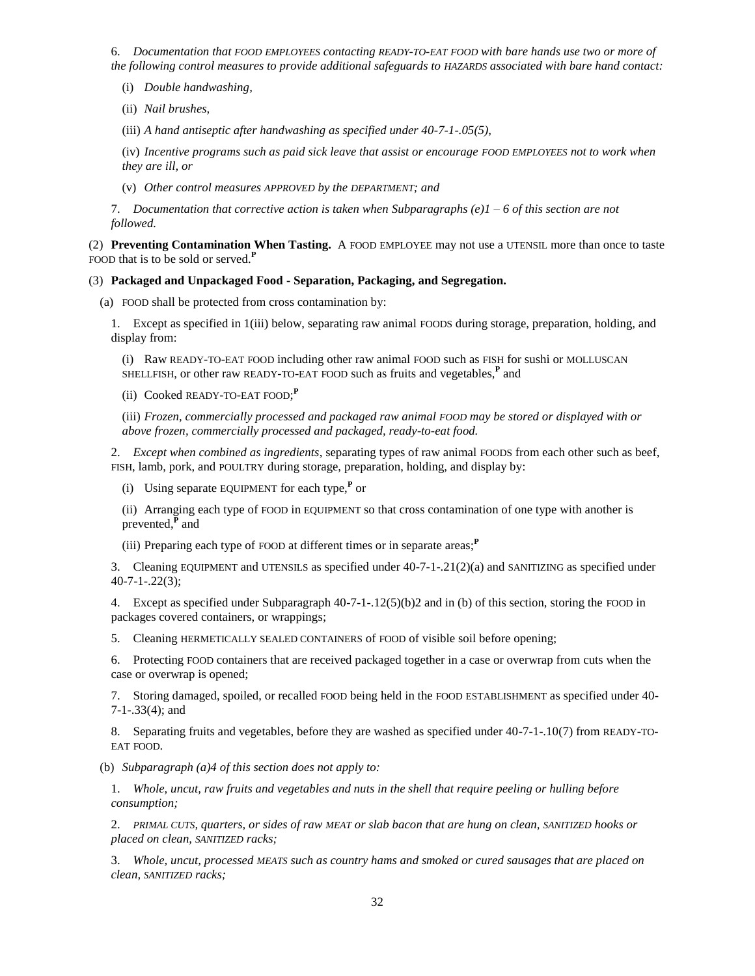6. *Documentation that FOOD EMPLOYEES contacting READY-TO-EAT FOOD with bare hands use two or more of the following control measures to provide additional safeguards to HAZARDS associated with bare hand contact:*

(i) *Double handwashing,*

(ii) *Nail brushes,*

(iii) *A hand antiseptic after handwashing as specified under 40-7-1-.05(5),*

(iv) *Incentive programs such as paid sick leave that assist or encourage FOOD EMPLOYEES not to work when they are ill, or*

(v) *Other control measures APPROVED by the DEPARTMENT; and*

7. *Documentation that corrective action is taken when Subparagraphs (e)1 – 6 of this section are not followed.*

(2) **Preventing Contamination When Tasting.** A FOOD EMPLOYEE may not use a UTENSIL more than once to taste FOOD that is to be sold or served.**<sup>P</sup>**

## (3) **Packaged and Unpackaged Food - Separation, Packaging, and Segregation.**

(a) FOOD shall be protected from cross contamination by:

1. Except as specified in 1(iii) below, separating raw animal FOODS during storage, preparation, holding, and display from:

(i) Raw READY-TO-EAT FOOD including other raw animal FOOD such as FISH for sushi or MOLLUSCAN SHELLFISH, or other raw READY-TO-EAT FOOD such as fruits and vegetables,**<sup>P</sup>** and

(ii) Cooked READY-TO-EAT FOOD; **P**

(iii) *Frozen, commercially processed and packaged raw animal FOOD may be stored or displayed with or above frozen, commercially processed and packaged, ready-to-eat food.*

2. *Except when combined as ingredients*, separating types of raw animal FOODS from each other such as beef, FISH, lamb, pork, and POULTRY during storage, preparation, holding, and display by:

(i) Using separate EQUIPMENT for each type,**<sup>P</sup>** or

(ii) Arranging each type of FOOD in EQUIPMENT so that cross contamination of one type with another is prevented,**<sup>P</sup>** and

(iii) Preparing each type of FOOD at different times or in separate areas;**<sup>P</sup>**

3. Cleaning EQUIPMENT and UTENSILS as specified under 40-7-1-.21(2)(a) and SANITIZING as specified under 40-7-1-.22(3);

4. Except as specified under Subparagraph 40-7-1-.12(5)(b)2 and in (b) of this section, storing the FOOD in packages covered containers, or wrappings;

5. Cleaning HERMETICALLY SEALED CONTAINERS of FOOD of visible soil before opening;

6. Protecting FOOD containers that are received packaged together in a case or overwrap from cuts when the case or overwrap is opened;

7. Storing damaged, spoiled, or recalled FOOD being held in the FOOD ESTABLISHMENT as specified under 40- 7-1-.33(4); and

8. Separating fruits and vegetables, before they are washed as specified under 40-7-1-.10(7) from READY-TO-EAT FOOD.

(b) *Subparagraph (a)4 of this section does not apply to:*

1. *Whole, uncut, raw fruits and vegetables and nuts in the shell that require peeling or hulling before consumption;*

2. *PRIMAL CUTS, quarters, or sides of raw MEAT or slab bacon that are hung on clean, SANITIZED hooks or placed on clean, SANITIZED racks;*

3. *Whole, uncut, processed MEATS such as country hams and smoked or cured sausages that are placed on clean, SANITIZED racks;*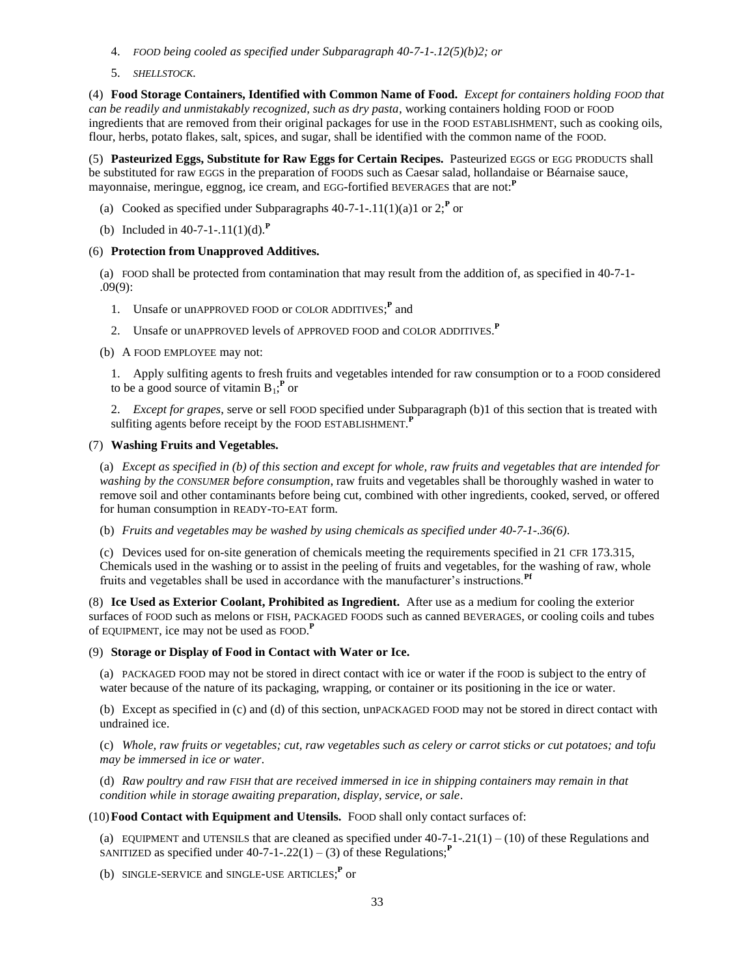- 4. *FOOD being cooled as specified under Subparagraph 40-7-1-.12(5)(b)2; or*
- 5. *SHELLSTOCK.*

(4) **Food Storage Containers, Identified with Common Name of Food.** *Except for containers holding FOOD that can be readily and unmistakably recognized, such as dry pasta*, working containers holding FOOD or FOOD ingredients that are removed from their original packages for use in the FOOD ESTABLISHMENT, such as cooking oils, flour, herbs, potato flakes, salt, spices, and sugar, shall be identified with the common name of the FOOD.

(5) **Pasteurized Eggs, Substitute for Raw Eggs for Certain Recipes.** Pasteurized EGGS or EGG PRODUCTS shall be substituted for raw EGGS in the preparation of FOODS such as Caesar salad, hollandaise or Béarnaise sauce, mayonnaise, meringue, eggnog, ice cream, and EGG-fortified BEVERAGES that are not:**<sup>P</sup>**

- (a) Cooked as specified under Subparagraphs  $40-7-1-11(1)(a)1$  or  $2;^{P}$  or
- (b) Included in 40-7-1-.11(1)(d).**<sup>P</sup>**

# (6) **Protection from Unapproved Additives.**

(a) FOOD shall be protected from contamination that may result from the addition of, as specified in 40-7-1- .09(9):

- 1. Unsafe or unAPPROVED FOOD or COLOR ADDITIVES;<sup>P</sup> and
- 2. Unsafe or unAPPROVED levels of APPROVED FOOD and COLOR ADDITIVES. **P**
- (b) A FOOD EMPLOYEE may not:

1. Apply sulfiting agents to fresh fruits and vegetables intended for raw consumption or to a FOOD considered to be a good source of vitamin  $B_1$ ;<sup>P</sup> or

2. *Except for grapes*, serve or sell FOOD specified under Subparagraph (b)1 of this section that is treated with sulfiting agents before receipt by the FOOD ESTABLISHMENT. **P**

## (7) **Washing Fruits and Vegetables.**

(a) *Except as specified in (b) of this section and except for whole, raw fruits and vegetables that are intended for washing by the CONSUMER before consumption*, raw fruits and vegetables shall be thoroughly washed in water to remove soil and other contaminants before being cut, combined with other ingredients, cooked, served, or offered for human consumption in READY-TO-EAT form.

(b) *Fruits and vegetables may be washed by using chemicals as specified under 40-7-1-.36(6)*.

(c) Devices used for on-site generation of chemicals meeting the requirements specified in 21 CFR 173.315, Chemicals used in the washing or to assist in the peeling of fruits and vegetables, for the washing of raw, whole fruits and vegetables shall be used in accordance with the manufacturer's instructions.**Pf**

(8) **Ice Used as Exterior Coolant, Prohibited as Ingredient.** After use as a medium for cooling the exterior surfaces of FOOD such as melons or FISH, PACKAGED FOODS such as canned BEVERAGES, or cooling coils and tubes of EQUIPMENT, ice may not be used as FOOD. **P**

## (9) **Storage or Display of Food in Contact with Water or Ice.**

(a) PACKAGED FOOD may not be stored in direct contact with ice or water if the FOOD is subject to the entry of water because of the nature of its packaging, wrapping, or container or its positioning in the ice or water.

(b) Except as specified in (c) and (d) of this section, unPACKAGED FOOD may not be stored in direct contact with undrained ice.

(c) *Whole, raw fruits or vegetables; cut, raw vegetables such as celery or carrot sticks or cut potatoes; and tofu may be immersed in ice or water*.

(d) *Raw poultry and raw FISH that are received immersed in ice in shipping containers may remain in that condition while in storage awaiting preparation, display, service, or sale*.

## (10)**Food Contact with Equipment and Utensils.** FOOD shall only contact surfaces of:

(a) EQUIPMENT and UTENSILS that are cleaned as specified under  $40-7-1-21(1)-(10)$  of these Regulations and SANITIZED as specified under  $40-7-1-0.22(1) - (3)$  of these Regulations;<sup>*P*</sup>

(b) SINGLE-SERVICE and SINGLE-USE ARTICLES;<sup>P</sup> or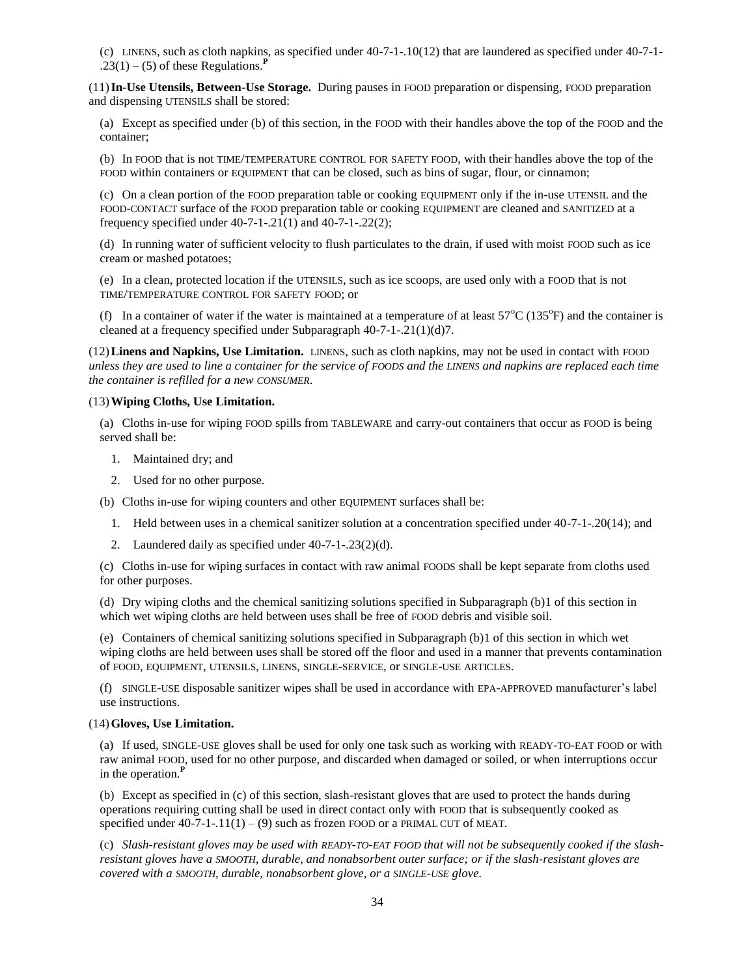(c) LINENS, such as cloth napkins, as specified under 40-7-1-.10(12) that are laundered as specified under 40-7-1-  $.23(1) - (5)$  of these Regulations.

(11)**In-Use Utensils, Between-Use Storage.** During pauses in FOOD preparation or dispensing, FOOD preparation and dispensing UTENSILS shall be stored:

(a) Except as specified under (b) of this section, in the FOOD with their handles above the top of the FOOD and the container;

(b) In FOOD that is not TIME/TEMPERATURE CONTROL FOR SAFETY FOOD, with their handles above the top of the FOOD within containers or EQUIPMENT that can be closed, such as bins of sugar, flour, or cinnamon;

(c) On a clean portion of the FOOD preparation table or cooking EQUIPMENT only if the in-use UTENSIL and the FOOD-CONTACT surface of the FOOD preparation table or cooking EQUIPMENT are cleaned and SANITIZED at a frequency specified under 40-7-1-.21(1) and 40-7-1-.22(2);

(d) In running water of sufficient velocity to flush particulates to the drain, if used with moist FOOD such as ice cream or mashed potatoes;

(e) In a clean, protected location if the UTENSILS, such as ice scoops, are used only with a FOOD that is not TIME/TEMPERATURE CONTROL FOR SAFETY FOOD; or

(f) In a container of water if the water is maintained at a temperature of at least  $57^{\circ}C$  (135 $^{\circ}F$ ) and the container is cleaned at a frequency specified under Subparagraph 40-7-1-.21(1)(d)7.

(12)**Linens and Napkins, Use Limitation.** LINENS, such as cloth napkins, may not be used in contact with FOOD *unless they are used to line a container for the service of FOODS and the LINENS and napkins are replaced each time the container is refilled for a new CONSUMER*.

#### (13)**Wiping Cloths, Use Limitation.**

(a) Cloths in-use for wiping FOOD spills from TABLEWARE and carry-out containers that occur as FOOD is being served shall be:

- 1. Maintained dry; and
- 2. Used for no other purpose.

(b) Cloths in-use for wiping counters and other EQUIPMENT surfaces shall be:

- 1. Held between uses in a chemical sanitizer solution at a concentration specified under 40-7-1-.20(14); and
- 2. Laundered daily as specified under 40-7-1-.23(2)(d).

(c) Cloths in-use for wiping surfaces in contact with raw animal FOODS shall be kept separate from cloths used for other purposes.

(d) Dry wiping cloths and the chemical sanitizing solutions specified in Subparagraph (b)1 of this section in which wet wiping cloths are held between uses shall be free of FOOD debris and visible soil.

(e) Containers of chemical sanitizing solutions specified in Subparagraph (b)1 of this section in which wet wiping cloths are held between uses shall be stored off the floor and used in a manner that prevents contamination of FOOD, EQUIPMENT, UTENSILS, LINENS, SINGLE-SERVICE, or SINGLE-USE ARTICLES.

(f) SINGLE-USE disposable sanitizer wipes shall be used in accordance with EPA-APPROVED manufacturer's label use instructions.

#### (14)**Gloves, Use Limitation.**

(a) If used, SINGLE-USE gloves shall be used for only one task such as working with READY-TO-EAT FOOD or with raw animal FOOD, used for no other purpose, and discarded when damaged or soiled, or when interruptions occur in the operation.**<sup>P</sup>**

(b) Except as specified in (c) of this section, slash-resistant gloves that are used to protect the hands during operations requiring cutting shall be used in direct contact only with FOOD that is subsequently cooked as specified under  $40-7-1-11(1) - (9)$  such as frozen FOOD or a PRIMAL CUT of MEAT.

(c) *Slash-resistant gloves may be used with READY-TO-EAT FOOD that will not be subsequently cooked if the slashresistant gloves have a SMOOTH, durable, and nonabsorbent outer surface; or if the slash-resistant gloves are covered with a SMOOTH, durable, nonabsorbent glove, or a SINGLE-USE glove.*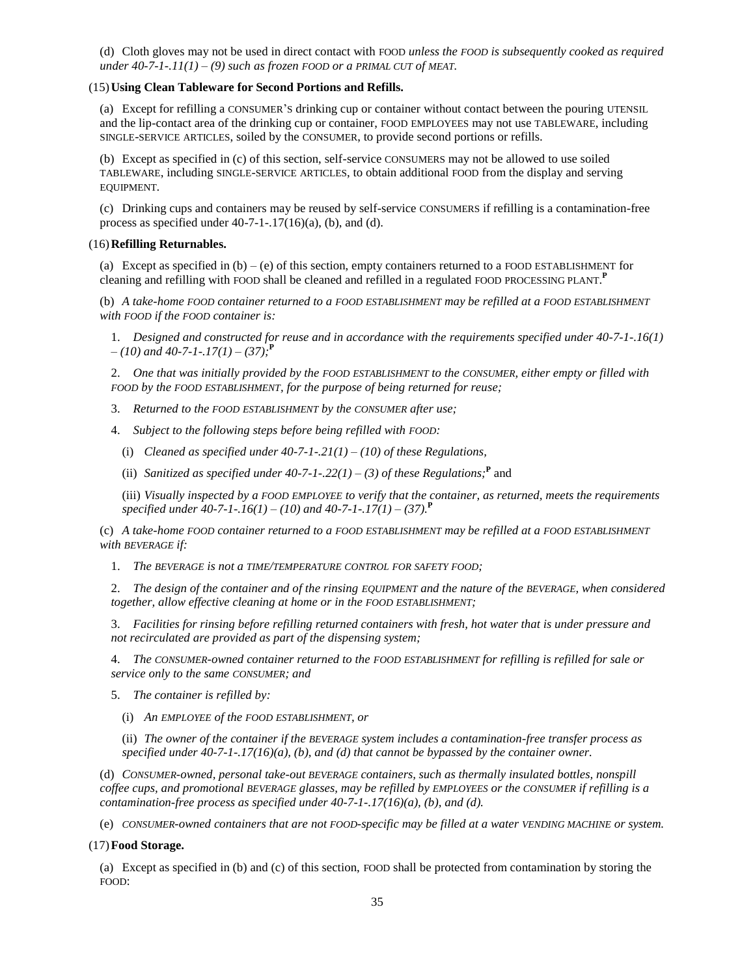(d) Cloth gloves may not be used in direct contact with FOOD *unless the FOOD is subsequently cooked as required under 40-7-1-.11(1) – (9) such as frozen FOOD or a PRIMAL CUT of MEAT.*

## (15)**Using Clean Tableware for Second Portions and Refills.**

(a) Except for refilling a CONSUMER'S drinking cup or container without contact between the pouring UTENSIL and the lip-contact area of the drinking cup or container, FOOD EMPLOYEES may not use TABLEWARE, including SINGLE-SERVICE ARTICLES, soiled by the CONSUMER, to provide second portions or refills.

(b) Except as specified in (c) of this section, self-service CONSUMERS may not be allowed to use soiled TABLEWARE, including SINGLE-SERVICE ARTICLES, to obtain additional FOOD from the display and serving EQUIPMENT.

(c) Drinking cups and containers may be reused by self-service CONSUMERS if refilling is a contamination-free process as specified under  $40-7-1-17(16)(a)$ , (b), and (d).

## (16)**Refilling Returnables.**

(a) Except as specified in  $(b) - (e)$  of this section, empty containers returned to a FOOD ESTABLISHMENT for cleaning and refilling with FOOD shall be cleaned and refilled in a regulated FOOD PROCESSING PLANT. **P**

(b) *A take-home FOOD container returned to a FOOD ESTABLISHMENT may be refilled at a FOOD ESTABLISHMENT with FOOD if the FOOD container is:*

1. *Designed and constructed for reuse and in accordance with the requirements specified under 40-7-1-.16(1) – (10) and 40-7-1-.17(1) – (37);***<sup>P</sup>**

2. *One that was initially provided by the FOOD ESTABLISHMENT to the CONSUMER, either empty or filled with FOOD by the FOOD ESTABLISHMENT, for the purpose of being returned for reuse;*

3. *Returned to the FOOD ESTABLISHMENT by the CONSUMER after use;*

4. *Subject to the following steps before being refilled with FOOD:*

(i) *Cleaned as specified under 40-7-1-.21(1) – (10) of these Regulations,*

(ii) *Sanitized as specified under 40-7-1-.22(1) – (3) of these Regulations;*<sup>P</sup> and

(iii) *Visually inspected by a FOOD EMPLOYEE to verify that the container, as returned, meets the requirements specified under 40-7-1-.16(1) – (10) and 40-7-1-.17(1) – (37).***<sup>P</sup>**

(c) *A take-home FOOD container returned to a FOOD ESTABLISHMENT may be refilled at a FOOD ESTABLISHMENT with BEVERAGE if:*

1. *The BEVERAGE is not a TIME/TEMPERATURE CONTROL FOR SAFETY FOOD;*

2. *The design of the container and of the rinsing EQUIPMENT and the nature of the BEVERAGE, when considered together, allow effective cleaning at home or in the FOOD ESTABLISHMENT;*

3. *Facilities for rinsing before refilling returned containers with fresh, hot water that is under pressure and not recirculated are provided as part of the dispensing system;*

4. *The CONSUMER-owned container returned to the FOOD ESTABLISHMENT for refilling is refilled for sale or service only to the same CONSUMER; and*

5. *The container is refilled by:*

(i) *An EMPLOYEE of the FOOD ESTABLISHMENT, or*

(ii) *The owner of the container if the BEVERAGE system includes a contamination-free transfer process as specified under 40-7-1-.17(16)(a), (b), and (d) that cannot be bypassed by the container owner.*

(d) *CONSUMER-owned, personal take-out BEVERAGE containers, such as thermally insulated bottles, nonspill coffee cups, and promotional BEVERAGE glasses, may be refilled by EMPLOYEES or the CONSUMER if refilling is a contamination-free process as specified under 40-7-1-.17(16)(a), (b), and (d).*

(e) *CONSUMER-owned containers that are not FOOD-specific may be filled at a water VENDING MACHINE or system.*

## (17)**Food Storage.**

(a) Except as specified in (b) and (c) of this section, FOOD shall be protected from contamination by storing the FOOD: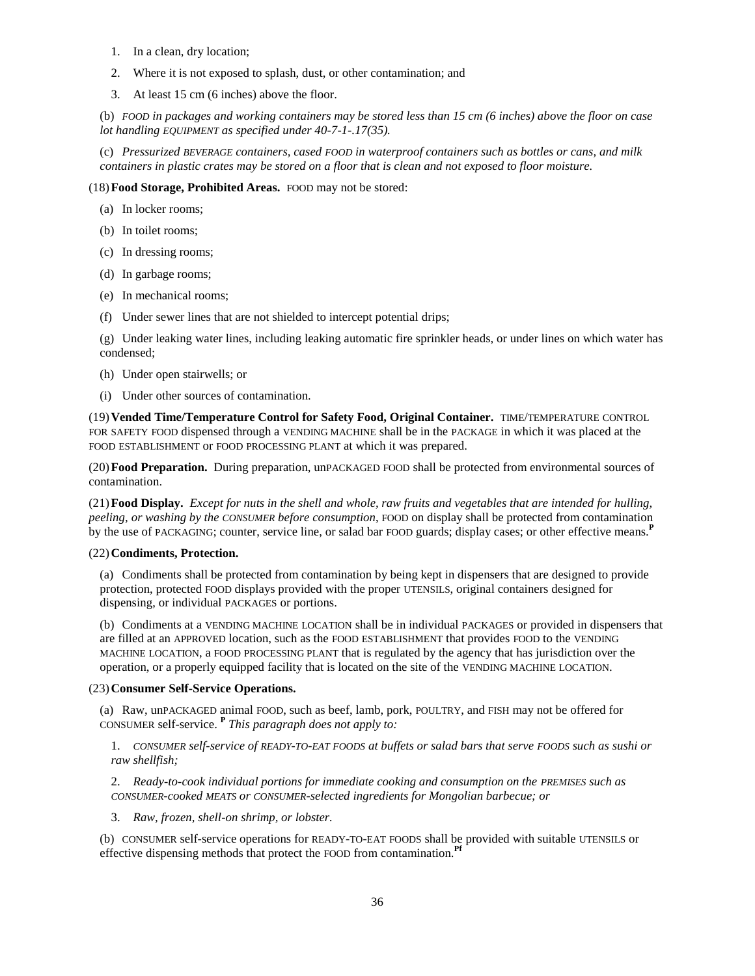- 1. In a clean, dry location;
- 2. Where it is not exposed to splash, dust, or other contamination; and
- 3. At least 15 cm (6 inches) above the floor.

(b) *FOOD in packages and working containers may be stored less than 15 cm (6 inches) above the floor on case lot handling EQUIPMENT as specified under 40-7-1-.17(35).*

(c) *Pressurized BEVERAGE containers, cased FOOD in waterproof containers such as bottles or cans, and milk containers in plastic crates may be stored on a floor that is clean and not exposed to floor moisture.*

## (18)**Food Storage, Prohibited Areas.** FOOD may not be stored:

- (a) In locker rooms;
- (b) In toilet rooms;
- (c) In dressing rooms;
- (d) In garbage rooms;
- (e) In mechanical rooms;
- (f) Under sewer lines that are not shielded to intercept potential drips;

(g) Under leaking water lines, including leaking automatic fire sprinkler heads, or under lines on which water has condensed;

- (h) Under open stairwells; or
- (i) Under other sources of contamination.

(19)**Vended Time/Temperature Control for Safety Food, Original Container.** TIME/TEMPERATURE CONTROL FOR SAFETY FOOD dispensed through a VENDING MACHINE shall be in the PACKAGE in which it was placed at the FOOD ESTABLISHMENT or FOOD PROCESSING PLANT at which it was prepared.

(20)**Food Preparation.** During preparation, unPACKAGED FOOD shall be protected from environmental sources of contamination.

(21)**Food Display.** *Except for nuts in the shell and whole, raw fruits and vegetables that are intended for hulling, peeling, or washing by the CONSUMER before consumption*, FOOD on display shall be protected from contamination by the use of PACKAGING; counter, service line, or salad bar FOOD guards; display cases; or other effective means.**<sup>P</sup>**

## (22)**Condiments, Protection.**

(a) Condiments shall be protected from contamination by being kept in dispensers that are designed to provide protection, protected FOOD displays provided with the proper UTENSILS, original containers designed for dispensing, or individual PACKAGES or portions.

(b) Condiments at a VENDING MACHINE LOCATION shall be in individual PACKAGES or provided in dispensers that are filled at an APPROVED location, such as the FOOD ESTABLISHMENT that provides FOOD to the VENDING MACHINE LOCATION, a FOOD PROCESSING PLANT that is regulated by the agency that has jurisdiction over the operation, or a properly equipped facility that is located on the site of the VENDING MACHINE LOCATION.

## (23)**Consumer Self-Service Operations.**

(a) Raw, unPACKAGED animal FOOD, such as beef, lamb, pork, POULTRY, and FISH may not be offered for CONSUMER self-service. **<sup>P</sup>** *This paragraph does not apply to:*

1. *CONSUMER self-service of READY-TO-EAT FOODS at buffets or salad bars that serve FOODS such as sushi or raw shellfish;*

2. *Ready-to-cook individual portions for immediate cooking and consumption on the PREMISES such as CONSUMER-cooked MEATS or CONSUMER-selected ingredients for Mongolian barbecue; or*

3. *Raw, frozen, shell-on shrimp, or lobster.*

(b) CONSUMER self-service operations for READY-TO-EAT FOODS shall be provided with suitable UTENSILS or effective dispensing methods that protect the FOOD from contamination.**Pf**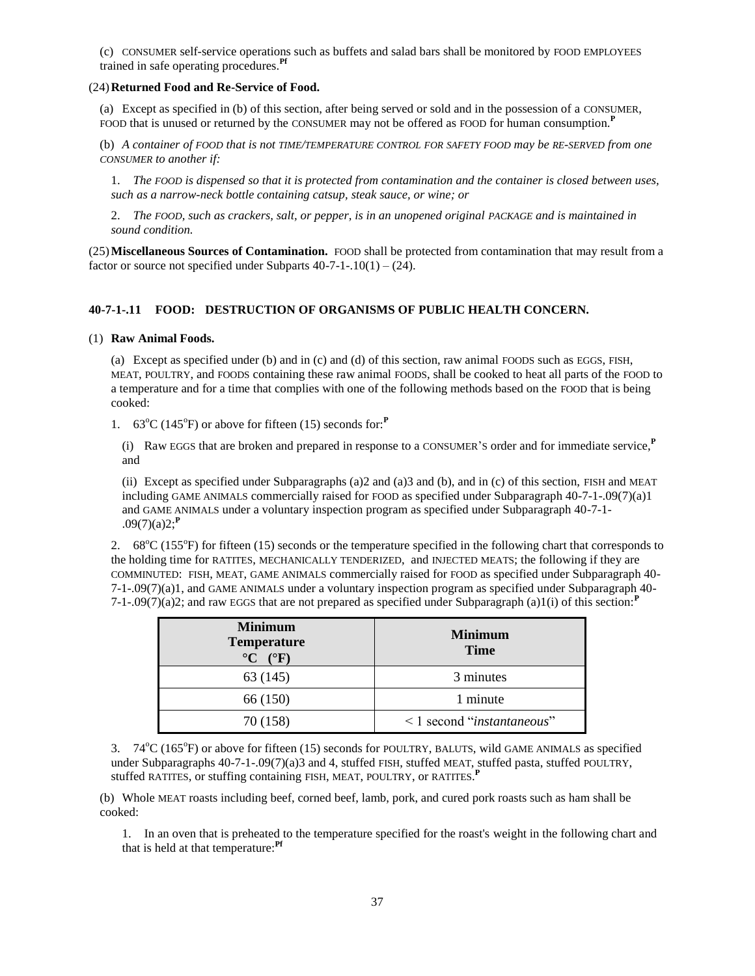(c) CONSUMER self-service operations such as buffets and salad bars shall be monitored by FOOD EMPLOYEES trained in safe operating procedures.**Pf**

## (24)**Returned Food and Re-Service of Food.**

(a) Except as specified in (b) of this section, after being served or sold and in the possession of a CONSUMER, FOOD that is unused or returned by the CONSUMER may not be offered as FOOD for human consumption.**<sup>P</sup>**

(b) *A container of FOOD that is not TIME/TEMPERATURE CONTROL FOR SAFETY FOOD may be RE-SERVED from one CONSUMER to another if:*

1. *The FOOD is dispensed so that it is protected from contamination and the container is closed between uses, such as a narrow-neck bottle containing catsup, steak sauce, or wine; or*

2. The FOOD, such as crackers, salt, or pepper, is in an unopened original PACKAGE and is maintained in *sound condition.*

(25)**Miscellaneous Sources of Contamination.** FOOD shall be protected from contamination that may result from a factor or source not specified under Subparts  $40-7-1-10(1) - (24)$ .

# **40-7-1-.11 FOOD: DESTRUCTION OF ORGANISMS OF PUBLIC HEALTH CONCERN.**

## (1) **Raw Animal Foods.**

(a) Except as specified under (b) and in (c) and (d) of this section, raw animal FOODS such as EGGS, FISH, MEAT, POULTRY, and FOODS containing these raw animal FOODS, shall be cooked to heat all parts of the FOOD to a temperature and for a time that complies with one of the following methods based on the FOOD that is being cooked:

1.  $63^{\circ}$ C (145<sup>°</sup>F) or above for fifteen (15) seconds for:<sup>*P*</sup>

(i) Raw EGGS that are broken and prepared in response to a CONSUMER'<sup>S</sup> order and for immediate service,**<sup>P</sup>** and

(ii) Except as specified under Subparagraphs (a)2 and (a)3 and (b), and in (c) of this section, FISH and MEAT including GAME ANIMALS commercially raised for FOOD as specified under Subparagraph 40-7-1-.09(7)(a)1 and GAME ANIMALS under a voluntary inspection program as specified under Subparagraph 40-7-1-  $.09(7)(a)2;$ <sup>**P**</sup>

2.  $68^{\circ}$ C (155 $^{\circ}$ F) for fifteen (15) seconds or the temperature specified in the following chart that corresponds to the holding time for RATITES, MECHANICALLY TENDERIZED, and INJECTED MEATS; the following if they are COMMINUTED: FISH, MEAT, GAME ANIMALS commercially raised for FOOD as specified under Subparagraph 40- 7-1-.09(7)(a)1, and GAME ANIMALS under a voluntary inspection program as specified under Subparagraph 40- 7-1-.09(7)(a)2; and raw EGGS that are not prepared as specified under Subparagraph (a)1(i) of this section:**<sup>P</sup>**

| <b>Minimum</b><br><b>Temperature</b><br>$\rm ^{\circ}C$ ( $\rm ^{\circ}F$ ) | <b>Minimum</b><br><b>Time</b>            |
|-----------------------------------------------------------------------------|------------------------------------------|
| 63 (145)                                                                    | 3 minutes                                |
| 66 (150)                                                                    | 1 minute                                 |
| 70 (158)                                                                    | $\leq$ 1 second " <i>instantaneous</i> " |

3. 74<sup>o</sup>C (165<sup>o</sup>F) or above for fifteen (15) seconds for POULTRY, BALUTS, wild GAME ANIMALS as specified under Subparagraphs 40-7-1-.09(7)(a)3 and 4, stuffed FISH, stuffed MEAT, stuffed pasta, stuffed POULTRY, stuffed RATITES, or stuffing containing FISH, MEAT, POULTRY, or RATITES. **P**

(b) Whole MEAT roasts including beef, corned beef, lamb, pork, and cured pork roasts such as ham shall be cooked:

1. In an oven that is preheated to the temperature specified for the roast's weight in the following chart and that is held at that temperature:**Pf**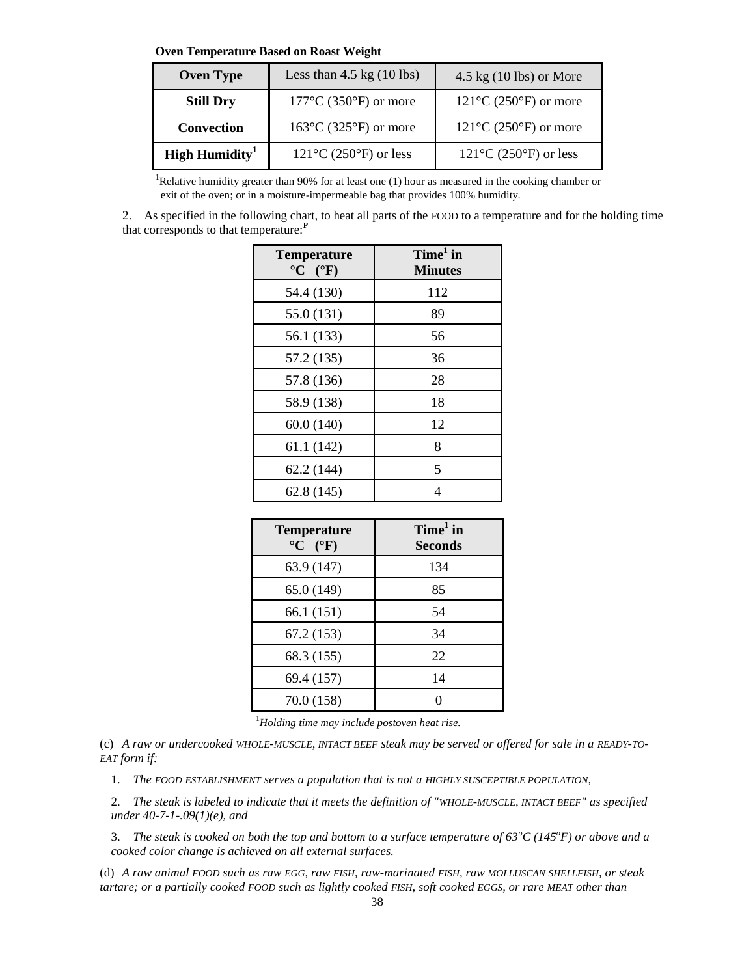**Oven Temperature Based on Roast Weight**

| <b>Oven Type</b>           | Less than $4.5 \text{ kg}$ (10 lbs)        | $4.5 \text{ kg}$ (10 lbs) or More          |
|----------------------------|--------------------------------------------|--------------------------------------------|
| <b>Still Dry</b>           | $177^{\circ}$ C (350 $^{\circ}$ F) or more | $121^{\circ}$ C (250 $^{\circ}$ F) or more |
| Convection                 | $163^{\circ}$ C (325 $^{\circ}$ F) or more | $121^{\circ}$ C (250 $^{\circ}$ F) or more |
| High Humidity <sup>1</sup> | $121^{\circ}$ C (250 $^{\circ}$ F) or less | $121^{\circ}$ C (250 $^{\circ}$ F) or less |

<sup>1</sup>Relative humidity greater than 90% for at least one (1) hour as measured in the cooking chamber or exit of the oven; or in a moisture-impermeable bag that provides 100% humidity.

2. As specified in the following chart, to heat all parts of the FOOD to a temperature and for the holding time that corresponds to that temperature:**<sup>P</sup>**

| <b>Temperature</b><br>$\rm ^{\circ}C$ ( $\rm ^{\circ}F$ ) | $Time1$ in<br><b>Minutes</b> |
|-----------------------------------------------------------|------------------------------|
| 54.4 (130)                                                | 112                          |
| 55.0 (131)                                                | 89                           |
| 56.1 (133)                                                | 56                           |
| 57.2 (135)                                                | 36                           |
| 57.8 (136)                                                | 28                           |
| 58.9 (138)                                                | 18                           |
| 60.0(140)                                                 | 12                           |
| 61.1(142)                                                 | 8                            |
| 62.2 (144)                                                | 5                            |
| 62.8(145)                                                 | 4                            |

| <b>Temperature</b><br>${}^{\circ}C$ ( ${}^{\circ}F$ ) | $Time1$ in<br><b>Seconds</b> |
|-------------------------------------------------------|------------------------------|
| 63.9 (147)                                            | 134                          |
| 65.0 (149)                                            | 85                           |
| 66.1 (151)                                            | 54                           |
| 67.2(153)                                             | 34                           |
| 68.3 (155)                                            | 22                           |
| 69.4 (157)                                            | 14                           |
| 70.0 (158)                                            |                              |

<sup>1</sup>*Holding time may include postoven heat rise.*

(c) *A raw or undercooked WHOLE-MUSCLE, INTACT BEEF steak may be served or offered for sale in a READY-TO-EAT form if:*

1. *The FOOD ESTABLISHMENT serves a population that is not a HIGHLY SUSCEPTIBLE POPULATION,*

2. *The steak is labeled to indicate that it meets the definition of "WHOLE-MUSCLE, INTACT BEEF" as specified under 40-7-1-.09(1)(e), and*

3. *The steak is cooked on both the top and bottom to a surface temperature of 63<sup>o</sup>C (145<sup>o</sup>F) or above and a cooked color change is achieved on all external surfaces.*

(d) *A raw animal FOOD such as raw EGG, raw FISH, raw-marinated FISH, raw MOLLUSCAN SHELLFISH, or steak tartare; or a partially cooked FOOD such as lightly cooked FISH, soft cooked EGGS, or rare MEAT other than*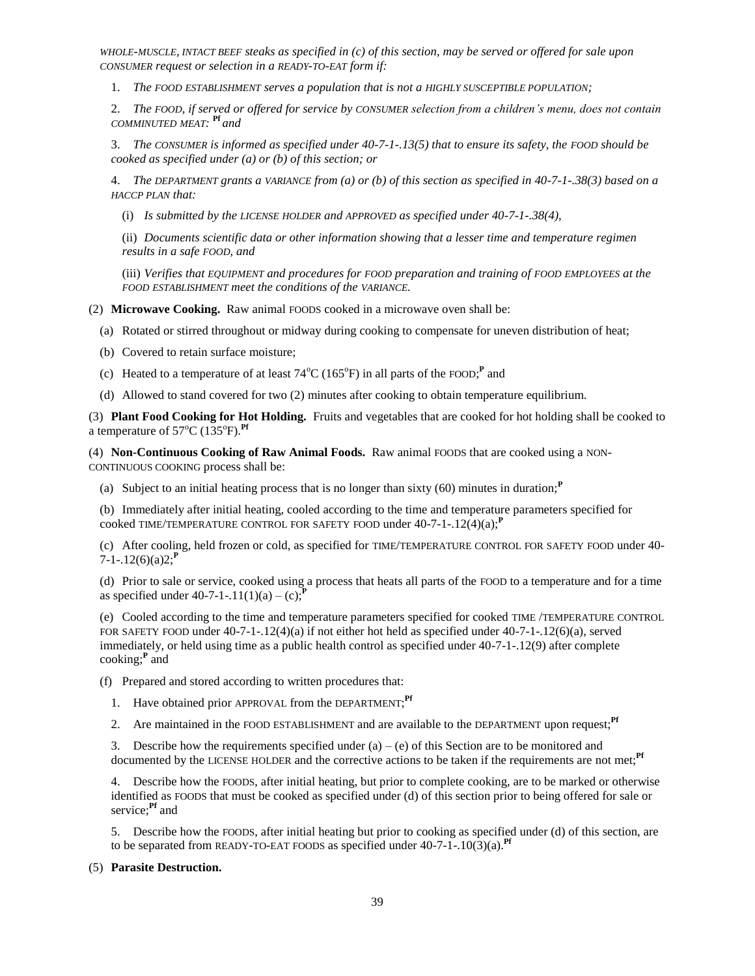*WHOLE-MUSCLE, INTACT BEEF steaks as specified in (c) of this section, may be served or offered for sale upon CONSUMER request or selection in a READY-TO-EAT form if:*

1. *The FOOD ESTABLISHMENT serves a population that is not a HIGHLY SUSCEPTIBLE POPULATION;*

2. *The FOOD, if served or offered for service by CONSUMER selection from a children's menu, does not contain COMMINUTED MEAT:*  **Pf** *and* 

3. *The CONSUMER is informed as specified under 40-7-1-.13(5) that to ensure its safety, the FOOD should be cooked as specified under (a) or (b) of this section; or*

4. *The DEPARTMENT grants a VARIANCE from (a) or (b) of this section as specified in 40-7-1-.38(3) based on a HACCP PLAN that:*

(i) *Is submitted by the LICENSE HOLDER and APPROVED as specified under 40-7-1-.38(4),*

(ii) *Documents scientific data or other information showing that a lesser time and temperature regimen results in a safe FOOD, and*

(iii) *Verifies that EQUIPMENT and procedures for FOOD preparation and training of FOOD EMPLOYEES at the FOOD ESTABLISHMENT meet the conditions of the VARIANCE.*

(2) **Microwave Cooking.** Raw animal FOODS cooked in a microwave oven shall be:

- (a) Rotated or stirred throughout or midway during cooking to compensate for uneven distribution of heat;
- (b) Covered to retain surface moisture;
- (c) Heated to a temperature of at least  $74^{\circ}$ C (165<sup>°</sup>F) in all parts of the FOOD;<sup>P</sup> and
- (d) Allowed to stand covered for two (2) minutes after cooking to obtain temperature equilibrium.

(3) **Plant Food Cooking for Hot Holding.** Fruits and vegetables that are cooked for hot holding shall be cooked to a temperature of  $57^{\circ}$ C (135<sup>°</sup>F).<sup>Pf</sup>

(4) **Non-Continuous Cooking of Raw Animal Foods.** Raw animal FOODS that are cooked using a NON-CONTINUOUS COOKING process shall be:

(a) Subject to an initial heating process that is no longer than sixty (60) minutes in duration;**<sup>P</sup>**

(b) Immediately after initial heating, cooled according to the time and temperature parameters specified for cooked TIME/TEMPERATURE CONTROL FOR SAFETY FOOD under 40-7-1-.12(4)(a);**<sup>P</sup>**

(c) After cooling, held frozen or cold, as specified for TIME/TEMPERATURE CONTROL FOR SAFETY FOOD under 40-  $7 - 1 - .12(6)(a)2;$ <sup>P</sup>

(d) Prior to sale or service, cooked using a process that heats all parts of the FOOD to a temperature and for a time as specified under  $40-7-1-11(1)(a) - (c)$ ;<sup>*P*</sup>

(e) Cooled according to the time and temperature parameters specified for cooked TIME /TEMPERATURE CONTROL FOR SAFETY FOOD under 40-7-1-.12(4)(a) if not either hot held as specified under 40-7-1-.12(6)(a), served immediately, or held using time as a public health control as specified under 40-7-1-.12(9) after complete cooking;**<sup>P</sup>** and

(f) Prepared and stored according to written procedures that:

- 1. Have obtained prior APPROVAL from the DEPARTMENT;<sup>Pf</sup>
- 2. Are maintained in the FOOD ESTABLISHMENT and are available to the DEPARTMENT upon request;**Pf**

3. Describe how the requirements specified under (a) – (e) of this Section are to be monitored and documented by the LICENSE HOLDER and the corrective actions to be taken if the requirements are not met;<sup>Pf</sup>

4. Describe how the FOODS, after initial heating, but prior to complete cooking, are to be marked or otherwise identified as FOODS that must be cooked as specified under (d) of this section prior to being offered for sale or service;**Pf** and

5. Describe how the FOODS, after initial heating but prior to cooking as specified under (d) of this section, are to be separated from READY-TO-EAT FOODS as specified under 40-7-1-.10(3)(a).**Pf**

## (5) **Parasite Destruction.**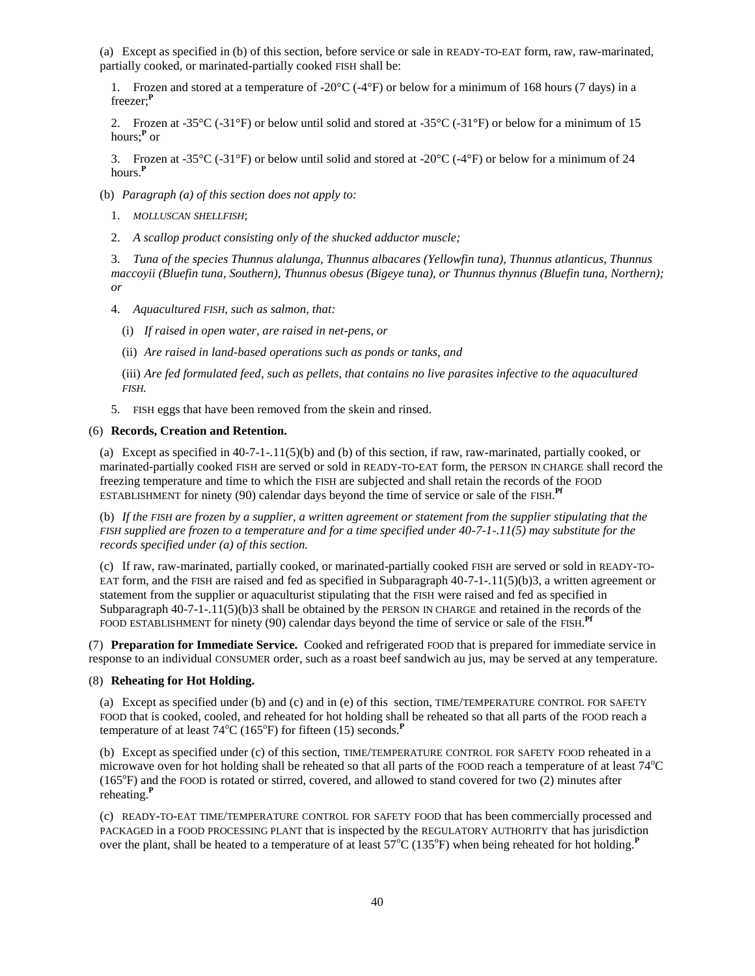(a) Except as specified in (b) of this section, before service or sale in READY-TO-EAT form, raw, raw-marinated, partially cooked, or marinated-partially cooked FISH shall be:

1. Frozen and stored at a temperature of -20°C (-4°F) or below for a minimum of 168 hours (7 days) in a freezer;**<sup>P</sup>**

2. Frozen at -35 $\rm{^{\circ}C}$  (-31 $\rm{^{\circ}F}$ ) or below until solid and stored at -35 $\rm{^{\circ}C}$  (-31 $\rm{^{\circ}F}$ ) or below for a minimum of 15 hours;**<sup>P</sup>** or

3. Frozen at -35 $^{\circ}$ C (-31 $^{\circ}$ F) or below until solid and stored at -20 $^{\circ}$ C (-4 $^{\circ}$ F) or below for a minimum of 24 hours.**<sup>P</sup>**

- (b) *Paragraph (a) of this section does not apply to:*
	- 1. *MOLLUSCAN SHELLFISH*;
	- 2. *A scallop product consisting only of the shucked adductor muscle;*

3. *Tuna of the species Thunnus alalunga, Thunnus albacares (Yellowfin tuna), Thunnus atlanticus, Thunnus maccoyii (Bluefin tuna, Southern), Thunnus obesus (Bigeye tuna), or Thunnus thynnus (Bluefin tuna, Northern); or*

- 4. *Aquacultured FISH, such as salmon, that:*
	- (i) *If raised in open water, are raised in net-pens, or*
	- (ii) *Are raised in land-based operations such as ponds or tanks, and*

(iii) *Are fed formulated feed, such as pellets, that contains no live parasites infective to the aquacultured FISH.*

5. FISH eggs that have been removed from the skein and rinsed.

### (6) **Records, Creation and Retention.**

(a) Except as specified in 40-7-1-.11(5)(b) and (b) of this section, if raw, raw-marinated, partially cooked, or marinated-partially cooked FISH are served or sold in READY-TO-EAT form, the PERSON IN CHARGE shall record the freezing temperature and time to which the FISH are subjected and shall retain the records of the FOOD ESTABLISHMENT for ninety (90) calendar days beyond the time of service or sale of the FISH. **Pf**

(b) *If the FISH are frozen by a supplier, a written agreement or statement from the supplier stipulating that the FISH supplied are frozen to a temperature and for a time specified under 40-7-1-.11(5) may substitute for the records specified under (a) of this section.*

(c) If raw, raw-marinated, partially cooked, or marinated-partially cooked FISH are served or sold in READY-TO-EAT form, and the FISH are raised and fed as specified in Subparagraph 40-7-1-.11(5)(b)3, a written agreement or statement from the supplier or aquaculturist stipulating that the FISH were raised and fed as specified in Subparagraph  $40-7-1-11(5)(b)3$  shall be obtained by the PERSON IN CHARGE and retained in the records of the FOOD ESTABLISHMENT for ninety (90) calendar days beyond the time of service or sale of the FISH.<sup>Pf</sup>

(7) **Preparation for Immediate Service.** Cooked and refrigerated FOOD that is prepared for immediate service in response to an individual CONSUMER order, such as a roast beef sandwich au jus, may be served at any temperature.

### (8) **Reheating for Hot Holding.**

(a) Except as specified under (b) and (c) and in (e) of this section, TIME/TEMPERATURE CONTROL FOR SAFETY FOOD that is cooked, cooled, and reheated for hot holding shall be reheated so that all parts of the FOOD reach a temperature of at least 74<sup>°</sup>C (165<sup>°</sup>F) for fifteen (15) seconds.<sup>P</sup>

(b) Except as specified under (c) of this section, TIME/TEMPERATURE CONTROL FOR SAFETY FOOD reheated in a microwave oven for hot holding shall be reheated so that all parts of the FOOD reach a temperature of at least  $74^{\circ}$ C (165°F) and the FOOD is rotated or stirred, covered, and allowed to stand covered for two (2) minutes after reheating.**<sup>P</sup>**

(c) READY-TO-EAT TIME/TEMPERATURE CONTROL FOR SAFETY FOOD that has been commercially processed and PACKAGED in a FOOD PROCESSING PLANT that is inspected by the REGULATORY AUTHORITY that has jurisdiction over the plant, shall be heated to a temperature of at least 57<sup>o</sup>C (135<sup>o</sup>F) when being reheated for hot holding.<sup>P</sup>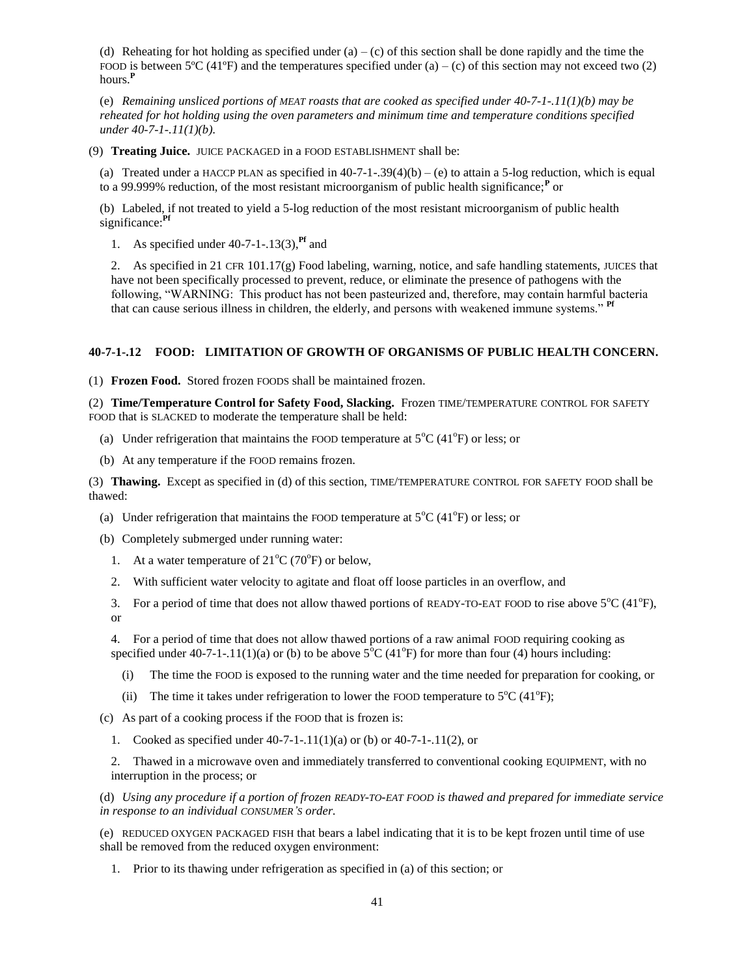(d) Reheating for hot holding as specified under  $(a) - (c)$  of this section shall be done rapidly and the time the FOOD is between 5<sup>o</sup>C (41<sup>o</sup>F) and the temperatures specified under (a) – (c) of this section may not exceed two (2) hours.**<sup>P</sup>**

(e) *Remaining unsliced portions of MEAT roasts that are cooked as specified under 40-7-1-.11(1)(b) may be reheated for hot holding using the oven parameters and minimum time and temperature conditions specified under 40-7-1-.11(1)(b).*

(9) **Treating Juice.** JUICE PACKAGED in a FOOD ESTABLISHMENT shall be:

(a) Treated under a HACCP PLAN as specified in  $40-7-1-.39(4)(b) - (e)$  to attain a 5-log reduction, which is equal to a 99.999% reduction, of the most resistant microorganism of public health significance;**<sup>P</sup>** or

(b) Labeled, if not treated to yield a 5-log reduction of the most resistant microorganism of public health significance:**Pf**

1. As specified under 40-7-1-.13(3),**Pf** and

2. As specified in 21 CFR 101.17(g) Food labeling, warning, notice, and safe handling statements, JUICES that have not been specifically processed to prevent, reduce, or eliminate the presence of pathogens with the following, "WARNING: This product has not been pasteurized and, therefore, may contain harmful bacteria that can cause serious illness in children, the elderly, and persons with weakened immune systems." **Pf**

# **40-7-1-.12 FOOD: LIMITATION OF GROWTH OF ORGANISMS OF PUBLIC HEALTH CONCERN.**

(1) **Frozen Food.** Stored frozen FOODS shall be maintained frozen.

(2) **Time/Temperature Control for Safety Food, Slacking.** Frozen TIME/TEMPERATURE CONTROL FOR SAFETY FOOD that is SLACKED to moderate the temperature shall be held:

- (a) Under refrigeration that maintains the FOOD temperature at  $5^{\circ}C$  (41 $^{\circ}F$ ) or less; or
- (b) At any temperature if the FOOD remains frozen.

(3) **Thawing.** Except as specified in (d) of this section, TIME/TEMPERATURE CONTROL FOR SAFETY FOOD shall be thawed:

- (a) Under refrigeration that maintains the FOOD temperature at  $5^{\circ}C$  (41 $^{\circ}F$ ) or less; or
- (b) Completely submerged under running water:
	- 1. At a water temperature of  $21^{\circ}C$  (70°F) or below,
	- 2. With sufficient water velocity to agitate and float off loose particles in an overflow, and
	- 3. For a period of time that does not allow thawed portions of READY-TO-EAT FOOD to rise above  $5^{\circ}C(41^{\circ}F)$ , or

4. For a period of time that does not allow thawed portions of a raw animal FOOD requiring cooking as specified under 40-7-1-.11(1)(a) or (b) to be above  $5^{\circ}C$  (41°F) for more than four (4) hours including:

- (i) The time the FOOD is exposed to the running water and the time needed for preparation for cooking, or
- (ii) The time it takes under refrigeration to lower the FOOD temperature to  $5^{\circ}C$  (41 $^{\circ}F$ );
- (c) As part of a cooking process if the FOOD that is frozen is:
	- 1. Cooked as specified under 40-7-1-.11(1)(a) or (b) or 40-7-1-.11(2), or

2. Thawed in a microwave oven and immediately transferred to conventional cooking EQUIPMENT, with no interruption in the process; or

(d) *Using any procedure if a portion of frozen READY-TO-EAT FOOD is thawed and prepared for immediate service in response to an individual CONSUMER'S order.*

(e) REDUCED OXYGEN PACKAGED FISH that bears a label indicating that it is to be kept frozen until time of use shall be removed from the reduced oxygen environment:

1. Prior to its thawing under refrigeration as specified in (a) of this section; or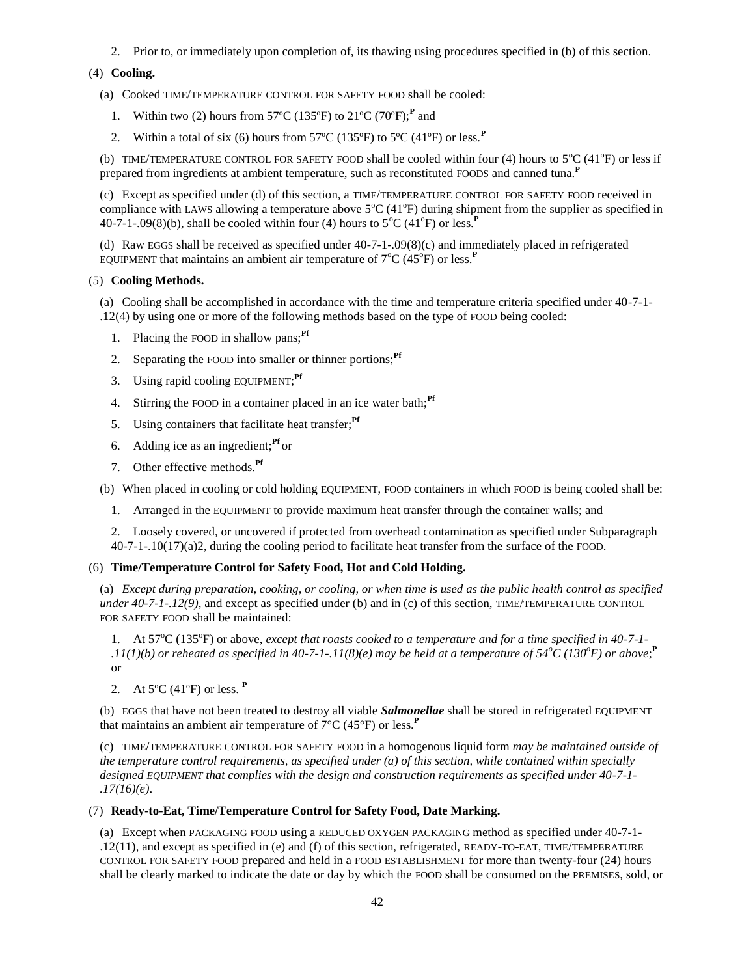2. Prior to, or immediately upon completion of, its thawing using procedures specified in (b) of this section.

# (4) **Cooling.**

(a) Cooked TIME/TEMPERATURE CONTROL FOR SAFETY FOOD shall be cooled:

- 1. Within two (2) hours from 57ºC (135ºF) to 21ºC (70ºF);**<sup>P</sup>** and
- 2. Within a total of six (6) hours from  $57^{\circ}$ C (135<sup>o</sup>F) to  $5^{\circ}$ C (41<sup>o</sup>F) or less.<sup>P</sup>

(b) TIME/TEMPERATURE CONTROL FOR SAFETY FOOD shall be cooled within four (4) hours to  $5^{\circ}C$  (41<sup>o</sup>F) or less if prepared from ingredients at ambient temperature, such as reconstituted FOODS and canned tuna.**<sup>P</sup>**

(c) Except as specified under (d) of this section, a TIME/TEMPERATURE CONTROL FOR SAFETY FOOD received in compliance with LAWS allowing a temperature above  $5^{\circ}C$  (41 $^{\circ}F$ ) during shipment from the supplier as specified in 40-7-1-.09(8)(b), shall be cooled within four (4) hours to  $5^{\circ}$ C (41<sup>o</sup>F) or less.<sup>P</sup>

(d) Raw EGGS shall be received as specified under 40-7-1-.09(8)(c) and immediately placed in refrigerated EQUIPMENT that maintains an ambient air temperature of  $7^{\circ}C(45^{\circ}F)$  or less.<sup>P</sup>

# (5) **Cooling Methods.**

(a) Cooling shall be accomplished in accordance with the time and temperature criteria specified under 40-7-1- .12(4) by using one or more of the following methods based on the type of FOOD being cooled:

- 1. Placing the FOOD in shallow pans;**Pf**
- 2. Separating the FOOD into smaller or thinner portions;<sup>Pf</sup>
- 3. Using rapid cooling EQUIPMENT; **Pf**
- 4. Stirring the FOOD in a container placed in an ice water bath;<sup>Pf</sup>
- 5. Using containers that facilitate heat transfer;**Pf**
- 6. Adding ice as an ingredient;**Pf** or
- 7. Other effective methods.**Pf**

(b) When placed in cooling or cold holding EQUIPMENT, FOOD containers in which FOOD is being cooled shall be:

1. Arranged in the EQUIPMENT to provide maximum heat transfer through the container walls; and

2. Loosely covered, or uncovered if protected from overhead contamination as specified under Subparagraph 40-7-1-.10(17)(a)2, during the cooling period to facilitate heat transfer from the surface of the FOOD.

# (6) **Time/Temperature Control for Safety Food, Hot and Cold Holding.**

(a) *Except during preparation, cooking, or cooling, or when time is used as the public health control as specified under 40-7-1-.12(9)*, and except as specified under (b) and in (c) of this section, TIME/TEMPERATURE CONTROL FOR SAFETY FOOD shall be maintained:

1. At 57<sup>o</sup>C (135<sup>o</sup>F) or above, *except that roasts cooked to a temperature and for a time specified in 40-7-1-* $1.11(1)(b)$  or reheated as specified in 40-7-1-.11(8)(e) may be held at a temperature of 54<sup>o</sup>C (130<sup>o</sup>F) or above;<sup>P</sup> or

2. At 5ºC (41ºF) or less. **<sup>P</sup>**

(b) EGGS that have not been treated to destroy all viable *Salmonellae* shall be stored in refrigerated EQUIPMENT that maintains an ambient air temperature of  $7^{\circ}C$  (45 $^{\circ}F$ ) or less.<sup>P</sup>

(c) TIME/TEMPERATURE CONTROL FOR SAFETY FOOD in a homogenous liquid form *may be maintained outside of the temperature control requirements, as specified under (a) of this section, while contained within specially designed EQUIPMENT that complies with the design and construction requirements as specified under 40-7-1- .17(16)(e)*.

# (7) **Ready-to-Eat, Time/Temperature Control for Safety Food, Date Marking.**

(a) Except when PACKAGING FOOD using a REDUCED OXYGEN PACKAGING method as specified under 40-7-1- .12(11), and except as specified in (e) and (f) of this section, refrigerated, READY-TO-EAT, TIME/TEMPERATURE CONTROL FOR SAFETY FOOD prepared and held in a FOOD ESTABLISHMENT for more than twenty-four (24) hours shall be clearly marked to indicate the date or day by which the FOOD shall be consumed on the PREMISES, sold, or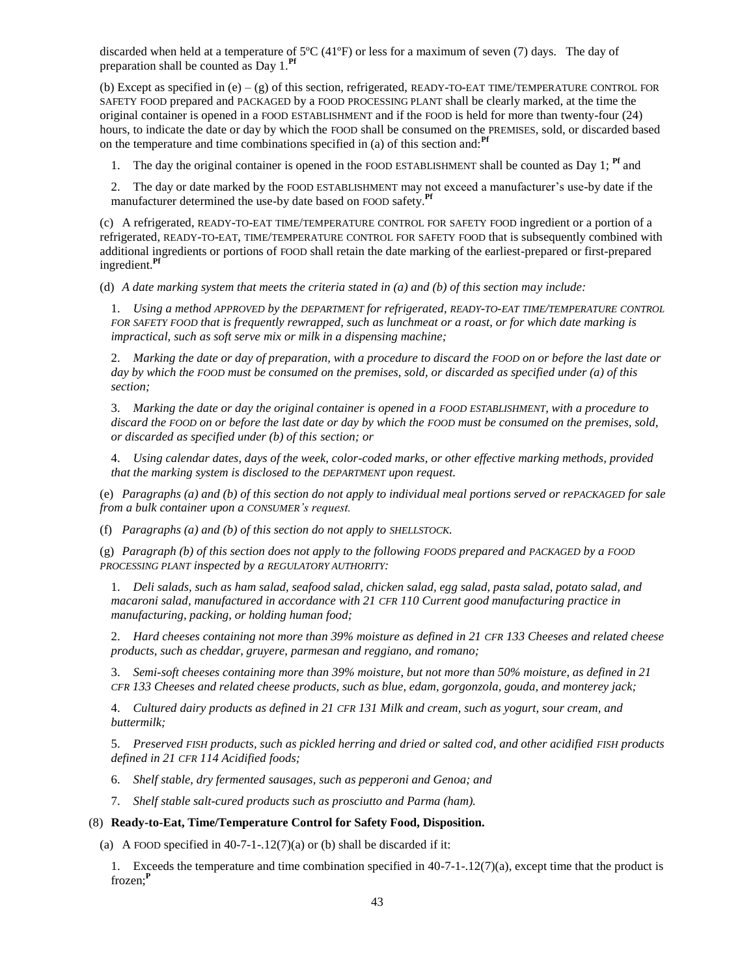discarded when held at a temperature of 5ºC (41ºF) or less for a maximum of seven (7) days. The day of preparation shall be counted as Day 1.**Pf**

(b) Except as specified in  $(e) - (g)$  of this section, refrigerated, READY-TO-EAT TIME/TEMPERATURE CONTROL FOR SAFETY FOOD prepared and PACKAGED by a FOOD PROCESSING PLANT shall be clearly marked, at the time the original container is opened in a FOOD ESTABLISHMENT and if the FOOD is held for more than twenty-four (24) hours, to indicate the date or day by which the FOOD shall be consumed on the PREMISES, sold, or discarded based on the temperature and time combinations specified in (a) of this section and:**Pf**

1. The day the original container is opened in the FOOD ESTABLISHMENT shall be counted as Day 1; **Pf** and

2. The day or date marked by the FOOD ESTABLISHMENT may not exceed a manufacturer's use-by date if the manufacturer determined the use-by date based on FOOD safety.**Pf**

(c) A refrigerated, READY-TO-EAT TIME/TEMPERATURE CONTROL FOR SAFETY FOOD ingredient or a portion of a refrigerated, READY-TO-EAT, TIME/TEMPERATURE CONTROL FOR SAFETY FOOD that is subsequently combined with additional ingredients or portions of FOOD shall retain the date marking of the earliest-prepared or first-prepared ingredient.**Pf**

(d) *A date marking system that meets the criteria stated in (a) and (b) of this section may include:*

1. *Using a method APPROVED by the DEPARTMENT for refrigerated, READY-TO-EAT TIME/TEMPERATURE CONTROL FOR SAFETY FOOD that is frequently rewrapped, such as lunchmeat or a roast, or for which date marking is impractical, such as soft serve mix or milk in a dispensing machine;*

2. *Marking the date or day of preparation, with a procedure to discard the FOOD on or before the last date or day by which the FOOD must be consumed on the premises, sold, or discarded as specified under (a) of this section;*

3. *Marking the date or day the original container is opened in a FOOD ESTABLISHMENT, with a procedure to discard the FOOD on or before the last date or day by which the FOOD must be consumed on the premises, sold, or discarded as specified under (b) of this section; or*

4. *Using calendar dates, days of the week, color-coded marks, or other effective marking methods, provided that the marking system is disclosed to the DEPARTMENT upon request.*

(e) *Paragraphs (a) and (b) of this section do not apply to individual meal portions served or rePACKAGED for sale from a bulk container upon a CONSUMER's request.*

(f) *Paragraphs (a) and (b) of this section do not apply to SHELLSTOCK.*

(g) *Paragraph (b) of this section does not apply to the following FOODS prepared and PACKAGED by a FOOD PROCESSING PLANT inspected by a REGULATORY AUTHORITY:*

1. *Deli salads, such as ham salad, seafood salad, chicken salad, egg salad, pasta salad, potato salad, and macaroni salad, manufactured in accordance with 21 CFR 110 Current good manufacturing practice in manufacturing, packing, or holding human food;*

2. *Hard cheeses containing not more than 39% moisture as defined in 21 CFR 133 Cheeses and related cheese products, such as cheddar, gruyere, parmesan and reggiano, and romano;*

3. *Semi-soft cheeses containing more than 39% moisture, but not more than 50% moisture, as defined in 21 CFR 133 Cheeses and related cheese products, such as blue, edam, gorgonzola, gouda, and monterey jack;*

4. *Cultured dairy products as defined in 21 CFR 131 Milk and cream, such as yogurt, sour cream, and buttermilk;*

5. *Preserved FISH products, such as pickled herring and dried or salted cod, and other acidified FISH products defined in 21 CFR 114 Acidified foods;*

- 6. *Shelf stable, dry fermented sausages, such as pepperoni and Genoa; and*
- 7. *Shelf stable salt-cured products such as prosciutto and Parma (ham).*

### (8) **Ready-to-Eat, Time/Temperature Control for Safety Food, Disposition.**

(a) A FOOD specified in  $40-7-1-12(7)(a)$  or (b) shall be discarded if it:

1. Exceeds the temperature and time combination specified in 40-7-1-.12(7)(a), except time that the product is frozen;**<sup>P</sup>**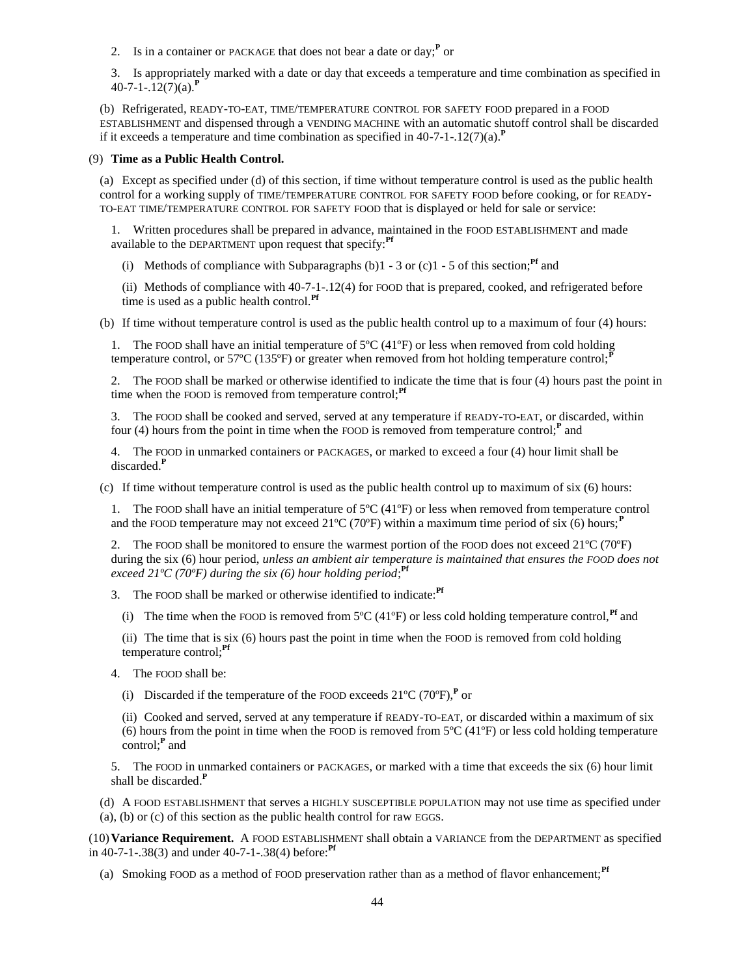2. Is in a container or PACKAGE that does not bear a date or day;**<sup>P</sup>** or

3. Is appropriately marked with a date or day that exceeds a temperature and time combination as specified in 40-7-1-.12(7)(a).**<sup>P</sup>**

(b) Refrigerated, READY-TO-EAT, TIME/TEMPERATURE CONTROL FOR SAFETY FOOD prepared in a FOOD ESTABLISHMENT and dispensed through a VENDING MACHINE with an automatic shutoff control shall be discarded if it exceeds a temperature and time combination as specified in  $40-7-1-12(7)(a)$ .<sup>P</sup>

### (9) **Time as a Public Health Control.**

(a) Except as specified under (d) of this section, if time without temperature control is used as the public health control for a working supply of TIME/TEMPERATURE CONTROL FOR SAFETY FOOD before cooking, or for READY-TO-EAT TIME/TEMPERATURE CONTROL FOR SAFETY FOOD that is displayed or held for sale or service:

1. Written procedures shall be prepared in advance, maintained in the FOOD ESTABLISHMENT and made available to the DEPARTMENT upon request that specify:**Pf**

(i) Methods of compliance with Subparagraphs (b) $1 - 3$  or (c) $1 - 5$  of this section;<sup>Pf</sup> and

(ii) Methods of compliance with 40-7-1-.12(4) for FOOD that is prepared, cooked, and refrigerated before time is used as a public health control.**Pf**

(b) If time without temperature control is used as the public health control up to a maximum of four (4) hours:

1. The FOOD shall have an initial temperature of 5ºC (41ºF) or less when removed from cold holding temperature control, or 57<sup>o</sup>C (135<sup>o</sup>F) or greater when removed from hot holding temperature control;<sup>1</sup>

2. The FOOD shall be marked or otherwise identified to indicate the time that is four (4) hours past the point in time when the FOOD is removed from temperature control;<sup>Pf</sup>

3. The FOOD shall be cooked and served, served at any temperature if READY-TO-EAT, or discarded, within four (4) hours from the point in time when the FOOD is removed from temperature control;<sup>*P*</sup> and

4. The FOOD in unmarked containers or PACKAGES, or marked to exceed a four (4) hour limit shall be discarded.**<sup>P</sup>**

(c) If time without temperature control is used as the public health control up to maximum of six (6) hours:

1. The FOOD shall have an initial temperature of  $5^{\circ}C(41^{\circ}F)$  or less when removed from temperature control and the FOOD temperature may not exceed  $21^{\circ}C(70^{\circ}F)$  within a maximum time period of six (6) hours;<sup>**P**</sup>

2. The FOOD shall be monitored to ensure the warmest portion of the FOOD does not exceed  $21^{\circ}C$  (70 $^{\circ}F$ ) during the six (6) hour period, *unless an ambient air temperature is maintained that ensures the FOOD does not exceed 21ºC (70ºF) during the six (6) hour holding period*; **Pf**

3. The FOOD shall be marked or otherwise identified to indicate:**Pf**

- (i) The time when the FOOD is removed from  $5^{\circ}C(41^{\circ}F)$  or less cold holding temperature control,<sup>Pf</sup> and
- (ii) The time that is six (6) hours past the point in time when the FOOD is removed from cold holding temperature control;**Pf**
- 4. The FOOD shall be:
	- (i) Discarded if the temperature of the FOOD exceeds  $21^{\circ}C$  (70 $^{\circ}F$ ),<sup>P</sup> or

(ii) Cooked and served, served at any temperature if READY-TO-EAT, or discarded within a maximum of six (6) hours from the point in time when the FOOD is removed from  $5^{\circ}C(41^{\circ}F)$  or less cold holding temperature control;**<sup>P</sup>** and

5. The FOOD in unmarked containers or PACKAGES, or marked with a time that exceeds the six (6) hour limit shall be discarded.**<sup>P</sup>**

(d) A FOOD ESTABLISHMENT that serves a HIGHLY SUSCEPTIBLE POPULATION may not use time as specified under (a), (b) or (c) of this section as the public health control for raw EGGS.

(10)**Variance Requirement.** A FOOD ESTABLISHMENT shall obtain a VARIANCE from the DEPARTMENT as specified in 40-7-1-.38(3) and under 40-7-1-.38(4) before:**Pf**

(a) Smoking FOOD as a method of FOOD preservation rather than as a method of flavor enhancement;**Pf**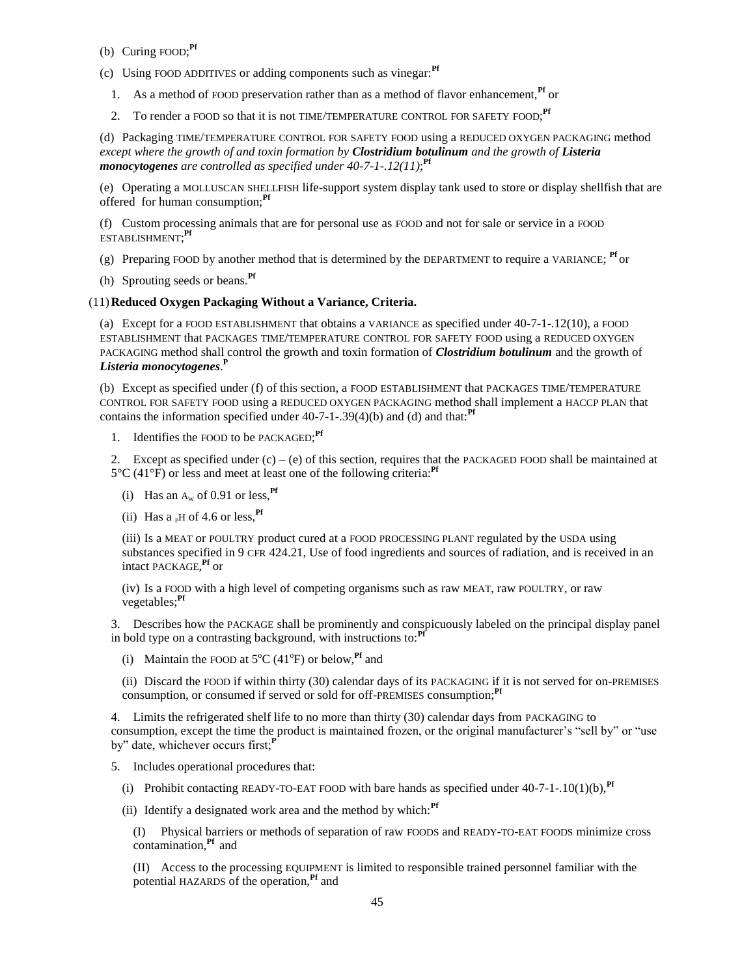- (b) Curing FOOD; **Pf**
- (c) Using FOOD ADDITIVES or adding components such as vinegar:**Pf**
	- 1. As a method of FOOD preservation rather than as a method of flavor enhancement,**Pf** or
	- 2. To render a FOOD so that it is not TIME/TEMPERATURE CONTROL FOR SAFETY FOOD; **Pf**

(d) Packaging TIME/TEMPERATURE CONTROL FOR SAFETY FOOD using a REDUCED OXYGEN PACKAGING method *except where the growth of and toxin formation by Clostridium botulinum and the growth of Listeria monocytogenes are controlled as specified under 40-7-1-.12(11)*; **Pf**

(e) Operating a MOLLUSCAN SHELLFISH life-support system display tank used to store or display shellfish that are offered for human consumption;**Pf**

(f) Custom processing animals that are for personal use as FOOD and not for sale or service in a FOOD ESTABLISHMENT; **Pf**

(g) Preparing FOOD by another method that is determined by the DEPARTMENT to require a VARIANCE; **Pf** or

(h) Sprouting seeds or beans.**Pf**

# (11)**Reduced Oxygen Packaging Without a Variance, Criteria.**

(a) Except for a FOOD ESTABLISHMENT that obtains a VARIANCE as specified under 40-7-1-.12(10), a FOOD ESTABLISHMENT that PACKAGES TIME/TEMPERATURE CONTROL FOR SAFETY FOOD using a REDUCED OXYGEN PACKAGING method shall control the growth and toxin formation of *Clostridium botulinum* and the growth of *Listeria monocytogenes*. **P**

(b) Except as specified under (f) of this section, a FOOD ESTABLISHMENT that PACKAGES TIME/TEMPERATURE CONTROL FOR SAFETY FOOD using a REDUCED OXYGEN PACKAGING method shall implement a HACCP PLAN that contains the information specified under 40-7-1-.39(4)(b) and (d) and that:**Pf**

1. Identifies the FOOD to be PACKAGED; **Pf**

2. Except as specified under  $(c) - (e)$  of this section, requires that the PACKAGED FOOD shall be maintained at 5°C (41°F) or less and meet at least one of the following criteria:**Pf**

- (i) Has an  $A_w$  of 0.91 or less.<sup>Pf</sup>
- (ii) Has  $a<sub>p</sub>H$  of 4.6 or less, <sup>Pf</sup>

(iii) Is a MEAT or POULTRY product cured at a FOOD PROCESSING PLANT regulated by the USDA using substances specified in 9 CFR 424.21, Use of food ingredients and sources of radiation, and is received in an intact PACKAGE, **Pf** or

(iv) Is a FOOD with a high level of competing organisms such as raw MEAT, raw POULTRY, or raw vegetables;**Pf**

3. Describes how the PACKAGE shall be prominently and conspicuously labeled on the principal display panel in bold type on a contrasting background, with instructions to:**Pf**

(i) Maintain the FOOD at  $5^{\circ}C$  (41 $^{\circ}F$ ) or below, <sup>Pf</sup> and

(ii) Discard the FOOD if within thirty (30) calendar days of its PACKAGING if it is not served for on-PREMISES consumption, or consumed if served or sold for off-PREMISES consumption;<sup>Pf</sup>

4. Limits the refrigerated shelf life to no more than thirty (30) calendar days from PACKAGING to consumption, except the time the product is maintained frozen, or the original manufacturer's "sell by" or "use by" date, whichever occurs first;<sup>*P*</sup>

- 5. Includes operational procedures that:
	- (i) Prohibit contacting READY-TO-EAT FOOD with bare hands as specified under  $40-7-1$ -.10(1)(b),  $\mathbf{P}$ **f**
	- (ii) Identify a designated work area and the method by which:**Pf**

(I) Physical barriers or methods of separation of raw FOODS and READY-TO-EAT FOODS minimize cross contamination,**Pf** and

(II) Access to the processing EQUIPMENT is limited to responsible trained personnel familiar with the potential HAZARDS of the operation,**Pf** and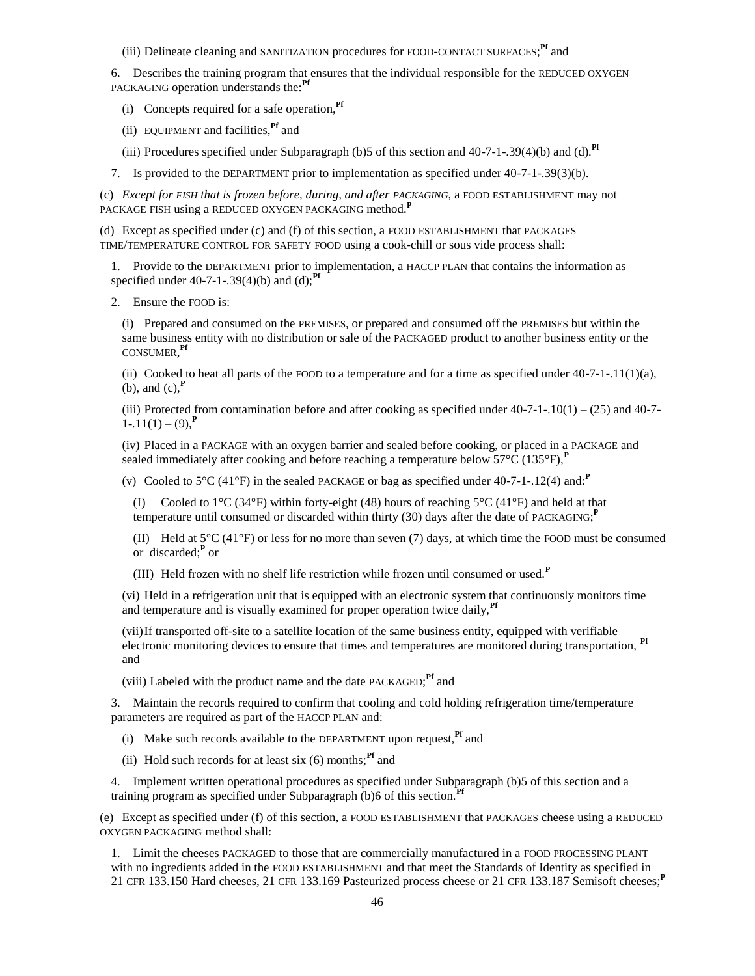(iii) Delineate cleaning and SANITIZATION procedures for FOOD-CONTACT SURFACES; **Pf** and

6. Describes the training program that ensures that the individual responsible for the REDUCED OXYGEN PACKAGING operation understands the:**Pf**

- (i) Concepts required for a safe operation,**Pf**
- (ii) EQUIPMENT and facilities,**Pf** and
- (iii) Procedures specified under Subparagraph (b)5 of this section and 40-7-1-.39(4)(b) and (d).**Pf**
- 7. Is provided to the DEPARTMENT prior to implementation as specified under 40-7-1-.39(3)(b).

(c) *Except for FISH that is frozen before, during, and after PACKAGING*, a FOOD ESTABLISHMENT may not PACKAGE FISH using a REDUCED OXYGEN PACKAGING method.**<sup>P</sup>**

(d) Except as specified under (c) and (f) of this section, a FOOD ESTABLISHMENT that PACKAGES TIME/TEMPERATURE CONTROL FOR SAFETY FOOD using a cook-chill or sous vide process shall:

1. Provide to the DEPARTMENT prior to implementation, a HACCP PLAN that contains the information as specified under 40-7-1-.39(4)(b) and (d);**Pf**

2. Ensure the FOOD is:

(i) Prepared and consumed on the PREMISES, or prepared and consumed off the PREMISES but within the same business entity with no distribution or sale of the PACKAGED product to another business entity or the CONSUMER, **Pf**

(ii) Cooked to heat all parts of the FOOD to a temperature and for a time as specified under  $40-7-1-11(1)(a)$ , (b), and (c),**<sup>P</sup>**

(iii) Protected from contamination before and after cooking as specified under  $40-7-1-10(1) - (25)$  and  $40-7-1$  $1 - .11(1) - (9)$ .<sup>P</sup>

(iv) Placed in a PACKAGE with an oxygen barrier and sealed before cooking, or placed in a PACKAGE and sealed immediately after cooking and before reaching a temperature below  $57^{\circ}C(135^{\circ}F)$ , **P** 

(v) Cooled to 5°C (41°F) in the sealed PACKAGE or bag as specified under 40-7-1-.12(4) and:**<sup>P</sup>**

(I) Cooled to  $1^{\circ}C$  (34 $^{\circ}F$ ) within forty-eight (48) hours of reaching  $5^{\circ}C$  (41 $^{\circ}F$ ) and held at that temperature until consumed or discarded within thirty (30) days after the date of PACKAGING; **P**

(II) Held at 5°C (41°F) or less for no more than seven (7) days, at which time the FOOD must be consumed or discarded;**<sup>P</sup>** or

(III) Held frozen with no shelf life restriction while frozen until consumed or used.**<sup>P</sup>**

(vi) Held in a refrigeration unit that is equipped with an electronic system that continuously monitors time and temperature and is visually examined for proper operation twice daily,<sup>pr</sup>

(vii)If transported off-site to a satellite location of the same business entity, equipped with verifiable electronic monitoring devices to ensure that times and temperatures are monitored during transportation, **Pf** and

(viii) Labeled with the product name and the date PACKAGED; **Pf** and

3. Maintain the records required to confirm that cooling and cold holding refrigeration time/temperature parameters are required as part of the HACCP PLAN and:

(i) Make such records available to the DEPARTMENT upon request,**Pf** and

(ii) Hold such records for at least six  $(6)$  months;<sup>Pf</sup> and

4. Implement written operational procedures as specified under Subparagraph (b)5 of this section and a training program as specified under Subparagraph (b)6 of this section.<sup>1</sup>

(e) Except as specified under (f) of this section, a FOOD ESTABLISHMENT that PACKAGES cheese using a REDUCED OXYGEN PACKAGING method shall:

1. Limit the cheeses PACKAGED to those that are commercially manufactured in a FOOD PROCESSING PLANT with no ingredients added in the FOOD ESTABLISHMENT and that meet the Standards of Identity as specified in 21 CFR 133.150 Hard cheeses, 21 CFR 133.169 Pasteurized process cheese or 21 CFR 133.187 Semisoft cheeses;**<sup>P</sup>**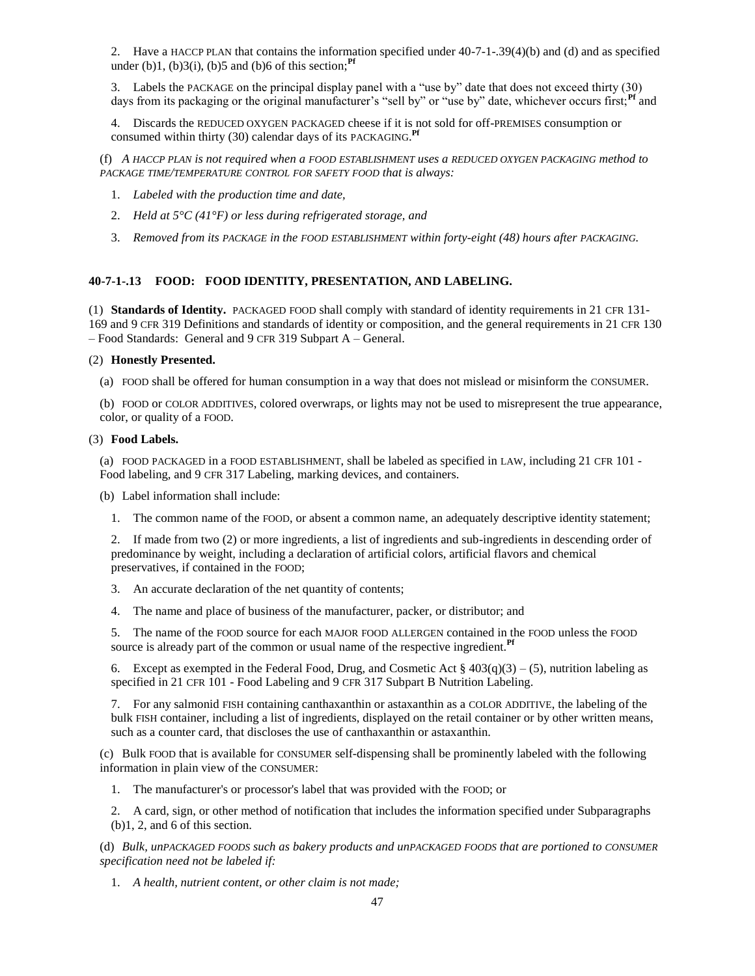2. Have a HACCP PLAN that contains the information specified under 40-7-1-.39(4)(b) and (d) and as specified under (b)1, (b) $3(i)$ , (b) $5$  and (b) $6$  of this section;<sup>Pf</sup>

3. Labels the PACKAGE on the principal display panel with a "use by" date that does not exceed thirty (30) days from its packaging or the original manufacturer's "sell by" or "use by" date, whichever occurs first;<sup>Pf</sup> and

4. Discards the REDUCED OXYGEN PACKAGED cheese if it is not sold for off-PREMISES consumption or consumed within thirty (30) calendar days of its PACKAGING.<sup>Pf</sup>

(f) *A HACCP PLAN is not required when a FOOD ESTABLISHMENT uses a REDUCED OXYGEN PACKAGING method to PACKAGE TIME/TEMPERATURE CONTROL FOR SAFETY FOOD that is always:*

- 1. *Labeled with the production time and date,*
- 2. *Held at 5°C (41°F) or less during refrigerated storage, and*
- 3. *Removed from its PACKAGE in the FOOD ESTABLISHMENT within forty-eight (48) hours after PACKAGING.*

# **40-7-1-.13 FOOD: FOOD IDENTITY, PRESENTATION, AND LABELING.**

(1) **Standards of Identity.** PACKAGED FOOD shall comply with standard of identity requirements in 21 CFR 131- 169 and 9 CFR 319 Definitions and standards of identity or composition, and the general requirements in 21 CFR 130 – Food Standards: General and 9 CFR 319 Subpart A – General.

### (2) **Honestly Presented.**

(a) FOOD shall be offered for human consumption in a way that does not mislead or misinform the CONSUMER.

(b) FOOD or COLOR ADDITIVES, colored overwraps, or lights may not be used to misrepresent the true appearance, color, or quality of a FOOD.

### (3) **Food Labels.**

(a) FOOD PACKAGED in a FOOD ESTABLISHMENT, shall be labeled as specified in LAW, including 21 CFR 101 - Food labeling, and 9 CFR 317 Labeling, marking devices, and containers.

(b) Label information shall include:

1. The common name of the FOOD, or absent a common name, an adequately descriptive identity statement;

2. If made from two (2) or more ingredients, a list of ingredients and sub-ingredients in descending order of predominance by weight, including a declaration of artificial colors, artificial flavors and chemical preservatives, if contained in the FOOD;

3. An accurate declaration of the net quantity of contents;

4. The name and place of business of the manufacturer, packer, or distributor; and

5. The name of the FOOD source for each MAJOR FOOD ALLERGEN contained in the FOOD unless the FOOD source is already part of the common or usual name of the respective ingredient.**Pf**

6. Except as exempted in the Federal Food, Drug, and Cosmetic Act  $\S 403(q)(3) - (5)$ , nutrition labeling as specified in 21 CFR 101 - Food Labeling and 9 CFR 317 Subpart B Nutrition Labeling.

7. For any salmonid FISH containing canthaxanthin or astaxanthin as a COLOR ADDITIVE, the labeling of the bulk FISH container, including a list of ingredients, displayed on the retail container or by other written means, such as a counter card, that discloses the use of canthaxanthin or astaxanthin.

(c) Bulk FOOD that is available for CONSUMER self-dispensing shall be prominently labeled with the following information in plain view of the CONSUMER:

1. The manufacturer's or processor's label that was provided with the FOOD; or

2. A card, sign, or other method of notification that includes the information specified under Subparagraphs (b)1, 2, and 6 of this section.

(d) *Bulk, unPACKAGED FOODS such as bakery products and unPACKAGED FOODS that are portioned to CONSUMER specification need not be labeled if:*

1. *A health, nutrient content, or other claim is not made;*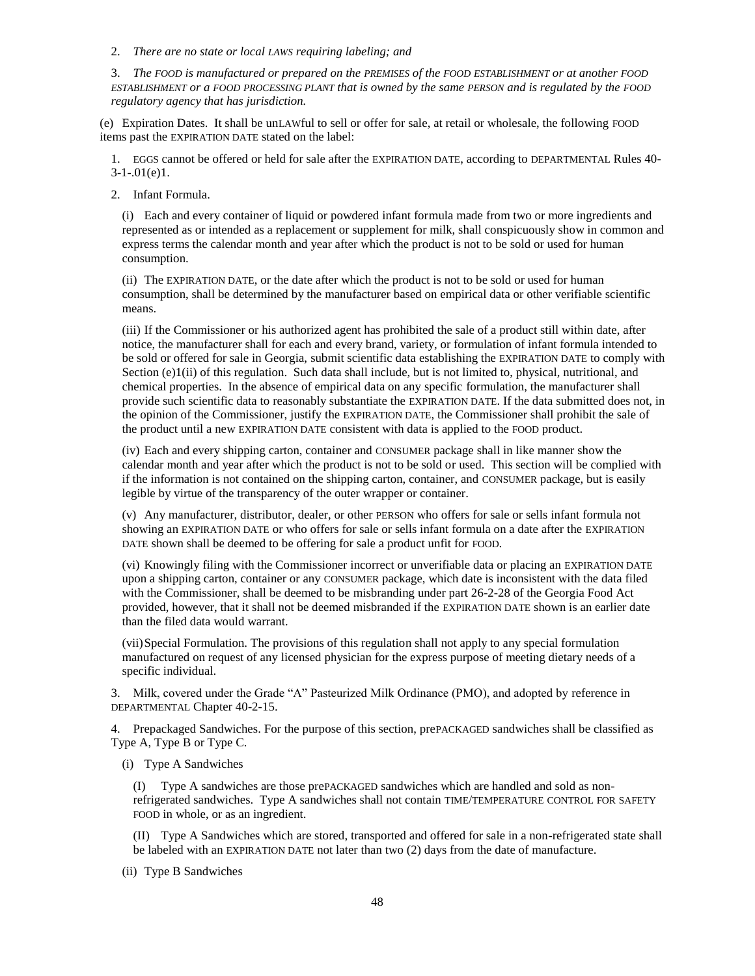2. *There are no state or local LAWS requiring labeling; and*

3. *The FOOD is manufactured or prepared on the PREMISES of the FOOD ESTABLISHMENT or at another FOOD ESTABLISHMENT or a FOOD PROCESSING PLANT that is owned by the same PERSON and is regulated by the FOOD regulatory agency that has jurisdiction.*

(e) Expiration Dates. It shall be unLAWful to sell or offer for sale, at retail or wholesale, the following FOOD items past the EXPIRATION DATE stated on the label:

1. EGGS cannot be offered or held for sale after the EXPIRATION DATE, according to DEPARTMENTAL Rules 40-  $3-1-01(e)1$ .

2. Infant Formula.

(i) Each and every container of liquid or powdered infant formula made from two or more ingredients and represented as or intended as a replacement or supplement for milk, shall conspicuously show in common and express terms the calendar month and year after which the product is not to be sold or used for human consumption.

(ii) The EXPIRATION DATE, or the date after which the product is not to be sold or used for human consumption, shall be determined by the manufacturer based on empirical data or other verifiable scientific means.

(iii) If the Commissioner or his authorized agent has prohibited the sale of a product still within date, after notice, the manufacturer shall for each and every brand, variety, or formulation of infant formula intended to be sold or offered for sale in Georgia, submit scientific data establishing the EXPIRATION DATE to comply with Section (e)1(ii) of this regulation. Such data shall include, but is not limited to, physical, nutritional, and chemical properties. In the absence of empirical data on any specific formulation, the manufacturer shall provide such scientific data to reasonably substantiate the EXPIRATION DATE. If the data submitted does not, in the opinion of the Commissioner, justify the EXPIRATION DATE, the Commissioner shall prohibit the sale of the product until a new EXPIRATION DATE consistent with data is applied to the FOOD product.

(iv) Each and every shipping carton, container and CONSUMER package shall in like manner show the calendar month and year after which the product is not to be sold or used. This section will be complied with if the information is not contained on the shipping carton, container, and CONSUMER package, but is easily legible by virtue of the transparency of the outer wrapper or container.

(v) Any manufacturer, distributor, dealer, or other PERSON who offers for sale or sells infant formula not showing an EXPIRATION DATE or who offers for sale or sells infant formula on a date after the EXPIRATION DATE shown shall be deemed to be offering for sale a product unfit for FOOD.

(vi) Knowingly filing with the Commissioner incorrect or unverifiable data or placing an EXPIRATION DATE upon a shipping carton, container or any CONSUMER package, which date is inconsistent with the data filed with the Commissioner, shall be deemed to be misbranding under part 26-2-28 of the Georgia Food Act provided, however, that it shall not be deemed misbranded if the EXPIRATION DATE shown is an earlier date than the filed data would warrant.

(vii)Special Formulation. The provisions of this regulation shall not apply to any special formulation manufactured on request of any licensed physician for the express purpose of meeting dietary needs of a specific individual.

3. Milk, covered under the Grade "A" Pasteurized Milk Ordinance (PMO), and adopted by reference in DEPARTMENTAL Chapter 40-2-15.

4. Prepackaged Sandwiches. For the purpose of this section, prePACKAGED sandwiches shall be classified as Type A, Type B or Type C.

(i) Type A Sandwiches

(I) Type A sandwiches are those prePACKAGED sandwiches which are handled and sold as nonrefrigerated sandwiches. Type A sandwiches shall not contain TIME/TEMPERATURE CONTROL FOR SAFETY FOOD in whole, or as an ingredient.

(II) Type A Sandwiches which are stored, transported and offered for sale in a non-refrigerated state shall be labeled with an EXPIRATION DATE not later than two (2) days from the date of manufacture.

(ii) Type B Sandwiches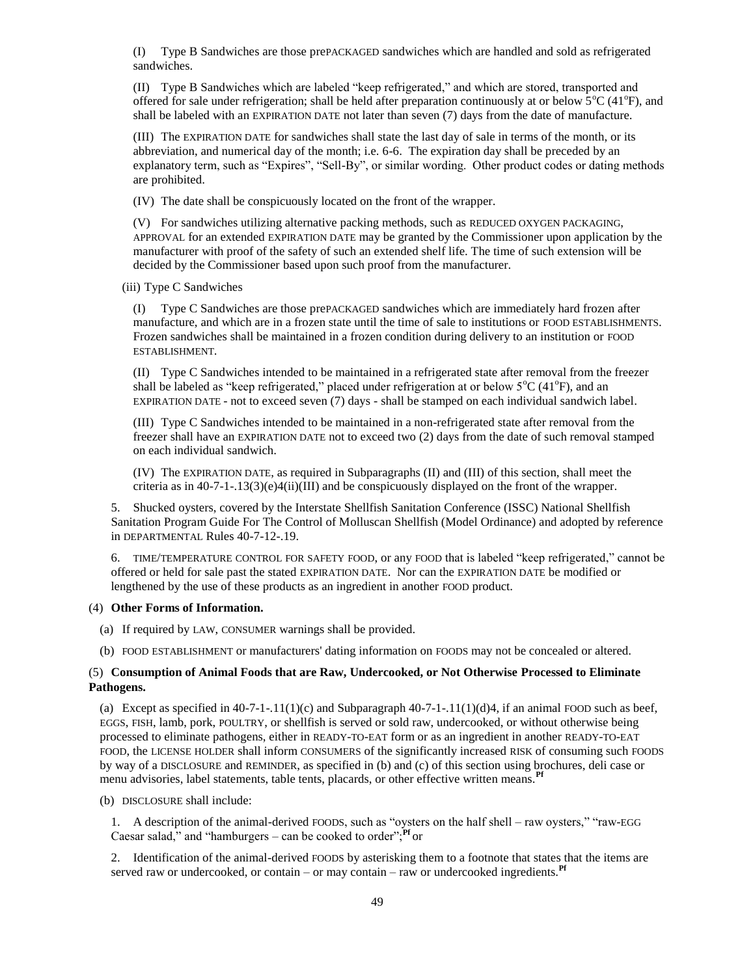(I) Type B Sandwiches are those prePACKAGED sandwiches which are handled and sold as refrigerated sandwiches.

(II) Type B Sandwiches which are labeled "keep refrigerated," and which are stored, transported and offered for sale under refrigeration; shall be held after preparation continuously at or below  $5^{\circ}C(41^{\circ}F)$ , and shall be labeled with an EXPIRATION DATE not later than seven (7) days from the date of manufacture.

(III) The EXPIRATION DATE for sandwiches shall state the last day of sale in terms of the month, or its abbreviation, and numerical day of the month; i.e. 6-6. The expiration day shall be preceded by an explanatory term, such as "Expires", "Sell-By", or similar wording. Other product codes or dating methods are prohibited.

(IV) The date shall be conspicuously located on the front of the wrapper.

(V) For sandwiches utilizing alternative packing methods, such as REDUCED OXYGEN PACKAGING, APPROVAL for an extended EXPIRATION DATE may be granted by the Commissioner upon application by the manufacturer with proof of the safety of such an extended shelf life. The time of such extension will be decided by the Commissioner based upon such proof from the manufacturer.

(iii) Type C Sandwiches

(I) Type C Sandwiches are those prePACKAGED sandwiches which are immediately hard frozen after manufacture, and which are in a frozen state until the time of sale to institutions or FOOD ESTABLISHMENTS. Frozen sandwiches shall be maintained in a frozen condition during delivery to an institution or FOOD ESTABLISHMENT.

(II) Type C Sandwiches intended to be maintained in a refrigerated state after removal from the freezer shall be labeled as "keep refrigerated," placed under refrigeration at or below  $5^{\circ}C(41^{\circ}F)$ , and an EXPIRATION DATE - not to exceed seven (7) days - shall be stamped on each individual sandwich label.

(III) Type C Sandwiches intended to be maintained in a non-refrigerated state after removal from the freezer shall have an EXPIRATION DATE not to exceed two (2) days from the date of such removal stamped on each individual sandwich.

(IV) The EXPIRATION DATE, as required in Subparagraphs (II) and (III) of this section, shall meet the criteria as in 40-7-1-.13(3)(e)4(ii)(III) and be conspicuously displayed on the front of the wrapper.

5. Shucked oysters, covered by the Interstate Shellfish Sanitation Conference (ISSC) National Shellfish Sanitation Program Guide For The Control of Molluscan Shellfish (Model Ordinance) and adopted by reference in DEPARTMENTAL Rules 40-7-12-.19.

6. TIME/TEMPERATURE CONTROL FOR SAFETY FOOD, or any FOOD that is labeled "keep refrigerated," cannot be offered or held for sale past the stated EXPIRATION DATE. Nor can the EXPIRATION DATE be modified or lengthened by the use of these products as an ingredient in another FOOD product.

### (4) **Other Forms of Information.**

- (a) If required by LAW, CONSUMER warnings shall be provided.
- (b) FOOD ESTABLISHMENT or manufacturers' dating information on FOODS may not be concealed or altered.

## (5) **Consumption of Animal Foods that are Raw, Undercooked, or Not Otherwise Processed to Eliminate Pathogens.**

(a) Except as specified in  $40-7-1-11(1)(c)$  and Subparagraph  $40-7-1-11(1)(d)4$ , if an animal FOOD such as beef, EGGS, FISH, lamb, pork, POULTRY, or shellfish is served or sold raw, undercooked, or without otherwise being processed to eliminate pathogens, either in READY-TO-EAT form or as an ingredient in another READY-TO-EAT FOOD, the LICENSE HOLDER shall inform CONSUMERS of the significantly increased RISK of consuming such FOODS by way of a DISCLOSURE and REMINDER, as specified in (b) and (c) of this section using brochures, deli case or menu advisories, label statements, table tents, placards, or other effective written means.<sup>Pf</sup>

(b) DISCLOSURE shall include:

1. A description of the animal-derived FOODS, such as "oysters on the half shell – raw oysters," "raw-EGG Caesar salad," and "hamburgers – can be cooked to order";<sup>Pf</sup> or

2. Identification of the animal-derived FOODS by asterisking them to a footnote that states that the items are served raw or undercooked, or contain – or may contain – raw or undercooked ingredients.**Pf**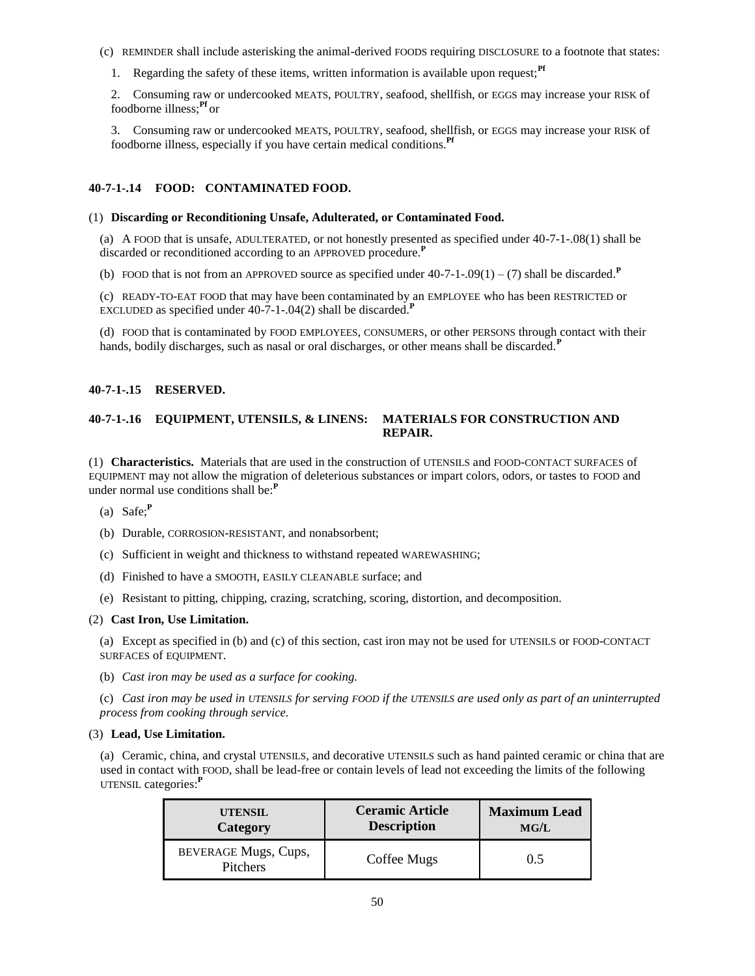- (c) REMINDER shall include asterisking the animal-derived FOODS requiring DISCLOSURE to a footnote that states:
	- 1. Regarding the safety of these items, written information is available upon request;<sup>Pf</sup>

2. Consuming raw or undercooked MEATS, POULTRY, seafood, shellfish, or EGGS may increase your RISK of foodborne illness;**Pf** or

3. Consuming raw or undercooked MEATS, POULTRY, seafood, shellfish, or EGGS may increase your RISK of foodborne illness, especially if you have certain medical conditions.**Pf**

# **40-7-1-.14 FOOD: CONTAMINATED FOOD.**

## (1) **Discarding or Reconditioning Unsafe, Adulterated, or Contaminated Food.**

(a) A FOOD that is unsafe, ADULTERATED, or not honestly presented as specified under 40-7-1-.08(1) shall be discarded or reconditioned according to an APPROVED procedure.**<sup>P</sup>**

(b) FOOD that is not from an APPROVED source as specified under  $40-7-1-0.09(1) - (7)$  shall be discarded.<sup>P</sup>

(c) READY-TO-EAT FOOD that may have been contaminated by an EMPLOYEE who has been RESTRICTED or EXCLUDED as specified under 40-7-1-.04(2) shall be discarded.**<sup>P</sup>**

(d) FOOD that is contaminated by FOOD EMPLOYEES, CONSUMERS, or other PERSONS through contact with their hands, bodily discharges, such as nasal or oral discharges, or other means shall be discarded.**<sup>P</sup>**

## **40-7-1-.15 RESERVED.**

# **40-7-1-.16 EQUIPMENT, UTENSILS, & LINENS: MATERIALS FOR CONSTRUCTION AND REPAIR.**

(1) **Characteristics.** Materials that are used in the construction of UTENSILS and FOOD-CONTACT SURFACES of EQUIPMENT may not allow the migration of deleterious substances or impart colors, odors, or tastes to FOOD and under normal use conditions shall be:**<sup>P</sup>**

- (a) Safe;**<sup>P</sup>**
- (b) Durable, CORROSION-RESISTANT, and nonabsorbent;
- (c) Sufficient in weight and thickness to withstand repeated WAREWASHING;
- (d) Finished to have a SMOOTH, EASILY CLEANABLE surface; and
- (e) Resistant to pitting, chipping, crazing, scratching, scoring, distortion, and decomposition.

## (2) **Cast Iron, Use Limitation.**

(a) Except as specified in (b) and (c) of this section, cast iron may not be used for UTENSILS or FOOD-CONTACT SURFACES of EQUIPMENT.

(b) *Cast iron may be used as a surface for cooking.*

(c) *Cast iron may be used in UTENSILS for serving FOOD if the UTENSILS are used only as part of an uninterrupted process from cooking through service.*

## (3) **Lead, Use Limitation.**

(a) Ceramic, china, and crystal UTENSILS, and decorative UTENSILS such as hand painted ceramic or china that are used in contact with FOOD, shall be lead-free or contain levels of lead not exceeding the limits of the following UTENSIL categories:**<sup>P</sup>**

| <b>UTENSIL</b>                          | <b>Ceramic Article</b> | <b>Maximum Lead</b> |
|-----------------------------------------|------------------------|---------------------|
| Category                                | <b>Description</b>     | MG/L                |
| BEVERAGE Mugs, Cups,<br><b>Pitchers</b> | Coffee Mugs            | 0.5                 |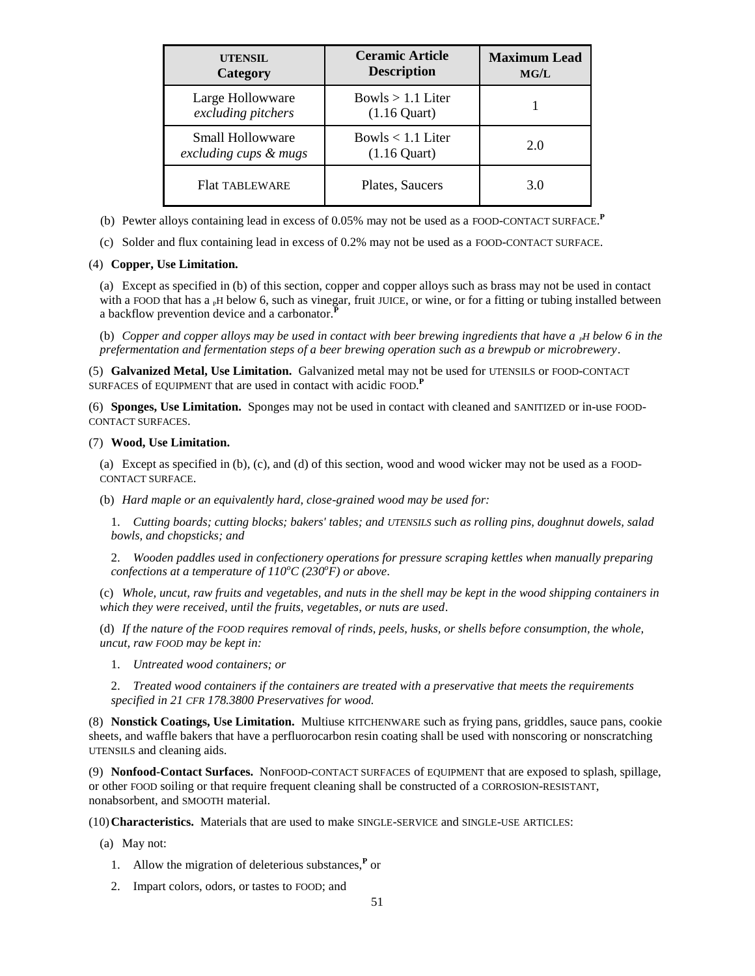| <b>UTENSIL</b><br>Category                | <b>Ceramic Article</b><br><b>Description</b> | <b>Maximum Lead</b><br>MG/L |
|-------------------------------------------|----------------------------------------------|-----------------------------|
| Large Hollowware<br>excluding pitchers    | Bowls $> 1.1$ Liter<br>$(1.16$ Quart)        |                             |
| Small Hollowware<br>excluding cups & mugs | Bowls $< 1.1$ Liter<br>$(1.16$ Quart)        | 2.0                         |
| <b>Flat TABLEWARE</b>                     | Plates, Saucers                              | 3.0                         |

- (b) Pewter alloys containing lead in excess of 0.05% may not be used as a FOOD-CONTACT SURFACE. **P**
- (c) Solder and flux containing lead in excess of 0.2% may not be used as a FOOD-CONTACT SURFACE.

# (4) **Copper, Use Limitation.**

(a) Except as specified in (b) of this section, copper and copper alloys such as brass may not be used in contact with a FOOD that has  $a<sub>p</sub>H$  below 6, such as vinegar, fruit JUICE, or wine, or for a fitting or tubing installed between a backflow prevention device and a carbonator.**<sup>P</sup>**

(b) *Copper and copper alloys may be used in contact with beer brewing ingredients that have a <sub><i>PH*</sub> below 6 in the *prefermentation and fermentation steps of a beer brewing operation such as a brewpub or microbrewery*.

(5) **Galvanized Metal, Use Limitation.** Galvanized metal may not be used for UTENSILS or FOOD-CONTACT SURFACES of EQUIPMENT that are used in contact with acidic FOOD. **P**

(6) **Sponges, Use Limitation.** Sponges may not be used in contact with cleaned and SANITIZED or in-use FOOD-CONTACT SURFACES.

# (7) **Wood, Use Limitation.**

(a) Except as specified in (b), (c), and (d) of this section, wood and wood wicker may not be used as a FOOD-CONTACT SURFACE.

(b) *Hard maple or an equivalently hard, close-grained wood may be used for:*

1. *Cutting boards; cutting blocks; bakers' tables; and UTENSILS such as rolling pins, doughnut dowels, salad bowls, and chopsticks; and*

2. *Wooden paddles used in confectionery operations for pressure scraping kettles when manually preparing confections at a temperature of*  $110^{\circ}$ *C (230<sup>* $\circ$ *</sup>F) or above.* 

(c) *Whole, uncut, raw fruits and vegetables, and nuts in the shell may be kept in the wood shipping containers in which they were received, until the fruits, vegetables, or nuts are used*.

(d) *If the nature of the FOOD requires removal of rinds, peels, husks, or shells before consumption, the whole, uncut, raw FOOD may be kept in:*

1. *Untreated wood containers; or*

2. *Treated wood containers if the containers are treated with a preservative that meets the requirements specified in 21 CFR 178.3800 Preservatives for wood.*

(8) **Nonstick Coatings, Use Limitation.** Multiuse KITCHENWARE such as frying pans, griddles, sauce pans, cookie sheets, and waffle bakers that have a perfluorocarbon resin coating shall be used with nonscoring or nonscratching UTENSILS and cleaning aids.

(9) **Nonfood-Contact Surfaces.** NonFOOD-CONTACT SURFACES of EQUIPMENT that are exposed to splash, spillage, or other FOOD soiling or that require frequent cleaning shall be constructed of a CORROSION-RESISTANT, nonabsorbent, and SMOOTH material.

(10)**Characteristics.** Materials that are used to make SINGLE-SERVICE and SINGLE-USE ARTICLES:

- (a) May not:
	- 1. Allow the migration of deleterious substances,**<sup>P</sup>** or
	- 2. Impart colors, odors, or tastes to FOOD; and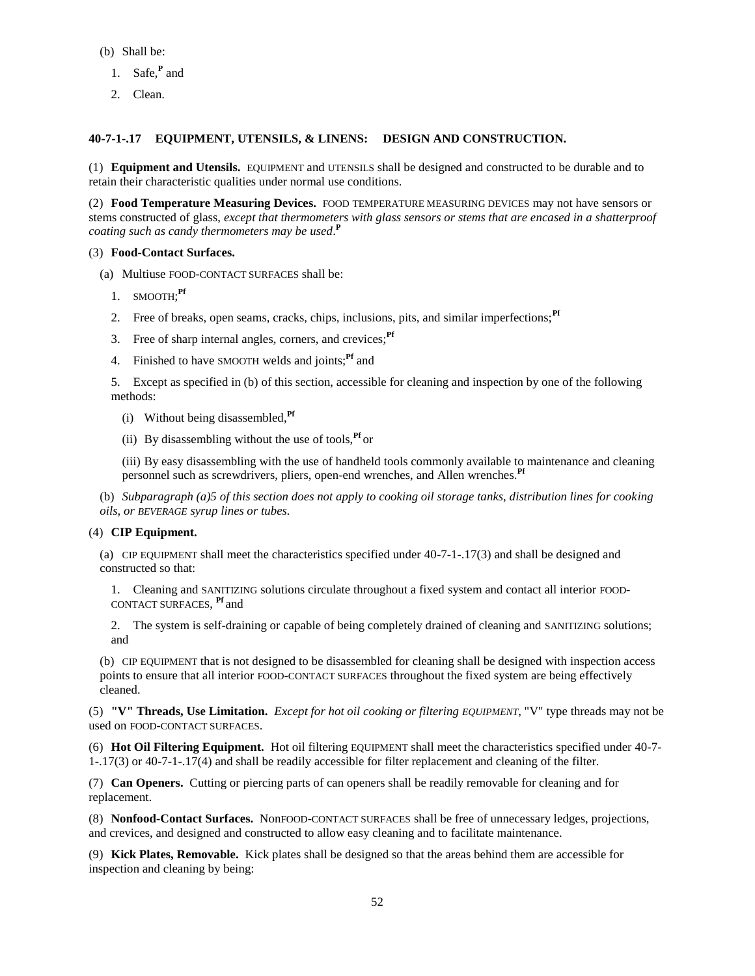- (b) Shall be:
	- 1. Safe,**<sup>P</sup>** and
	- 2. Clean.

# **40-7-1-.17 EQUIPMENT, UTENSILS, & LINENS: DESIGN AND CONSTRUCTION.**

(1) **Equipment and Utensils.** EQUIPMENT and UTENSILS shall be designed and constructed to be durable and to retain their characteristic qualities under normal use conditions.

(2) **Food Temperature Measuring Devices.** FOOD TEMPERATURE MEASURING DEVICES may not have sensors or stems constructed of glass, *except that thermometers with glass sensors or stems that are encased in a shatterproof coating such as candy thermometers may be used*. **P**

## (3) **Food-Contact Surfaces.**

- (a) Multiuse FOOD-CONTACT SURFACES shall be:
	- 1. SMOOTH; **Pf**
	- 2. Free of breaks, open seams, cracks, chips, inclusions, pits, and similar imperfections;<sup>Pf</sup>
	- 3. Free of sharp internal angles, corners, and crevices;**Pf**
	- 4. Finished to have SMOOTH welds and joints;**Pf** and

5. Except as specified in (b) of this section, accessible for cleaning and inspection by one of the following methods:

- (i) Without being disassembled,**Pf**
- (ii) By disassembling without the use of tools,**Pf** or

(iii) By easy disassembling with the use of handheld tools commonly available to maintenance and cleaning personnel such as screwdrivers, pliers, open-end wrenches, and Allen wrenches.<sup>Pf</sup>

(b) *Subparagraph (a)5 of this section does not apply to cooking oil storage tanks, distribution lines for cooking oils, or BEVERAGE syrup lines or tubes.*

## (4) **CIP Equipment.**

(a) CIP EQUIPMENT shall meet the characteristics specified under 40-7-1-.17(3) and shall be designed and constructed so that:

1. Cleaning and SANITIZING solutions circulate throughout a fixed system and contact all interior FOOD-CONTACT SURFACES, **Pf** and

2. The system is self-draining or capable of being completely drained of cleaning and SANITIZING solutions; and

(b) CIP EQUIPMENT that is not designed to be disassembled for cleaning shall be designed with inspection access points to ensure that all interior FOOD-CONTACT SURFACES throughout the fixed system are being effectively cleaned.

(5) **"V" Threads, Use Limitation.** *Except for hot oil cooking or filtering EQUIPMENT*, "V" type threads may not be used on FOOD-CONTACT SURFACES.

(6) **Hot Oil Filtering Equipment.** Hot oil filtering EQUIPMENT shall meet the characteristics specified under 40-7- 1-.17(3) or 40-7-1-.17(4) and shall be readily accessible for filter replacement and cleaning of the filter.

(7) **Can Openers.** Cutting or piercing parts of can openers shall be readily removable for cleaning and for replacement.

(8) **Nonfood-Contact Surfaces.** NonFOOD-CONTACT SURFACES shall be free of unnecessary ledges, projections, and crevices, and designed and constructed to allow easy cleaning and to facilitate maintenance.

(9) **Kick Plates, Removable.** Kick plates shall be designed so that the areas behind them are accessible for inspection and cleaning by being: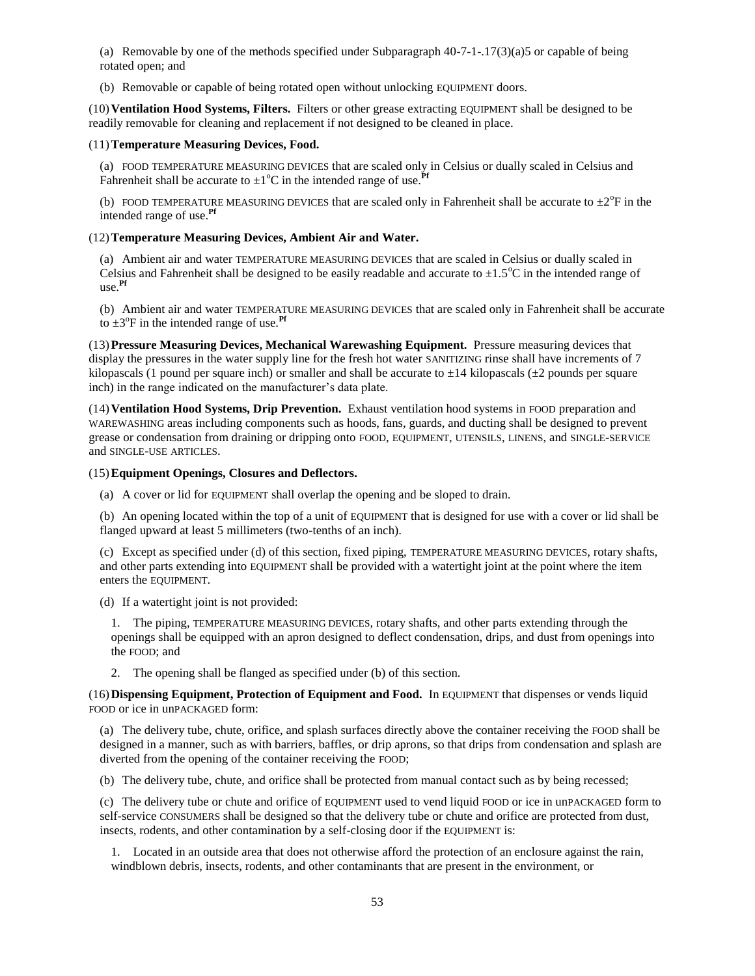(a) Removable by one of the methods specified under Subparagraph  $40-7-1$ - $17(3)(a)5$  or capable of being rotated open; and

(b) Removable or capable of being rotated open without unlocking EQUIPMENT doors.

(10)**Ventilation Hood Systems, Filters.** Filters or other grease extracting EQUIPMENT shall be designed to be readily removable for cleaning and replacement if not designed to be cleaned in place.

## (11)**Temperature Measuring Devices, Food.**

(a) FOOD TEMPERATURE MEASURING DEVICES that are scaled only in Celsius or dually scaled in Celsius and Fahrenheit shall be accurate to  $\pm 1^{\circ}$ C in the intended range of use.<sup>Pf</sup>

(b) FOOD TEMPERATURE MEASURING DEVICES that are scaled only in Fahrenheit shall be accurate to  $\pm 2^{\circ}F$  in the intended range of use.**Pf**

# (12)**Temperature Measuring Devices, Ambient Air and Water.**

(a) Ambient air and water TEMPERATURE MEASURING DEVICES that are scaled in Celsius or dually scaled in Celsius and Fahrenheit shall be designed to be easily readable and accurate to  $\pm 1.5^{\circ}$ C in the intended range of use.**Pf**

(b) Ambient air and water TEMPERATURE MEASURING DEVICES that are scaled only in Fahrenheit shall be accurate to  $\pm 3^{\circ}$ F in the intended range of use.<sup>Pf</sup>

(13)**Pressure Measuring Devices, Mechanical Warewashing Equipment.** Pressure measuring devices that display the pressures in the water supply line for the fresh hot water SANITIZING rinse shall have increments of 7 kilopascals (1 pound per square inch) or smaller and shall be accurate to  $\pm 14$  kilopascals ( $\pm 2$  pounds per square inch) in the range indicated on the manufacturer's data plate.

(14)**Ventilation Hood Systems, Drip Prevention.** Exhaust ventilation hood systems in FOOD preparation and WAREWASHING areas including components such as hoods, fans, guards, and ducting shall be designed to prevent grease or condensation from draining or dripping onto FOOD, EQUIPMENT, UTENSILS, LINENS, and SINGLE-SERVICE and SINGLE-USE ARTICLES.

## (15)**Equipment Openings, Closures and Deflectors.**

(a) A cover or lid for EQUIPMENT shall overlap the opening and be sloped to drain.

(b) An opening located within the top of a unit of EQUIPMENT that is designed for use with a cover or lid shall be flanged upward at least 5 millimeters (two-tenths of an inch).

(c) Except as specified under (d) of this section, fixed piping, TEMPERATURE MEASURING DEVICES, rotary shafts, and other parts extending into EQUIPMENT shall be provided with a watertight joint at the point where the item enters the EQUIPMENT.

(d) If a watertight joint is not provided:

1. The piping, TEMPERATURE MEASURING DEVICES, rotary shafts, and other parts extending through the openings shall be equipped with an apron designed to deflect condensation, drips, and dust from openings into the FOOD; and

2. The opening shall be flanged as specified under (b) of this section.

(16)**Dispensing Equipment, Protection of Equipment and Food.** In EQUIPMENT that dispenses or vends liquid FOOD or ice in unPACKAGED form:

(a) The delivery tube, chute, orifice, and splash surfaces directly above the container receiving the FOOD shall be designed in a manner, such as with barriers, baffles, or drip aprons, so that drips from condensation and splash are diverted from the opening of the container receiving the FOOD;

(b) The delivery tube, chute, and orifice shall be protected from manual contact such as by being recessed;

(c) The delivery tube or chute and orifice of EQUIPMENT used to vend liquid FOOD or ice in unPACKAGED form to self-service CONSUMERS shall be designed so that the delivery tube or chute and orifice are protected from dust, insects, rodents, and other contamination by a self-closing door if the EQUIPMENT is:

1. Located in an outside area that does not otherwise afford the protection of an enclosure against the rain, windblown debris, insects, rodents, and other contaminants that are present in the environment, or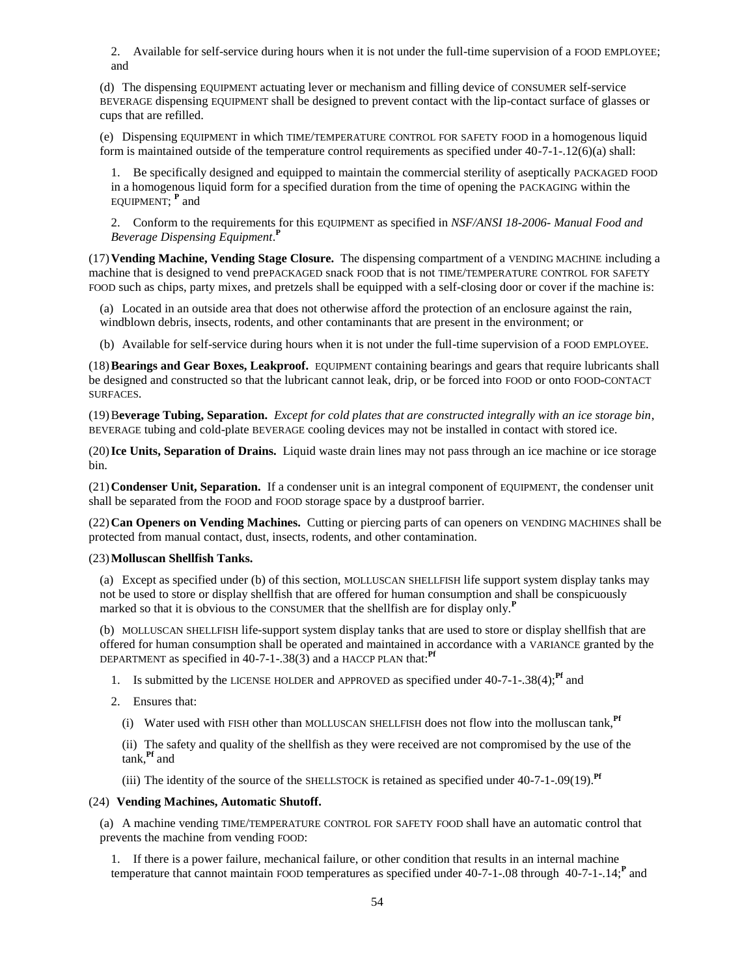2. Available for self-service during hours when it is not under the full-time supervision of a FOOD EMPLOYEE; and

(d) The dispensing EQUIPMENT actuating lever or mechanism and filling device of CONSUMER self-service BEVERAGE dispensing EQUIPMENT shall be designed to prevent contact with the lip-contact surface of glasses or cups that are refilled.

(e) Dispensing EQUIPMENT in which TIME/TEMPERATURE CONTROL FOR SAFETY FOOD in a homogenous liquid form is maintained outside of the temperature control requirements as specified under 40-7-1-.12(6)(a) shall:

1. Be specifically designed and equipped to maintain the commercial sterility of aseptically PACKAGED FOOD in a homogenous liquid form for a specified duration from the time of opening the PACKAGING within the EQUIPMENT; **<sup>P</sup>** and

2. Conform to the requirements for this EQUIPMENT as specified in *NSF/ANSI 18-2006- Manual Food and Beverage Dispensing Equipment*. **P**

(17)**Vending Machine, Vending Stage Closure.** The dispensing compartment of a VENDING MACHINE including a machine that is designed to vend prePACKAGED snack FOOD that is not TIME/TEMPERATURE CONTROL FOR SAFETY FOOD such as chips, party mixes, and pretzels shall be equipped with a self-closing door or cover if the machine is:

(a) Located in an outside area that does not otherwise afford the protection of an enclosure against the rain, windblown debris, insects, rodents, and other contaminants that are present in the environment; or

(b) Available for self-service during hours when it is not under the full-time supervision of a FOOD EMPLOYEE.

(18)**Bearings and Gear Boxes, Leakproof.** EQUIPMENT containing bearings and gears that require lubricants shall be designed and constructed so that the lubricant cannot leak, drip, or be forced into FOOD or onto FOOD-CONTACT SURFACES.

(19)B**everage Tubing, Separation.** *Except for cold plates that are constructed integrally with an ice storage bin*, BEVERAGE tubing and cold-plate BEVERAGE cooling devices may not be installed in contact with stored ice.

(20)**Ice Units, Separation of Drains.** Liquid waste drain lines may not pass through an ice machine or ice storage bin.

(21)**Condenser Unit, Separation.** If a condenser unit is an integral component of EQUIPMENT, the condenser unit shall be separated from the FOOD and FOOD storage space by a dustproof barrier.

(22)**Can Openers on Vending Machines.** Cutting or piercing parts of can openers on VENDING MACHINES shall be protected from manual contact, dust, insects, rodents, and other contamination.

## (23)**Molluscan Shellfish Tanks.**

(a) Except as specified under (b) of this section, MOLLUSCAN SHELLFISH life support system display tanks may not be used to store or display shellfish that are offered for human consumption and shall be conspicuously marked so that it is obvious to the CONSUMER that the shellfish are for display only.**<sup>P</sup>**

(b) MOLLUSCAN SHELLFISH life-support system display tanks that are used to store or display shellfish that are offered for human consumption shall be operated and maintained in accordance with a VARIANCE granted by the DEPARTMENT as specified in 40-7-1-.38(3) and a HACCP PLAN that:**Pf**

- 1. Is submitted by the LICENSE HOLDER and APPROVED as specified under 40-7-1-.38(4);**Pf** and
- 2. Ensures that:
	- (i) Water used with FISH other than MOLLUSCAN SHELLFISH does not flow into the molluscan tank,**Pf**

(ii) The safety and quality of the shellfish as they were received are not compromised by the use of the tank,**Pf** and

(iii) The identity of the source of the SHELLSTOCK is retained as specified under 40-7-1-.09(19).**Pf**

### (24) **Vending Machines, Automatic Shutoff.**

(a) A machine vending TIME/TEMPERATURE CONTROL FOR SAFETY FOOD shall have an automatic control that prevents the machine from vending FOOD:

1. If there is a power failure, mechanical failure, or other condition that results in an internal machine temperature that cannot maintain FOOD temperatures as specified under 40-7-1-.08 through 40-7-1-.14;<sup>P</sup> and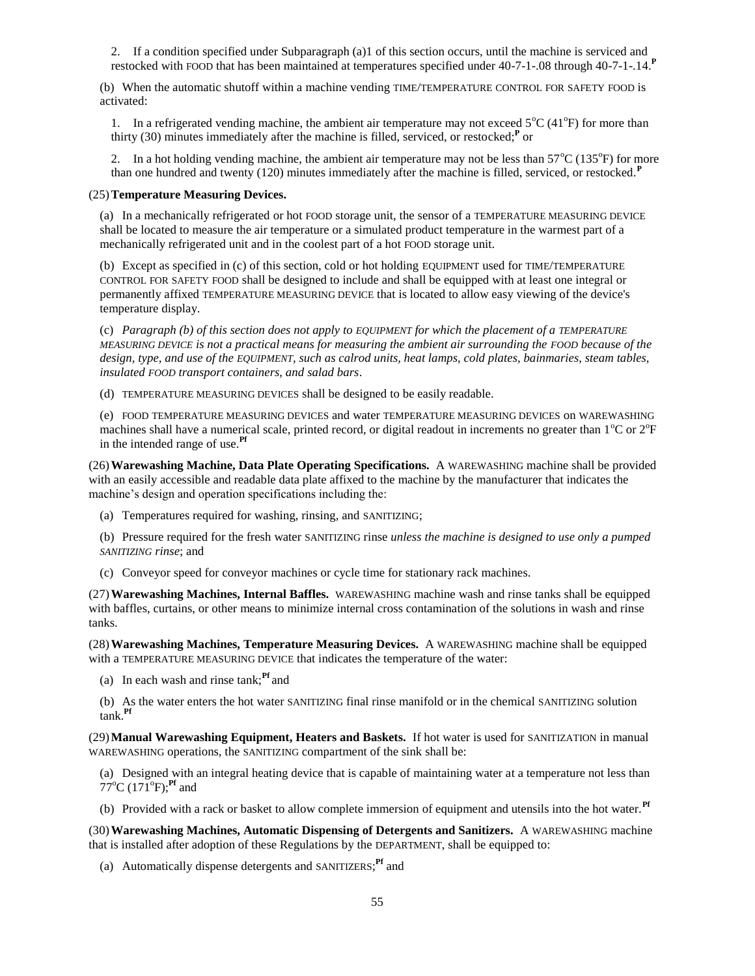2. If a condition specified under Subparagraph (a)1 of this section occurs, until the machine is serviced and restocked with FOOD that has been maintained at temperatures specified under 40-7-1-.08 through 40-7-1-.14.**<sup>P</sup>**

(b) When the automatic shutoff within a machine vending TIME/TEMPERATURE CONTROL FOR SAFETY FOOD is activated:

1. In a refrigerated vending machine, the ambient air temperature may not exceed  $5^{\circ}C(41^{\circ}F)$  for more than thirty (30) minutes immediately after the machine is filled, serviced, or restocked;**<sup>P</sup>** or

2. In a hot holding vending machine, the ambient air temperature may not be less than  $57^{\circ}C$  (135 $^{\circ}F$ ) for more than one hundred and twenty (120) minutes immediately after the machine is filled, serviced, or restocked.**<sup>P</sup>**

### (25)**Temperature Measuring Devices.**

(a) In a mechanically refrigerated or hot FOOD storage unit, the sensor of a TEMPERATURE MEASURING DEVICE shall be located to measure the air temperature or a simulated product temperature in the warmest part of a mechanically refrigerated unit and in the coolest part of a hot FOOD storage unit.

(b) Except as specified in (c) of this section, cold or hot holding EQUIPMENT used for TIME/TEMPERATURE CONTROL FOR SAFETY FOOD shall be designed to include and shall be equipped with at least one integral or permanently affixed TEMPERATURE MEASURING DEVICE that is located to allow easy viewing of the device's temperature display.

(c) *Paragraph (b) of this section does not apply to EQUIPMENT for which the placement of a TEMPERATURE MEASURING DEVICE is not a practical means for measuring the ambient air surrounding the FOOD because of the design, type, and use of the EQUIPMENT, such as calrod units, heat lamps, cold plates, bainmaries, steam tables, insulated FOOD transport containers, and salad bars*.

(d) TEMPERATURE MEASURING DEVICES shall be designed to be easily readable.

(e) FOOD TEMPERATURE MEASURING DEVICES and water TEMPERATURE MEASURING DEVICES on WAREWASHING machines shall have a numerical scale, printed record, or digital readout in increments no greater than  $1^{\circ}$ C or  $2^{\circ}$ F in the intended range of use.**Pf**

(26)**Warewashing Machine, Data Plate Operating Specifications.** A WAREWASHING machine shall be provided with an easily accessible and readable data plate affixed to the machine by the manufacturer that indicates the machine's design and operation specifications including the:

(a) Temperatures required for washing, rinsing, and SANITIZING;

(b) Pressure required for the fresh water SANITIZING rinse *unless the machine is designed to use only a pumped SANITIZING rinse*; and

(c) Conveyor speed for conveyor machines or cycle time for stationary rack machines.

(27)**Warewashing Machines, Internal Baffles.** WAREWASHING machine wash and rinse tanks shall be equipped with baffles, curtains, or other means to minimize internal cross contamination of the solutions in wash and rinse tanks.

(28)**Warewashing Machines, Temperature Measuring Devices.** A WAREWASHING machine shall be equipped with a TEMPERATURE MEASURING DEVICE that indicates the temperature of the water:

- (a) In each wash and rinse tank;**Pf** and
- (b) As the water enters the hot water SANITIZING final rinse manifold or in the chemical SANITIZING solution tank.**Pf**

(29)**Manual Warewashing Equipment, Heaters and Baskets.** If hot water is used for SANITIZATION in manual WAREWASHING operations, the SANITIZING compartment of the sink shall be:

(a) Designed with an integral heating device that is capable of maintaining water at a temperature not less than  $77^{\circ}$ C (171<sup>o</sup>F);<sup>Pf</sup> and

(b) Provided with a rack or basket to allow complete immersion of equipment and utensils into the hot water.**Pf**

(30)**Warewashing Machines, Automatic Dispensing of Detergents and Sanitizers.** A WAREWASHING machine that is installed after adoption of these Regulations by the DEPARTMENT, shall be equipped to:

(a) Automatically dispense detergents and SANITIZERS; **Pf** and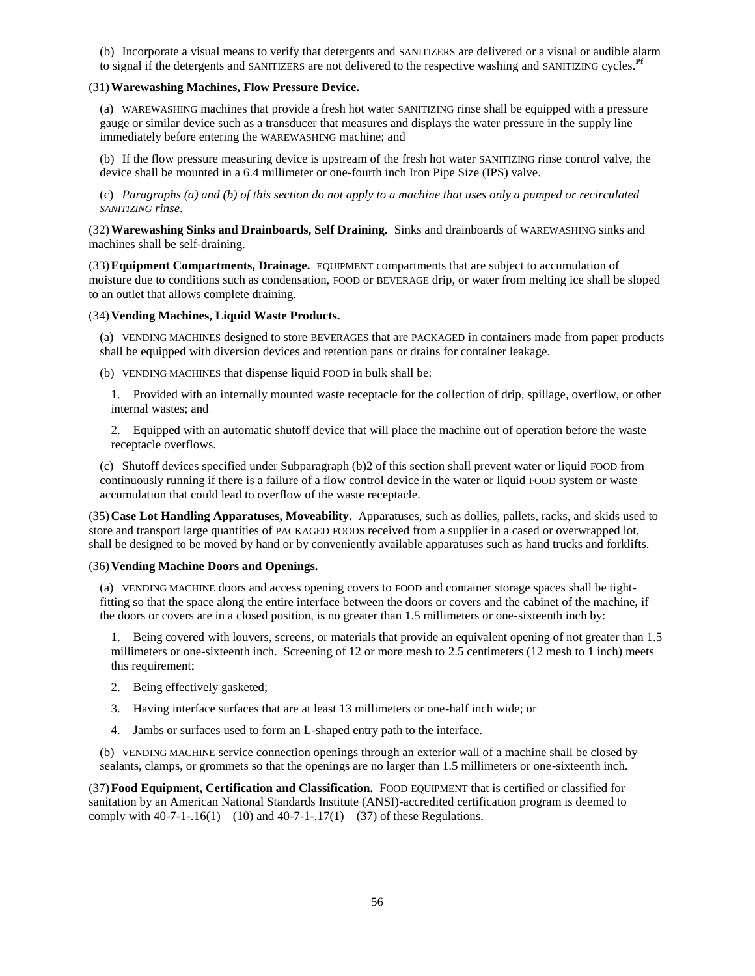(b) Incorporate a visual means to verify that detergents and SANITIZERS are delivered or a visual or audible alarm to signal if the detergents and SANITIZERS are not delivered to the respective washing and SANITIZING cycles.**Pf**

## (31)**Warewashing Machines, Flow Pressure Device.**

(a) WAREWASHING machines that provide a fresh hot water SANITIZING rinse shall be equipped with a pressure gauge or similar device such as a transducer that measures and displays the water pressure in the supply line immediately before entering the WAREWASHING machine; and

(b) If the flow pressure measuring device is upstream of the fresh hot water SANITIZING rinse control valve, the device shall be mounted in a 6.4 millimeter or one-fourth inch Iron Pipe Size (IPS) valve.

(c) *Paragraphs (a) and (b) of this section do not apply to a machine that uses only a pumped or recirculated SANITIZING rinse*.

(32)**Warewashing Sinks and Drainboards, Self Draining.** Sinks and drainboards of WAREWASHING sinks and machines shall be self-draining.

(33)**Equipment Compartments, Drainage.** EQUIPMENT compartments that are subject to accumulation of moisture due to conditions such as condensation, FOOD or BEVERAGE drip, or water from melting ice shall be sloped to an outlet that allows complete draining.

(34)**Vending Machines, Liquid Waste Products.**

(a) VENDING MACHINES designed to store BEVERAGES that are PACKAGED in containers made from paper products shall be equipped with diversion devices and retention pans or drains for container leakage.

(b) VENDING MACHINES that dispense liquid FOOD in bulk shall be:

1. Provided with an internally mounted waste receptacle for the collection of drip, spillage, overflow, or other internal wastes; and

2. Equipped with an automatic shutoff device that will place the machine out of operation before the waste receptacle overflows.

(c) Shutoff devices specified under Subparagraph (b)2 of this section shall prevent water or liquid FOOD from continuously running if there is a failure of a flow control device in the water or liquid FOOD system or waste accumulation that could lead to overflow of the waste receptacle.

(35)**Case Lot Handling Apparatuses, Moveability.** Apparatuses, such as dollies, pallets, racks, and skids used to store and transport large quantities of PACKAGED FOODS received from a supplier in a cased or overwrapped lot, shall be designed to be moved by hand or by conveniently available apparatuses such as hand trucks and forklifts.

## (36)**Vending Machine Doors and Openings.**

(a) VENDING MACHINE doors and access opening covers to FOOD and container storage spaces shall be tightfitting so that the space along the entire interface between the doors or covers and the cabinet of the machine, if the doors or covers are in a closed position, is no greater than 1.5 millimeters or one-sixteenth inch by:

1. Being covered with louvers, screens, or materials that provide an equivalent opening of not greater than 1.5 millimeters or one-sixteenth inch. Screening of 12 or more mesh to 2.5 centimeters (12 mesh to 1 inch) meets this requirement;

- 2. Being effectively gasketed;
- 3. Having interface surfaces that are at least 13 millimeters or one-half inch wide; or
- 4. Jambs or surfaces used to form an L-shaped entry path to the interface.

(b) VENDING MACHINE service connection openings through an exterior wall of a machine shall be closed by sealants, clamps, or grommets so that the openings are no larger than 1.5 millimeters or one-sixteenth inch.

(37)**Food Equipment, Certification and Classification.** FOOD EQUIPMENT that is certified or classified for sanitation by an American National Standards Institute (ANSI)-accredited certification program is deemed to comply with  $40-7-1-16(1) - (10)$  and  $40-7-1-17(1) - (37)$  of these Regulations.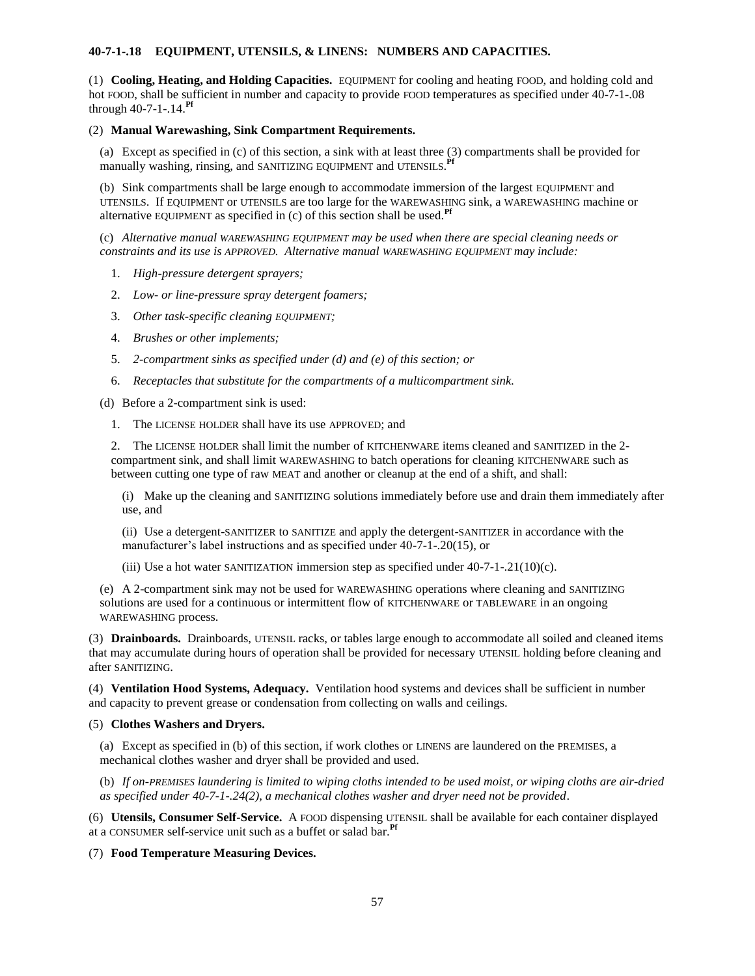# **40-7-1-.18 EQUIPMENT, UTENSILS, & LINENS: NUMBERS AND CAPACITIES.**

(1) **Cooling, Heating, and Holding Capacities.** EQUIPMENT for cooling and heating FOOD, and holding cold and hot FOOD, shall be sufficient in number and capacity to provide FOOD temperatures as specified under 40-7-1-.08 through 40-7-1-.14.**Pf**

## (2) **Manual Warewashing, Sink Compartment Requirements.**

(a) Except as specified in (c) of this section, a sink with at least three (3) compartments shall be provided for manually washing, rinsing, and SANITIZING EQUIPMENT and UTENSILS. **Pf**

(b) Sink compartments shall be large enough to accommodate immersion of the largest EQUIPMENT and UTENSILS. If EQUIPMENT or UTENSILS are too large for the WAREWASHING sink, a WAREWASHING machine or alternative EQUIPMENT as specified in (c) of this section shall be used.**Pf**

(c) *Alternative manual WAREWASHING EQUIPMENT may be used when there are special cleaning needs or constraints and its use is APPROVED. Alternative manual WAREWASHING EQUIPMENT may include:*

- 1. *High-pressure detergent sprayers;*
- 2. *Low- or line-pressure spray detergent foamers;*
- 3. *Other task-specific cleaning EQUIPMENT;*
- 4. *Brushes or other implements;*
- 5. *2-compartment sinks as specified under (d) and (e) of this section; or*
- 6. *Receptacles that substitute for the compartments of a multicompartment sink.*

(d) Before a 2-compartment sink is used:

1. The LICENSE HOLDER shall have its use APPROVED; and

2. The LICENSE HOLDER shall limit the number of KITCHENWARE items cleaned and SANITIZED in the 2 compartment sink, and shall limit WAREWASHING to batch operations for cleaning KITCHENWARE such as between cutting one type of raw MEAT and another or cleanup at the end of a shift, and shall:

(i) Make up the cleaning and SANITIZING solutions immediately before use and drain them immediately after use, and

(ii) Use a detergent-SANITIZER to SANITIZE and apply the detergent-SANITIZER in accordance with the manufacturer's label instructions and as specified under 40-7-1-.20(15), or

(iii) Use a hot water SANITIZATION immersion step as specified under  $40-7-1-21(10)(c)$ .

(e) A 2-compartment sink may not be used for WAREWASHING operations where cleaning and SANITIZING solutions are used for a continuous or intermittent flow of KITCHENWARE or TABLEWARE in an ongoing WAREWASHING process.

(3) **Drainboards.** Drainboards, UTENSIL racks, or tables large enough to accommodate all soiled and cleaned items that may accumulate during hours of operation shall be provided for necessary UTENSIL holding before cleaning and after SANITIZING.

(4) **Ventilation Hood Systems, Adequacy.** Ventilation hood systems and devices shall be sufficient in number and capacity to prevent grease or condensation from collecting on walls and ceilings.

### (5) **Clothes Washers and Dryers.**

(a) Except as specified in (b) of this section, if work clothes or LINENS are laundered on the PREMISES, a mechanical clothes washer and dryer shall be provided and used.

(b) *If on-PREMISES laundering is limited to wiping cloths intended to be used moist, or wiping cloths are air-dried as specified under 40-7-1-.24(2), a mechanical clothes washer and dryer need not be provided*.

(6) **Utensils, Consumer Self-Service.** A FOOD dispensing UTENSIL shall be available for each container displayed at a CONSUMER self-service unit such as a buffet or salad bar.**Pf**

(7) **Food Temperature Measuring Devices.**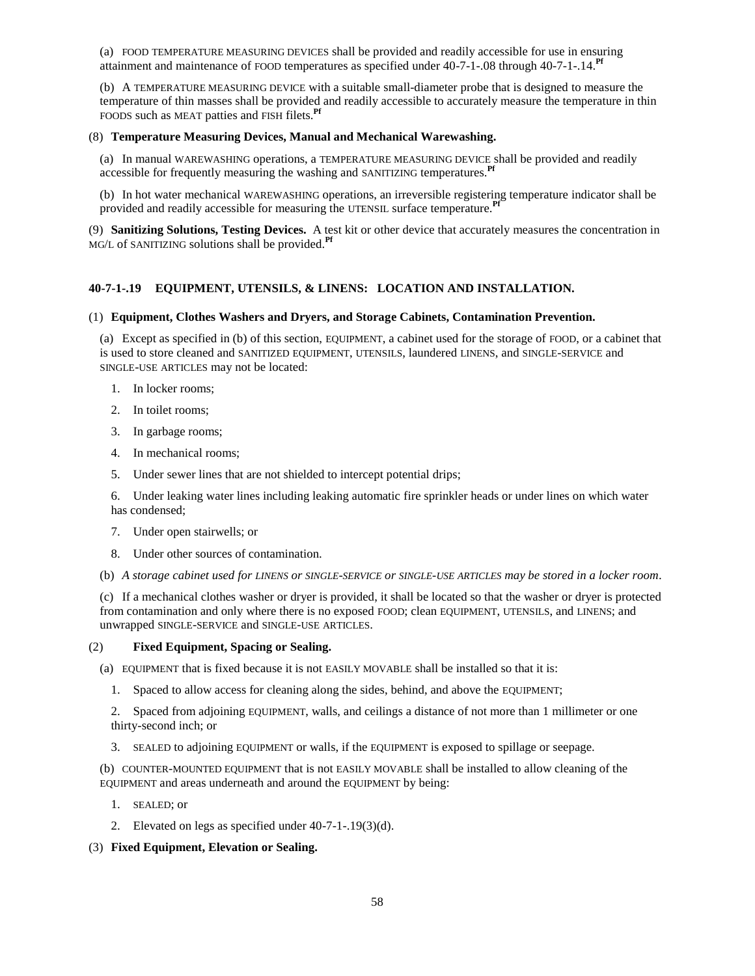(a) FOOD TEMPERATURE MEASURING DEVICES shall be provided and readily accessible for use in ensuring attainment and maintenance of FOOD temperatures as specified under 40-7-1-.08 through 40-7-1-.14.**Pf**

(b) A TEMPERATURE MEASURING DEVICE with a suitable small-diameter probe that is designed to measure the temperature of thin masses shall be provided and readily accessible to accurately measure the temperature in thin FOODS such as MEAT patties and FISH filets.**Pf**

### (8) **Temperature Measuring Devices, Manual and Mechanical Warewashing.**

(a) In manual WAREWASHING operations, a TEMPERATURE MEASURING DEVICE shall be provided and readily accessible for frequently measuring the washing and SANITIZING temperatures.<sup>Pf</sup>

(b) In hot water mechanical WAREWASHING operations, an irreversible registering temperature indicator shall be provided and readily accessible for measuring the UTENSIL surface temperature.**Pf**

(9) **Sanitizing Solutions, Testing Devices.** A test kit or other device that accurately measures the concentration in MG/<sup>L</sup> of SANITIZING solutions shall be provided.**Pf**

# **40-7-1-.19 EQUIPMENT, UTENSILS, & LINENS: LOCATION AND INSTALLATION.**

## (1) **Equipment, Clothes Washers and Dryers, and Storage Cabinets, Contamination Prevention.**

(a) Except as specified in (b) of this section, EQUIPMENT, a cabinet used for the storage of FOOD, or a cabinet that is used to store cleaned and SANITIZED EQUIPMENT, UTENSILS, laundered LINENS, and SINGLE-SERVICE and SINGLE-USE ARTICLES may not be located:

- 1. In locker rooms;
- 2. In toilet rooms;
- 3. In garbage rooms;
- 4. In mechanical rooms;
- 5. Under sewer lines that are not shielded to intercept potential drips;

6. Under leaking water lines including leaking automatic fire sprinkler heads or under lines on which water has condensed;

- 7. Under open stairwells; or
- 8. Under other sources of contamination.
- (b) *A storage cabinet used for LINENS or SINGLE-SERVICE or SINGLE-USE ARTICLES may be stored in a locker room*.

(c) If a mechanical clothes washer or dryer is provided, it shall be located so that the washer or dryer is protected from contamination and only where there is no exposed FOOD; clean EQUIPMENT, UTENSILS, and LINENS; and unwrapped SINGLE-SERVICE and SINGLE-USE ARTICLES.

## (2) **Fixed Equipment, Spacing or Sealing.**

(a) EQUIPMENT that is fixed because it is not EASILY MOVABLE shall be installed so that it is:

1. Spaced to allow access for cleaning along the sides, behind, and above the EQUIPMENT;

2. Spaced from adjoining EQUIPMENT, walls, and ceilings a distance of not more than 1 millimeter or one thirty-second inch; or

3. SEALED to adjoining EQUIPMENT or walls, if the EQUIPMENT is exposed to spillage or seepage.

(b) COUNTER-MOUNTED EQUIPMENT that is not EASILY MOVABLE shall be installed to allow cleaning of the EQUIPMENT and areas underneath and around the EQUIPMENT by being:

- 1. SEALED; or
- 2. Elevated on legs as specified under 40-7-1-.19(3)(d).

## (3) **Fixed Equipment, Elevation or Sealing.**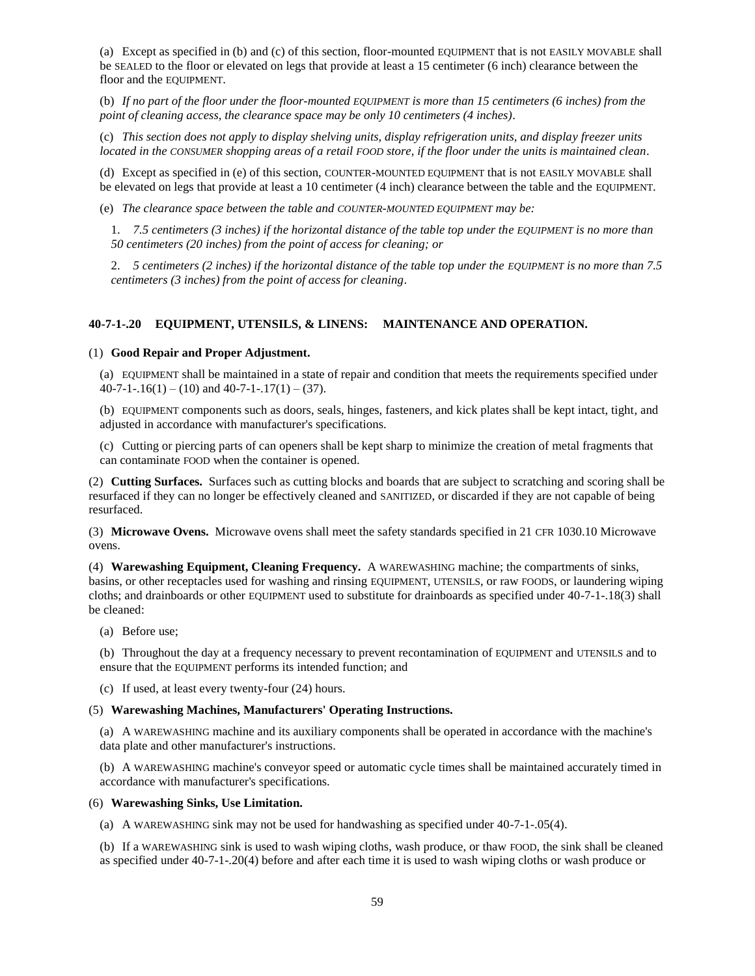(a) Except as specified in (b) and (c) of this section, floor-mounted EQUIPMENT that is not EASILY MOVABLE shall be SEALED to the floor or elevated on legs that provide at least a 15 centimeter (6 inch) clearance between the floor and the EQUIPMENT.

(b) *If no part of the floor under the floor-mounted EQUIPMENT is more than 15 centimeters (6 inches) from the point of cleaning access, the clearance space may be only 10 centimeters (4 inches)*.

(c) *This section does not apply to display shelving units, display refrigeration units, and display freezer units located in the CONSUMER shopping areas of a retail FOOD store, if the floor under the units is maintained clean*.

(d) Except as specified in (e) of this section, COUNTER-MOUNTED EQUIPMENT that is not EASILY MOVABLE shall be elevated on legs that provide at least a 10 centimeter (4 inch) clearance between the table and the EQUIPMENT.

(e) *The clearance space between the table and COUNTER-MOUNTED EQUIPMENT may be:*

1. *7.5 centimeters (3 inches) if the horizontal distance of the table top under the EQUIPMENT is no more than 50 centimeters (20 inches) from the point of access for cleaning; or*

2. *5 centimeters (2 inches) if the horizontal distance of the table top under the EQUIPMENT is no more than 7.5 centimeters (3 inches) from the point of access for cleaning*.

## **40-7-1-.20 EQUIPMENT, UTENSILS, & LINENS: MAINTENANCE AND OPERATION.**

## (1) **Good Repair and Proper Adjustment.**

(a) EQUIPMENT shall be maintained in a state of repair and condition that meets the requirements specified under  $40-7-1-16(1) - (10)$  and  $40-7-1-17(1) - (37)$ .

(b) EQUIPMENT components such as doors, seals, hinges, fasteners, and kick plates shall be kept intact, tight, and adjusted in accordance with manufacturer's specifications.

(c) Cutting or piercing parts of can openers shall be kept sharp to minimize the creation of metal fragments that can contaminate FOOD when the container is opened.

(2) **Cutting Surfaces.** Surfaces such as cutting blocks and boards that are subject to scratching and scoring shall be resurfaced if they can no longer be effectively cleaned and SANITIZED, or discarded if they are not capable of being resurfaced.

(3) **Microwave Ovens.** Microwave ovens shall meet the safety standards specified in 21 CFR 1030.10 Microwave ovens.

(4) **Warewashing Equipment, Cleaning Frequency.** A WAREWASHING machine; the compartments of sinks, basins, or other receptacles used for washing and rinsing EQUIPMENT, UTENSILS, or raw FOODS, or laundering wiping cloths; and drainboards or other EQUIPMENT used to substitute for drainboards as specified under 40-7-1-.18(3) shall be cleaned:

(a) Before use;

(b) Throughout the day at a frequency necessary to prevent recontamination of EQUIPMENT and UTENSILS and to ensure that the EQUIPMENT performs its intended function; and

(c) If used, at least every twenty-four (24) hours.

## (5) **Warewashing Machines, Manufacturers' Operating Instructions.**

(a) A WAREWASHING machine and its auxiliary components shall be operated in accordance with the machine's data plate and other manufacturer's instructions.

(b) A WAREWASHING machine's conveyor speed or automatic cycle times shall be maintained accurately timed in accordance with manufacturer's specifications.

#### (6) **Warewashing Sinks, Use Limitation.**

(a) A WAREWASHING sink may not be used for handwashing as specified under 40-7-1-.05(4).

(b) If a WAREWASHING sink is used to wash wiping cloths, wash produce, or thaw FOOD, the sink shall be cleaned as specified under 40-7-1-.20(4) before and after each time it is used to wash wiping cloths or wash produce or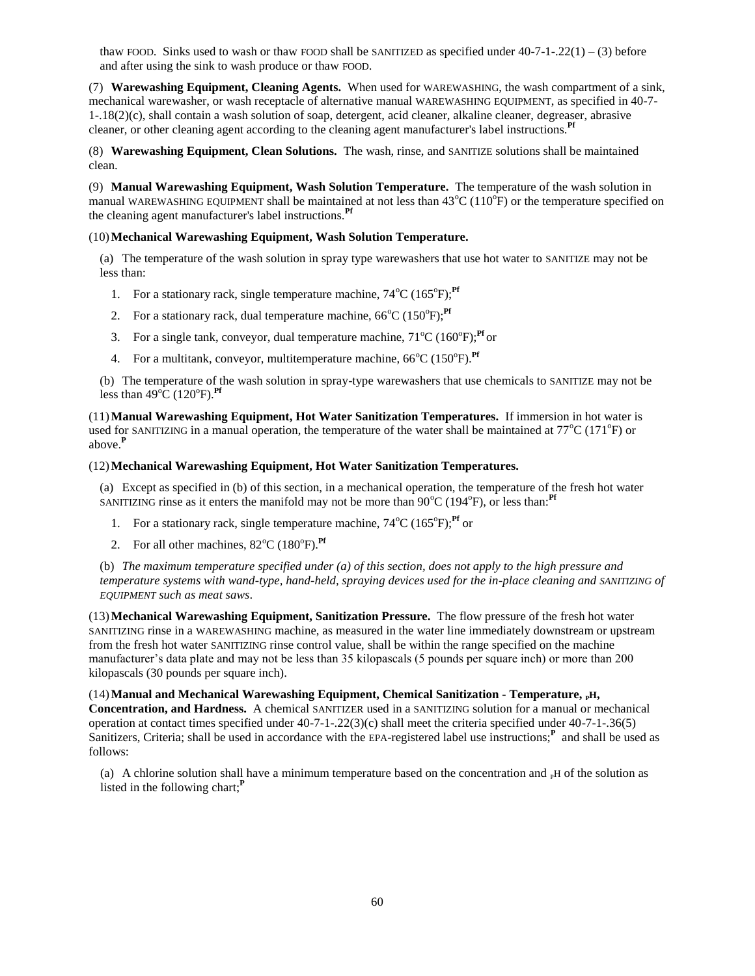thaw FOOD. Sinks used to wash or thaw FOOD shall be SANITIZED as specified under  $40-7-1-22(1) - (3)$  before and after using the sink to wash produce or thaw FOOD.

(7) **Warewashing Equipment, Cleaning Agents.** When used for WAREWASHING, the wash compartment of a sink, mechanical warewasher, or wash receptacle of alternative manual WAREWASHING EQUIPMENT, as specified in 40-7- 1-.18(2)(c), shall contain a wash solution of soap, detergent, acid cleaner, alkaline cleaner, degreaser, abrasive cleaner, or other cleaning agent according to the cleaning agent manufacturer's label instructions.**Pf**

(8) **Warewashing Equipment, Clean Solutions.** The wash, rinse, and SANITIZE solutions shall be maintained clean.

(9) **Manual Warewashing Equipment, Wash Solution Temperature.** The temperature of the wash solution in manual WAREWASHING EQUIPMENT shall be maintained at not less than  $43^{\circ}C(110^{\circ}F)$  or the temperature specified on the cleaning agent manufacturer's label instructions.**Pf**

# (10)**Mechanical Warewashing Equipment, Wash Solution Temperature.**

(a) The temperature of the wash solution in spray type warewashers that use hot water to SANITIZE may not be less than:

- 1. For a stationary rack, single temperature machine,  $74^{\circ}C(165^{\circ}F)$ ;<sup>Pf</sup>
- 2. For a stationary rack, dual temperature machine,  $66^{\circ}C(150^{\circ}F)$ ;<sup>Pf</sup>
- 3. For a single tank, conveyor, dual temperature machine,  $71^{\circ}C(160^{\circ}F)$ ;<sup>Pf</sup> or
- 4. For a multitank, conveyor, multitemperature machine, 66<sup>o</sup>C (150<sup>o</sup>F).<sup>Pf</sup>

(b) The temperature of the wash solution in spray-type warewashers that use chemicals to SANITIZE may not be less than  $49^{\circ}C(120^{\circ}F)$ .<sup>Pf</sup>

(11)**Manual Warewashing Equipment, Hot Water Sanitization Temperatures.** If immersion in hot water is used for SANITIZING in a manual operation, the temperature of the water shall be maintained at  $77^{\circ}C(171^{\circ}F)$  or above.**<sup>P</sup>**

## (12)**Mechanical Warewashing Equipment, Hot Water Sanitization Temperatures.**

(a) Except as specified in (b) of this section, in a mechanical operation, the temperature of the fresh hot water SANITIZING rinse as it enters the manifold may not be more than  $90^{\circ}C$  (194 $^{\circ}F$ ), or less than:<sup>Pf</sup>

- 1. For a stationary rack, single temperature machine,  $74^{\circ}C(165^{\circ}F)$ ;<sup>Pf</sup> or
- 2. For all other machines,  $82^{\circ}$ C (180 $^{\circ}$ F).<sup>Pf</sup>

(b) *The maximum temperature specified under (a) of this section, does not apply to the high pressure and temperature systems with wand-type, hand-held, spraying devices used for the in-place cleaning and SANITIZING of EQUIPMENT such as meat saws*.

(13)**Mechanical Warewashing Equipment, Sanitization Pressure.** The flow pressure of the fresh hot water SANITIZING rinse in a WAREWASHING machine, as measured in the water line immediately downstream or upstream from the fresh hot water SANITIZING rinse control value, shall be within the range specified on the machine manufacturer's data plate and may not be less than 35 kilopascals (5 pounds per square inch) or more than 200 kilopascals (30 pounds per square inch).

(14) Manual and Mechanical Warewashing Equipment, Chemical Sanitization - Temperature, <sup>PH</sup>, **Concentration, and Hardness.** A chemical SANITIZER used in a SANITIZING solution for a manual or mechanical operation at contact times specified under 40-7-1-.22(3)(c) shall meet the criteria specified under 40-7-1-.36(5) Sanitizers, Criteria; shall be used in accordance with the EPA-registered label use instructions;<sup>P</sup> and shall be used as follows:

(a) A chlorine solution shall have a minimum temperature based on the concentration and  $_{\rm P}$ H of the solution as listed in the following chart;**<sup>P</sup>**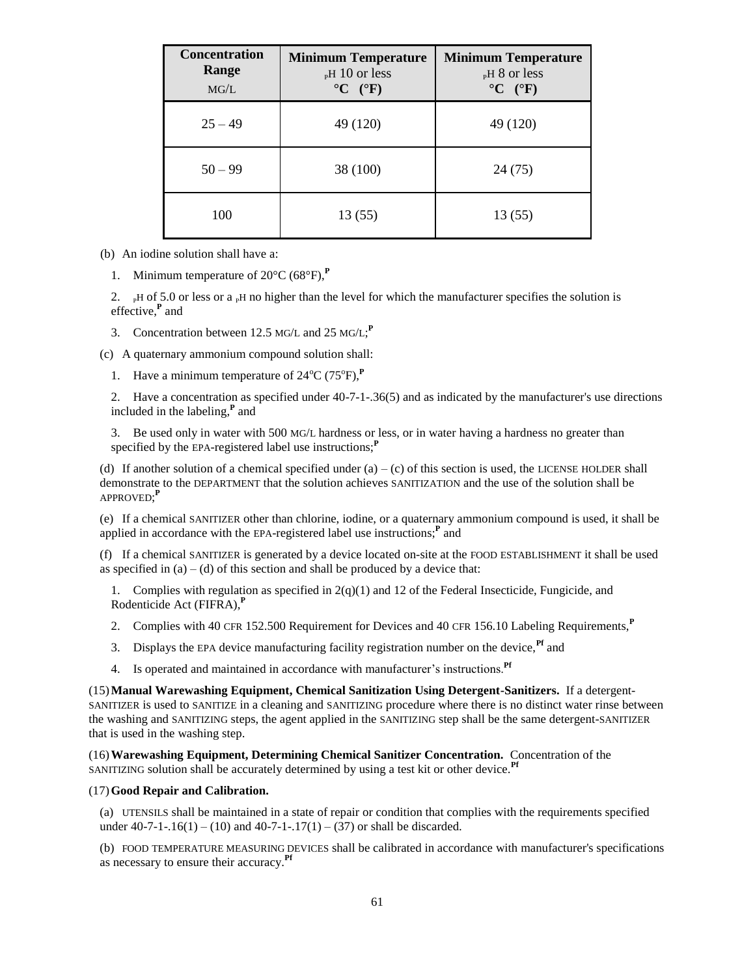| <b>Concentration</b><br>Range<br>MG/L | <b>Minimum Temperature</b><br>$_{\rm P}$ H 10 or less<br>$\rm ^{\circ}C$ ( $\rm ^{\circ}F$ ) | <b>Minimum Temperature</b><br>$_{\rm P}$ H 8 or less<br>$\rm ^{\circ}C$ ( $\rm ^{\circ}F$ ) |
|---------------------------------------|----------------------------------------------------------------------------------------------|---------------------------------------------------------------------------------------------|
| $25 - 49$                             | 49 (120)                                                                                     | 49 (120)                                                                                    |
| $50 - 99$                             | 38 (100)                                                                                     | 24 (75)                                                                                     |
| 100                                   | 13(55)                                                                                       | 13(55)                                                                                      |

(b) An iodine solution shall have a:

1. Minimum temperature of 20°C (68°F),**<sup>P</sup>**

2. PH of 5.0 or less or a PH no higher than the level for which the manufacturer specifies the solution is effective,**<sup>P</sup>** and

3. Concentration between 12.5 MG/L and 25 MG/L; **P**

(c) A quaternary ammonium compound solution shall:

1. Have a minimum temperature of  $24^{\circ}C$  (75 $^{\circ}F$ ),<sup>P</sup>

2. Have a concentration as specified under 40-7-1-.36(5) and as indicated by the manufacturer's use directions included in the labeling,**<sup>P</sup>** and

3. Be used only in water with 500 MG/L hardness or less, or in water having a hardness no greater than specified by the EPA-registered label use instructions;**<sup>P</sup>**

(d) If another solution of a chemical specified under  $(a) - (c)$  of this section is used, the LICENSE HOLDER shall demonstrate to the DEPARTMENT that the solution achieves SANITIZATION and the use of the solution shall be APPROVED; **P**

(e) If a chemical SANITIZER other than chlorine, iodine, or a quaternary ammonium compound is used, it shall be applied in accordance with the EPA-registered label use instructions;**<sup>P</sup>** and

(f) If a chemical SANITIZER is generated by a device located on-site at the FOOD ESTABLISHMENT it shall be used as specified in  $(a) - (d)$  of this section and shall be produced by a device that:

1. Complies with regulation as specified in  $2(q)(1)$  and 12 of the Federal Insecticide, Fungicide, and Rodenticide Act (FIFRA),**<sup>P</sup>**

- 2. Complies with 40 CFR 152.500 Requirement for Devices and 40 CFR 156.10 Labeling Requirements,**<sup>P</sup>**
- 3. Displays the EPA device manufacturing facility registration number on the device,**Pf** and
- 4. Is operated and maintained in accordance with manufacturer's instructions.**Pf**

(15)**Manual Warewashing Equipment, Chemical Sanitization Using Detergent-Sanitizers.** If a detergent-SANITIZER is used to SANITIZE in a cleaning and SANITIZING procedure where there is no distinct water rinse between the washing and SANITIZING steps, the agent applied in the SANITIZING step shall be the same detergent-SANITIZER that is used in the washing step.

(16)**Warewashing Equipment, Determining Chemical Sanitizer Concentration.** Concentration of the SANITIZING solution shall be accurately determined by using a test kit or other device.**Pf**

### (17)**Good Repair and Calibration.**

(a) UTENSILS shall be maintained in a state of repair or condition that complies with the requirements specified under  $40-7-1-16(1) - (10)$  and  $40-7-1-17(1) - (37)$  or shall be discarded.

(b) FOOD TEMPERATURE MEASURING DEVICES shall be calibrated in accordance with manufacturer's specifications as necessary to ensure their accuracy.**Pf**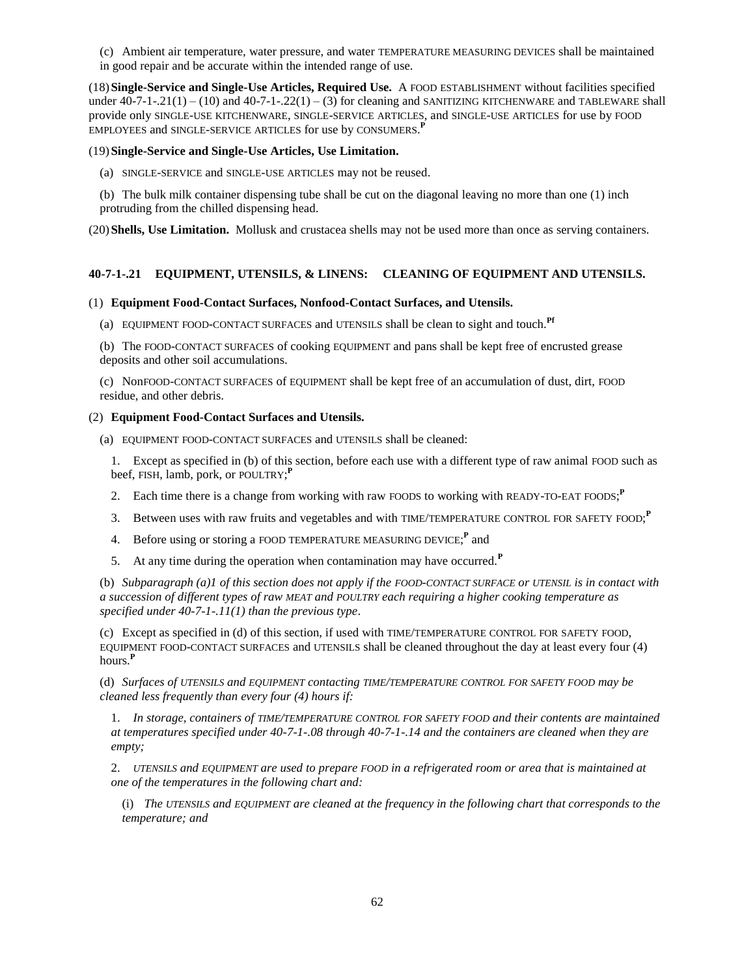(c) Ambient air temperature, water pressure, and water TEMPERATURE MEASURING DEVICES shall be maintained in good repair and be accurate within the intended range of use.

(18)**Single-Service and Single-Use Articles, Required Use.** A FOOD ESTABLISHMENT without facilities specified under  $40-7-1-.21(1) - (10)$  and  $40-7-1-.22(1) - (3)$  for cleaning and SANITIZING KITCHENWARE and TABLEWARE shall provide only SINGLE-USE KITCHENWARE, SINGLE-SERVICE ARTICLES, and SINGLE-USE ARTICLES for use by FOOD EMPLOYEES and SINGLE-SERVICE ARTICLES for use by CONSUMERS. **P**

# (19)**Single-Service and Single-Use Articles, Use Limitation.**

- (a) SINGLE-SERVICE and SINGLE-USE ARTICLES may not be reused.
- (b) The bulk milk container dispensing tube shall be cut on the diagonal leaving no more than one (1) inch protruding from the chilled dispensing head.

(20)**Shells, Use Limitation.** Mollusk and crustacea shells may not be used more than once as serving containers.

# **40-7-1-.21 EQUIPMENT, UTENSILS, & LINENS: CLEANING OF EQUIPMENT AND UTENSILS.**

# (1) **Equipment Food-Contact Surfaces, Nonfood-Contact Surfaces, and Utensils.**

(a) EQUIPMENT FOOD-CONTACT SURFACES and UTENSILS shall be clean to sight and touch.**Pf**

(b) The FOOD-CONTACT SURFACES of cooking EQUIPMENT and pans shall be kept free of encrusted grease deposits and other soil accumulations.

(c) NonFOOD-CONTACT SURFACES of EQUIPMENT shall be kept free of an accumulation of dust, dirt, FOOD residue, and other debris.

# (2) **Equipment Food-Contact Surfaces and Utensils.**

(a) EQUIPMENT FOOD-CONTACT SURFACES and UTENSILS shall be cleaned:

1. Except as specified in (b) of this section, before each use with a different type of raw animal FOOD such as beef, FISH, lamb, pork, or POULTRY; **P**

- 2. Each time there is a change from working with raw FOODS to working with READY-TO-EAT FOODS; **P**
- 3. Between uses with raw fruits and vegetables and with TIME/TEMPERATURE CONTROL FOR SAFETY FOOD; **P**
- 4. Before using or storing a FOOD TEMPERATURE MEASURING DEVICE;<sup>P</sup> and
- 5. At any time during the operation when contamination may have occurred.**<sup>P</sup>**

(b) *Subparagraph (a)1 of this section does not apply if the FOOD-CONTACT SURFACE or UTENSIL is in contact with a succession of different types of raw MEAT and POULTRY each requiring a higher cooking temperature as specified under 40-7-1-.11(1) than the previous type*.

(c) Except as specified in (d) of this section, if used with TIME/TEMPERATURE CONTROL FOR SAFETY FOOD, EQUIPMENT FOOD-CONTACT SURFACES and UTENSILS shall be cleaned throughout the day at least every four (4) hours.**<sup>P</sup>**

(d) *Surfaces of UTENSILS and EQUIPMENT contacting TIME/TEMPERATURE CONTROL FOR SAFETY FOOD may be cleaned less frequently than every four (4) hours if:*

1. *In storage, containers of TIME/TEMPERATURE CONTROL FOR SAFETY FOOD and their contents are maintained at temperatures specified under 40-7-1-.08 through 40-7-1-.14 and the containers are cleaned when they are empty;*

2. *UTENSILS and EQUIPMENT are used to prepare FOOD in a refrigerated room or area that is maintained at one of the temperatures in the following chart and:*

(i) *The UTENSILS and EQUIPMENT are cleaned at the frequency in the following chart that corresponds to the temperature; and*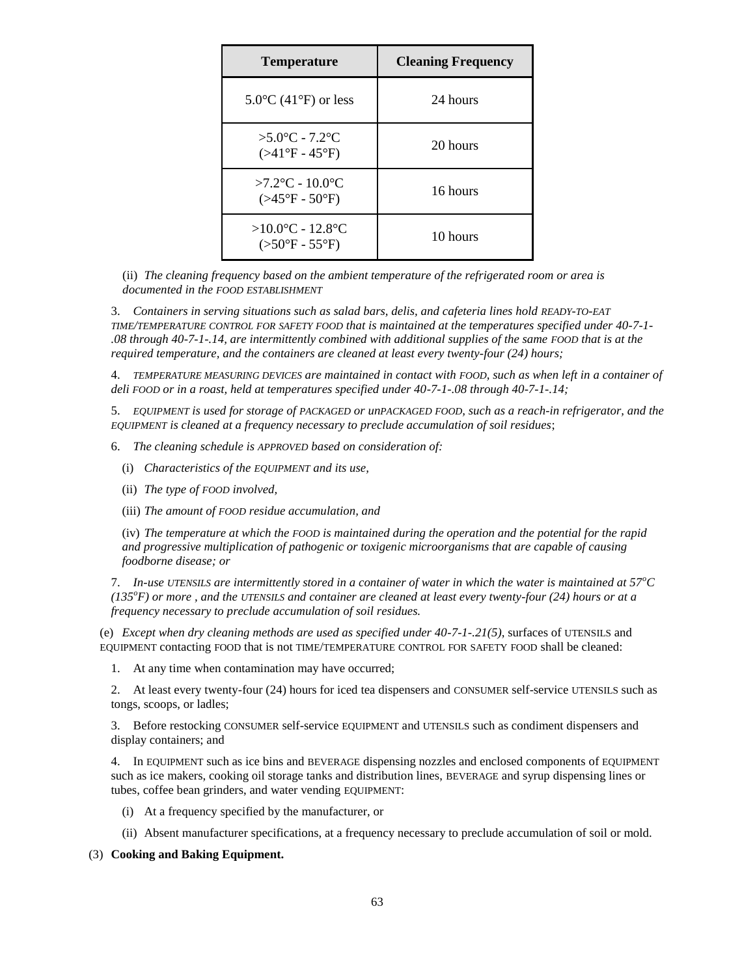| <b>Temperature</b>                                           | <b>Cleaning Frequency</b> |
|--------------------------------------------------------------|---------------------------|
| $5.0^{\circ}$ C (41 $^{\circ}$ F) or less                    | 24 hours                  |
| $>5.0^{\circ}$ C - 7.2°C<br>$( > 41^{\circ}F - 45^{\circ}F)$ | 20 hours                  |
| $>7.2$ °C - 10.0°C<br>$( >45^{\circ}F - 50^{\circ}F)$        | 16 hours                  |
| $>10.0$ °C - 12.8°C<br>$(>50^{\circ}F - 55^{\circ}F)$        | 10 hours                  |

(ii) *The cleaning frequency based on the ambient temperature of the refrigerated room or area is documented in the FOOD ESTABLISHMENT*

3. *Containers in serving situations such as salad bars, delis, and cafeteria lines hold READY-TO-EAT TIME/TEMPERATURE CONTROL FOR SAFETY FOOD that is maintained at the temperatures specified under 40-7-1- .08 through 40-7-1-.14, are intermittently combined with additional supplies of the same FOOD that is at the required temperature, and the containers are cleaned at least every twenty-four (24) hours;*

4. *TEMPERATURE MEASURING DEVICES are maintained in contact with FOOD, such as when left in a container of deli FOOD or in a roast, held at temperatures specified under 40-7-1-.08 through 40-7-1-.14;*

5. *EQUIPMENT is used for storage of PACKAGED or unPACKAGED FOOD, such as a reach-in refrigerator, and the EQUIPMENT is cleaned at a frequency necessary to preclude accumulation of soil residues*;

6. *The cleaning schedule is APPROVED based on consideration of:*

- (i) *Characteristics of the EQUIPMENT and its use,*
- (ii) *The type of FOOD involved,*
- (iii) *The amount of FOOD residue accumulation, and*

(iv) *The temperature at which the FOOD is maintained during the operation and the potential for the rapid and progressive multiplication of pathogenic or toxigenic microorganisms that are capable of causing foodborne disease; or*

7. *In-use UTENSILS are intermittently stored in a container of water in which the water is maintained at 57<sup>o</sup>C (135<sup>o</sup>F) or more , and the UTENSILS and container are cleaned at least every twenty-four (24) hours or at a frequency necessary to preclude accumulation of soil residues.*

(e) *Except when dry cleaning methods are used as specified under 40-7-1-.21(5)*, surfaces of UTENSILS and EQUIPMENT contacting FOOD that is not TIME/TEMPERATURE CONTROL FOR SAFETY FOOD shall be cleaned:

1. At any time when contamination may have occurred;

2. At least every twenty-four (24) hours for iced tea dispensers and CONSUMER self-service UTENSILS such as tongs, scoops, or ladles;

3. Before restocking CONSUMER self-service EQUIPMENT and UTENSILS such as condiment dispensers and display containers; and

4. In EQUIPMENT such as ice bins and BEVERAGE dispensing nozzles and enclosed components of EQUIPMENT such as ice makers, cooking oil storage tanks and distribution lines, BEVERAGE and syrup dispensing lines or tubes, coffee bean grinders, and water vending EQUIPMENT:

- (i) At a frequency specified by the manufacturer, or
- (ii) Absent manufacturer specifications, at a frequency necessary to preclude accumulation of soil or mold.

## (3) **Cooking and Baking Equipment.**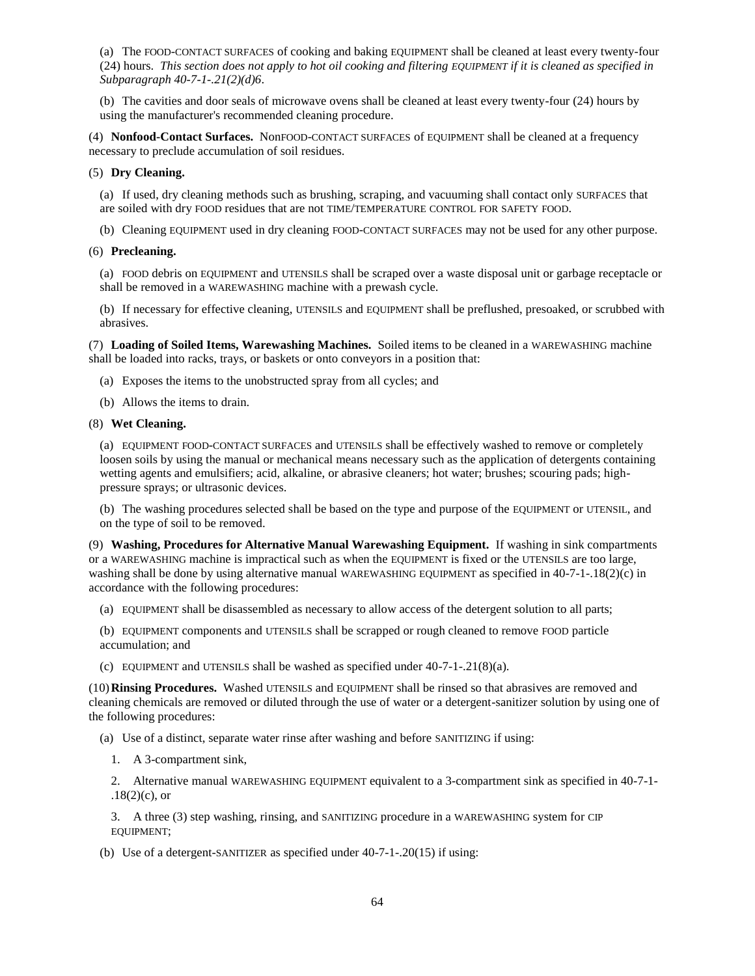(a) The FOOD-CONTACT SURFACES of cooking and baking EQUIPMENT shall be cleaned at least every twenty-four (24) hours. *This section does not apply to hot oil cooking and filtering EQUIPMENT if it is cleaned as specified in Subparagraph 40-7-1-.21(2)(d)6*.

(b) The cavities and door seals of microwave ovens shall be cleaned at least every twenty-four (24) hours by using the manufacturer's recommended cleaning procedure.

(4) **Nonfood-Contact Surfaces.** NonFOOD-CONTACT SURFACES of EQUIPMENT shall be cleaned at a frequency necessary to preclude accumulation of soil residues.

## (5) **Dry Cleaning.**

(a) If used, dry cleaning methods such as brushing, scraping, and vacuuming shall contact only SURFACES that are soiled with dry FOOD residues that are not TIME/TEMPERATURE CONTROL FOR SAFETY FOOD.

(b) Cleaning EQUIPMENT used in dry cleaning FOOD-CONTACT SURFACES may not be used for any other purpose.

### (6) **Precleaning.**

(a) FOOD debris on EQUIPMENT and UTENSILS shall be scraped over a waste disposal unit or garbage receptacle or shall be removed in a WAREWASHING machine with a prewash cycle.

(b) If necessary for effective cleaning, UTENSILS and EQUIPMENT shall be preflushed, presoaked, or scrubbed with abrasives.

(7) **Loading of Soiled Items, Warewashing Machines.** Soiled items to be cleaned in a WAREWASHING machine shall be loaded into racks, trays, or baskets or onto conveyors in a position that:

(a) Exposes the items to the unobstructed spray from all cycles; and

(b) Allows the items to drain.

### (8) **Wet Cleaning.**

(a) EQUIPMENT FOOD-CONTACT SURFACES and UTENSILS shall be effectively washed to remove or completely loosen soils by using the manual or mechanical means necessary such as the application of detergents containing wetting agents and emulsifiers; acid, alkaline, or abrasive cleaners; hot water; brushes; scouring pads; highpressure sprays; or ultrasonic devices.

(b) The washing procedures selected shall be based on the type and purpose of the EQUIPMENT or UTENSIL, and on the type of soil to be removed.

(9) **Washing, Procedures for Alternative Manual Warewashing Equipment.** If washing in sink compartments or a WAREWASHING machine is impractical such as when the EQUIPMENT is fixed or the UTENSILS are too large, washing shall be done by using alternative manual WAREWASHING EQUIPMENT as specified in 40-7-1-.18(2)(c) in accordance with the following procedures:

(a) EQUIPMENT shall be disassembled as necessary to allow access of the detergent solution to all parts;

(b) EQUIPMENT components and UTENSILS shall be scrapped or rough cleaned to remove FOOD particle accumulation; and

(c) EQUIPMENT and UTENSILS shall be washed as specified under  $40-7-1-21(8)(a)$ .

(10)**Rinsing Procedures.** Washed UTENSILS and EQUIPMENT shall be rinsed so that abrasives are removed and cleaning chemicals are removed or diluted through the use of water or a detergent-sanitizer solution by using one of the following procedures:

(a) Use of a distinct, separate water rinse after washing and before SANITIZING if using:

1. A 3-compartment sink,

2. Alternative manual WAREWASHING EQUIPMENT equivalent to a 3-compartment sink as specified in 40-7-1-  $.18(2)(c)$ , or

3. A three (3) step washing, rinsing, and SANITIZING procedure in a WAREWASHING system for CIP EQUIPMENT;

(b) Use of a detergent-SANITIZER as specified under 40-7-1-.20(15) if using: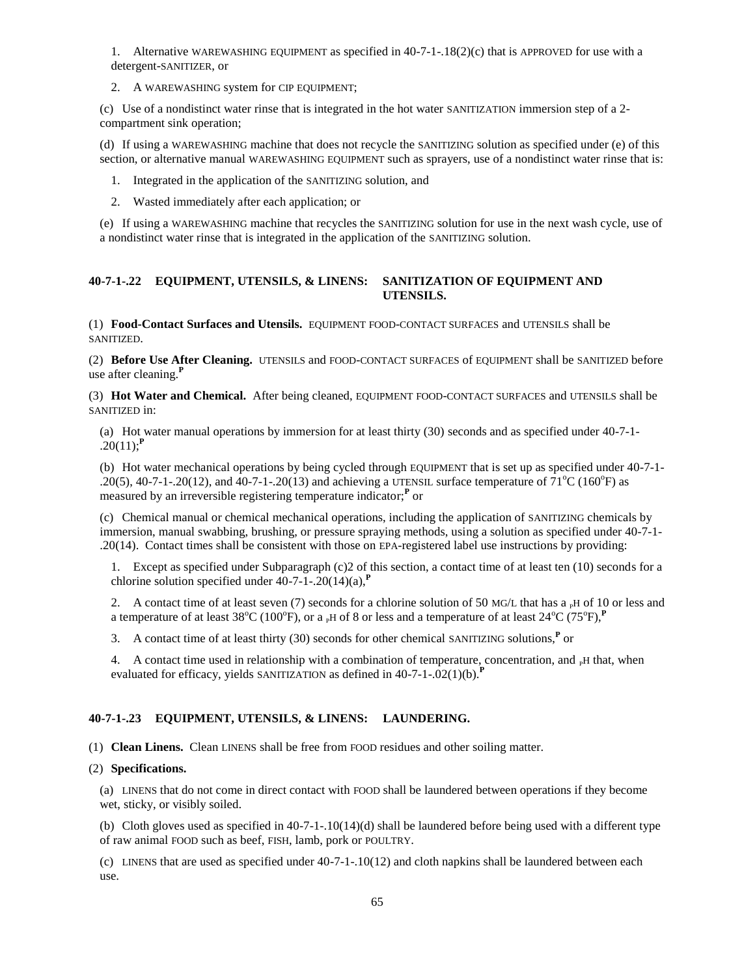1. Alternative WAREWASHING EQUIPMENT as specified in 40-7-1-.18(2)(c) that is APPROVED for use with a detergent-SANITIZER, or

2. A WAREWASHING system for CIP EQUIPMENT;

(c) Use of a nondistinct water rinse that is integrated in the hot water SANITIZATION immersion step of a 2 compartment sink operation;

(d) If using a WAREWASHING machine that does not recycle the SANITIZING solution as specified under (e) of this section, or alternative manual WAREWASHING EQUIPMENT such as sprayers, use of a nondistinct water rinse that is:

- 1. Integrated in the application of the SANITIZING solution, and
- 2. Wasted immediately after each application; or

(e) If using a WAREWASHING machine that recycles the SANITIZING solution for use in the next wash cycle, use of a nondistinct water rinse that is integrated in the application of the SANITIZING solution.

## **40-7-1-.22 EQUIPMENT, UTENSILS, & LINENS: SANITIZATION OF EQUIPMENT AND UTENSILS.**

(1) **Food-Contact Surfaces and Utensils.** EQUIPMENT FOOD-CONTACT SURFACES and UTENSILS shall be SANITIZED.

(2) **Before Use After Cleaning.** UTENSILS and FOOD-CONTACT SURFACES of EQUIPMENT shall be SANITIZED before use after cleaning.**<sup>P</sup>**

(3) **Hot Water and Chemical.** After being cleaned, EQUIPMENT FOOD-CONTACT SURFACES and UTENSILS shall be SANITIZED in:

(a) Hot water manual operations by immersion for at least thirty (30) seconds and as specified under 40-7-1-  $.20(11)$ ;<sup>**P**</sup>

(b) Hot water mechanical operations by being cycled through EQUIPMENT that is set up as specified under 40-7-1- .20(5), 40-7-1-.20(12), and 40-7-1-.20(13) and achieving a UTENSIL surface temperature of  $71^{\circ}$ C (160 $^{\circ}$ F) as measured by an irreversible registering temperature indicator;**<sup>P</sup>** or

(c) Chemical manual or chemical mechanical operations, including the application of SANITIZING chemicals by immersion, manual swabbing, brushing, or pressure spraying methods, using a solution as specified under 40-7-1- .20(14). Contact times shall be consistent with those on EPA-registered label use instructions by providing:

1. Except as specified under Subparagraph (c)2 of this section, a contact time of at least ten (10) seconds for a chlorine solution specified under  $40-7-1-0.20(14)(a)$ ,<sup> $P$ </sup>

2. A contact time of at least seven (7) seconds for a chlorine solution of 50 MG/L that has a <sub>P</sub>H of 10 or less and a temperature of at least 38°C (100°F), or a <sub>P</sub>H of 8 or less and a temperature of at least 24°C (75°F),<sup>P</sup>

3. A contact time of at least thirty (30) seconds for other chemical SANITIZING solutions,**<sup>P</sup>** or

4. A contact time used in relationship with a combination of temperature, concentration, and  $<sub>P</sub>H$  that, when</sub> evaluated for efficacy, yields SANITIZATION as defined in  $40-7-1-02(1)(b)$ .<sup>P</sup>

## **40-7-1-.23 EQUIPMENT, UTENSILS, & LINENS: LAUNDERING.**

(1) **Clean Linens.** Clean LINENS shall be free from FOOD residues and other soiling matter.

### (2) **Specifications.**

(a) LINENS that do not come in direct contact with FOOD shall be laundered between operations if they become wet, sticky, or visibly soiled.

(b) Cloth gloves used as specified in  $40-7-1-10(14)$  (d) shall be laundered before being used with a different type of raw animal FOOD such as beef, FISH, lamb, pork or POULTRY.

(c) LINENS that are used as specified under 40-7-1-.10(12) and cloth napkins shall be laundered between each use.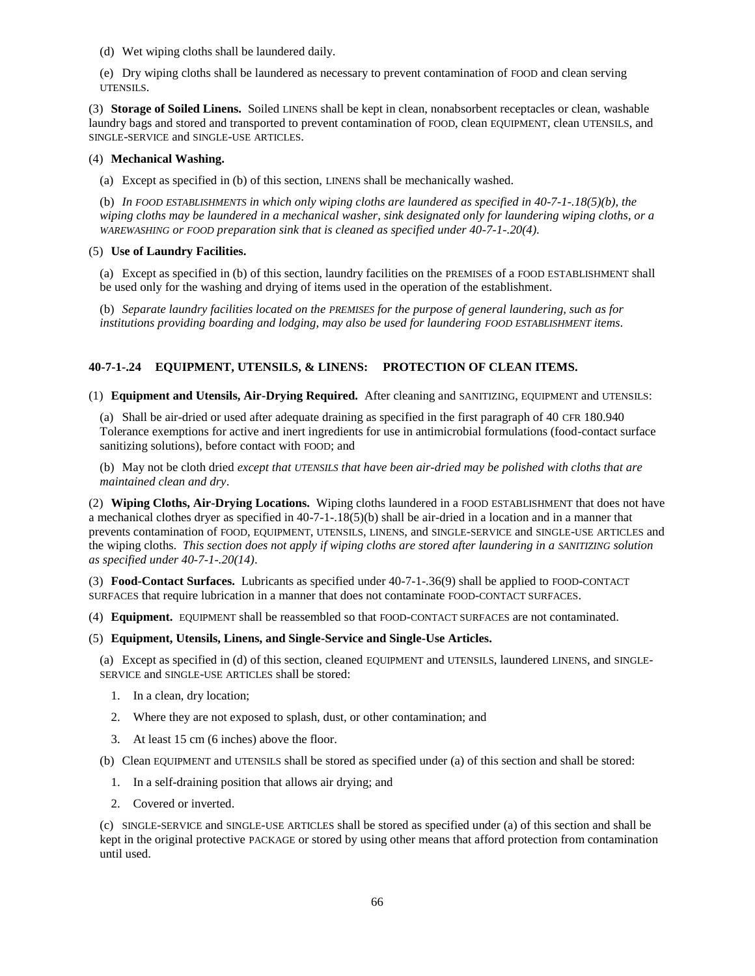(d) Wet wiping cloths shall be laundered daily.

(e) Dry wiping cloths shall be laundered as necessary to prevent contamination of FOOD and clean serving UTENSILS.

(3) **Storage of Soiled Linens.** Soiled LINENS shall be kept in clean, nonabsorbent receptacles or clean, washable laundry bags and stored and transported to prevent contamination of FOOD, clean EQUIPMENT, clean UTENSILS, and SINGLE-SERVICE and SINGLE-USE ARTICLES.

# (4) **Mechanical Washing.**

(a) Except as specified in (b) of this section, LINENS shall be mechanically washed.

(b) *In FOOD ESTABLISHMENTS in which only wiping cloths are laundered as specified in 40-7-1-.18(5)(b), the wiping cloths may be laundered in a mechanical washer, sink designated only for laundering wiping cloths, or a WAREWASHING or FOOD preparation sink that is cleaned as specified under 40-7-1-.20(4)*.

# (5) **Use of Laundry Facilities.**

(a) Except as specified in (b) of this section, laundry facilities on the PREMISES of a FOOD ESTABLISHMENT shall be used only for the washing and drying of items used in the operation of the establishment.

(b) *Separate laundry facilities located on the PREMISES for the purpose of general laundering, such as for institutions providing boarding and lodging, may also be used for laundering FOOD ESTABLISHMENT items*.

# **40-7-1-.24 EQUIPMENT, UTENSILS, & LINENS: PROTECTION OF CLEAN ITEMS.**

(1) **Equipment and Utensils, Air-Drying Required.** After cleaning and SANITIZING, EQUIPMENT and UTENSILS:

(a) Shall be air-dried or used after adequate draining as specified in the first paragraph of 40 CFR 180.940 Tolerance exemptions for active and inert ingredients for use in antimicrobial formulations (food-contact surface sanitizing solutions), before contact with FOOD; and

(b) May not be cloth dried *except that UTENSILS that have been air-dried may be polished with cloths that are maintained clean and dry*.

(2) **Wiping Cloths, Air-Drying Locations.** Wiping cloths laundered in a FOOD ESTABLISHMENT that does not have a mechanical clothes dryer as specified in 40-7-1-.18(5)(b) shall be air-dried in a location and in a manner that prevents contamination of FOOD, EQUIPMENT, UTENSILS, LINENS, and SINGLE-SERVICE and SINGLE-USE ARTICLES and the wiping cloths. *This section does not apply if wiping cloths are stored after laundering in a SANITIZING solution as specified under 40-7-1-.20(14)*.

(3) **Food-Contact Surfaces.** Lubricants as specified under 40-7-1-.36(9) shall be applied to FOOD-CONTACT SURFACES that require lubrication in a manner that does not contaminate FOOD-CONTACT SURFACES.

(4) **Equipment.** EQUIPMENT shall be reassembled so that FOOD-CONTACT SURFACES are not contaminated.

## (5) **Equipment, Utensils, Linens, and Single-Service and Single-Use Articles.**

(a) Except as specified in (d) of this section, cleaned EQUIPMENT and UTENSILS, laundered LINENS, and SINGLE-SERVICE and SINGLE-USE ARTICLES shall be stored:

- 1. In a clean, dry location;
- 2. Where they are not exposed to splash, dust, or other contamination; and
- 3. At least 15 cm (6 inches) above the floor.

(b) Clean EQUIPMENT and UTENSILS shall be stored as specified under (a) of this section and shall be stored:

- 1. In a self-draining position that allows air drying; and
- 2. Covered or inverted.

(c) SINGLE-SERVICE and SINGLE-USE ARTICLES shall be stored as specified under (a) of this section and shall be kept in the original protective PACKAGE or stored by using other means that afford protection from contamination until used.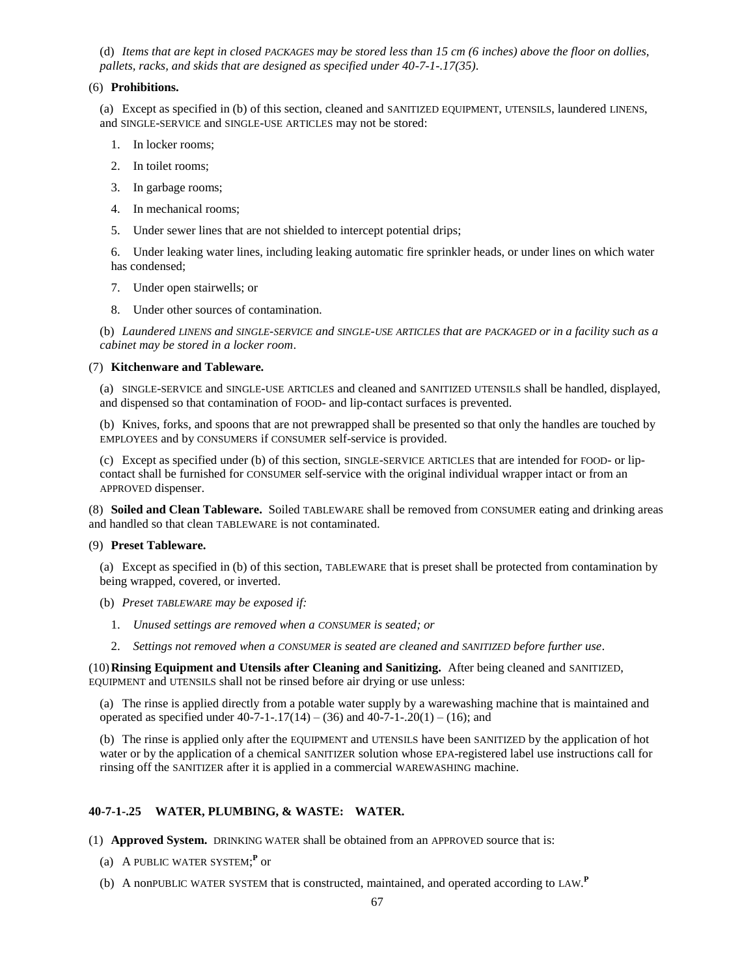(d) *Items that are kept in closed PACKAGES may be stored less than 15 cm (6 inches) above the floor on dollies, pallets, racks, and skids that are designed as specified under 40-7-1-.17(35)*.

## (6) **Prohibitions.**

(a) Except as specified in (b) of this section, cleaned and SANITIZED EQUIPMENT, UTENSILS, laundered LINENS, and SINGLE-SERVICE and SINGLE-USE ARTICLES may not be stored:

- 1. In locker rooms;
- 2. In toilet rooms;
- 3. In garbage rooms;
- 4. In mechanical rooms;
- 5. Under sewer lines that are not shielded to intercept potential drips;

6. Under leaking water lines, including leaking automatic fire sprinkler heads, or under lines on which water has condensed;

- 7. Under open stairwells; or
- 8. Under other sources of contamination.

(b) *Laundered LINENS and SINGLE-SERVICE and SINGLE-USE ARTICLES that are PACKAGED or in a facility such as a cabinet may be stored in a locker room*.

## (7) **Kitchenware and Tableware.**

(a) SINGLE-SERVICE and SINGLE-USE ARTICLES and cleaned and SANITIZED UTENSILS shall be handled, displayed, and dispensed so that contamination of FOOD- and lip-contact surfaces is prevented.

(b) Knives, forks, and spoons that are not prewrapped shall be presented so that only the handles are touched by EMPLOYEES and by CONSUMERS if CONSUMER self-service is provided.

(c) Except as specified under (b) of this section, SINGLE-SERVICE ARTICLES that are intended for FOOD- or lipcontact shall be furnished for CONSUMER self-service with the original individual wrapper intact or from an APPROVED dispenser.

(8) **Soiled and Clean Tableware.** Soiled TABLEWARE shall be removed from CONSUMER eating and drinking areas and handled so that clean TABLEWARE is not contaminated.

## (9) **Preset Tableware.**

(a) Except as specified in (b) of this section, TABLEWARE that is preset shall be protected from contamination by being wrapped, covered, or inverted.

- (b) *Preset TABLEWARE may be exposed if:*
	- 1. *Unused settings are removed when a CONSUMER is seated; or*
	- 2. *Settings not removed when a CONSUMER is seated are cleaned and SANITIZED before further use*.

(10)**Rinsing Equipment and Utensils after Cleaning and Sanitizing.** After being cleaned and SANITIZED, EQUIPMENT and UTENSILS shall not be rinsed before air drying or use unless:

(a) The rinse is applied directly from a potable water supply by a warewashing machine that is maintained and operated as specified under  $40-7-1-17(14) - (36)$  and  $40-7-1-20(1) - (16)$ ; and

(b) The rinse is applied only after the EQUIPMENT and UTENSILS have been SANITIZED by the application of hot water or by the application of a chemical SANITIZER solution whose EPA-registered label use instructions call for rinsing off the SANITIZER after it is applied in a commercial WAREWASHING machine.

# **40-7-1-.25 WATER, PLUMBING, & WASTE: WATER.**

(1) **Approved System.** DRINKING WATER shall be obtained from an APPROVED source that is:

- (a) A PUBLIC WATER SYSTEM; **P** or
- (b) A nonPUBLIC WATER SYSTEM that is constructed, maintained, and operated according to LAW. **P**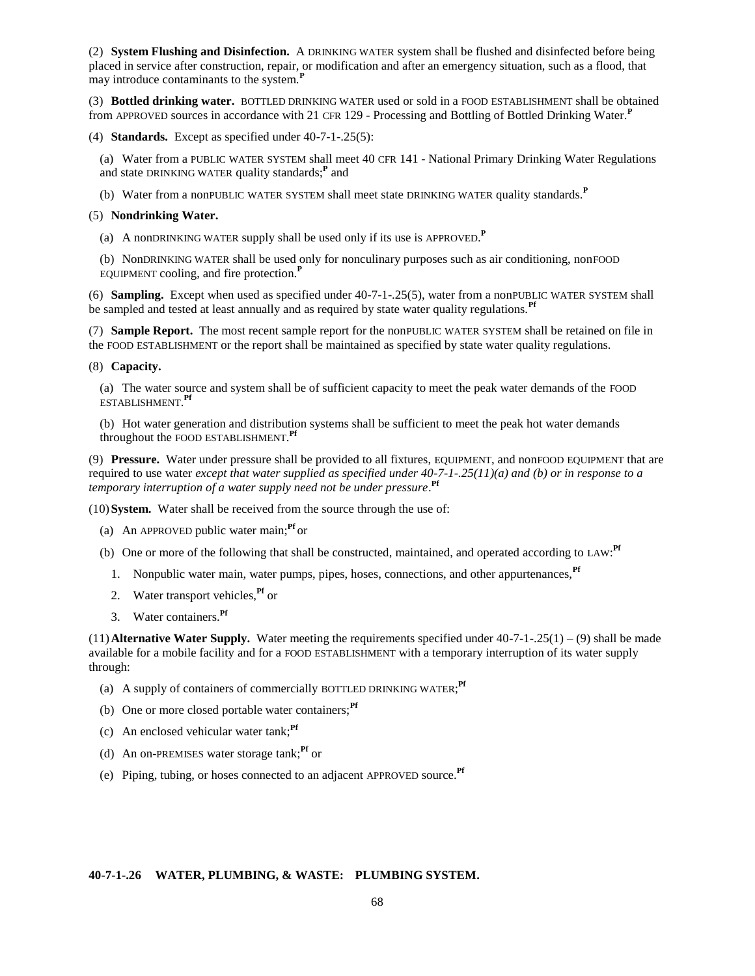(2) **System Flushing and Disinfection.** A DRINKING WATER system shall be flushed and disinfected before being placed in service after construction, repair, or modification and after an emergency situation, such as a flood, that may introduce contaminants to the system.**<sup>P</sup>**

(3) **Bottled drinking water.** BOTTLED DRINKING WATER used or sold in a FOOD ESTABLISHMENT shall be obtained from APPROVED sources in accordance with 21 CFR 129 - Processing and Bottling of Bottled Drinking Water.**<sup>P</sup>**

(4) **Standards.** Except as specified under 40-7-1-.25(5):

(a) Water from a PUBLIC WATER SYSTEM shall meet 40 CFR 141 - National Primary Drinking Water Regulations and state DRINKING WATER quality standards;**<sup>P</sup>** and

(b) Water from a nonPUBLIC WATER SYSTEM shall meet state DRINKING WATER quality standards.**<sup>P</sup>**

# (5) **Nondrinking Water.**

(a) A nonDRINKING WATER supply shall be used only if its use is APPROVED. **P**

(b) NonDRINKING WATER shall be used only for nonculinary purposes such as air conditioning, nonFOOD EQUIPMENT cooling, and fire protection.**<sup>P</sup>**

(6) **Sampling.** Except when used as specified under 40-7-1-.25(5), water from a nonPUBLIC WATER SYSTEM shall be sampled and tested at least annually and as required by state water quality regulations.<sup>Pf</sup>

(7) **Sample Report.** The most recent sample report for the nonPUBLIC WATER SYSTEM shall be retained on file in the FOOD ESTABLISHMENT or the report shall be maintained as specified by state water quality regulations.

#### (8) **Capacity.**

(a) The water source and system shall be of sufficient capacity to meet the peak water demands of the FOOD ESTABLISHMENT. **Pf**

(b) Hot water generation and distribution systems shall be sufficient to meet the peak hot water demands throughout the FOOD ESTABLISHMENT. **Pf**

(9) **Pressure.** Water under pressure shall be provided to all fixtures, EQUIPMENT, and nonFOOD EQUIPMENT that are required to use water *except that water supplied as specified under 40-7-1-.25(11)(a) and (b) or in response to a temporary interruption of a water supply need not be under pressure*. **Pf**

(10)**System.** Water shall be received from the source through the use of:

- (a) An APPROVED public water main;**Pf** or
- (b) One or more of the following that shall be constructed, maintained, and operated according to LAW: **Pf**
	- 1. Nonpublic water main, water pumps, pipes, hoses, connections, and other appurtenances.<sup>Pf</sup>
	- 2. Water transport vehicles,**Pf** or
	- 3. Water containers.**Pf**

 $(11)$  **Alternative Water Supply.** Water meeting the requirements specified under  $40-7-1-25(1) - (9)$  shall be made available for a mobile facility and for a FOOD ESTABLISHMENT with a temporary interruption of its water supply through:

- (a) A supply of containers of commercially BOTTLED DRINKING WATER; **Pf**
- (b) One or more closed portable water containers;<sup>Pf</sup>
- (c) An enclosed vehicular water tank;**Pf**
- (d) An on-PREMISES water storage tank;**Pf** or
- (e) Piping, tubing, or hoses connected to an adjacent APPROVED source.**Pf**

### **40-7-1-.26 WATER, PLUMBING, & WASTE: PLUMBING SYSTEM.**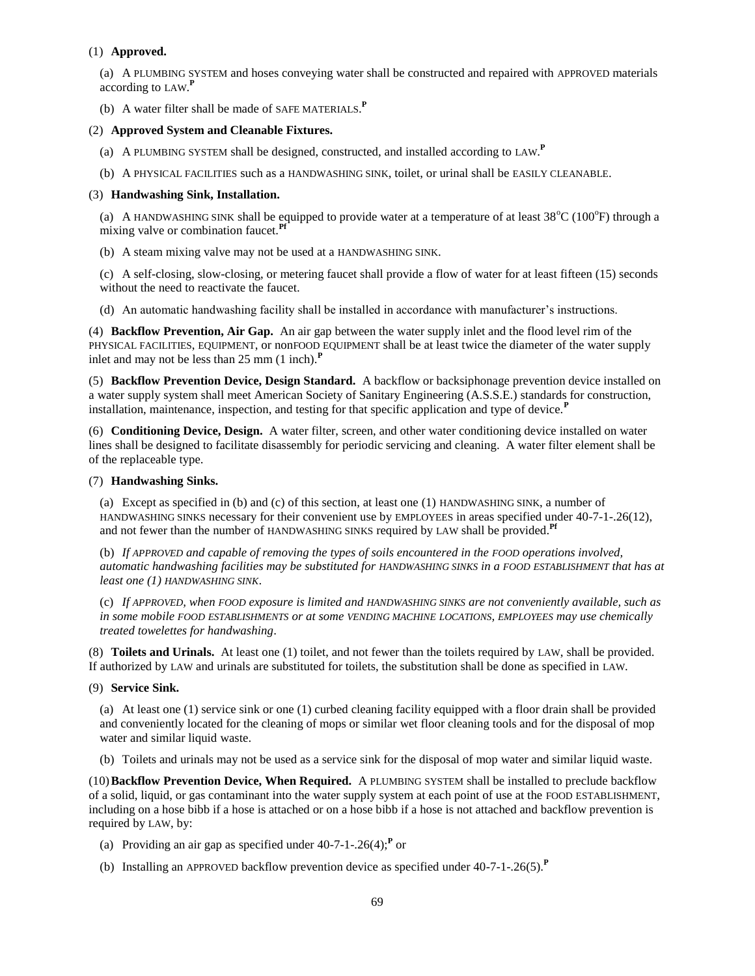# (1) **Approved.**

(a) A PLUMBING SYSTEM and hoses conveying water shall be constructed and repaired with APPROVED materials according to LAW. **P**

(b) A water filter shall be made of SAFE MATERIALS. **P**

## (2) **Approved System and Cleanable Fixtures.**

- (a) A PLUMBING SYSTEM shall be designed, constructed, and installed according to LAW. **P**
- (b) A PHYSICAL FACILITIES such as a HANDWASHING SINK, toilet, or urinal shall be EASILY CLEANABLE.

### (3) **Handwashing Sink, Installation.**

(a) A HANDWASHING SINK shall be equipped to provide water at a temperature of at least  $38^{\circ}C$  (100 $^{\circ}F$ ) through a mixing valve or combination faucet.<sup>Pf</sup>

(b) A steam mixing valve may not be used at a HANDWASHING SINK.

(c) A self-closing, slow-closing, or metering faucet shall provide a flow of water for at least fifteen (15) seconds without the need to reactivate the faucet.

(d) An automatic handwashing facility shall be installed in accordance with manufacturer's instructions.

(4) **Backflow Prevention, Air Gap.** An air gap between the water supply inlet and the flood level rim of the PHYSICAL FACILITIES, EQUIPMENT, or nonFOOD EQUIPMENT shall be at least twice the diameter of the water supply inlet and may not be less than 25 mm (1 inch).**<sup>P</sup>**

(5) **Backflow Prevention Device, Design Standard.** A backflow or backsiphonage prevention device installed on a water supply system shall meet American Society of Sanitary Engineering (A.S.S.E.) standards for construction, installation, maintenance, inspection, and testing for that specific application and type of device.<sup>P</sup>

(6) **Conditioning Device, Design.** A water filter, screen, and other water conditioning device installed on water lines shall be designed to facilitate disassembly for periodic servicing and cleaning. A water filter element shall be of the replaceable type.

### (7) **Handwashing Sinks.**

(a) Except as specified in (b) and (c) of this section, at least one (1) HANDWASHING SINK, a number of HANDWASHING SINKS necessary for their convenient use by EMPLOYEES in areas specified under 40-7-1-.26(12), and not fewer than the number of HANDWASHING SINKS required by LAW shall be provided.**Pf**

(b) *If APPROVED and capable of removing the types of soils encountered in the FOOD operations involved, automatic handwashing facilities may be substituted for HANDWASHING SINKS in a FOOD ESTABLISHMENT that has at least one (1) HANDWASHING SINK*.

(c) *If APPROVED, when FOOD exposure is limited and HANDWASHING SINKS are not conveniently available, such as in some mobile FOOD ESTABLISHMENTS or at some VENDING MACHINE LOCATIONS, EMPLOYEES may use chemically treated towelettes for handwashing*.

(8) **Toilets and Urinals.** At least one (1) toilet, and not fewer than the toilets required by LAW, shall be provided. If authorized by LAW and urinals are substituted for toilets, the substitution shall be done as specified in LAW.

## (9) **Service Sink.**

(a) At least one (1) service sink or one (1) curbed cleaning facility equipped with a floor drain shall be provided and conveniently located for the cleaning of mops or similar wet floor cleaning tools and for the disposal of mop water and similar liquid waste.

(b) Toilets and urinals may not be used as a service sink for the disposal of mop water and similar liquid waste.

(10)**Backflow Prevention Device, When Required.** A PLUMBING SYSTEM shall be installed to preclude backflow of a solid, liquid, or gas contaminant into the water supply system at each point of use at the FOOD ESTABLISHMENT, including on a hose bibb if a hose is attached or on a hose bibb if a hose is not attached and backflow prevention is required by LAW, by:

- (a) Providing an air gap as specified under  $40-7-1-0.26(4)$ ;<sup>P</sup> or
- (b) Installing an APPROVED backflow prevention device as specified under 40-7-1-.26(5).**<sup>P</sup>**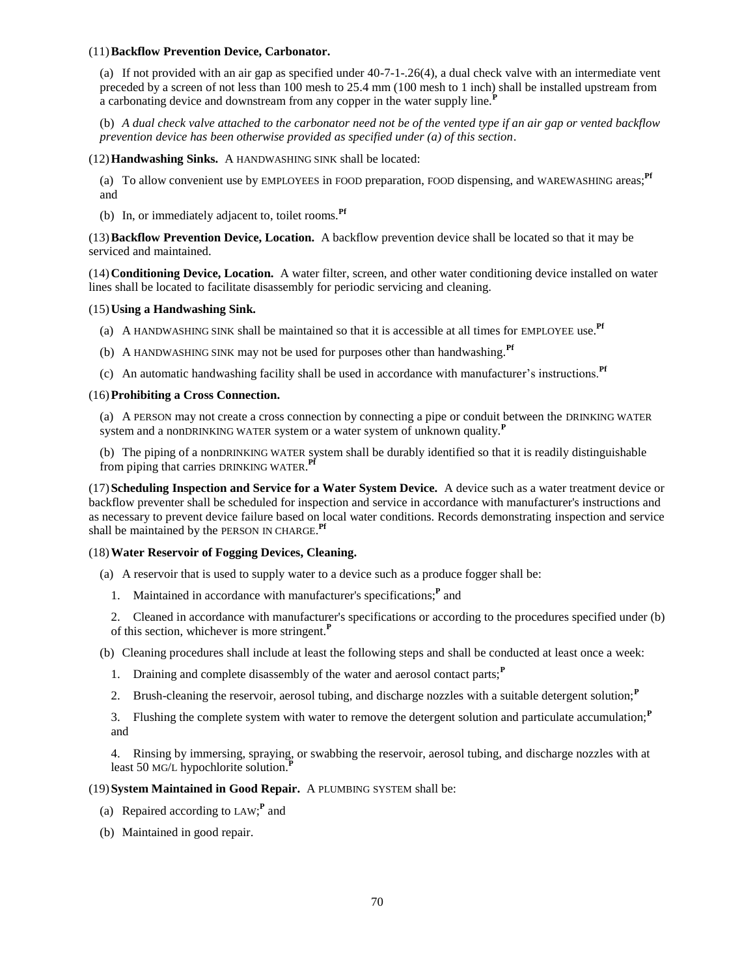### (11)**Backflow Prevention Device, Carbonator.**

(a) If not provided with an air gap as specified under 40-7-1-.26(4), a dual check valve with an intermediate vent preceded by a screen of not less than 100 mesh to 25.4 mm (100 mesh to 1 inch) shall be installed upstream from a carbonating device and downstream from any copper in the water supply line.**<sup>P</sup>**

(b) *A dual check valve attached to the carbonator need not be of the vented type if an air gap or vented backflow prevention device has been otherwise provided as specified under (a) of this section*.

(12)**Handwashing Sinks.** A HANDWASHING SINK shall be located:

(a) To allow convenient use by EMPLOYEES in FOOD preparation, FOOD dispensing, and WAREWASHING areas;**Pf** and

(b) In, or immediately adjacent to, toilet rooms.**Pf**

(13)**Backflow Prevention Device, Location.** A backflow prevention device shall be located so that it may be serviced and maintained.

(14)**Conditioning Device, Location.** A water filter, screen, and other water conditioning device installed on water lines shall be located to facilitate disassembly for periodic servicing and cleaning.

## (15)**Using a Handwashing Sink.**

- (a) A HANDWASHING SINK shall be maintained so that it is accessible at all times for EMPLOYEE use.**Pf**
- (b) A HANDWASHING SINK may not be used for purposes other than handwashing.**Pf**
- (c) An automatic handwashing facility shall be used in accordance with manufacturer's instructions.**Pf**

### (16)**Prohibiting a Cross Connection.**

(a) A PERSON may not create a cross connection by connecting a pipe or conduit between the DRINKING WATER system and a nonDRINKING WATER system or a water system of unknown quality.**<sup>P</sup>**

(b) The piping of a nonDRINKING WATER system shall be durably identified so that it is readily distinguishable from piping that carries DRINKING WATER. **Pf**

(17)**Scheduling Inspection and Service for a Water System Device.** A device such as a water treatment device or backflow preventer shall be scheduled for inspection and service in accordance with manufacturer's instructions and as necessary to prevent device failure based on local water conditions. Records demonstrating inspection and service shall be maintained by the PERSON IN CHARGE. **Pf**

### (18)**Water Reservoir of Fogging Devices, Cleaning.**

- (a) A reservoir that is used to supply water to a device such as a produce fogger shall be:
	- 1. Maintained in accordance with manufacturer's specifications;**<sup>P</sup>** and

2. Cleaned in accordance with manufacturer's specifications or according to the procedures specified under (b) of this section, whichever is more stringent.**<sup>P</sup>**

(b) Cleaning procedures shall include at least the following steps and shall be conducted at least once a week:

- 1. Draining and complete disassembly of the water and aerosol contact parts;**<sup>P</sup>**
- 2. Brush-cleaning the reservoir, aerosol tubing, and discharge nozzles with a suitable detergent solution;**<sup>P</sup>**

3. Flushing the complete system with water to remove the detergent solution and particulate accumulation;**<sup>P</sup>** and

4. Rinsing by immersing, spraying, or swabbing the reservoir, aerosol tubing, and discharge nozzles with at least 50 MG/L hypochlorite solution.<sup>1</sup>

### (19)**System Maintained in Good Repair.** A PLUMBING SYSTEM shall be:

- (a) Repaired according to LAW; **P** and
- (b) Maintained in good repair.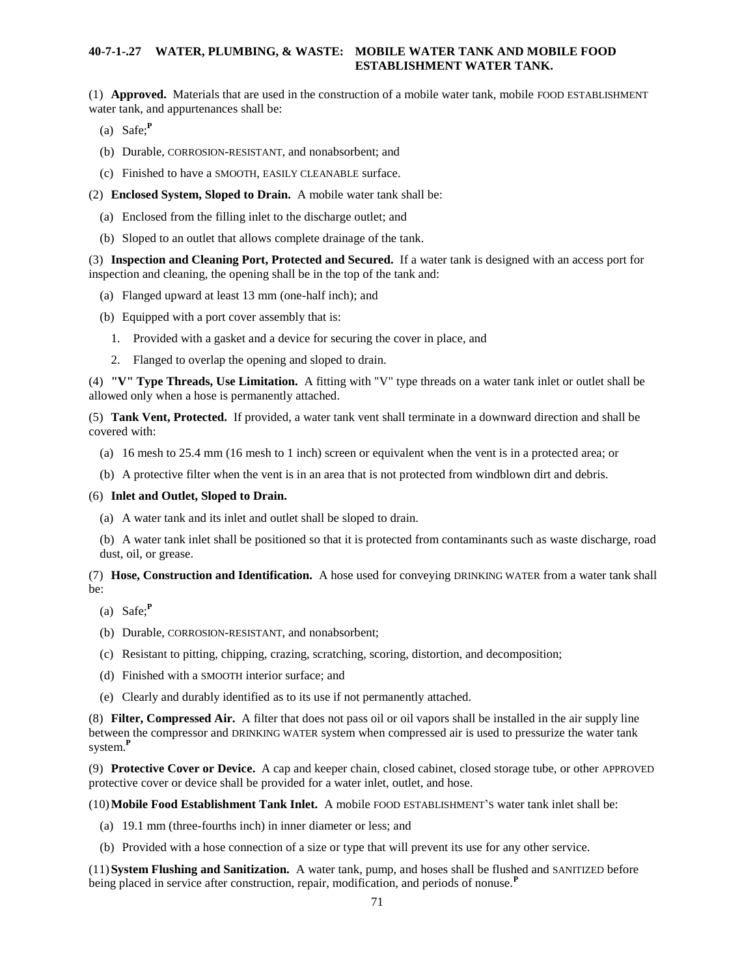# **40-7-1-.27 WATER, PLUMBING, & WASTE: MOBILE WATER TANK AND MOBILE FOOD ESTABLISHMENT WATER TANK.**

(1) **Approved.** Materials that are used in the construction of a mobile water tank, mobile FOOD ESTABLISHMENT water tank, and appurtenances shall be:

- (a) Safe;**<sup>P</sup>**
- (b) Durable, CORROSION-RESISTANT, and nonabsorbent; and
- (c) Finished to have a SMOOTH, EASILY CLEANABLE surface.

(2) **Enclosed System, Sloped to Drain.** A mobile water tank shall be:

- (a) Enclosed from the filling inlet to the discharge outlet; and
- (b) Sloped to an outlet that allows complete drainage of the tank.

(3) **Inspection and Cleaning Port, Protected and Secured.** If a water tank is designed with an access port for inspection and cleaning, the opening shall be in the top of the tank and:

- (a) Flanged upward at least 13 mm (one-half inch); and
- (b) Equipped with a port cover assembly that is:
	- 1. Provided with a gasket and a device for securing the cover in place, and
	- 2. Flanged to overlap the opening and sloped to drain.

(4) **"V" Type Threads, Use Limitation.** A fitting with "V" type threads on a water tank inlet or outlet shall be allowed only when a hose is permanently attached.

(5) **Tank Vent, Protected.** If provided, a water tank vent shall terminate in a downward direction and shall be covered with:

- (a) 16 mesh to 25.4 mm (16 mesh to 1 inch) screen or equivalent when the vent is in a protected area; or
- (b) A protective filter when the vent is in an area that is not protected from windblown dirt and debris.

## (6) **Inlet and Outlet, Sloped to Drain.**

- (a) A water tank and its inlet and outlet shall be sloped to drain.
- (b) A water tank inlet shall be positioned so that it is protected from contaminants such as waste discharge, road dust, oil, or grease.

# (7) **Hose, Construction and Identification.** A hose used for conveying DRINKING WATER from a water tank shall be:

- (a) Safe;**<sup>P</sup>**
- (b) Durable, CORROSION-RESISTANT, and nonabsorbent;
- (c) Resistant to pitting, chipping, crazing, scratching, scoring, distortion, and decomposition;
- (d) Finished with a SMOOTH interior surface; and
- (e) Clearly and durably identified as to its use if not permanently attached.

(8) **Filter, Compressed Air.** A filter that does not pass oil or oil vapors shall be installed in the air supply line between the compressor and DRINKING WATER system when compressed air is used to pressurize the water tank system.**<sup>P</sup>**

(9) **Protective Cover or Device.** A cap and keeper chain, closed cabinet, closed storage tube, or other APPROVED protective cover or device shall be provided for a water inlet, outlet, and hose.

(10)**Mobile Food Establishment Tank Inlet.** A mobile FOOD ESTABLISHMENT'S water tank inlet shall be:

- (a) 19.1 mm (three-fourths inch) in inner diameter or less; and
- (b) Provided with a hose connection of a size or type that will prevent its use for any other service.

(11)**System Flushing and Sanitization.** A water tank, pump, and hoses shall be flushed and SANITIZED before being placed in service after construction, repair, modification, and periods of nonuse.<sup>P</sup>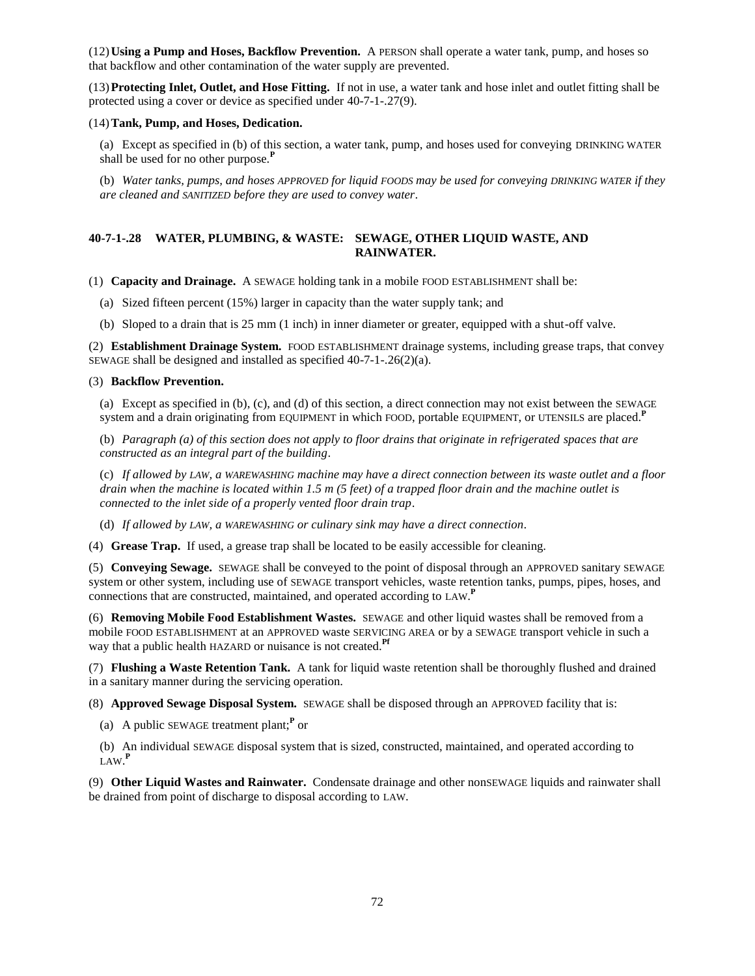(12)**Using a Pump and Hoses, Backflow Prevention.** A PERSON shall operate a water tank, pump, and hoses so that backflow and other contamination of the water supply are prevented.

(13)**Protecting Inlet, Outlet, and Hose Fitting.** If not in use, a water tank and hose inlet and outlet fitting shall be protected using a cover or device as specified under 40-7-1-.27(9).

## (14)**Tank, Pump, and Hoses, Dedication.**

(a) Except as specified in (b) of this section, a water tank, pump, and hoses used for conveying DRINKING WATER shall be used for no other purpose.**<sup>P</sup>**

(b) *Water tanks, pumps, and hoses APPROVED for liquid FOODS may be used for conveying DRINKING WATER if they are cleaned and SANITIZED before they are used to convey water*.

# **40-7-1-.28 WATER, PLUMBING, & WASTE: SEWAGE, OTHER LIQUID WASTE, AND RAINWATER.**

(1) **Capacity and Drainage.** A SEWAGE holding tank in a mobile FOOD ESTABLISHMENT shall be:

- (a) Sized fifteen percent (15%) larger in capacity than the water supply tank; and
- (b) Sloped to a drain that is 25 mm (1 inch) in inner diameter or greater, equipped with a shut-off valve.

(2) **Establishment Drainage System.** FOOD ESTABLISHMENT drainage systems, including grease traps, that convey SEWAGE shall be designed and installed as specified 40-7-1-.26(2)(a).

## (3) **Backflow Prevention.**

(a) Except as specified in (b), (c), and (d) of this section, a direct connection may not exist between the SEWAGE system and a drain originating from EQUIPMENT in which FOOD, portable EQUIPMENT, or UTENSILS are placed.**<sup>P</sup>**

(b) *Paragraph (a) of this section does not apply to floor drains that originate in refrigerated spaces that are constructed as an integral part of the building*.

(c) *If allowed by LAW, a WAREWASHING machine may have a direct connection between its waste outlet and a floor drain when the machine is located within 1.5 m (5 feet) of a trapped floor drain and the machine outlet is connected to the inlet side of a properly vented floor drain trap*.

(d) *If allowed by LAW, a WAREWASHING or culinary sink may have a direct connection*.

(4) **Grease Trap.** If used, a grease trap shall be located to be easily accessible for cleaning.

(5) **Conveying Sewage.** SEWAGE shall be conveyed to the point of disposal through an APPROVED sanitary SEWAGE system or other system, including use of SEWAGE transport vehicles, waste retention tanks, pumps, pipes, hoses, and connections that are constructed, maintained, and operated according to LAW.<sup>P</sup>

(6) **Removing Mobile Food Establishment Wastes.** SEWAGE and other liquid wastes shall be removed from a mobile FOOD ESTABLISHMENT at an APPROVED waste SERVICING AREA or by a SEWAGE transport vehicle in such a way that a public health HAZARD or nuisance is not created.**Pf**

(7) **Flushing a Waste Retention Tank.** A tank for liquid waste retention shall be thoroughly flushed and drained in a sanitary manner during the servicing operation.

(8) **Approved Sewage Disposal System.** SEWAGE shall be disposed through an APPROVED facility that is:

(a) A public SEWAGE treatment plant;**<sup>P</sup>** or

(b) An individual SEWAGE disposal system that is sized, constructed, maintained, and operated according to LAW. **P**

(9) **Other Liquid Wastes and Rainwater.** Condensate drainage and other nonSEWAGE liquids and rainwater shall be drained from point of discharge to disposal according to LAW.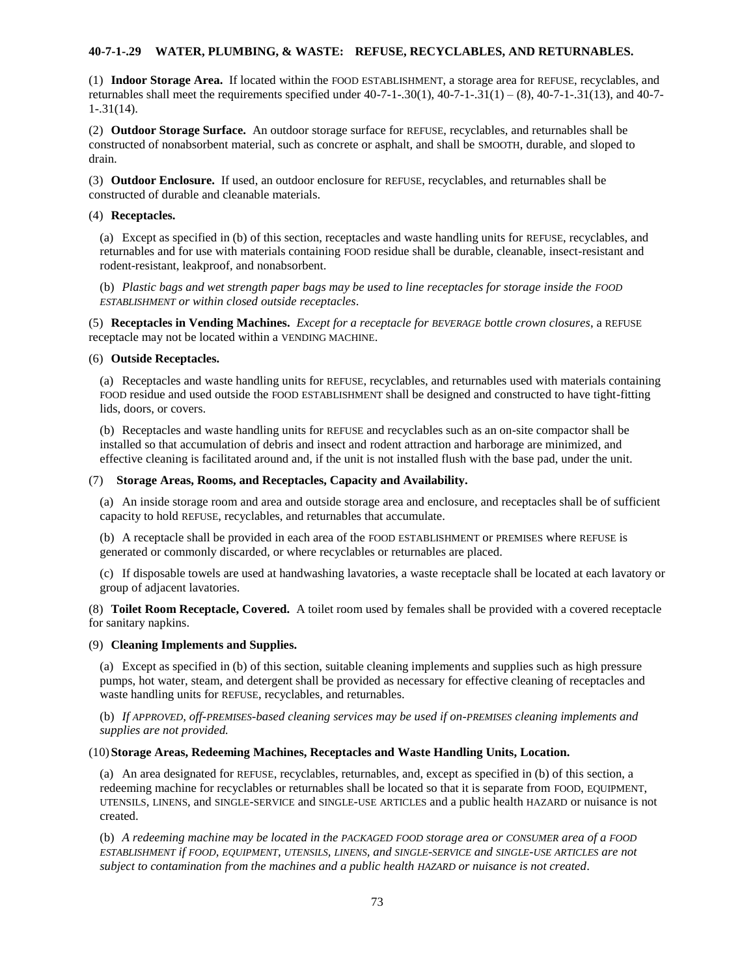## **40-7-1-.29 WATER, PLUMBING, & WASTE: REFUSE, RECYCLABLES, AND RETURNABLES.**

(1) **Indoor Storage Area.** If located within the FOOD ESTABLISHMENT, a storage area for REFUSE, recyclables, and returnables shall meet the requirements specified under  $40-7-1-0.30(1)$ ,  $40-7-1-0.31(1) - (8)$ ,  $40-7-1-0.31(13)$ , and  $40-7-1-0.31(13)$ 1-.31(14).

(2) **Outdoor Storage Surface.** An outdoor storage surface for REFUSE, recyclables, and returnables shall be constructed of nonabsorbent material, such as concrete or asphalt, and shall be SMOOTH, durable, and sloped to drain.

(3) **Outdoor Enclosure.** If used, an outdoor enclosure for REFUSE, recyclables, and returnables shall be constructed of durable and cleanable materials.

### (4) **Receptacles.**

(a) Except as specified in (b) of this section, receptacles and waste handling units for REFUSE, recyclables, and returnables and for use with materials containing FOOD residue shall be durable, cleanable, insect-resistant and rodent-resistant, leakproof, and nonabsorbent.

(b) *Plastic bags and wet strength paper bags may be used to line receptacles for storage inside the FOOD ESTABLISHMENT or within closed outside receptacles*.

(5) **Receptacles in Vending Machines.** *Except for a receptacle for BEVERAGE bottle crown closures*, a REFUSE receptacle may not be located within a VENDING MACHINE.

#### (6) **Outside Receptacles.**

(a) Receptacles and waste handling units for REFUSE, recyclables, and returnables used with materials containing FOOD residue and used outside the FOOD ESTABLISHMENT shall be designed and constructed to have tight-fitting lids, doors, or covers.

(b) Receptacles and waste handling units for REFUSE and recyclables such as an on-site compactor shall be installed so that accumulation of debris and insect and rodent attraction and harborage are minimized, and effective cleaning is facilitated around and, if the unit is not installed flush with the base pad, under the unit.

#### (7) **Storage Areas, Rooms, and Receptacles, Capacity and Availability.**

(a) An inside storage room and area and outside storage area and enclosure, and receptacles shall be of sufficient capacity to hold REFUSE, recyclables, and returnables that accumulate.

(b) A receptacle shall be provided in each area of the FOOD ESTABLISHMENT or PREMISES where REFUSE is generated or commonly discarded, or where recyclables or returnables are placed.

(c) If disposable towels are used at handwashing lavatories, a waste receptacle shall be located at each lavatory or group of adjacent lavatories.

(8) **Toilet Room Receptacle, Covered.** A toilet room used by females shall be provided with a covered receptacle for sanitary napkins.

### (9) **Cleaning Implements and Supplies.**

(a) Except as specified in (b) of this section, suitable cleaning implements and supplies such as high pressure pumps, hot water, steam, and detergent shall be provided as necessary for effective cleaning of receptacles and waste handling units for REFUSE, recyclables, and returnables.

(b) *If APPROVED, off-PREMISES-based cleaning services may be used if on-PREMISES cleaning implements and supplies are not provided.*

### (10)**Storage Areas, Redeeming Machines, Receptacles and Waste Handling Units, Location.**

(a) An area designated for REFUSE, recyclables, returnables, and, except as specified in (b) of this section, a redeeming machine for recyclables or returnables shall be located so that it is separate from FOOD, EQUIPMENT, UTENSILS, LINENS, and SINGLE-SERVICE and SINGLE-USE ARTICLES and a public health HAZARD or nuisance is not created.

(b) *A redeeming machine may be located in the PACKAGED FOOD storage area or CONSUMER area of a FOOD* ESTABLISHMENT if FOOD, EQUIPMENT, UTENSILS, LINENS, and SINGLE-SERVICE and SINGLE-USE ARTICLES are not *subject to contamination from the machines and a public health HAZARD or nuisance is not created*.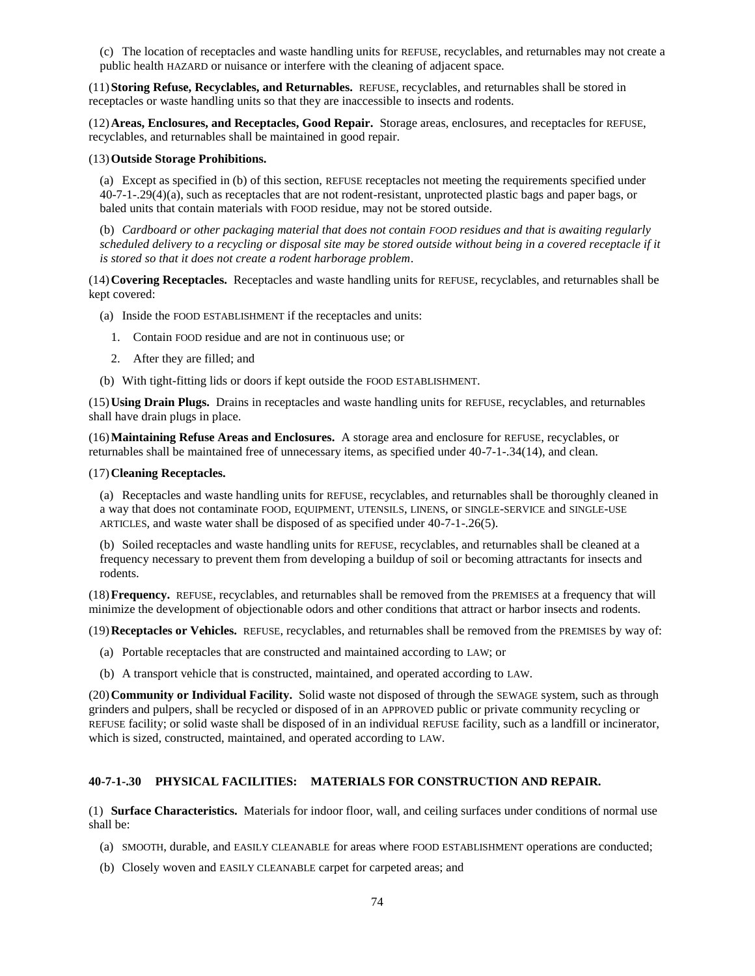(c) The location of receptacles and waste handling units for REFUSE, recyclables, and returnables may not create a public health HAZARD or nuisance or interfere with the cleaning of adjacent space.

(11)**Storing Refuse, Recyclables, and Returnables.** REFUSE, recyclables, and returnables shall be stored in receptacles or waste handling units so that they are inaccessible to insects and rodents.

(12)**Areas, Enclosures, and Receptacles, Good Repair.** Storage areas, enclosures, and receptacles for REFUSE, recyclables, and returnables shall be maintained in good repair.

#### (13)**Outside Storage Prohibitions.**

(a) Except as specified in (b) of this section, REFUSE receptacles not meeting the requirements specified under 40-7-1-.29(4)(a), such as receptacles that are not rodent-resistant, unprotected plastic bags and paper bags, or baled units that contain materials with FOOD residue, may not be stored outside.

(b) *Cardboard or other packaging material that does not contain FOOD residues and that is awaiting regularly scheduled delivery to a recycling or disposal site may be stored outside without being in a covered receptacle if it is stored so that it does not create a rodent harborage problem*.

(14)**Covering Receptacles.** Receptacles and waste handling units for REFUSE, recyclables, and returnables shall be kept covered:

- (a) Inside the FOOD ESTABLISHMENT if the receptacles and units:
	- 1. Contain FOOD residue and are not in continuous use; or
	- 2. After they are filled; and
- (b) With tight-fitting lids or doors if kept outside the FOOD ESTABLISHMENT.

(15)**Using Drain Plugs.** Drains in receptacles and waste handling units for REFUSE, recyclables, and returnables shall have drain plugs in place.

(16)**Maintaining Refuse Areas and Enclosures.** A storage area and enclosure for REFUSE, recyclables, or returnables shall be maintained free of unnecessary items, as specified under 40-7-1-.34(14), and clean.

#### (17)**Cleaning Receptacles.**

(a) Receptacles and waste handling units for REFUSE, recyclables, and returnables shall be thoroughly cleaned in a way that does not contaminate FOOD, EQUIPMENT, UTENSILS, LINENS, or SINGLE-SERVICE and SINGLE-USE ARTICLES, and waste water shall be disposed of as specified under 40-7-1-.26(5).

(b) Soiled receptacles and waste handling units for REFUSE, recyclables, and returnables shall be cleaned at a frequency necessary to prevent them from developing a buildup of soil or becoming attractants for insects and rodents.

(18)**Frequency.** REFUSE, recyclables, and returnables shall be removed from the PREMISES at a frequency that will minimize the development of objectionable odors and other conditions that attract or harbor insects and rodents.

(19)**Receptacles or Vehicles.** REFUSE, recyclables, and returnables shall be removed from the PREMISES by way of:

- (a) Portable receptacles that are constructed and maintained according to LAW; or
- (b) A transport vehicle that is constructed, maintained, and operated according to LAW.

(20)**Community or Individual Facility.** Solid waste not disposed of through the SEWAGE system, such as through grinders and pulpers, shall be recycled or disposed of in an APPROVED public or private community recycling or REFUSE facility; or solid waste shall be disposed of in an individual REFUSE facility, such as a landfill or incinerator, which is sized, constructed, maintained, and operated according to LAW.

## **40-7-1-.30 PHYSICAL FACILITIES: MATERIALS FOR CONSTRUCTION AND REPAIR.**

(1) **Surface Characteristics.** Materials for indoor floor, wall, and ceiling surfaces under conditions of normal use shall be:

- (a) SMOOTH, durable, and EASILY CLEANABLE for areas where FOOD ESTABLISHMENT operations are conducted;
- (b) Closely woven and EASILY CLEANABLE carpet for carpeted areas; and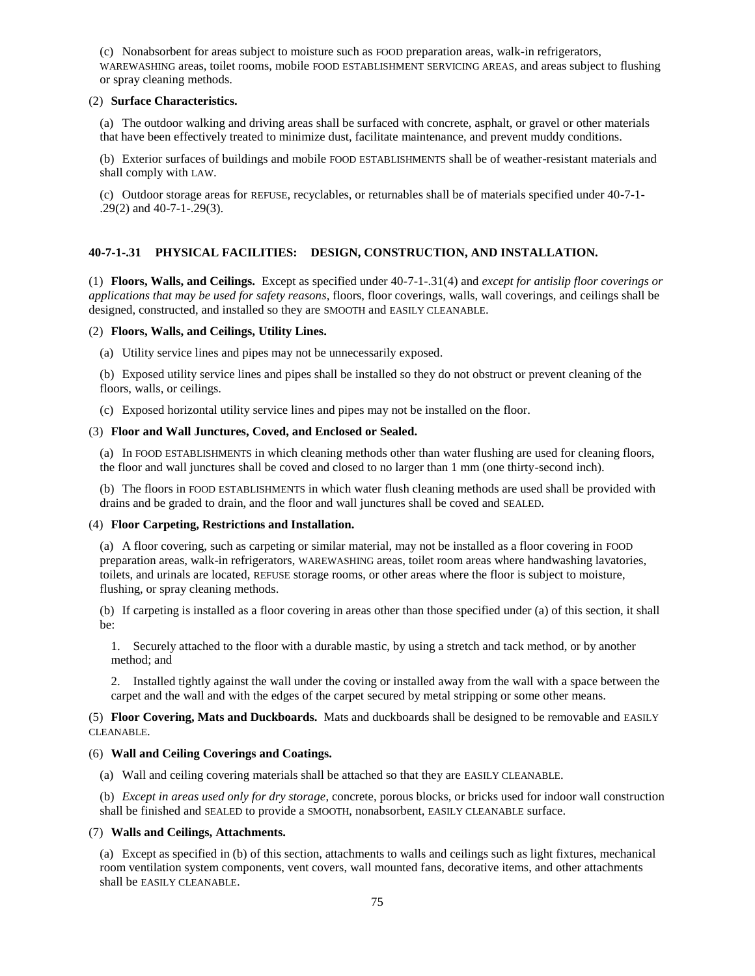(c) Nonabsorbent for areas subject to moisture such as FOOD preparation areas, walk-in refrigerators, WAREWASHING areas, toilet rooms, mobile FOOD ESTABLISHMENT SERVICING AREAS, and areas subject to flushing or spray cleaning methods.

### (2) **Surface Characteristics.**

(a) The outdoor walking and driving areas shall be surfaced with concrete, asphalt, or gravel or other materials that have been effectively treated to minimize dust, facilitate maintenance, and prevent muddy conditions.

(b) Exterior surfaces of buildings and mobile FOOD ESTABLISHMENTS shall be of weather-resistant materials and shall comply with LAW.

(c) Outdoor storage areas for REFUSE, recyclables, or returnables shall be of materials specified under 40-7-1- .29(2) and 40-7-1-.29(3).

# **40-7-1-.31 PHYSICAL FACILITIES: DESIGN, CONSTRUCTION, AND INSTALLATION.**

(1) **Floors, Walls, and Ceilings.** Except as specified under 40-7-1-.31(4) and *except for antislip floor coverings or applications that may be used for safety reasons*, floors, floor coverings, walls, wall coverings, and ceilings shall be designed, constructed, and installed so they are SMOOTH and EASILY CLEANABLE.

## (2) **Floors, Walls, and Ceilings, Utility Lines.**

(a) Utility service lines and pipes may not be unnecessarily exposed.

(b) Exposed utility service lines and pipes shall be installed so they do not obstruct or prevent cleaning of the floors, walls, or ceilings.

(c) Exposed horizontal utility service lines and pipes may not be installed on the floor.

## (3) **Floor and Wall Junctures, Coved, and Enclosed or Sealed.**

(a) In FOOD ESTABLISHMENTS in which cleaning methods other than water flushing are used for cleaning floors, the floor and wall junctures shall be coved and closed to no larger than 1 mm (one thirty-second inch).

(b) The floors in FOOD ESTABLISHMENTS in which water flush cleaning methods are used shall be provided with drains and be graded to drain, and the floor and wall junctures shall be coved and SEALED.

## (4) **Floor Carpeting, Restrictions and Installation.**

(a) A floor covering, such as carpeting or similar material, may not be installed as a floor covering in FOOD preparation areas, walk-in refrigerators, WAREWASHING areas, toilet room areas where handwashing lavatories, toilets, and urinals are located, REFUSE storage rooms, or other areas where the floor is subject to moisture, flushing, or spray cleaning methods.

(b) If carpeting is installed as a floor covering in areas other than those specified under (a) of this section, it shall be:

1. Securely attached to the floor with a durable mastic, by using a stretch and tack method, or by another method; and

2. Installed tightly against the wall under the coving or installed away from the wall with a space between the carpet and the wall and with the edges of the carpet secured by metal stripping or some other means.

## (5) **Floor Covering, Mats and Duckboards.** Mats and duckboards shall be designed to be removable and EASILY CLEANABLE.

## (6) **Wall and Ceiling Coverings and Coatings.**

(a) Wall and ceiling covering materials shall be attached so that they are EASILY CLEANABLE.

(b) *Except in areas used only for dry storage*, concrete, porous blocks, or bricks used for indoor wall construction shall be finished and SEALED to provide a SMOOTH, nonabsorbent, EASILY CLEANABLE surface.

### (7) **Walls and Ceilings, Attachments.**

(a) Except as specified in (b) of this section, attachments to walls and ceilings such as light fixtures, mechanical room ventilation system components, vent covers, wall mounted fans, decorative items, and other attachments shall be EASILY CLEANABLE.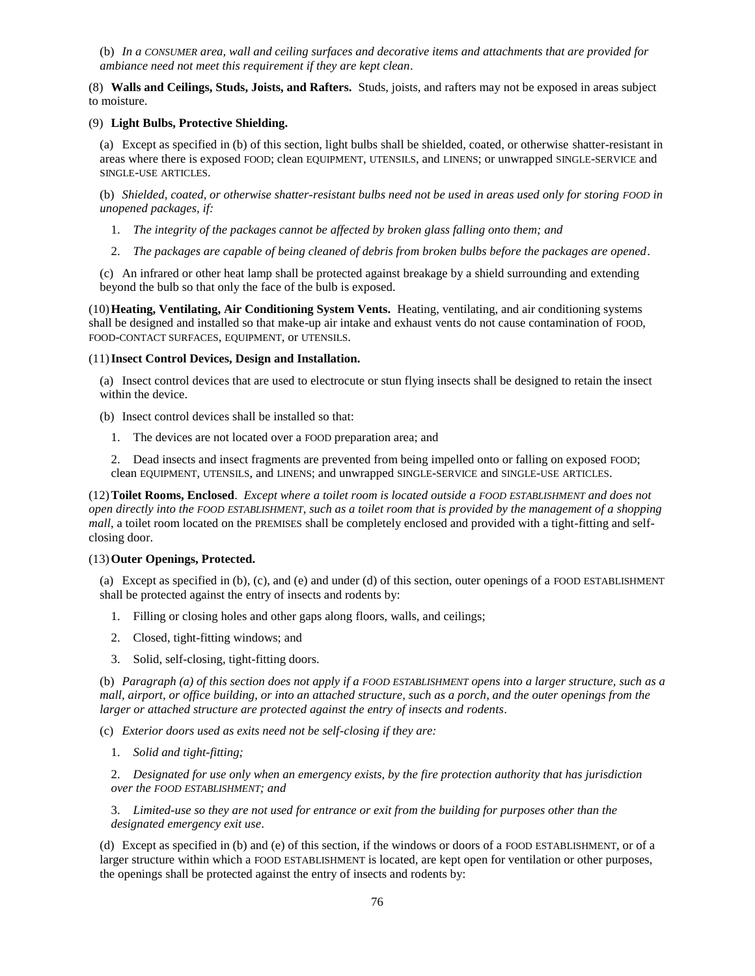(b) *In a CONSUMER area, wall and ceiling surfaces and decorative items and attachments that are provided for ambiance need not meet this requirement if they are kept clean*.

(8) **Walls and Ceilings, Studs, Joists, and Rafters.** Studs, joists, and rafters may not be exposed in areas subject to moisture.

### (9) **Light Bulbs, Protective Shielding.**

(a) Except as specified in (b) of this section, light bulbs shall be shielded, coated, or otherwise shatter-resistant in areas where there is exposed FOOD; clean EQUIPMENT, UTENSILS, and LINENS; or unwrapped SINGLE-SERVICE and SINGLE-USE ARTICLES.

(b) *Shielded, coated, or otherwise shatter-resistant bulbs need not be used in areas used only for storing FOOD in unopened packages, if:*

- 1. *The integrity of the packages cannot be affected by broken glass falling onto them; and*
- 2. *The packages are capable of being cleaned of debris from broken bulbs before the packages are opened*.

(c) An infrared or other heat lamp shall be protected against breakage by a shield surrounding and extending beyond the bulb so that only the face of the bulb is exposed.

(10)**Heating, Ventilating, Air Conditioning System Vents.** Heating, ventilating, and air conditioning systems shall be designed and installed so that make-up air intake and exhaust vents do not cause contamination of FOOD, FOOD-CONTACT SURFACES, EQUIPMENT, or UTENSILS.

### (11)**Insect Control Devices, Design and Installation.**

(a) Insect control devices that are used to electrocute or stun flying insects shall be designed to retain the insect within the device.

- (b) Insect control devices shall be installed so that:
	- 1. The devices are not located over a FOOD preparation area; and

2. Dead insects and insect fragments are prevented from being impelled onto or falling on exposed FOOD; clean EQUIPMENT, UTENSILS, and LINENS; and unwrapped SINGLE-SERVICE and SINGLE-USE ARTICLES.

(12)**Toilet Rooms, Enclosed**. *Except where a toilet room is located outside a FOOD ESTABLISHMENT and does not open directly into the FOOD ESTABLISHMENT, such as a toilet room that is provided by the management of a shopping mall*, a toilet room located on the PREMISES shall be completely enclosed and provided with a tight-fitting and selfclosing door.

### (13)**Outer Openings, Protected.**

(a) Except as specified in (b), (c), and (e) and under (d) of this section, outer openings of a FOOD ESTABLISHMENT shall be protected against the entry of insects and rodents by:

- 1. Filling or closing holes and other gaps along floors, walls, and ceilings;
- 2. Closed, tight-fitting windows; and
- 3. Solid, self-closing, tight-fitting doors.

(b) *Paragraph (a) of this section does not apply if a FOOD ESTABLISHMENT opens into a larger structure, such as a mall, airport, or office building, or into an attached structure, such as a porch, and the outer openings from the larger or attached structure are protected against the entry of insects and rodents*.

(c) *Exterior doors used as exits need not be self-closing if they are:*

1. *Solid and tight-fitting;*

2. *Designated for use only when an emergency exists, by the fire protection authority that has jurisdiction over the FOOD ESTABLISHMENT; and*

3. *Limited-use so they are not used for entrance or exit from the building for purposes other than the designated emergency exit use*.

(d) Except as specified in (b) and (e) of this section, if the windows or doors of a FOOD ESTABLISHMENT, or of a larger structure within which a FOOD ESTABLISHMENT is located, are kept open for ventilation or other purposes, the openings shall be protected against the entry of insects and rodents by: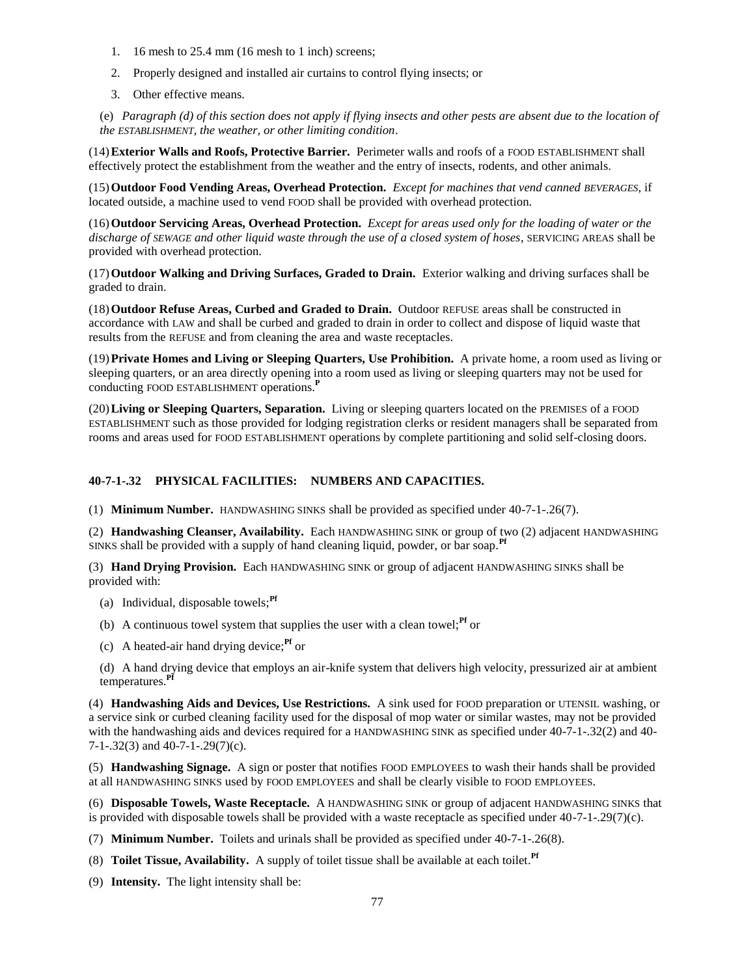- 1. 16 mesh to 25.4 mm (16 mesh to 1 inch) screens;
- 2. Properly designed and installed air curtains to control flying insects; or
- 3. Other effective means.

(e) *Paragraph (d) of this section does not apply if flying insects and other pests are absent due to the location of the ESTABLISHMENT, the weather, or other limiting condition*.

(14)**Exterior Walls and Roofs, Protective Barrier.** Perimeter walls and roofs of a FOOD ESTABLISHMENT shall effectively protect the establishment from the weather and the entry of insects, rodents, and other animals.

(15)**Outdoor Food Vending Areas, Overhead Protection.** *Except for machines that vend canned BEVERAGES*, if located outside, a machine used to vend FOOD shall be provided with overhead protection.

(16)**Outdoor Servicing Areas, Overhead Protection.** *Except for areas used only for the loading of water or the discharge of SEWAGE and other liquid waste through the use of a closed system of hoses*, SERVICING AREAS shall be provided with overhead protection.

(17)**Outdoor Walking and Driving Surfaces, Graded to Drain.** Exterior walking and driving surfaces shall be graded to drain.

(18)**Outdoor Refuse Areas, Curbed and Graded to Drain.** Outdoor REFUSE areas shall be constructed in accordance with LAW and shall be curbed and graded to drain in order to collect and dispose of liquid waste that results from the REFUSE and from cleaning the area and waste receptacles.

(19)**Private Homes and Living or Sleeping Quarters, Use Prohibition.** A private home, a room used as living or sleeping quarters, or an area directly opening into a room used as living or sleeping quarters may not be used for conducting FOOD ESTABLISHMENT operations.**<sup>P</sup>**

(20)**Living or Sleeping Quarters, Separation.** Living or sleeping quarters located on the PREMISES of a FOOD ESTABLISHMENT such as those provided for lodging registration clerks or resident managers shall be separated from rooms and areas used for FOOD ESTABLISHMENT operations by complete partitioning and solid self-closing doors.

# **40-7-1-.32 PHYSICAL FACILITIES: NUMBERS AND CAPACITIES.**

(1) **Minimum Number.** HANDWASHING SINKS shall be provided as specified under 40-7-1-.26(7).

(2) **Handwashing Cleanser, Availability.** Each HANDWASHING SINK or group of two (2) adjacent HANDWASHING SINKS shall be provided with a supply of hand cleaning liquid, powder, or bar soap.**Pf**

(3) **Hand Drying Provision.** Each HANDWASHING SINK or group of adjacent HANDWASHING SINKS shall be provided with:

- (a) Individual, disposable towels;**Pf**
- (b) A continuous towel system that supplies the user with a clean towel;<sup> $\mathbf{P}^f$ </sup> or
- (c) A heated-air hand drying device;**Pf** or

(d) A hand drying device that employs an air-knife system that delivers high velocity, pressurized air at ambient temperatures.**Pf**

(4) **Handwashing Aids and Devices, Use Restrictions.** A sink used for FOOD preparation or UTENSIL washing, or a service sink or curbed cleaning facility used for the disposal of mop water or similar wastes, may not be provided with the handwashing aids and devices required for a HANDWASHING SINK as specified under 40-7-1-.32(2) and 40-7-1-.32(3) and 40-7-1-.29(7)(c).

(5) **Handwashing Signage.** A sign or poster that notifies FOOD EMPLOYEES to wash their hands shall be provided at all HANDWASHING SINKS used by FOOD EMPLOYEES and shall be clearly visible to FOOD EMPLOYEES.

(6) **Disposable Towels, Waste Receptacle.** A HANDWASHING SINK or group of adjacent HANDWASHING SINKS that is provided with disposable towels shall be provided with a waste receptacle as specified under 40-7-1-.29(7)(c).

(7) **Minimum Number.** Toilets and urinals shall be provided as specified under 40-7-1-.26(8).

(8) **Toilet Tissue, Availability.** A supply of toilet tissue shall be available at each toilet. **Pf**

(9) **Intensity.** The light intensity shall be: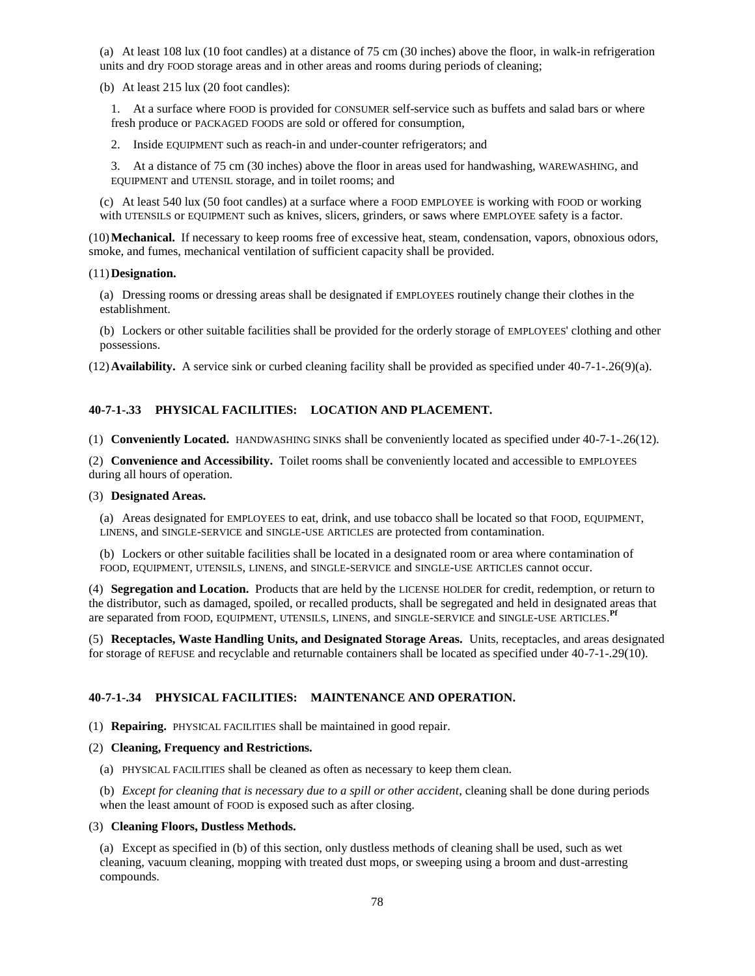(a) At least 108 lux (10 foot candles) at a distance of 75 cm (30 inches) above the floor, in walk-in refrigeration units and dry FOOD storage areas and in other areas and rooms during periods of cleaning;

(b) At least 215 lux (20 foot candles):

1. At a surface where FOOD is provided for CONSUMER self-service such as buffets and salad bars or where fresh produce or PACKAGED FOODS are sold or offered for consumption,

2. Inside EQUIPMENT such as reach-in and under-counter refrigerators; and

3. At a distance of 75 cm (30 inches) above the floor in areas used for handwashing, WAREWASHING, and EQUIPMENT and UTENSIL storage, and in toilet rooms; and

(c) At least 540 lux (50 foot candles) at a surface where a FOOD EMPLOYEE is working with FOOD or working with UTENSILS or EQUIPMENT such as knives, slicers, grinders, or saws where EMPLOYEE safety is a factor.

(10)**Mechanical.** If necessary to keep rooms free of excessive heat, steam, condensation, vapors, obnoxious odors, smoke, and fumes, mechanical ventilation of sufficient capacity shall be provided.

#### (11)**Designation.**

(a) Dressing rooms or dressing areas shall be designated if EMPLOYEES routinely change their clothes in the establishment.

(b) Lockers or other suitable facilities shall be provided for the orderly storage of EMPLOYEES' clothing and other possessions.

(12)**Availability.** A service sink or curbed cleaning facility shall be provided as specified under 40-7-1-.26(9)(a).

## **40-7-1-.33 PHYSICAL FACILITIES: LOCATION AND PLACEMENT.**

(1) **Conveniently Located.** HANDWASHING SINKS shall be conveniently located as specified under 40-7-1-.26(12).

(2) **Convenience and Accessibility.** Toilet rooms shall be conveniently located and accessible to EMPLOYEES during all hours of operation.

#### (3) **Designated Areas.**

(a) Areas designated for EMPLOYEES to eat, drink, and use tobacco shall be located so that FOOD, EQUIPMENT, LINENS, and SINGLE-SERVICE and SINGLE-USE ARTICLES are protected from contamination.

(b) Lockers or other suitable facilities shall be located in a designated room or area where contamination of FOOD, EQUIPMENT, UTENSILS, LINENS, and SINGLE-SERVICE and SINGLE-USE ARTICLES cannot occur.

(4) **Segregation and Location.** Products that are held by the LICENSE HOLDER for credit, redemption, or return to the distributor, such as damaged, spoiled, or recalled products, shall be segregated and held in designated areas that are separated from FOOD, EQUIPMENT, UTENSILS, LINENS, and SINGLE-SERVICE and SINGLE-USE ARTICLES. **Pf**

(5) **Receptacles, Waste Handling Units, and Designated Storage Areas.** Units, receptacles, and areas designated for storage of REFUSE and recyclable and returnable containers shall be located as specified under 40-7-1-.29(10).

### **40-7-1-.34 PHYSICAL FACILITIES: MAINTENANCE AND OPERATION.**

(1) **Repairing.** PHYSICAL FACILITIES shall be maintained in good repair.

### (2) **Cleaning, Frequency and Restrictions.**

(a) PHYSICAL FACILITIES shall be cleaned as often as necessary to keep them clean.

(b) *Except for cleaning that is necessary due to a spill or other accident*, cleaning shall be done during periods when the least amount of FOOD is exposed such as after closing.

### (3) **Cleaning Floors, Dustless Methods.**

(a) Except as specified in (b) of this section, only dustless methods of cleaning shall be used, such as wet cleaning, vacuum cleaning, mopping with treated dust mops, or sweeping using a broom and dust-arresting compounds.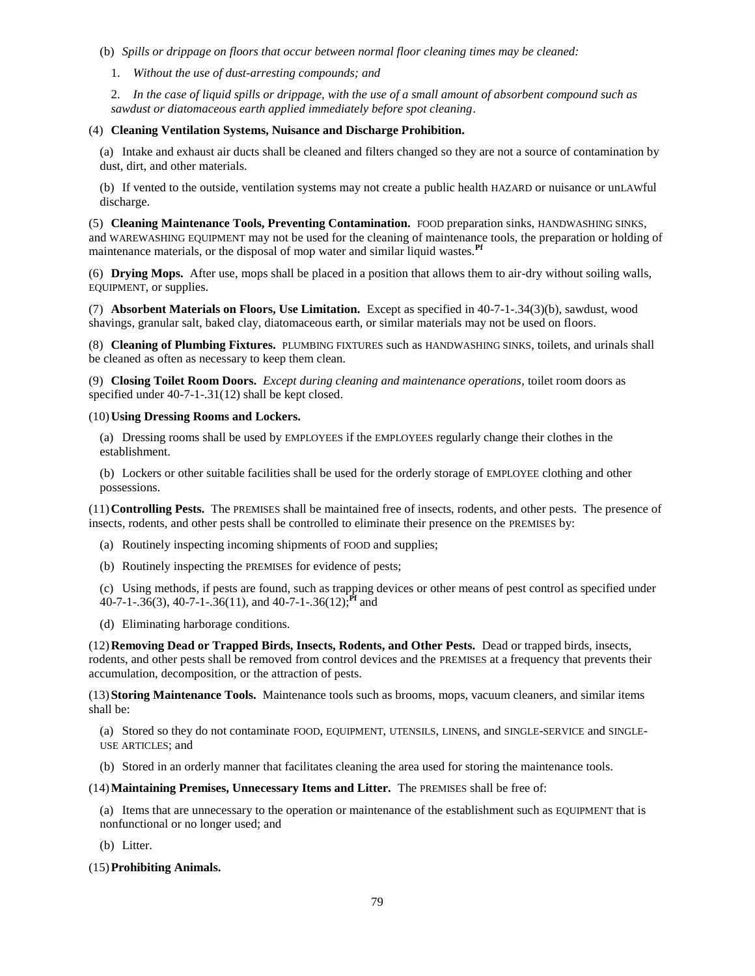- (b) *Spills or drippage on floors that occur between normal floor cleaning times may be cleaned:*
	- 1. *Without the use of dust-arresting compounds; and*

2. *In the case of liquid spills or drippage, with the use of a small amount of absorbent compound such as sawdust or diatomaceous earth applied immediately before spot cleaning*.

## (4) **Cleaning Ventilation Systems, Nuisance and Discharge Prohibition.**

(a) Intake and exhaust air ducts shall be cleaned and filters changed so they are not a source of contamination by dust, dirt, and other materials.

(b) If vented to the outside, ventilation systems may not create a public health HAZARD or nuisance or unLAWful discharge.

(5) **Cleaning Maintenance Tools, Preventing Contamination.** FOOD preparation sinks, HANDWASHING SINKS, and WAREWASHING EQUIPMENT may not be used for the cleaning of maintenance tools, the preparation or holding of maintenance materials, or the disposal of mop water and similar liquid wastes.**Pf**

(6) **Drying Mops.** After use, mops shall be placed in a position that allows them to air-dry without soiling walls, EQUIPMENT, or supplies.

(7) **Absorbent Materials on Floors, Use Limitation.** Except as specified in 40-7-1-.34(3)(b), sawdust, wood shavings, granular salt, baked clay, diatomaceous earth, or similar materials may not be used on floors.

(8) **Cleaning of Plumbing Fixtures.** PLUMBING FIXTURES such as HANDWASHING SINKS, toilets, and urinals shall be cleaned as often as necessary to keep them clean.

(9) **Closing Toilet Room Doors.** *Except during cleaning and maintenance operations*, toilet room doors as specified under 40-7-1-.31(12) shall be kept closed.

## (10)**Using Dressing Rooms and Lockers.**

(a) Dressing rooms shall be used by EMPLOYEES if the EMPLOYEES regularly change their clothes in the establishment.

(b) Lockers or other suitable facilities shall be used for the orderly storage of EMPLOYEE clothing and other possessions.

(11)**Controlling Pests.** The PREMISES shall be maintained free of insects, rodents, and other pests. The presence of insects, rodents, and other pests shall be controlled to eliminate their presence on the PREMISES by:

- (a) Routinely inspecting incoming shipments of FOOD and supplies;
- (b) Routinely inspecting the PREMISES for evidence of pests;

(c) Using methods, if pests are found, such as trapping devices or other means of pest control as specified under 40-7-1-.36(3), 40-7-1-.36(11), and 40-7-1-.36(12);**Pf** and

(d) Eliminating harborage conditions.

(12)**Removing Dead or Trapped Birds, Insects, Rodents, and Other Pests.** Dead or trapped birds, insects, rodents, and other pests shall be removed from control devices and the PREMISES at a frequency that prevents their accumulation, decomposition, or the attraction of pests.

(13)**Storing Maintenance Tools.** Maintenance tools such as brooms, mops, vacuum cleaners, and similar items shall be:

(a) Stored so they do not contaminate FOOD, EQUIPMENT, UTENSILS, LINENS, and SINGLE-SERVICE and SINGLE-USE ARTICLES; and

(b) Stored in an orderly manner that facilitates cleaning the area used for storing the maintenance tools.

### (14)**Maintaining Premises, Unnecessary Items and Litter.** The PREMISES shall be free of:

(a) Items that are unnecessary to the operation or maintenance of the establishment such as EQUIPMENT that is nonfunctional or no longer used; and

(b) Litter.

## (15)**Prohibiting Animals.**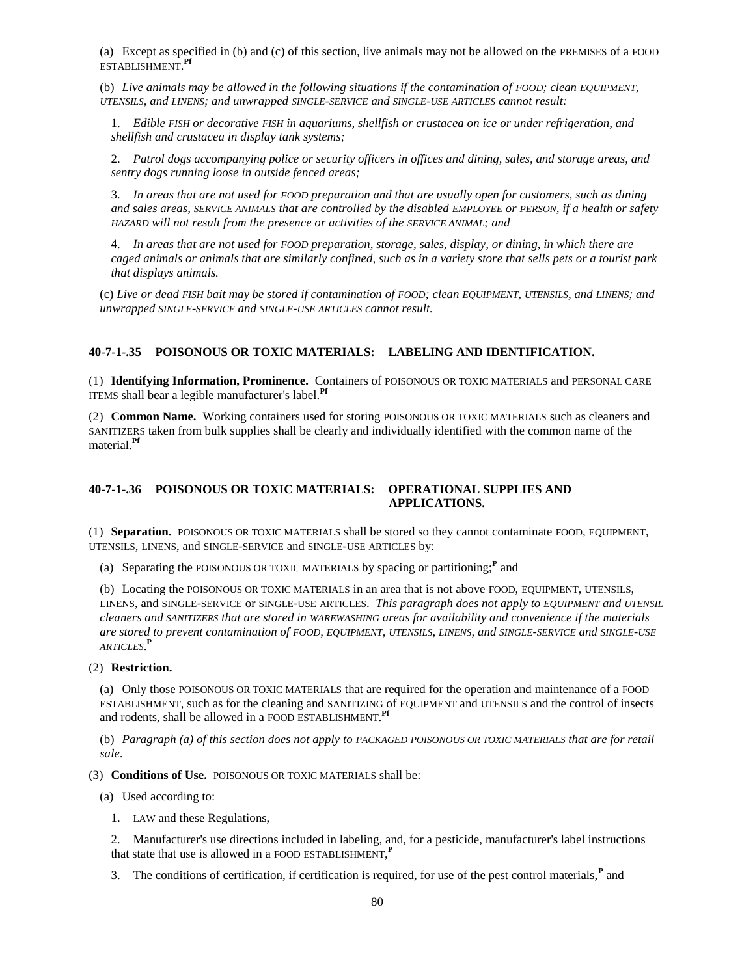(a) Except as specified in (b) and (c) of this section, live animals may not be allowed on the PREMISES of a FOOD ESTABLISHMENT. **Pf**

(b) *Live animals may be allowed in the following situations if the contamination of FOOD; clean EQUIPMENT*, *UTENSILS, and LINENS; and unwrapped SINGLE-SERVICE and SINGLE-USE ARTICLES cannot result:*

1. *Edible FISH or decorative FISH in aquariums, shellfish or crustacea on ice or under refrigeration, and shellfish and crustacea in display tank systems;*

2. *Patrol dogs accompanying police or security officers in offices and dining, sales, and storage areas, and sentry dogs running loose in outside fenced areas;*

3. *In areas that are not used for FOOD preparation and that are usually open for customers, such as dining and sales areas, SERVICE ANIMALS that are controlled by the disabled EMPLOYEE or PERSON, if a health or safety HAZARD* will not result from the presence or activities of the *SERVICE ANIMAL*; and

4. *In areas that are not used for FOOD preparation, storage, sales, display, or dining, in which there are caged animals or animals that are similarly confined, such as in a variety store that sells pets or a tourist park that displays animals.*

(c) *Live or dead FISH bait may be stored if contamination of FOOD; clean EQUIPMENT, UTENSILS, and LINENS; and unwrapped SINGLE-SERVICE and SINGLE-USE ARTICLES cannot result.*

## **40-7-1-.35 POISONOUS OR TOXIC MATERIALS: LABELING AND IDENTIFICATION.**

(1) **Identifying Information, Prominence.** Containers of POISONOUS OR TOXIC MATERIALS and PERSONAL CARE ITEMS shall bear a legible manufacturer's label.**Pf**

(2) **Common Name.** Working containers used for storing POISONOUS OR TOXIC MATERIALS such as cleaners and SANITIZERS taken from bulk supplies shall be clearly and individually identified with the common name of the material.**Pf**

## **40-7-1-.36 POISONOUS OR TOXIC MATERIALS: OPERATIONAL SUPPLIES AND APPLICATIONS.**

(1) **Separation.** POISONOUS OR TOXIC MATERIALS shall be stored so they cannot contaminate FOOD, EQUIPMENT, UTENSILS, LINENS, and SINGLE-SERVICE and SINGLE-USE ARTICLES by:

(a) Separating the POISONOUS OR TOXIC MATERIALS by spacing or partitioning;**<sup>P</sup>** and

(b) Locating the POISONOUS OR TOXIC MATERIALS in an area that is not above FOOD, EQUIPMENT, UTENSILS, LINENS, and SINGLE-SERVICE or SINGLE-USE ARTICLES. *This paragraph does not apply to EQUIPMENT and UTENSIL cleaners and SANITIZERS that are stored in WAREWASHING areas for availability and convenience if the materials are stored to prevent contamination of FOOD, EQUIPMENT, UTENSILS, LINENS, and SINGLE-SERVICE and SINGLE-USE ARTICLES*. **P**

#### (2) **Restriction.**

(a) Only those POISONOUS OR TOXIC MATERIALS that are required for the operation and maintenance of a FOOD ESTABLISHMENT, such as for the cleaning and SANITIZING of EQUIPMENT and UTENSILS and the control of insects and rodents, shall be allowed in a FOOD ESTABLISHMENT. **Pf**

(b) *Paragraph (a) of this section does not apply to PACKAGED POISONOUS OR TOXIC MATERIALS that are for retail sale*.

(3) **Conditions of Use.** POISONOUS OR TOXIC MATERIALS shall be:

(a) Used according to:

1. LAW and these Regulations,

2. Manufacturer's use directions included in labeling, and, for a pesticide, manufacturer's label instructions that state that use is allowed in a FOOD ESTABLISHMENT, **P**

3. The conditions of certification, if certification is required, for use of the pest control materials,**<sup>P</sup>** and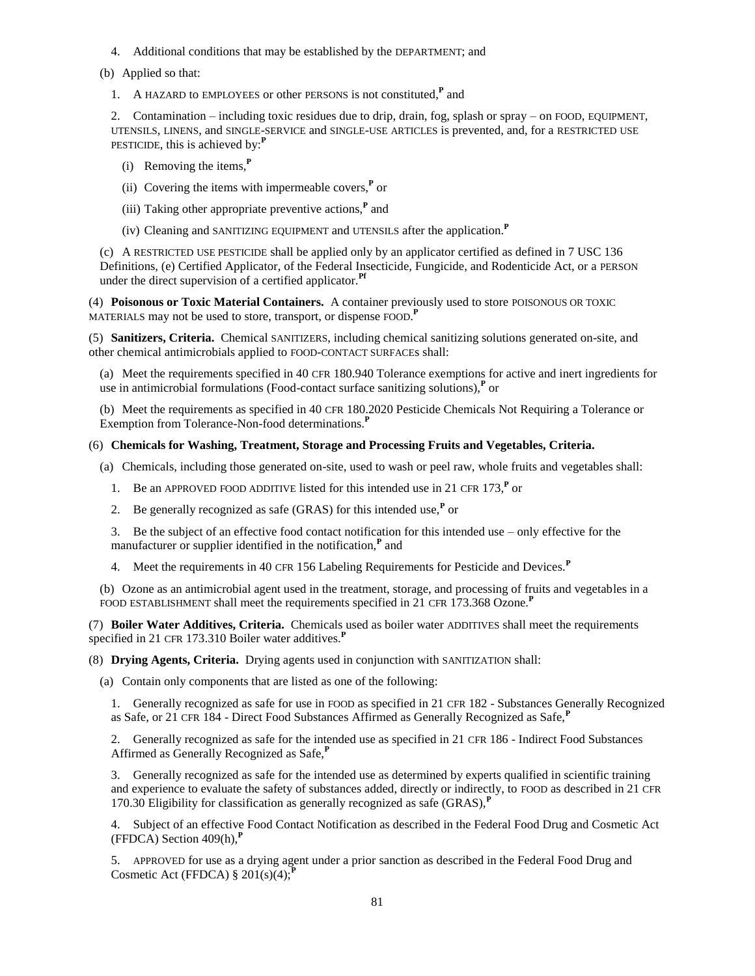- 4. Additional conditions that may be established by the DEPARTMENT; and
- (b) Applied so that:
	- 1. A HAZARD to EMPLOYEES or other PERSONS is not constituted,**<sup>P</sup>** and

2. Contamination – including toxic residues due to drip, drain, fog, splash or spray – on FOOD, EQUIPMENT, UTENSILS, LINENS, and SINGLE-SERVICE and SINGLE-USE ARTICLES is prevented, and, for a RESTRICTED USE PESTICIDE, this is achieved by:**<sup>P</sup>**

- (i) Removing the items,**<sup>P</sup>**
- (ii) Covering the items with impermeable covers, $\mathbf{P}$  or
- (iii) Taking other appropriate preventive actions,**<sup>P</sup>** and
- (iv) Cleaning and SANITIZING EQUIPMENT and UTENSILS after the application.**<sup>P</sup>**

(c) A RESTRICTED USE PESTICIDE shall be applied only by an applicator certified as defined in 7 USC 136 Definitions, (e) Certified Applicator, of the Federal Insecticide, Fungicide, and Rodenticide Act, or a PERSON under the direct supervision of a certified applicator.**Pf**

(4) **Poisonous or Toxic Material Containers.** A container previously used to store POISONOUS OR TOXIC MATERIALS may not be used to store, transport, or dispense FOOD. **P**

(5) **Sanitizers, Criteria.** Chemical SANITIZERS, including chemical sanitizing solutions generated on-site, and other chemical antimicrobials applied to FOOD-CONTACT SURFACEs shall:

(a) Meet the requirements specified in 40 CFR 180.940 Tolerance exemptions for active and inert ingredients for use in antimicrobial formulations (Food-contact surface sanitizing solutions),**<sup>P</sup>** or

(b) Meet the requirements as specified in 40 CFR 180.2020 Pesticide Chemicals Not Requiring a Tolerance or Exemption from Tolerance-Non-food determinations.**<sup>P</sup>**

## (6) **Chemicals for Washing, Treatment, Storage and Processing Fruits and Vegetables, Criteria.**

(a) Chemicals, including those generated on-site, used to wash or peel raw, whole fruits and vegetables shall:

- 1. Be an APPROVED FOOD ADDITIVE listed for this intended use in 21 CFR 173,**<sup>P</sup>** or
- 2. Be generally recognized as safe (GRAS) for this intended use,**<sup>P</sup>** or

3. Be the subject of an effective food contact notification for this intended use – only effective for the manufacturer or supplier identified in the notification,**<sup>P</sup>** and

4. Meet the requirements in 40 CFR 156 Labeling Requirements for Pesticide and Devices.**<sup>P</sup>**

(b) Ozone as an antimicrobial agent used in the treatment, storage, and processing of fruits and vegetables in a FOOD ESTABLISHMENT shall meet the requirements specified in 21 CFR 173.368 Ozone.**<sup>P</sup>**

(7) **Boiler Water Additives, Criteria.** Chemicals used as boiler water ADDITIVES shall meet the requirements specified in 21 CFR 173.310 Boiler water additives.**<sup>P</sup>**

(8) **Drying Agents, Criteria.** Drying agents used in conjunction with SANITIZATION shall:

(a) Contain only components that are listed as one of the following:

1. Generally recognized as safe for use in FOOD as specified in 21 CFR 182 - Substances Generally Recognized as Safe, or 21 CFR 184 - Direct Food Substances Affirmed as Generally Recognized as Safe,**<sup>P</sup>**

2. Generally recognized as safe for the intended use as specified in 21 CFR 186 - Indirect Food Substances Affirmed as Generally Recognized as Safe,**<sup>P</sup>**

3. Generally recognized as safe for the intended use as determined by experts qualified in scientific training and experience to evaluate the safety of substances added, directly or indirectly, to FOOD as described in 21 CFR 170.30 Eligibility for classification as generally recognized as safe (GRAS),**<sup>P</sup>**

4. Subject of an effective Food Contact Notification as described in the Federal Food Drug and Cosmetic Act (FFDCA) Section 409(h),**<sup>P</sup>**

5. APPROVED for use as a drying agent under a prior sanction as described in the Federal Food Drug and Cosmetic Act (FFDCA)  $\S 201(s)(4)$ ;<sup>*P*</sup>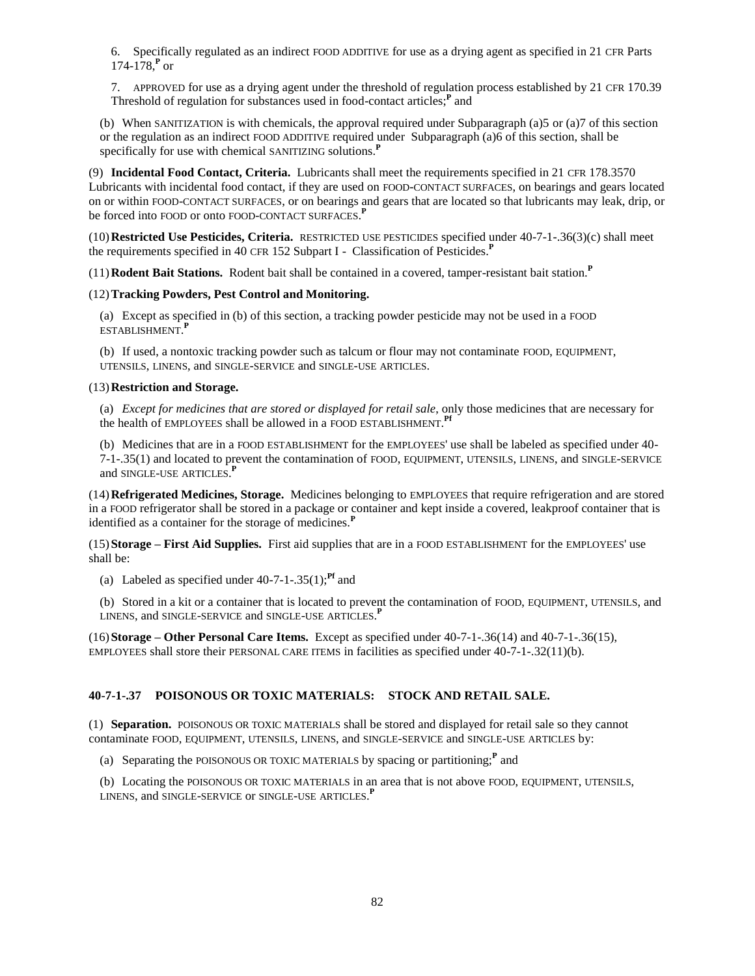6. Specifically regulated as an indirect FOOD ADDITIVE for use as a drying agent as specified in 21 CFR Parts 174-178,**<sup>P</sup>** or

7. APPROVED for use as a drying agent under the threshold of regulation process established by 21 CFR 170.39 Threshold of regulation for substances used in food-contact articles;**<sup>P</sup>** and

(b) When SANITIZATION is with chemicals, the approval required under Subparagraph (a)5 or (a)7 of this section or the regulation as an indirect FOOD ADDITIVE required under Subparagraph (a)6 of this section, shall be specifically for use with chemical SANITIZING solutions.**<sup>P</sup>**

(9) **Incidental Food Contact, Criteria.** Lubricants shall meet the requirements specified in 21 CFR 178.3570 Lubricants with incidental food contact, if they are used on FOOD-CONTACT SURFACES, on bearings and gears located on or within FOOD-CONTACT SURFACES, or on bearings and gears that are located so that lubricants may leak, drip, or be forced into FOOD or onto FOOD-CONTACT SURFACES. **P**

(10)**Restricted Use Pesticides, Criteria.** RESTRICTED USE PESTICIDES specified under 40-7-1-.36(3)(c) shall meet the requirements specified in 40 CFR 152 Subpart I - Classification of Pesticides.**<sup>P</sup>**

(11)**Rodent Bait Stations.** Rodent bait shall be contained in a covered, tamper-resistant bait station.**<sup>P</sup>**

## (12)**Tracking Powders, Pest Control and Monitoring.**

(a) Except as specified in (b) of this section, a tracking powder pesticide may not be used in a FOOD ESTABLISHMENT. **P**

(b) If used, a nontoxic tracking powder such as talcum or flour may not contaminate FOOD, EQUIPMENT, UTENSILS, LINENS, and SINGLE-SERVICE and SINGLE-USE ARTICLES.

## (13)**Restriction and Storage.**

(a) *Except for medicines that are stored or displayed for retail sale*, only those medicines that are necessary for the health of EMPLOYEES shall be allowed in a FOOD ESTABLISHMENT. **Pf**

(b) Medicines that are in a FOOD ESTABLISHMENT for the EMPLOYEES' use shall be labeled as specified under 40- 7-1-.35(1) and located to prevent the contamination of FOOD, EQUIPMENT, UTENSILS, LINENS, and SINGLE-SERVICE and SINGLE-USE ARTICLES. **P**

(14)**Refrigerated Medicines, Storage.** Medicines belonging to EMPLOYEES that require refrigeration and are stored in a FOOD refrigerator shall be stored in a package or container and kept inside a covered, leakproof container that is identified as a container for the storage of medicines.**<sup>P</sup>**

(15)**Storage – First Aid Supplies.** First aid supplies that are in a FOOD ESTABLISHMENT for the EMPLOYEES' use shall be:

(a) Labeled as specified under  $40-7-1-0.35(1)$ ;<sup>Pf</sup> and

(b) Stored in a kit or a container that is located to prevent the contamination of FOOD, EQUIPMENT, UTENSILS, and LINENS, and SINGLE-SERVICE and SINGLE-USE ARTICLES. **P**

(16)**Storage – Other Personal Care Items.** Except as specified under 40-7-1-.36(14) and 40-7-1-.36(15), EMPLOYEES shall store their PERSONAL CARE ITEMS in facilities as specified under 40-7-1-.32(11)(b).

## **40-7-1-.37 POISONOUS OR TOXIC MATERIALS: STOCK AND RETAIL SALE.**

(1) **Separation.** POISONOUS OR TOXIC MATERIALS shall be stored and displayed for retail sale so they cannot contaminate FOOD, EQUIPMENT, UTENSILS, LINENS, and SINGLE-SERVICE and SINGLE-USE ARTICLES by:

(a) Separating the POISONOUS OR TOXIC MATERIALS by spacing or partitioning;**<sup>P</sup>** and

(b) Locating the POISONOUS OR TOXIC MATERIALS in an area that is not above FOOD, EQUIPMENT, UTENSILS, LINENS, and SINGLE-SERVICE or SINGLE-USE ARTICLES. **P**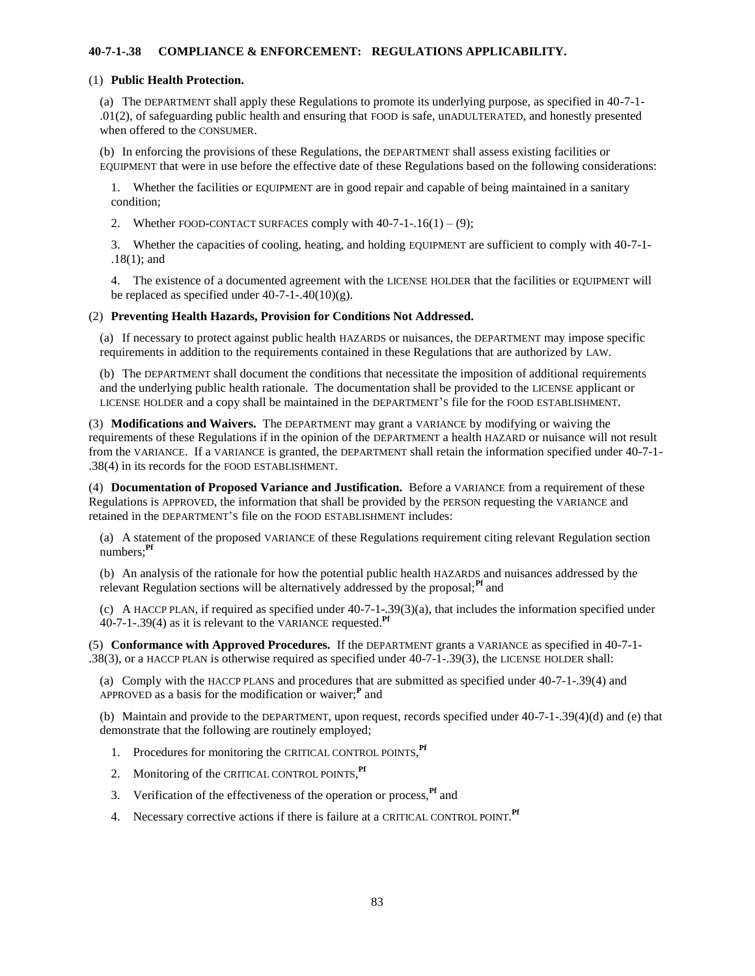## **40-7-1-.38 COMPLIANCE & ENFORCEMENT: REGULATIONS APPLICABILITY.**

#### (1) **Public Health Protection.**

(a) The DEPARTMENT shall apply these Regulations to promote its underlying purpose, as specified in 40-7-1- .01(2), of safeguarding public health and ensuring that FOOD is safe, unADULTERATED, and honestly presented when offered to the CONSUMER.

(b) In enforcing the provisions of these Regulations, the DEPARTMENT shall assess existing facilities or EQUIPMENT that were in use before the effective date of these Regulations based on the following considerations:

1. Whether the facilities or EQUIPMENT are in good repair and capable of being maintained in a sanitary condition;

2. Whether FOOD-CONTACT SURFACES comply with  $40-7-1-16(1) - (9)$ ;

3. Whether the capacities of cooling, heating, and holding EQUIPMENT are sufficient to comply with 40-7-1- .18(1); and

4. The existence of a documented agreement with the LICENSE HOLDER that the facilities or EQUIPMENT will be replaced as specified under  $40-7-1-40(10)(g)$ .

#### (2) **Preventing Health Hazards, Provision for Conditions Not Addressed.**

(a) If necessary to protect against public health HAZARDS or nuisances, the DEPARTMENT may impose specific requirements in addition to the requirements contained in these Regulations that are authorized by LAW.

(b) The DEPARTMENT shall document the conditions that necessitate the imposition of additional requirements and the underlying public health rationale. The documentation shall be provided to the LICENSE applicant or LICENSE HOLDER and a copy shall be maintained in the DEPARTMENT'S file for the FOOD ESTABLISHMENT.

(3) **Modifications and Waivers.** The DEPARTMENT may grant a VARIANCE by modifying or waiving the requirements of these Regulations if in the opinion of the DEPARTMENT a health HAZARD or nuisance will not result from the VARIANCE. If a VARIANCE is granted, the DEPARTMENT shall retain the information specified under 40-7-1- .38(4) in its records for the FOOD ESTABLISHMENT.

(4) **Documentation of Proposed Variance and Justification.** Before a VARIANCE from a requirement of these Regulations is APPROVED, the information that shall be provided by the PERSON requesting the VARIANCE and retained in the DEPARTMENT'S file on the FOOD ESTABLISHMENT includes:

(a) A statement of the proposed VARIANCE of these Regulations requirement citing relevant Regulation section numbers;**Pf**

(b) An analysis of the rationale for how the potential public health HAZARDS and nuisances addressed by the relevant Regulation sections will be alternatively addressed by the proposal;<sup>Pf</sup> and

(c) A HACCP PLAN, if required as specified under 40-7-1-.39(3)(a), that includes the information specified under 40-7-1-.39(4) as it is relevant to the VARIANCE requested.**Pf**

(5) **Conformance with Approved Procedures.** If the DEPARTMENT grants a VARIANCE as specified in 40-7-1- .38(3), or a HACCP PLAN is otherwise required as specified under 40-7-1-.39(3), the LICENSE HOLDER shall:

(a) Comply with the HACCP PLANS and procedures that are submitted as specified under 40-7-1-.39(4) and APPROVED as a basis for the modification or waiver;**<sup>P</sup>** and

(b) Maintain and provide to the DEPARTMENT, upon request, records specified under 40-7-1-.39(4)(d) and (e) that demonstrate that the following are routinely employed;

- 1. Procedures for monitoring the CRITICAL CONTROL POINTS, **Pf**
- 2. Monitoring of the CRITICAL CONTROL POINTS, **Pf**
- 3. Verification of the effectiveness of the operation or process,<sup>Pf</sup> and
- 4. Necessary corrective actions if there is failure at a CRITICAL CONTROL POINT. **Pf**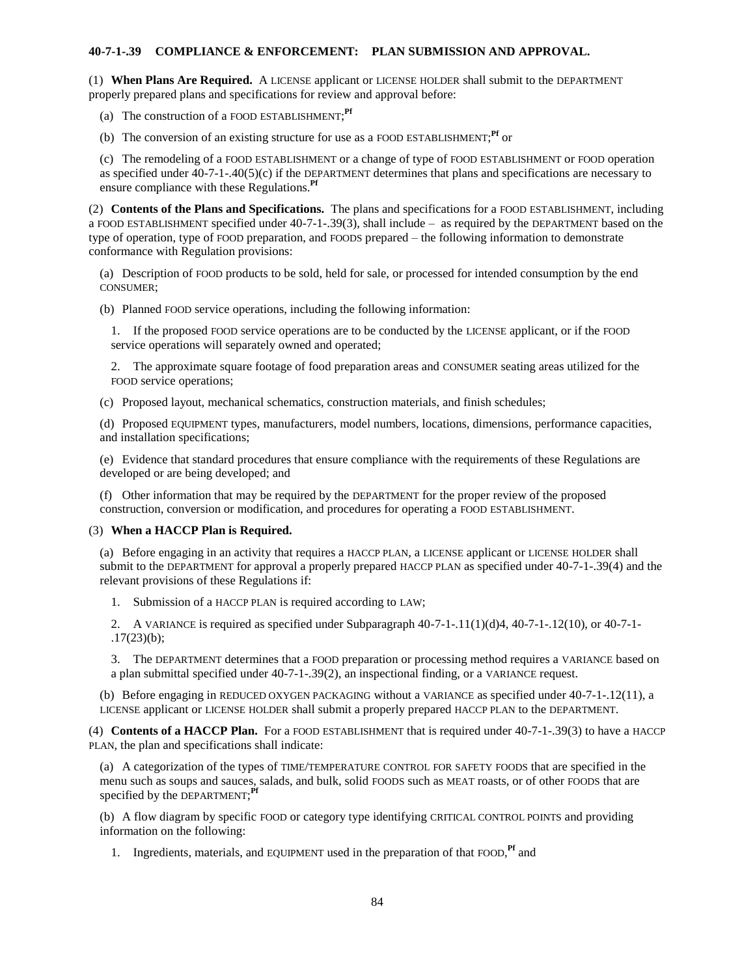### **40-7-1-.39 COMPLIANCE & ENFORCEMENT: PLAN SUBMISSION AND APPROVAL.**

(1) **When Plans Are Required.** A LICENSE applicant or LICENSE HOLDER shall submit to the DEPARTMENT properly prepared plans and specifications for review and approval before:

- (a) The construction of a FOOD ESTABLISHMENT; **Pf**
- (b) The conversion of an existing structure for use as a FOOD ESTABLISHMENT; **Pf** or

(c) The remodeling of a FOOD ESTABLISHMENT or a change of type of FOOD ESTABLISHMENT or FOOD operation as specified under 40-7-1-.40(5)(c) if the DEPARTMENT determines that plans and specifications are necessary to ensure compliance with these Regulations.**Pf**

(2) **Contents of the Plans and Specifications.** The plans and specifications for a FOOD ESTABLISHMENT, including a FOOD ESTABLISHMENT specified under 40-7-1-.39(3), shall include – as required by the DEPARTMENT based on the type of operation, type of FOOD preparation, and FOODS prepared – the following information to demonstrate conformance with Regulation provisions:

(a) Description of FOOD products to be sold, held for sale, or processed for intended consumption by the end CONSUMER;

(b) Planned FOOD service operations, including the following information:

1. If the proposed FOOD service operations are to be conducted by the LICENSE applicant, or if the FOOD service operations will separately owned and operated;

2. The approximate square footage of food preparation areas and CONSUMER seating areas utilized for the FOOD service operations;

(c) Proposed layout, mechanical schematics, construction materials, and finish schedules;

(d) Proposed EQUIPMENT types, manufacturers, model numbers, locations, dimensions, performance capacities, and installation specifications;

(e) Evidence that standard procedures that ensure compliance with the requirements of these Regulations are developed or are being developed; and

(f) Other information that may be required by the DEPARTMENT for the proper review of the proposed construction, conversion or modification, and procedures for operating a FOOD ESTABLISHMENT.

## (3) **When a HACCP Plan is Required.**

(a) Before engaging in an activity that requires a HACCP PLAN, a LICENSE applicant or LICENSE HOLDER shall submit to the DEPARTMENT for approval a properly prepared HACCP PLAN as specified under 40-7-1-.39(4) and the relevant provisions of these Regulations if:

1. Submission of a HACCP PLAN is required according to LAW;

2. A VARIANCE is required as specified under Subparagraph  $40-7-1-11(1)(d)4$ ,  $40-7-1-12(10)$ , or  $40-7-1-12(10)$ .17(23)(b);

3. The DEPARTMENT determines that a FOOD preparation or processing method requires a VARIANCE based on a plan submittal specified under 40-7-1-.39(2), an inspectional finding, or a VARIANCE request.

(b) Before engaging in REDUCED OXYGEN PACKAGING without a VARIANCE as specified under 40-7-1-.12(11), a LICENSE applicant or LICENSE HOLDER shall submit a properly prepared HACCP PLAN to the DEPARTMENT.

(4) **Contents of a HACCP Plan.** For a FOOD ESTABLISHMENT that is required under 40-7-1-.39(3) to have a HACCP PLAN, the plan and specifications shall indicate:

(a) A categorization of the types of TIME/TEMPERATURE CONTROL FOR SAFETY FOODS that are specified in the menu such as soups and sauces, salads, and bulk, solid FOODS such as MEAT roasts, or of other FOODS that are specified by the DEPARTMENT; **Pf**

(b) A flow diagram by specific FOOD or category type identifying CRITICAL CONTROL POINTS and providing information on the following:

1. Ingredients, materials, and EQUIPMENT used in the preparation of that FOOD, **Pf** and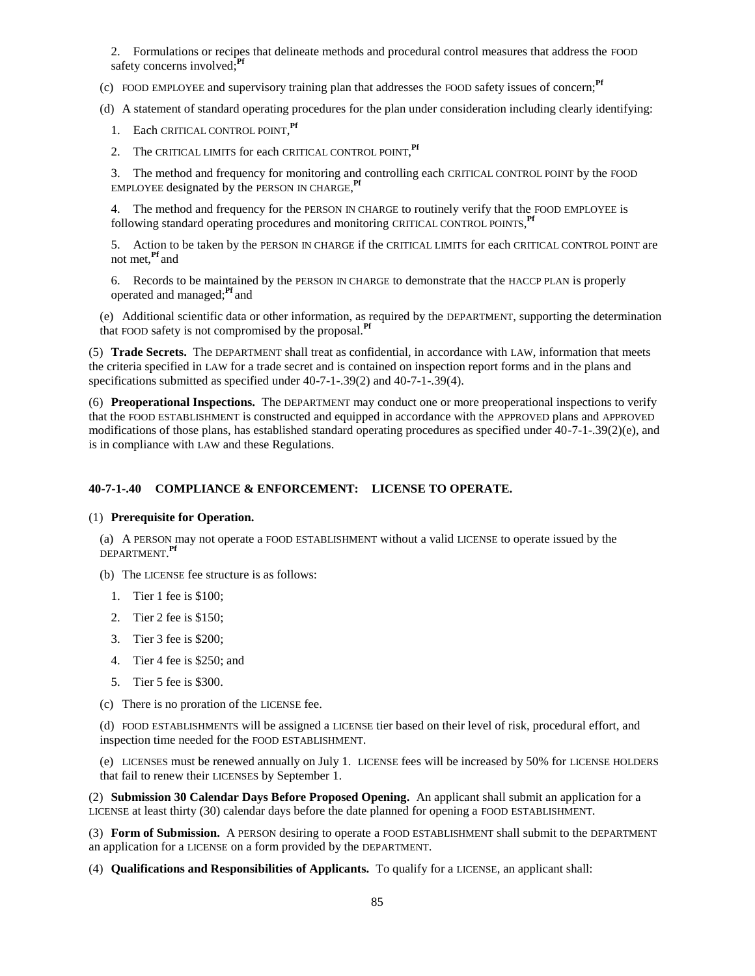2. Formulations or recipes that delineate methods and procedural control measures that address the FOOD safety concerns involved;**Pf**

(c) FOOD EMPLOYEE and supervisory training plan that addresses the FOOD safety issues of concern;**Pf**

(d) A statement of standard operating procedures for the plan under consideration including clearly identifying:

- 1. Each CRITICAL CONTROL POINT, **Pf**
- 2. The CRITICAL LIMITS for each CRITICAL CONTROL POINT, **Pf**

3. The method and frequency for monitoring and controlling each CRITICAL CONTROL POINT by the FOOD EMPLOYEE designated by the PERSON IN CHARGE, **Pf**

4. The method and frequency for the PERSON IN CHARGE to routinely verify that the FOOD EMPLOYEE is following standard operating procedures and monitoring CRITICAL CONTROL POINTS, Pf

5. Action to be taken by the PERSON IN CHARGE if the CRITICAL LIMITS for each CRITICAL CONTROL POINT are not met,**Pf** and

6. Records to be maintained by the PERSON IN CHARGE to demonstrate that the HACCP PLAN is properly operated and managed;**Pf** and

(e) Additional scientific data or other information, as required by the DEPARTMENT, supporting the determination that FOOD safety is not compromised by the proposal.**Pf**

(5) **Trade Secrets.** The DEPARTMENT shall treat as confidential, in accordance with LAW, information that meets the criteria specified in LAW for a trade secret and is contained on inspection report forms and in the plans and specifications submitted as specified under 40-7-1-.39(2) and 40-7-1-.39(4).

(6) **Preoperational Inspections.** The DEPARTMENT may conduct one or more preoperational inspections to verify that the FOOD ESTABLISHMENT is constructed and equipped in accordance with the APPROVED plans and APPROVED modifications of those plans, has established standard operating procedures as specified under 40-7-1-.39(2)(e), and is in compliance with LAW and these Regulations.

## **40-7-1-.40 COMPLIANCE & ENFORCEMENT: LICENSE TO OPERATE.**

#### (1) **Prerequisite for Operation.**

(a) A PERSON may not operate a FOOD ESTABLISHMENT without a valid LICENSE to operate issued by the DEPARTMENT. **Pf**

- (b) The LICENSE fee structure is as follows:
	- 1. Tier 1 fee is \$100;
	- 2. Tier 2 fee is \$150;
	- 3. Tier 3 fee is \$200;
	- 4. Tier 4 fee is \$250; and
	- 5. Tier 5 fee is \$300.
- (c) There is no proration of the LICENSE fee.

(d) FOOD ESTABLISHMENTS will be assigned a LICENSE tier based on their level of risk, procedural effort, and inspection time needed for the FOOD ESTABLISHMENT.

(e) LICENSES must be renewed annually on July 1. LICENSE fees will be increased by 50% for LICENSE HOLDERS that fail to renew their LICENSES by September 1.

(2) **Submission 30 Calendar Days Before Proposed Opening.** An applicant shall submit an application for a LICENSE at least thirty (30) calendar days before the date planned for opening a FOOD ESTABLISHMENT.

(3) **Form of Submission.** A PERSON desiring to operate a FOOD ESTABLISHMENT shall submit to the DEPARTMENT an application for a LICENSE on a form provided by the DEPARTMENT.

(4) **Qualifications and Responsibilities of Applicants.** To qualify for a LICENSE, an applicant shall: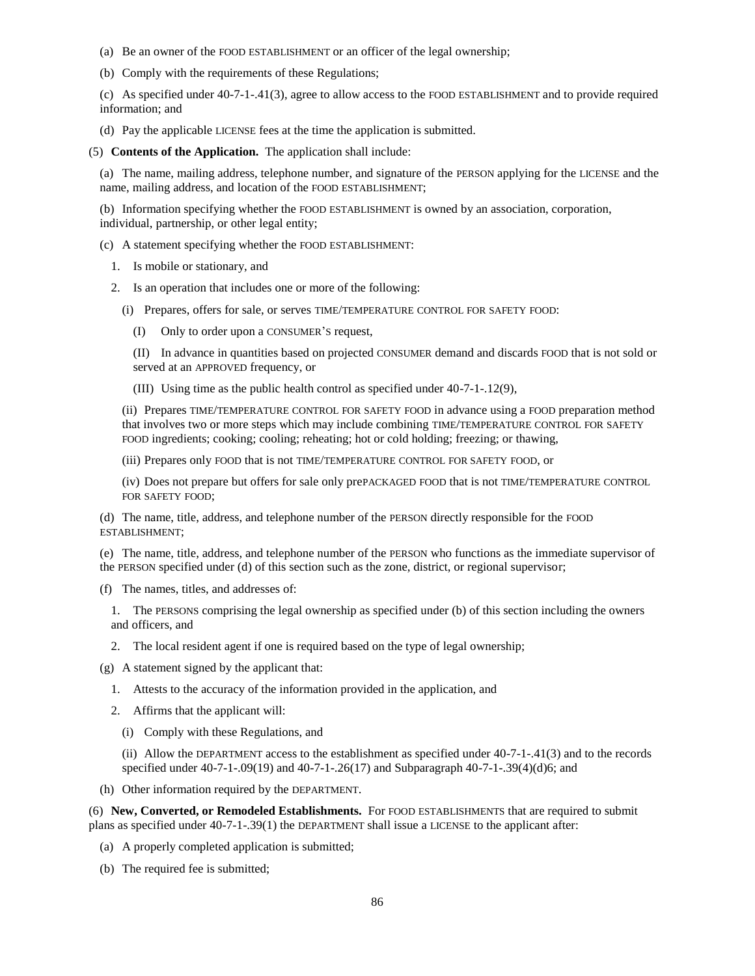- (a) Be an owner of the FOOD ESTABLISHMENT or an officer of the legal ownership;
- (b) Comply with the requirements of these Regulations;

(c) As specified under 40-7-1-.41(3), agree to allow access to the FOOD ESTABLISHMENT and to provide required information; and

(d) Pay the applicable LICENSE fees at the time the application is submitted.

(5) **Contents of the Application.** The application shall include:

(a) The name, mailing address, telephone number, and signature of the PERSON applying for the LICENSE and the name, mailing address, and location of the FOOD ESTABLISHMENT;

(b) Information specifying whether the FOOD ESTABLISHMENT is owned by an association, corporation, individual, partnership, or other legal entity;

(c) A statement specifying whether the FOOD ESTABLISHMENT:

- 1. Is mobile or stationary, and
- 2. Is an operation that includes one or more of the following:
	- (i) Prepares, offers for sale, or serves TIME/TEMPERATURE CONTROL FOR SAFETY FOOD:
		- (I) Only to order upon a CONSUMER'S request,

(II) In advance in quantities based on projected CONSUMER demand and discards FOOD that is not sold or served at an APPROVED frequency, or

(III) Using time as the public health control as specified under 40-7-1-.12(9),

(ii) Prepares TIME/TEMPERATURE CONTROL FOR SAFETY FOOD in advance using a FOOD preparation method that involves two or more steps which may include combining TIME/TEMPERATURE CONTROL FOR SAFETY FOOD ingredients; cooking; cooling; reheating; hot or cold holding; freezing; or thawing,

(iii) Prepares only FOOD that is not TIME/TEMPERATURE CONTROL FOR SAFETY FOOD, or

(iv) Does not prepare but offers for sale only prePACKAGED FOOD that is not TIME/TEMPERATURE CONTROL FOR SAFETY FOOD;

(d) The name, title, address, and telephone number of the PERSON directly responsible for the FOOD ESTABLISHMENT;

(e) The name, title, address, and telephone number of the PERSON who functions as the immediate supervisor of the PERSON specified under (d) of this section such as the zone, district, or regional supervisor;

(f) The names, titles, and addresses of:

1. The PERSONS comprising the legal ownership as specified under (b) of this section including the owners and officers, and

- 2. The local resident agent if one is required based on the type of legal ownership;
- (g) A statement signed by the applicant that:
	- 1. Attests to the accuracy of the information provided in the application, and
	- 2. Affirms that the applicant will:
		- (i) Comply with these Regulations, and

(ii) Allow the DEPARTMENT access to the establishment as specified under 40-7-1-.41(3) and to the records specified under 40-7-1-.09(19) and 40-7-1-.26(17) and Subparagraph 40-7-1-.39(4)(d)6; and

(h) Other information required by the DEPARTMENT.

(6) **New, Converted, or Remodeled Establishments.** For FOOD ESTABLISHMENTS that are required to submit plans as specified under 40-7-1-.39(1) the DEPARTMENT shall issue a LICENSE to the applicant after:

- (a) A properly completed application is submitted;
- (b) The required fee is submitted;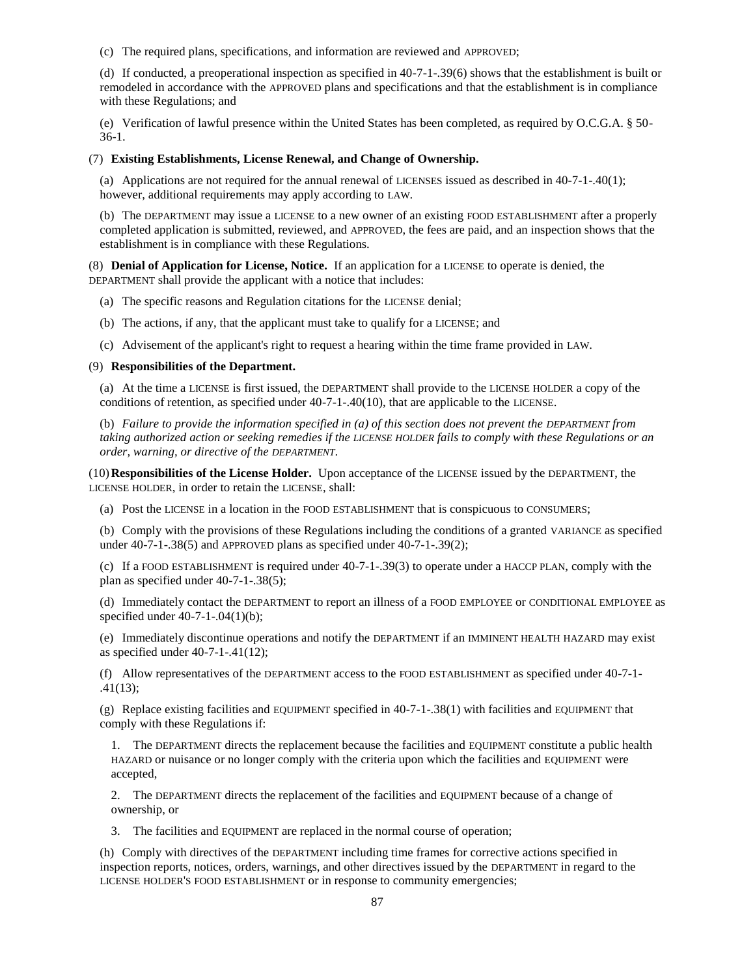(c) The required plans, specifications, and information are reviewed and APPROVED;

(d) If conducted, a preoperational inspection as specified in 40-7-1-.39(6) shows that the establishment is built or remodeled in accordance with the APPROVED plans and specifications and that the establishment is in compliance with these Regulations; and

(e) Verification of lawful presence within the United States has been completed, as required by O.C.G.A. § 50- 36-1.

### (7) **Existing Establishments, License Renewal, and Change of Ownership.**

(a) Applications are not required for the annual renewal of LICENSES issued as described in 40-7-1-.40(1); however, additional requirements may apply according to LAW.

(b) The DEPARTMENT may issue a LICENSE to a new owner of an existing FOOD ESTABLISHMENT after a properly completed application is submitted, reviewed, and APPROVED, the fees are paid, and an inspection shows that the establishment is in compliance with these Regulations.

(8) **Denial of Application for License, Notice.** If an application for a LICENSE to operate is denied, the DEPARTMENT shall provide the applicant with a notice that includes:

- (a) The specific reasons and Regulation citations for the LICENSE denial;
- (b) The actions, if any, that the applicant must take to qualify for a LICENSE; and
- (c) Advisement of the applicant's right to request a hearing within the time frame provided in LAW.

#### (9) **Responsibilities of the Department.**

(a) At the time a LICENSE is first issued, the DEPARTMENT shall provide to the LICENSE HOLDER a copy of the conditions of retention, as specified under 40-7-1-.40(10), that are applicable to the LICENSE.

(b) *Failure to provide the information specified in (a) of this section does not prevent the DEPARTMENT from taking authorized action or seeking remedies if the LICENSE HOLDER fails to comply with these Regulations or an order, warning, or directive of the DEPARTMENT*.

(10)**Responsibilities of the License Holder.** Upon acceptance of the LICENSE issued by the DEPARTMENT, the LICENSE HOLDER, in order to retain the LICENSE, shall:

(a) Post the LICENSE in a location in the FOOD ESTABLISHMENT that is conspicuous to CONSUMERS;

(b) Comply with the provisions of these Regulations including the conditions of a granted VARIANCE as specified under 40-7-1-.38(5) and APPROVED plans as specified under 40-7-1-.39(2);

(c) If a FOOD ESTABLISHMENT is required under 40-7-1-.39(3) to operate under a HACCP PLAN, comply with the plan as specified under 40-7-1-.38(5);

(d) Immediately contact the DEPARTMENT to report an illness of a FOOD EMPLOYEE or CONDITIONAL EMPLOYEE as specified under 40-7-1-.04(1)(b);

(e) Immediately discontinue operations and notify the DEPARTMENT if an IMMINENT HEALTH HAZARD may exist as specified under 40-7-1-.41(12);

(f) Allow representatives of the DEPARTMENT access to the FOOD ESTABLISHMENT as specified under 40-7-1- .41(13);

(g) Replace existing facilities and EQUIPMENT specified in 40-7-1-.38(1) with facilities and EQUIPMENT that comply with these Regulations if:

1. The DEPARTMENT directs the replacement because the facilities and EQUIPMENT constitute a public health HAZARD or nuisance or no longer comply with the criteria upon which the facilities and EQUIPMENT were accepted,

2. The DEPARTMENT directs the replacement of the facilities and EQUIPMENT because of a change of ownership, or

3. The facilities and EQUIPMENT are replaced in the normal course of operation;

(h) Comply with directives of the DEPARTMENT including time frames for corrective actions specified in inspection reports, notices, orders, warnings, and other directives issued by the DEPARTMENT in regard to the LICENSE HOLDER'S FOOD ESTABLISHMENT or in response to community emergencies;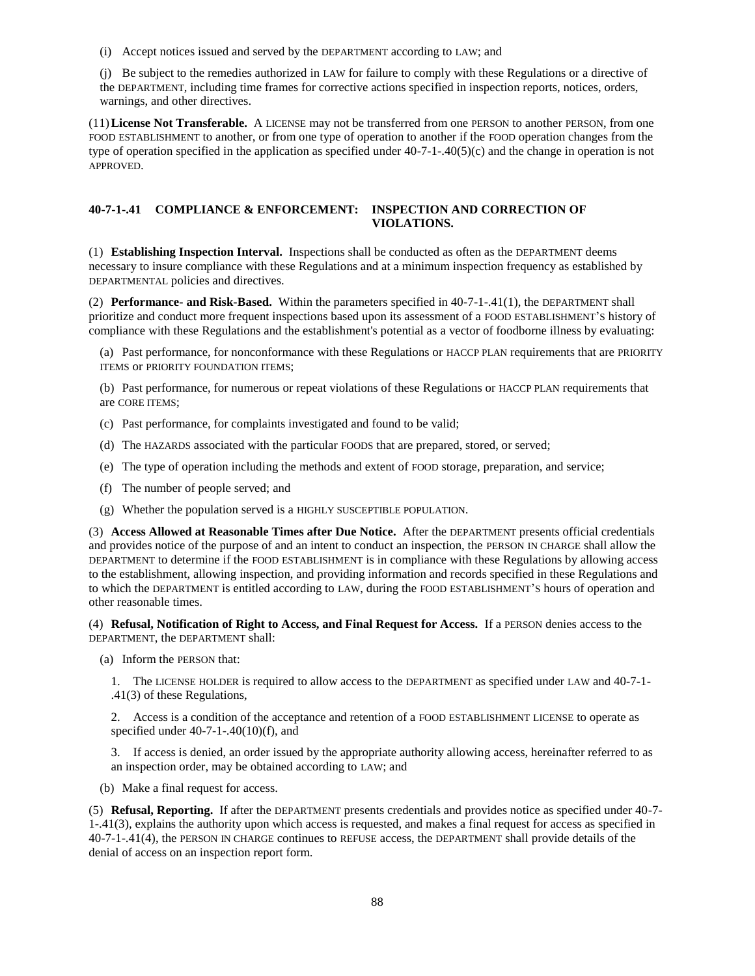(i) Accept notices issued and served by the DEPARTMENT according to LAW; and

(j) Be subject to the remedies authorized in LAW for failure to comply with these Regulations or a directive of the DEPARTMENT, including time frames for corrective actions specified in inspection reports, notices, orders, warnings, and other directives.

(11)**License Not Transferable.** A LICENSE may not be transferred from one PERSON to another PERSON, from one FOOD ESTABLISHMENT to another, or from one type of operation to another if the FOOD operation changes from the type of operation specified in the application as specified under  $40-7-1-40(5)(c)$  and the change in operation is not APPROVED.

## **40-7-1-.41 COMPLIANCE & ENFORCEMENT: INSPECTION AND CORRECTION OF VIOLATIONS.**

(1) **Establishing Inspection Interval.** Inspections shall be conducted as often as the DEPARTMENT deems necessary to insure compliance with these Regulations and at a minimum inspection frequency as established by DEPARTMENTAL policies and directives.

(2) **Performance- and Risk-Based.** Within the parameters specified in 40-7-1-.41(1), the DEPARTMENT shall prioritize and conduct more frequent inspections based upon its assessment of a FOOD ESTABLISHMENT'S history of compliance with these Regulations and the establishment's potential as a vector of foodborne illness by evaluating:

(a) Past performance, for nonconformance with these Regulations or HACCP PLAN requirements that are PRIORITY ITEMS OF PRIORITY FOUNDATION ITEMS;

(b) Past performance, for numerous or repeat violations of these Regulations or HACCP PLAN requirements that are CORE ITEMS;

- (c) Past performance, for complaints investigated and found to be valid;
- (d) The HAZARDS associated with the particular FOODS that are prepared, stored, or served;
- (e) The type of operation including the methods and extent of FOOD storage, preparation, and service;
- (f) The number of people served; and
- (g) Whether the population served is a HIGHLY SUSCEPTIBLE POPULATION.

(3) **Access Allowed at Reasonable Times after Due Notice.** After the DEPARTMENT presents official credentials and provides notice of the purpose of and an intent to conduct an inspection, the PERSON IN CHARGE shall allow the DEPARTMENT to determine if the FOOD ESTABLISHMENT is in compliance with these Regulations by allowing access to the establishment, allowing inspection, and providing information and records specified in these Regulations and to which the DEPARTMENT is entitled according to LAW, during the FOOD ESTABLISHMENT'S hours of operation and other reasonable times.

(4) **Refusal, Notification of Right to Access, and Final Request for Access.** If a PERSON denies access to the DEPARTMENT, the DEPARTMENT shall:

(a) Inform the PERSON that:

1. The LICENSE HOLDER is required to allow access to the DEPARTMENT as specified under LAW and 40-7-1- .41(3) of these Regulations,

2. Access is a condition of the acceptance and retention of a FOOD ESTABLISHMENT LICENSE to operate as specified under  $40-7-1-40(10)(f)$ , and

3. If access is denied, an order issued by the appropriate authority allowing access, hereinafter referred to as an inspection order, may be obtained according to LAW; and

(b) Make a final request for access.

(5) **Refusal, Reporting.** If after the DEPARTMENT presents credentials and provides notice as specified under 40-7- 1-.41(3), explains the authority upon which access is requested, and makes a final request for access as specified in 40-7-1-.41(4), the PERSON IN CHARGE continues to REFUSE access, the DEPARTMENT shall provide details of the denial of access on an inspection report form.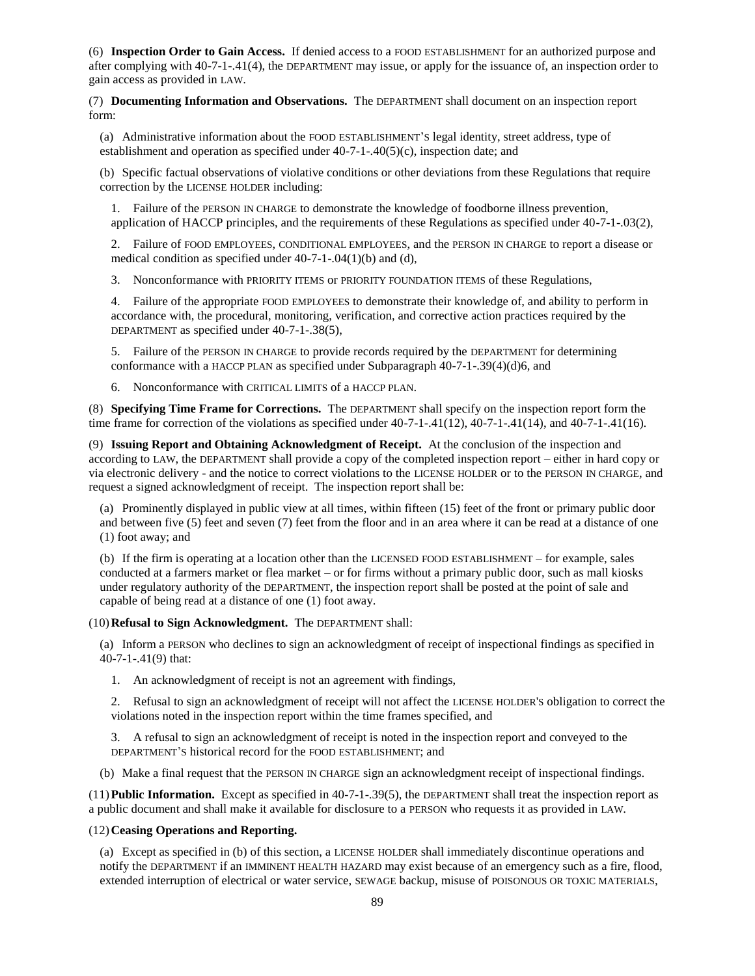(6) **Inspection Order to Gain Access.** If denied access to a FOOD ESTABLISHMENT for an authorized purpose and after complying with 40-7-1-.41(4), the DEPARTMENT may issue, or apply for the issuance of, an inspection order to gain access as provided in LAW.

(7) **Documenting Information and Observations.** The DEPARTMENT shall document on an inspection report form:

(a) Administrative information about the FOOD ESTABLISHMENT'S legal identity, street address, type of establishment and operation as specified under 40-7-1-.40(5)(c), inspection date; and

(b) Specific factual observations of violative conditions or other deviations from these Regulations that require correction by the LICENSE HOLDER including:

1. Failure of the PERSON IN CHARGE to demonstrate the knowledge of foodborne illness prevention, application of HACCP principles, and the requirements of these Regulations as specified under 40-7-1-.03(2),

2. Failure of FOOD EMPLOYEES, CONDITIONAL EMPLOYEES, and the PERSON IN CHARGE to report a disease or medical condition as specified under 40-7-1-.04(1)(b) and (d),

3. Nonconformance with PRIORITY ITEMS or PRIORITY FOUNDATION ITEMS of these Regulations,

4. Failure of the appropriate FOOD EMPLOYEES to demonstrate their knowledge of, and ability to perform in accordance with, the procedural, monitoring, verification, and corrective action practices required by the DEPARTMENT as specified under 40-7-1-.38(5),

5. Failure of the PERSON IN CHARGE to provide records required by the DEPARTMENT for determining conformance with a HACCP PLAN as specified under Subparagraph 40-7-1-.39(4)(d)6, and

6. Nonconformance with CRITICAL LIMITS of a HACCP PLAN.

(8) **Specifying Time Frame for Corrections.** The DEPARTMENT shall specify on the inspection report form the time frame for correction of the violations as specified under  $40-7-1-41(12)$ ,  $40-7-1-41(14)$ , and  $40-7-1-41(16)$ .

(9) **Issuing Report and Obtaining Acknowledgment of Receipt.** At the conclusion of the inspection and according to LAW, the DEPARTMENT shall provide a copy of the completed inspection report – either in hard copy or via electronic delivery - and the notice to correct violations to the LICENSE HOLDER or to the PERSON IN CHARGE, and request a signed acknowledgment of receipt. The inspection report shall be:

(a) Prominently displayed in public view at all times, within fifteen (15) feet of the front or primary public door and between five (5) feet and seven (7) feet from the floor and in an area where it can be read at a distance of one (1) foot away; and

(b) If the firm is operating at a location other than the LICENSED FOOD ESTABLISHMENT – for example, sales conducted at a farmers market or flea market – or for firms without a primary public door, such as mall kiosks under regulatory authority of the DEPARTMENT, the inspection report shall be posted at the point of sale and capable of being read at a distance of one (1) foot away.

(10)**Refusal to Sign Acknowledgment.** The DEPARTMENT shall:

(a) Inform a PERSON who declines to sign an acknowledgment of receipt of inspectional findings as specified in 40-7-1-.41(9) that:

1. An acknowledgment of receipt is not an agreement with findings,

2. Refusal to sign an acknowledgment of receipt will not affect the LICENSE HOLDER'S obligation to correct the violations noted in the inspection report within the time frames specified, and

3. A refusal to sign an acknowledgment of receipt is noted in the inspection report and conveyed to the DEPARTMENT'S historical record for the FOOD ESTABLISHMENT; and

(b) Make a final request that the PERSON IN CHARGE sign an acknowledgment receipt of inspectional findings.

(11)**Public Information.** Except as specified in 40-7-1-.39(5), the DEPARTMENT shall treat the inspection report as a public document and shall make it available for disclosure to a PERSON who requests it as provided in LAW.

### (12)**Ceasing Operations and Reporting.**

(a) Except as specified in (b) of this section, a LICENSE HOLDER shall immediately discontinue operations and notify the DEPARTMENT if an IMMINENT HEALTH HAZARD may exist because of an emergency such as a fire, flood, extended interruption of electrical or water service, SEWAGE backup, misuse of POISONOUS OR TOXIC MATERIALS,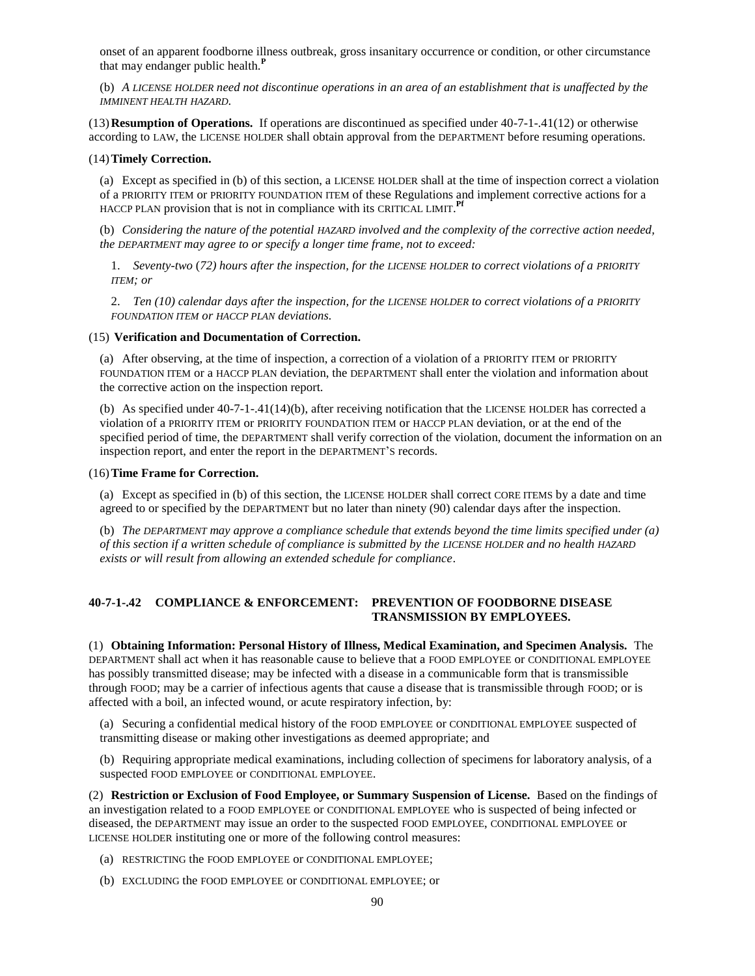onset of an apparent foodborne illness outbreak, gross insanitary occurrence or condition, or other circumstance that may endanger public health.**<sup>P</sup>**

(b) *A LICENSE HOLDER need not discontinue operations in an area of an establishment that is unaffected by the IMMINENT HEALTH HAZARD*.

(13)**Resumption of Operations.** If operations are discontinued as specified under 40-7-1-.41(12) or otherwise according to LAW, the LICENSE HOLDER shall obtain approval from the DEPARTMENT before resuming operations.

#### (14)**Timely Correction.**

(a) Except as specified in (b) of this section, a LICENSE HOLDER shall at the time of inspection correct a violation of a PRIORITY ITEM or PRIORITY FOUNDATION ITEM of these Regulations and implement corrective actions for a HACCP PLAN provision that is not in compliance with its CRITICAL LIMIT. **Pf**

(b) *Considering the nature of the potential HAZARD involved and the complexity of the corrective action needed, the DEPARTMENT may agree to or specify a longer time frame, not to exceed:*

1. *Seventy-two* (*72) hours after the inspection, for the LICENSE HOLDER to correct violations of a PRIORITY ITEM; or*

2. *Ten (10) calendar days after the inspection, for the LICENSE HOLDER to correct violations of a PRIORITY FOUNDATION ITEM or HACCP PLAN deviations.*

#### (15) **Verification and Documentation of Correction.**

(a) After observing, at the time of inspection, a correction of a violation of a PRIORITY ITEM or PRIORITY FOUNDATION ITEM or a HACCP PLAN deviation, the DEPARTMENT shall enter the violation and information about the corrective action on the inspection report.

(b) As specified under 40-7-1-.41(14)(b), after receiving notification that the LICENSE HOLDER has corrected a violation of a PRIORITY ITEM or PRIORITY FOUNDATION ITEM or HACCP PLAN deviation, or at the end of the specified period of time, the DEPARTMENT shall verify correction of the violation, document the information on an inspection report, and enter the report in the DEPARTMENT'S records.

#### (16)**Time Frame for Correction.**

(a) Except as specified in (b) of this section, the LICENSE HOLDER shall correct CORE ITEMS by a date and time agreed to or specified by the DEPARTMENT but no later than ninety (90) calendar days after the inspection.

(b) *The DEPARTMENT may approve a compliance schedule that extends beyond the time limits specified under (a) of this section if a written schedule of compliance is submitted by the LICENSE HOLDER and no health HAZARD exists or will result from allowing an extended schedule for compliance*.

## **40-7-1-.42 COMPLIANCE & ENFORCEMENT: PREVENTION OF FOODBORNE DISEASE TRANSMISSION BY EMPLOYEES.**

(1) **Obtaining Information: Personal History of Illness, Medical Examination, and Specimen Analysis.** The DEPARTMENT shall act when it has reasonable cause to believe that a FOOD EMPLOYEE or CONDITIONAL EMPLOYEE has possibly transmitted disease; may be infected with a disease in a communicable form that is transmissible through FOOD; may be a carrier of infectious agents that cause a disease that is transmissible through FOOD; or is affected with a boil, an infected wound, or acute respiratory infection, by:

(a) Securing a confidential medical history of the FOOD EMPLOYEE or CONDITIONAL EMPLOYEE suspected of transmitting disease or making other investigations as deemed appropriate; and

(b) Requiring appropriate medical examinations, including collection of specimens for laboratory analysis, of a suspected FOOD EMPLOYEE or CONDITIONAL EMPLOYEE.

(2) **Restriction or Exclusion of Food Employee, or Summary Suspension of License.** Based on the findings of an investigation related to a FOOD EMPLOYEE or CONDITIONAL EMPLOYEE who is suspected of being infected or diseased, the DEPARTMENT may issue an order to the suspected FOOD EMPLOYEE, CONDITIONAL EMPLOYEE or LICENSE HOLDER instituting one or more of the following control measures:

- (a) RESTRICTING the FOOD EMPLOYEE or CONDITIONAL EMPLOYEE;
- (b) EXCLUDING the FOOD EMPLOYEE or CONDITIONAL EMPLOYEE; or